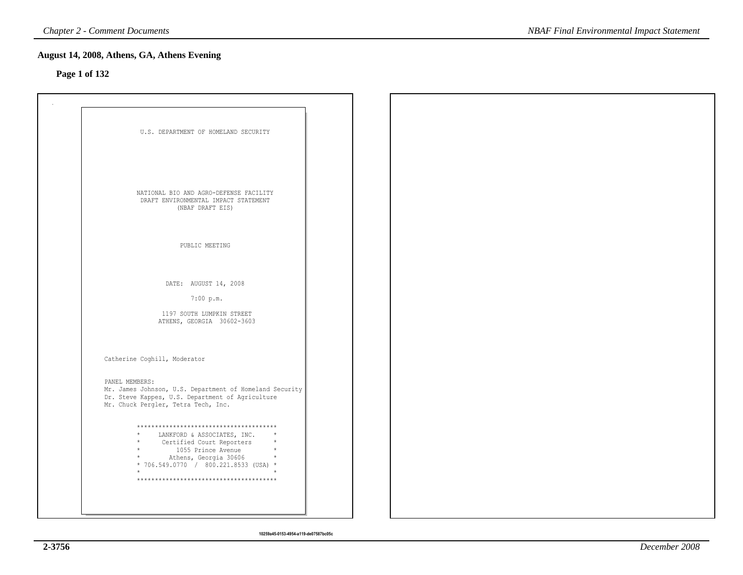### **Page 1 of 132**

| U.S. DEPARTMENT OF HOMELAND SECURITY                                                                        |  |  |
|-------------------------------------------------------------------------------------------------------------|--|--|
|                                                                                                             |  |  |
|                                                                                                             |  |  |
|                                                                                                             |  |  |
|                                                                                                             |  |  |
|                                                                                                             |  |  |
| NATIONAL BIO AND AGRO-DEFENSE FACILITY                                                                      |  |  |
| DRAFT ENVIRONMENTAL IMPACT STATEMENT<br>(NBAF DRAFT EIS)                                                    |  |  |
|                                                                                                             |  |  |
|                                                                                                             |  |  |
|                                                                                                             |  |  |
| PUBLIC MEETING                                                                                              |  |  |
|                                                                                                             |  |  |
|                                                                                                             |  |  |
| DATE: AUGUST 14, 2008                                                                                       |  |  |
|                                                                                                             |  |  |
| 7:00 p.m.                                                                                                   |  |  |
| 1197 SOUTH LUMPKIN STREET                                                                                   |  |  |
| ATHENS, GEORGIA 30602-3603                                                                                  |  |  |
|                                                                                                             |  |  |
|                                                                                                             |  |  |
|                                                                                                             |  |  |
| Catherine Coghill, Moderator                                                                                |  |  |
|                                                                                                             |  |  |
| PANEL MEMBERS:                                                                                              |  |  |
| Mr. James Johnson, U.S. Department of Homeland Security<br>Dr. Steve Kappes, U.S. Department of Agriculture |  |  |
| Mr. Chuck Pergler, Tetra Tech, Inc.                                                                         |  |  |
|                                                                                                             |  |  |
| **************************************                                                                      |  |  |
| LANKFORD & ASSOCIATES, INC.<br>$\star$                                                                      |  |  |
| Certified Court Reporters<br>1055 Prince Avenue<br>$\star$                                                  |  |  |
| * Athens, Georgia 30606 *<br>* 706.549.0770 / 800.221.8533 (USA) *                                          |  |  |
| $\star$                                                                                                     |  |  |
| **************************************                                                                      |  |  |
|                                                                                                             |  |  |
|                                                                                                             |  |  |
|                                                                                                             |  |  |
|                                                                                                             |  |  |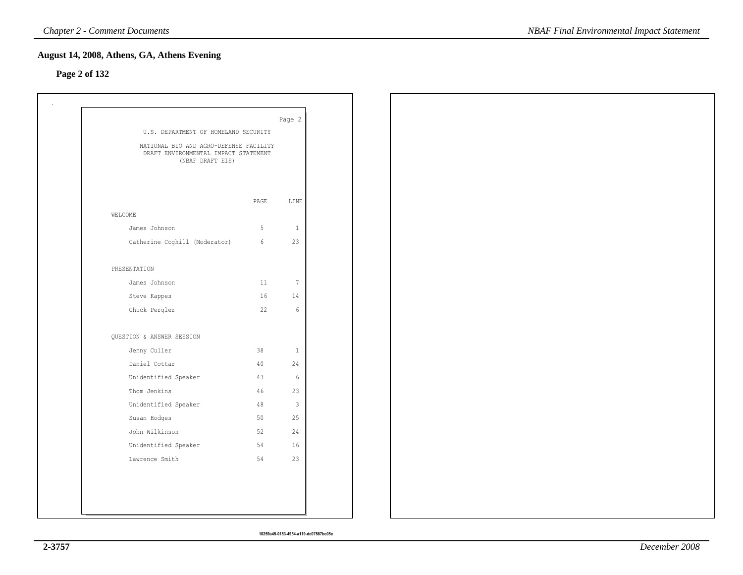### **Page 2 of 132**

| U.S. DEPARTMENT OF HOMELAND SECURITY                                                               |                 | Page 2          |  |  |
|----------------------------------------------------------------------------------------------------|-----------------|-----------------|--|--|
| NATIONAL BIO AND AGRO-DEFENSE FACILITY<br>DRAFT ENVIRONMENTAL IMPACT STATEMENT<br>(NBAF DRAFT EIS) |                 |                 |  |  |
|                                                                                                    | PAGE            | LINE            |  |  |
| WELCOME                                                                                            |                 |                 |  |  |
| James Johnson                                                                                      | 5               | $\mathbf{1}$    |  |  |
| Catherine Coghill (Moderator)                                                                      | $6\overline{6}$ | 23              |  |  |
| PRESENTATION                                                                                       |                 |                 |  |  |
| James Johnson                                                                                      | 11              | $7\phantom{.0}$ |  |  |
| Steve Kappes                                                                                       | 16              | 14              |  |  |
| Chuck Pergler                                                                                      | 22              | $\,$ 6 $\,$     |  |  |
| QUESTION & ANSWER SESSION                                                                          |                 |                 |  |  |
| Jenny Culler                                                                                       | 38              | $\mathbf{1}$    |  |  |
| Daniel Cottar                                                                                      | $40-$           | 24              |  |  |
| Unidentified Speaker                                                                               | 43              | $\epsilon$      |  |  |
| Thom Jenkins                                                                                       | 46              | 23              |  |  |
| Unidentified Speaker                                                                               | 48              | $\mathbf{3}$    |  |  |
| Susan Hodges                                                                                       | 50              | 25              |  |  |
| John Wilkinson                                                                                     | 52              | 24              |  |  |
|                                                                                                    | 54              | 16              |  |  |
| Unidentified Speaker                                                                               |                 |                 |  |  |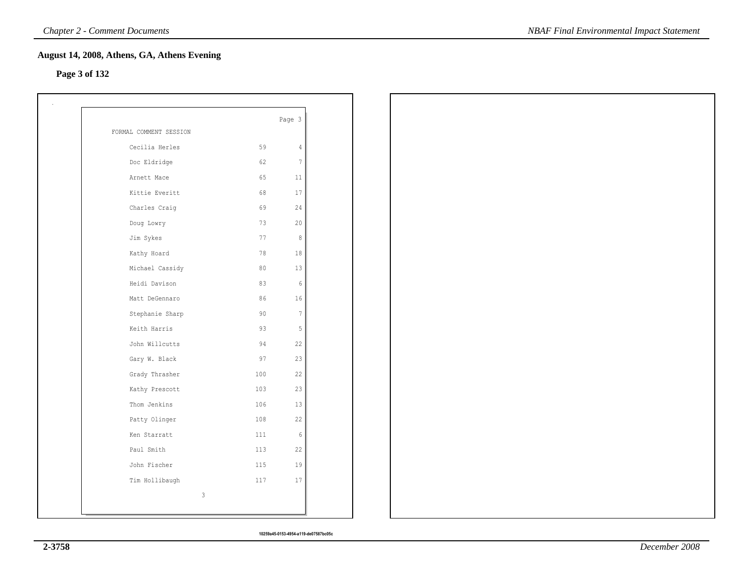### **Page 3 of 132**

|                        |     | Page 3         |
|------------------------|-----|----------------|
| FORMAL COMMENT SESSION |     |                |
| Cecilia Herles         | 59  | 4              |
| Doc Eldridge           | 62  | $\overline{7}$ |
| Arnett Mace            | 65  | 11             |
| Kittie Everitt         | 68  | 17             |
| Charles Craig          | 69  | 24             |
| Doug Lowry             | 73  | 20             |
| Jim Sykes              | 77  | 8              |
| Kathy Hoard            | 78  | 18             |
| Michael Cassidy        | 80  | 13             |
| Heidi Davison          | 83  | 6              |
| Matt DeGennaro         | 86  | 16             |
| Stephanie Sharp        | 90  | $\overline{7}$ |
| Keith Harris           | 93  | 5              |
| John Willcutts         | 94  | 22             |
| Gary W. Black          | 97  | 23             |
| Grady Thrasher         | 100 | 22             |
| Kathy Prescott         | 103 | 23             |
| Thom Jenkins           | 106 | 13             |
| Patty Olinger          | 108 | 22             |
| Ken Starratt           | 111 | 6              |
| Paul Smith             | 113 | 22             |
| John Fischer           | 115 | 19             |
| Tim Hollibaugh         | 117 | 17             |
|                        | 3   |                |
|                        |     |                |

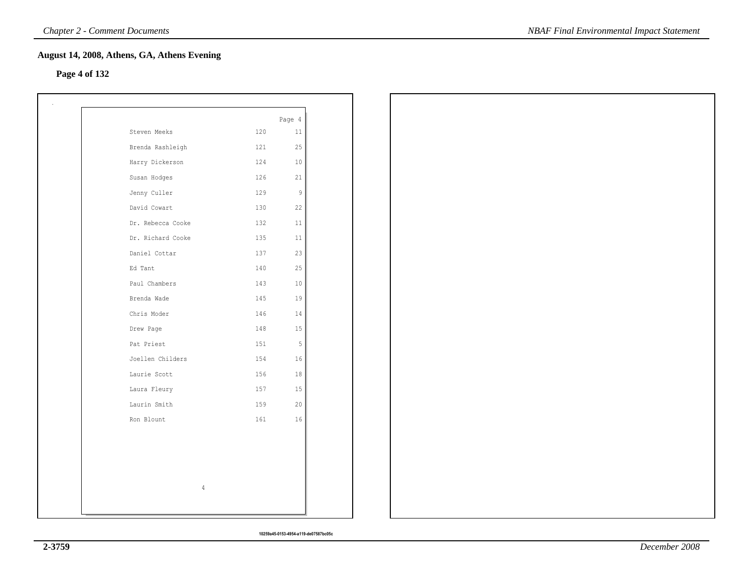# **Page 4 of 132**

| Steven Meeks<br>120<br>11<br>Brenda Rashleigh<br>121<br>25<br>Harry Dickerson<br>124<br>10<br>126<br>21<br>Susan Hodges<br>Jenny Culler<br>129<br>$\overline{9}$<br>David Cowart<br>130<br>22<br>Dr. Rebecca Cooke<br>132<br>11<br>Dr. Richard Cooke<br>135<br>11<br>Daniel Cottar<br>137<br>23<br>25<br>Ed Tant<br>140<br>Paul Chambers<br>10<br>143<br>Brenda Wade<br>145<br>19<br>Chris Moder<br>146<br>14<br>15<br>Drew Page<br>148<br>Pat Priest<br>5<br>151<br>Joellen Childers<br>154<br>16<br>Laurie Scott<br>156<br>18<br>Laura Fleury<br>157<br>15<br>Laurin Smith<br>20<br>159<br>Ron Blount<br>161<br>16 |                |        |
|----------------------------------------------------------------------------------------------------------------------------------------------------------------------------------------------------------------------------------------------------------------------------------------------------------------------------------------------------------------------------------------------------------------------------------------------------------------------------------------------------------------------------------------------------------------------------------------------------------------------|----------------|--------|
|                                                                                                                                                                                                                                                                                                                                                                                                                                                                                                                                                                                                                      |                | Page 4 |
|                                                                                                                                                                                                                                                                                                                                                                                                                                                                                                                                                                                                                      |                |        |
|                                                                                                                                                                                                                                                                                                                                                                                                                                                                                                                                                                                                                      |                |        |
|                                                                                                                                                                                                                                                                                                                                                                                                                                                                                                                                                                                                                      |                |        |
|                                                                                                                                                                                                                                                                                                                                                                                                                                                                                                                                                                                                                      |                |        |
|                                                                                                                                                                                                                                                                                                                                                                                                                                                                                                                                                                                                                      |                |        |
|                                                                                                                                                                                                                                                                                                                                                                                                                                                                                                                                                                                                                      |                |        |
|                                                                                                                                                                                                                                                                                                                                                                                                                                                                                                                                                                                                                      |                |        |
|                                                                                                                                                                                                                                                                                                                                                                                                                                                                                                                                                                                                                      |                |        |
|                                                                                                                                                                                                                                                                                                                                                                                                                                                                                                                                                                                                                      |                |        |
|                                                                                                                                                                                                                                                                                                                                                                                                                                                                                                                                                                                                                      |                |        |
|                                                                                                                                                                                                                                                                                                                                                                                                                                                                                                                                                                                                                      |                |        |
|                                                                                                                                                                                                                                                                                                                                                                                                                                                                                                                                                                                                                      |                |        |
|                                                                                                                                                                                                                                                                                                                                                                                                                                                                                                                                                                                                                      |                |        |
|                                                                                                                                                                                                                                                                                                                                                                                                                                                                                                                                                                                                                      |                |        |
|                                                                                                                                                                                                                                                                                                                                                                                                                                                                                                                                                                                                                      |                |        |
|                                                                                                                                                                                                                                                                                                                                                                                                                                                                                                                                                                                                                      |                |        |
|                                                                                                                                                                                                                                                                                                                                                                                                                                                                                                                                                                                                                      |                |        |
|                                                                                                                                                                                                                                                                                                                                                                                                                                                                                                                                                                                                                      |                |        |
|                                                                                                                                                                                                                                                                                                                                                                                                                                                                                                                                                                                                                      |                |        |
|                                                                                                                                                                                                                                                                                                                                                                                                                                                                                                                                                                                                                      |                |        |
|                                                                                                                                                                                                                                                                                                                                                                                                                                                                                                                                                                                                                      |                |        |
|                                                                                                                                                                                                                                                                                                                                                                                                                                                                                                                                                                                                                      |                |        |
|                                                                                                                                                                                                                                                                                                                                                                                                                                                                                                                                                                                                                      |                |        |
|                                                                                                                                                                                                                                                                                                                                                                                                                                                                                                                                                                                                                      | $\overline{4}$ |        |
|                                                                                                                                                                                                                                                                                                                                                                                                                                                                                                                                                                                                                      |                |        |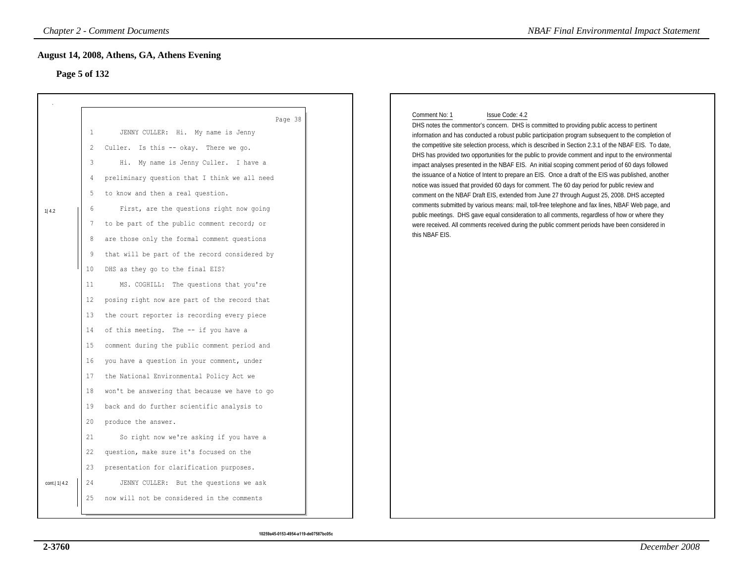# **Page 5 of 132**

|                | <b>Chapter 2 - Comment Documents</b>                                                                                                                                                                                                                                                                                                                                                                                                                                                                                                                                                                                                                                                                                                                                                                                                                                                                                                                                                                               | <b>NBAF Final Environmental Impact Statement</b>                                                                                                                                                                                                                                                                                                                                                                                                                                                                                                                                                                                                                                                                                                                                                                                                                                                                                                                                                                                                                                                                                                                                           |
|----------------|--------------------------------------------------------------------------------------------------------------------------------------------------------------------------------------------------------------------------------------------------------------------------------------------------------------------------------------------------------------------------------------------------------------------------------------------------------------------------------------------------------------------------------------------------------------------------------------------------------------------------------------------------------------------------------------------------------------------------------------------------------------------------------------------------------------------------------------------------------------------------------------------------------------------------------------------------------------------------------------------------------------------|--------------------------------------------------------------------------------------------------------------------------------------------------------------------------------------------------------------------------------------------------------------------------------------------------------------------------------------------------------------------------------------------------------------------------------------------------------------------------------------------------------------------------------------------------------------------------------------------------------------------------------------------------------------------------------------------------------------------------------------------------------------------------------------------------------------------------------------------------------------------------------------------------------------------------------------------------------------------------------------------------------------------------------------------------------------------------------------------------------------------------------------------------------------------------------------------|
|                | August 14, 2008, Athens, GA, Athens Evening<br>Page 5 of 132                                                                                                                                                                                                                                                                                                                                                                                                                                                                                                                                                                                                                                                                                                                                                                                                                                                                                                                                                       |                                                                                                                                                                                                                                                                                                                                                                                                                                                                                                                                                                                                                                                                                                                                                                                                                                                                                                                                                                                                                                                                                                                                                                                            |
| 1 4.2          | Page 38<br>JENNY CULLER: Hi. My name is Jenny<br>1<br>Culler. Is this -- okay. There we go.<br>$\overline{c}$<br>3<br>Hi. My name is Jenny Culler. I have a<br>preliminary question that I think we all need<br>$\overline{4}$<br>5<br>to know and then a real question.<br>First, are the questions right now going<br>6<br>to be part of the public comment record; or<br>7<br>are those only the formal comment questions<br>8<br>that will be part of the record considered by<br>9<br>DHS as they go to the final EIS?<br>10<br>11<br>MS. COGHILL: The questions that you're<br>posing right now are part of the record that<br>12<br>the court reporter is recording every piece<br>13<br>of this meeting. The -- if you have a<br>14<br>15<br>comment during the public comment period and<br>you have a question in your comment, under<br>16<br>the National Environmental Policy Act we<br>17<br>18<br>won't be answering that because we have to go<br>back and do further scientific analysis to<br>19 | Comment No: 1<br>Issue Code: 4.2<br>DHS notes the commentor's concern. DHS is committed to providing public access to pertinent<br>information and has conducted a robust public participation program subsequent to the completion of<br>the competitive site selection process, which is described in Section 2.3.1 of the NBAF EIS. To date,<br>DHS has provided two opportunities for the public to provide comment and input to the environmental<br>impact analyses presented in the NBAF EIS. An initial scoping comment period of 60 days followed<br>the issuance of a Notice of Intent to prepare an EIS. Once a draft of the EIS was published, another<br>notice was issued that provided 60 days for comment. The 60 day period for public review and<br>comment on the NBAF Draft EIS, extended from June 27 through August 25, 2008. DHS accepted<br>comments submitted by various means: mail, toll-free telephone and fax lines, NBAF Web page, and<br>public meetings. DHS gave equal consideration to all comments, regardless of how or where they<br>were received. All comments received during the public comment periods have been considered in<br>this NBAF EIS. |
| cont.   1  4.2 | produce the answer.<br>20<br>21<br>So right now we're asking if you have a<br>22<br>question, make sure it's focused on the<br>23<br>presentation for clarification purposes.<br>24<br>JENNY CULLER: But the questions we ask<br>25<br>now will not be considered in the comments                                                                                                                                                                                                                                                                                                                                                                                                                                                                                                                                                                                                                                                                                                                                  |                                                                                                                                                                                                                                                                                                                                                                                                                                                                                                                                                                                                                                                                                                                                                                                                                                                                                                                                                                                                                                                                                                                                                                                            |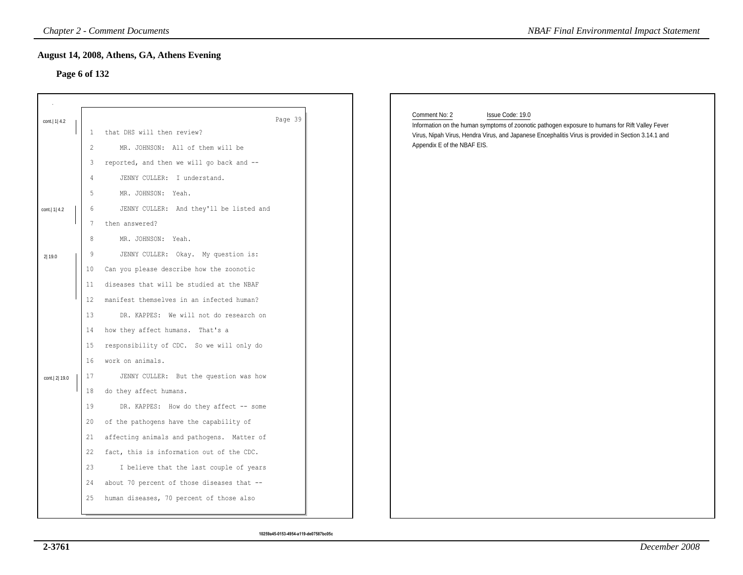### **Page 6 of 132**

| Page 6 of 132   |                        | <b>Chapter 2 - Comment Documents</b><br>August 14, 2008, Athens, GA, Athens Evening                                             | <b>NBAF Final Environmental Impact Statement</b>                                                                                                                                                                                                                           |
|-----------------|------------------------|---------------------------------------------------------------------------------------------------------------------------------|----------------------------------------------------------------------------------------------------------------------------------------------------------------------------------------------------------------------------------------------------------------------------|
| cont.   1   4.2 | $\mathbf{1}$<br>2<br>3 | Page 39<br>that DHS will then review?<br>MR. JOHNSON: All of them will be<br>reported, and then we will go back and --          | Comment No: 2<br>Issue Code: 19.0<br>Information on the human symptoms of zoonotic pathogen exposure to humans for Rift Valley Fever<br>Virus, Nipah Virus, Hendra Virus, and Japanese Encephalitis Virus is provided in Section 3.14.1 and<br>Appendix E of the NBAF EIS. |
|                 | 4<br>5                 | JENNY CULLER: I understand.<br>MR. JOHNSON: Yeah.                                                                               |                                                                                                                                                                                                                                                                            |
| cont.   1   4.2 | 6<br>7<br>8            | JENNY CULLER: And they'll be listed and<br>then answered?<br>MR. JOHNSON: Yeah.                                                 |                                                                                                                                                                                                                                                                            |
| 2 19.0          | 9<br>10<br>11          | JENNY CULLER: Okay. My question is:<br>Can you please describe how the zoonotic<br>diseases that will be studied at the NBAF    |                                                                                                                                                                                                                                                                            |
|                 | 12<br>13               | manifest themselves in an infected human?<br>DR. KAPPES: We will not do research on                                             |                                                                                                                                                                                                                                                                            |
|                 | 14<br>15<br>16         | how they affect humans. That's a<br>responsibility of CDC. So we will only do<br>work on animals.                               |                                                                                                                                                                                                                                                                            |
| cont. 2 19.0    | 17<br>18               | JENNY CULLER: But the question was how<br>do they affect humans.                                                                |                                                                                                                                                                                                                                                                            |
|                 | 19<br>20<br>21         | DR. KAPPES: How do they affect -- some<br>of the pathogens have the capability of<br>affecting animals and pathogens. Matter of |                                                                                                                                                                                                                                                                            |
|                 | 22<br>23               | fact, this is information out of the CDC.<br>I believe that the last couple of years                                            |                                                                                                                                                                                                                                                                            |
|                 | 24<br>25               | about 70 percent of those diseases that --<br>human diseases, 70 percent of those also                                          |                                                                                                                                                                                                                                                                            |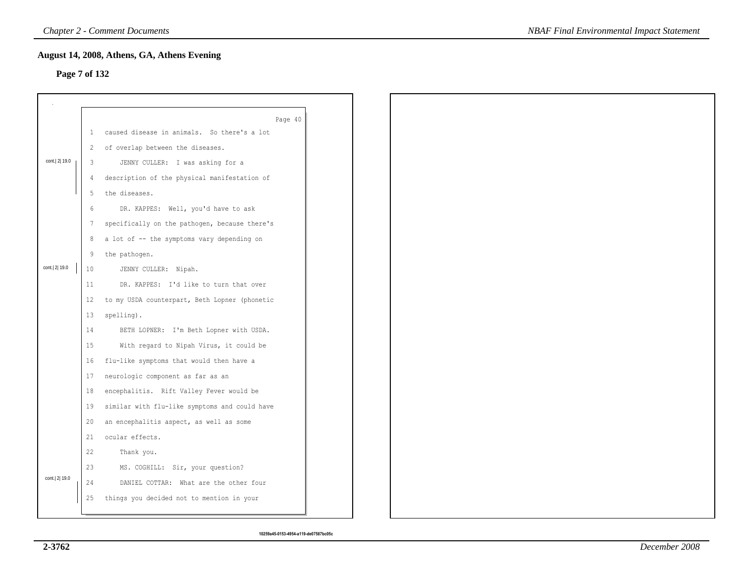### **Page 7 of 132**

|               |                | August 14, 2008, Athens, GA, Athens Evening   |  |  |  |
|---------------|----------------|-----------------------------------------------|--|--|--|
| Page 7 of 132 |                |                                               |  |  |  |
|               |                |                                               |  |  |  |
|               |                |                                               |  |  |  |
|               |                | Page 40                                       |  |  |  |
|               | $\mathbf{1}$   | caused disease in animals. So there's a lot   |  |  |  |
|               | $\overline{2}$ | of overlap between the diseases.              |  |  |  |
| cont. 2 19.0  | 3              | JENNY CULLER: I was asking for a              |  |  |  |
|               | 4              | description of the physical manifestation of  |  |  |  |
|               | 5              | the diseases.                                 |  |  |  |
|               | 6              | DR. KAPPES: Well, you'd have to ask           |  |  |  |
|               | $7\phantom{.}$ | specifically on the pathogen, because there's |  |  |  |
|               | 8              | a lot of -- the symptoms vary depending on    |  |  |  |
|               | 9              | the pathogen.                                 |  |  |  |
| cont. 2 19.0  | 10             | JENNY CULLER: Nipah.                          |  |  |  |
|               | 11             | DR. KAPPES: I'd like to turn that over        |  |  |  |
|               | 12             | to my USDA counterpart, Beth Lopner (phonetic |  |  |  |
|               | 13             | spelling).                                    |  |  |  |
|               | 14             | BETH LOPNER: I'm Beth Lopner with USDA.       |  |  |  |
|               | 15             | With regard to Nipah Virus, it could be       |  |  |  |
|               | 16             | flu-like symptoms that would then have a      |  |  |  |
|               | 17             | neurologic component as far as an             |  |  |  |
|               | 18             | encephalitis. Rift Valley Fever would be      |  |  |  |
|               | 19             | similar with flu-like symptoms and could have |  |  |  |
|               | 20             | an encephalitis aspect, as well as some       |  |  |  |
|               | 21             | ocular effects.                               |  |  |  |
|               | 22             | Thank you.                                    |  |  |  |
|               | 23             | MS. COGHILL: Sir, your question?              |  |  |  |
| cont. 2 19.0  | 24             | DANIEL COTTAR: What are the other four        |  |  |  |
|               | 25             | things you decided not to mention in your     |  |  |  |
|               |                |                                               |  |  |  |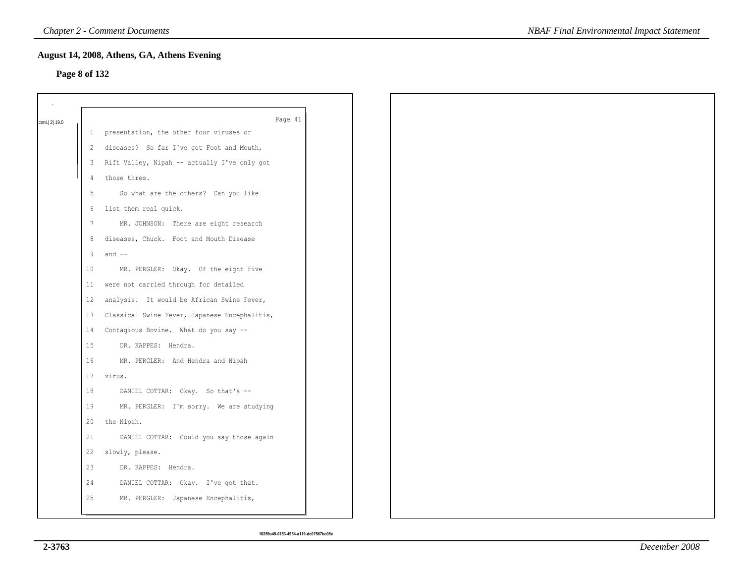# **Page 8 of 132**

| cont. 2 19.0 |                 | Page 41                                       |
|--------------|-----------------|-----------------------------------------------|
|              |                 | 1 presentation, the other four viruses or     |
|              |                 | 2 diseases? So far I've got Foot and Mouth,   |
|              | 3               | Rift Valley, Nipah -- actually I've only got  |
|              | $\overline{4}$  | those three.                                  |
|              | 5               | So what are the others? Can you like          |
|              | 6               | list them real quick.                         |
|              | $7\phantom{.0}$ | MR. JOHNSON: There are eight research         |
|              | 8               | diseases, Chuck. Foot and Mouth Disease       |
|              | 9               | and $--$                                      |
|              | 10              | MR. PERGLER: Okay. Of the eight five          |
|              | 11              | were not carried through for detailed         |
|              | 12 <sup>7</sup> | analysis. It would be African Swine Fever,    |
|              | 13              | Classical Swine Fever, Japanese Encephalitis, |
|              | 14              | Contagious Bovine. What do you say --         |
|              | 15              | DR. KAPPES: Hendra.                           |
|              | 16              | MR. PERGLER: And Hendra and Nipah             |
|              | 17              | virus.                                        |
|              | 18              | DANIEL COTTAR: Okay. So that's --             |
|              | 19              | MR. PERGLER: I'm sorry. We are studying       |
|              | 20              | the Nipah.                                    |
|              | 21              | DANIEL COTTAR: Could you say those again      |
|              | 22              | slowly, please.                               |
|              | 23              | DR. KAPPES: Hendra.                           |
|              | 24              | DANIEL COTTAR: Okay. I've got that.           |
|              | 25              | MR. PERGLER: Japanese Encephalitis,           |
|              |                 |                                               |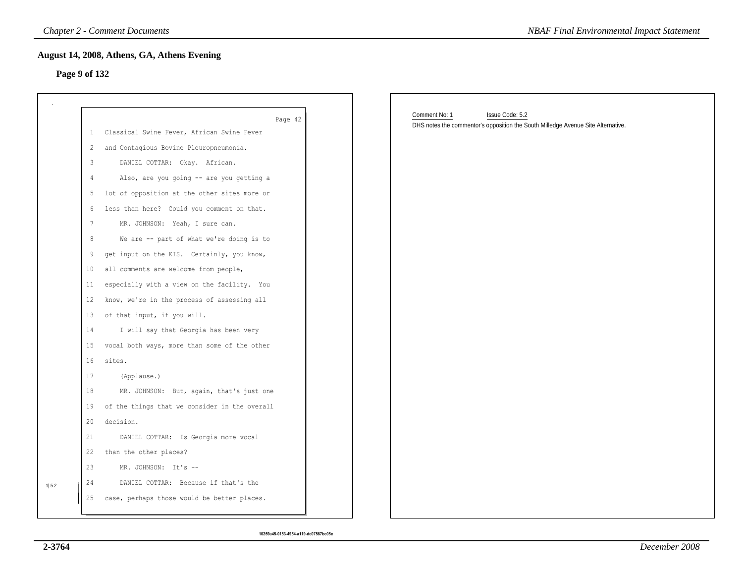### **Page 9 of 132**

|                 | <b>Chapter 2 - Comment Documents</b>           | <b>NBAF Final Environmental Impact Statement</b>                                                                     |
|-----------------|------------------------------------------------|----------------------------------------------------------------------------------------------------------------------|
|                 | August 14, 2008, Athens, GA, Athens Evening    |                                                                                                                      |
| Page 9 of 132   |                                                |                                                                                                                      |
|                 |                                                |                                                                                                                      |
|                 | Page 42                                        | Comment No: 1<br>Issue Code: 5.2<br>DHS notes the commentor's opposition the South Milledge Avenue Site Alternative. |
| $\mathbf{1}$    | Classical Swine Fever, African Swine Fever     |                                                                                                                      |
| $\mathbf{2}$    | and Contagious Bovine Pleuropneumonia.         |                                                                                                                      |
| 3               | DANIEL COTTAR: Okay. African.                  |                                                                                                                      |
| $\overline{4}$  | Also, are you going -- are you getting a       |                                                                                                                      |
| 5               | lot of opposition at the other sites more or   |                                                                                                                      |
| 6               | less than here? Could you comment on that.     |                                                                                                                      |
| $7\phantom{.0}$ | MR. JOHNSON: Yeah, I sure can.                 |                                                                                                                      |
| 8               | We are -- part of what we're doing is to       |                                                                                                                      |
| 9               | get input on the EIS. Certainly, you know,     |                                                                                                                      |
| 10              | all comments are welcome from people,          |                                                                                                                      |
| 11              | especially with a view on the facility. You    |                                                                                                                      |
| 12              | know, we're in the process of assessing all    |                                                                                                                      |
| 13              | of that input, if you will.                    |                                                                                                                      |
| 14              | I will say that Georgia has been very          |                                                                                                                      |
| 15              | vocal both ways, more than some of the other   |                                                                                                                      |
| 16              | sites.                                         |                                                                                                                      |
| 17              | (Applause.)                                    |                                                                                                                      |
| 18              | MR. JOHNSON: But, again, that's just one       |                                                                                                                      |
| 19              | of the things that we consider in the overall  |                                                                                                                      |
| 20              | decision.                                      |                                                                                                                      |
| 21              | DANIEL COTTAR: Is Georgia more vocal           |                                                                                                                      |
| 22              | than the other places?                         |                                                                                                                      |
| 23              | MR. JOHNSON: It's --                           |                                                                                                                      |
| 24<br>1 5.2     | DANIEL COTTAR: Because if that's the           |                                                                                                                      |
|                 | 25 case, perhaps those would be better places. |                                                                                                                      |
|                 |                                                |                                                                                                                      |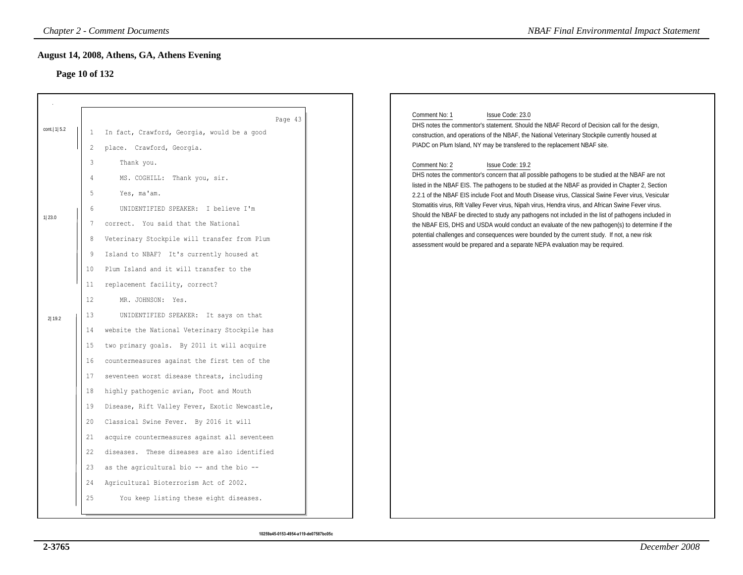# **Page 10 of 132**

|                  |                                                                                                   | <b>Chapter 2 - Comment Documents</b>                                                                                                                                                                                                                                                                                                                                                                                                                                                                                                                                                                                                                                                                              | <b>NBAF Final Environmental Impact Statement</b>                                                                                                                                                                                                                                                                                                                                                                                                                                                                                                                                                                                                                                                                                                                                                                                                  |
|------------------|---------------------------------------------------------------------------------------------------|-------------------------------------------------------------------------------------------------------------------------------------------------------------------------------------------------------------------------------------------------------------------------------------------------------------------------------------------------------------------------------------------------------------------------------------------------------------------------------------------------------------------------------------------------------------------------------------------------------------------------------------------------------------------------------------------------------------------|---------------------------------------------------------------------------------------------------------------------------------------------------------------------------------------------------------------------------------------------------------------------------------------------------------------------------------------------------------------------------------------------------------------------------------------------------------------------------------------------------------------------------------------------------------------------------------------------------------------------------------------------------------------------------------------------------------------------------------------------------------------------------------------------------------------------------------------------------|
| Page 10 of 132   |                                                                                                   | August 14, 2008, Athens, GA, Athens Evening                                                                                                                                                                                                                                                                                                                                                                                                                                                                                                                                                                                                                                                                       |                                                                                                                                                                                                                                                                                                                                                                                                                                                                                                                                                                                                                                                                                                                                                                                                                                                   |
| cont.   1   5.2  | $\mathbf{1}$<br>$\mathbf{2}^{\prime}$                                                             | Page 43<br>In fact, Crawford, Georgia, would be a good<br>place. Crawford, Georgia.                                                                                                                                                                                                                                                                                                                                                                                                                                                                                                                                                                                                                               | Comment No: 1<br>Issue Code: 23.0<br>DHS notes the commentor's statement. Should the NBAF Record of Decision call for the design,<br>construction, and operations of the NBAF, the National Veterinary Stockpile currently housed at<br>PIADC on Plum Island, NY may be transfered to the replacement NBAF site.                                                                                                                                                                                                                                                                                                                                                                                                                                                                                                                                  |
| 1 23.0<br>2 19.2 | 3<br>4<br>5<br>6<br>7<br>8<br>9<br>10<br>11<br>12<br>13<br>14<br>15<br>16<br>17<br>18<br>19<br>20 | Thank you.<br>MS. COGHILL: Thank you, sir.<br>Yes, ma'am.<br>UNIDENTIFIED SPEAKER: I believe I'm<br>correct. You said that the National<br>Veterinary Stockpile will transfer from Plum<br>Island to NBAF? It's currently housed at<br>Plum Island and it will transfer to the<br>replacement facility, correct?<br>MR. JOHNSON: Yes.<br>UNIDENTIFIED SPEAKER: It says on that<br>website the National Veterinary Stockpile has<br>two primary goals. By 2011 it will acquire<br>countermeasures against the first ten of the<br>seventeen worst disease threats, including<br>highly pathogenic avian, Foot and Mouth<br>Disease, Rift Valley Fever, Exotic Newcastle,<br>Classical Swine Fever. By 2016 it will | Comment No: 2<br>Issue Code: 19.2<br>DHS notes the commentor's concern that all possible pathogens to be studied at the NBAF are not<br>listed in the NBAF EIS. The pathogens to be studied at the NBAF as provided in Chapter 2, Section<br>2.2.1 of the NBAF EIS include Foot and Mouth Disease virus, Classical Swine Fever virus, Vesicular<br>Stomatitis virus, Rift Valley Fever virus, Nipah virus, Hendra virus, and African Swine Fever virus.<br>Should the NBAF be directed to study any pathogens not included in the list of pathogens included in<br>the NBAF EIS, DHS and USDA would conduct an evaluate of the new pathogen(s) to determine if the<br>potential challenges and consequences were bounded by the current study. If not, a new risk<br>assessment would be prepared and a separate NEPA evaluation may be required. |
|                  | 21<br>22<br>23<br>24<br>25                                                                        | acquire countermeasures against all seventeen<br>diseases. These diseases are also identified<br>as the agricultural bio -- and the bio --<br>Agricultural Bioterrorism Act of 2002.<br>You keep listing these eight diseases.                                                                                                                                                                                                                                                                                                                                                                                                                                                                                    |                                                                                                                                                                                                                                                                                                                                                                                                                                                                                                                                                                                                                                                                                                                                                                                                                                                   |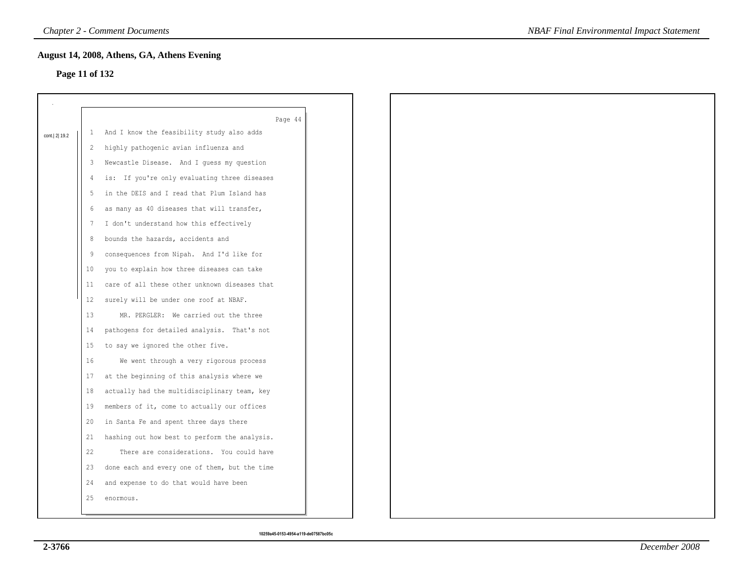# **Page 11 of 132**

|                 |              | Page 44                                       |
|-----------------|--------------|-----------------------------------------------|
| cont.   2  19.2 | $\mathbf{1}$ | And I know the feasibility study also adds    |
|                 | 2            | highly pathogenic avian influenza and         |
|                 | 3            | Newcastle Disease. And I guess my question    |
|                 | 4            | is: If you're only evaluating three diseases  |
|                 | 5            | in the DEIS and I read that Plum Island has   |
|                 | 6            | as many as 40 diseases that will transfer,    |
|                 | 7            | I don't understand how this effectively       |
|                 | 8            | bounds the hazards, accidents and             |
|                 | 9            | consequences from Nipah. And I'd like for     |
|                 | 10           | you to explain how three diseases can take    |
|                 | 11           | care of all these other unknown diseases that |
|                 | $12 \,$      | surely will be under one roof at NBAF.        |
|                 | 13           | MR. PERGLER: We carried out the three         |
|                 | 14           | pathogens for detailed analysis. That's not   |
|                 | 15           | to say we ignored the other five.             |
|                 | 16           | We went through a very rigorous process       |
|                 | 17           | at the beginning of this analysis where we    |
|                 | 18           | actually had the multidisciplinary team, key  |
|                 | 19           | members of it, come to actually our offices   |
|                 | 20           | in Santa Fe and spent three days there        |
|                 | 21           | hashing out how best to perform the analysis. |
|                 | 22           | There are considerations. You could have      |
|                 | 23           | done each and every one of them, but the time |
|                 | 24           | and expense to do that would have been        |
|                 |              |                                               |
|                 | 25           | enormous.                                     |
|                 |              |                                               |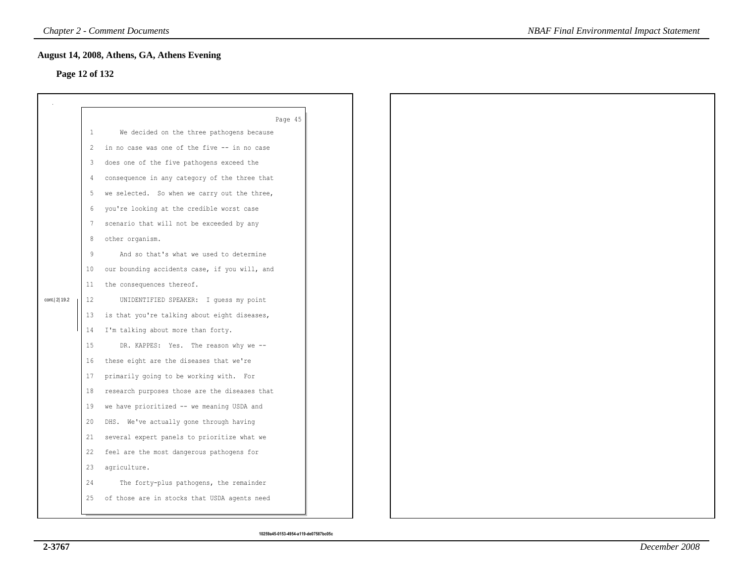### **Page 12 of 132**

|                |         | August 14, 2008, Athens, GA, Athens Evening   |  |  |
|----------------|---------|-----------------------------------------------|--|--|
| Page 12 of 132 |         |                                               |  |  |
|                |         |                                               |  |  |
|                |         |                                               |  |  |
|                |         | Page 45                                       |  |  |
|                | $\perp$ | We decided on the three pathogens because     |  |  |
|                | 2       | in no case was one of the five -- in no case  |  |  |
|                | 3       | does one of the five pathogens exceed the     |  |  |
|                | 4       | consequence in any category of the three that |  |  |
|                | 5       | we selected. So when we carry out the three,  |  |  |
|                | 6       | you're looking at the credible worst case     |  |  |
|                | 7       | scenario that will not be exceeded by any     |  |  |
|                | 8       | other organism.                               |  |  |
|                | 9       | And so that's what we used to determine       |  |  |
|                | 10      | our bounding accidents case, if you will, and |  |  |
|                | 11      | the consequences thereof.                     |  |  |
| cont. 2 19.2   | 12      | UNIDENTIFIED SPEAKER: I guess my point        |  |  |
|                | 13      | is that you're talking about eight diseases,  |  |  |
|                | 14      | I'm talking about more than forty.            |  |  |
|                | 15      | DR. KAPPES: Yes. The reason why we --         |  |  |
|                | 16      | these eight are the diseases that we're       |  |  |
|                | 17      | primarily going to be working with. For       |  |  |
|                | 18      | research purposes those are the diseases that |  |  |
|                | 19      | we have prioritized -- we meaning USDA and    |  |  |
|                | 20      | DHS. We've actually gone through having       |  |  |
|                | 21      | several expert panels to prioritize what we   |  |  |
|                | 22      | feel are the most dangerous pathogens for     |  |  |
|                | 23      | agriculture.                                  |  |  |
|                | 24      | The forty-plus pathogens, the remainder       |  |  |
|                | 25      | of those are in stocks that USDA agents need  |  |  |
|                |         |                                               |  |  |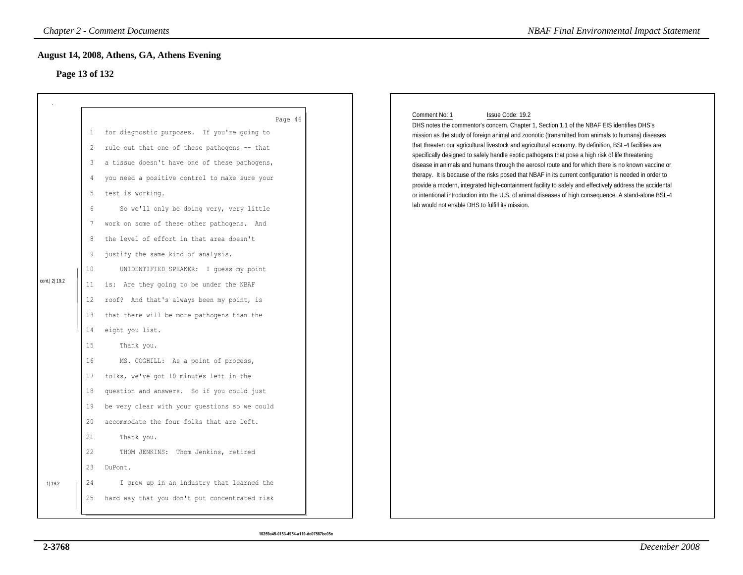# **Page 13 of 132**

|                |                                                                                                                                                  | <b>Chapter 2 - Comment Documents</b>                                                                                                                                                                                                                                                                                                                                                                                                                                                                                                                                                                                                                                                                                                                                                                                                                                                                                    | <b>NBAF Final Environmental Impact Statement</b>                                                                                                                                                                                                                                                                                                                                                                                                                                                                                                                                                                                                                                                                                                                                                                                                                                                                                            |
|----------------|--------------------------------------------------------------------------------------------------------------------------------------------------|-------------------------------------------------------------------------------------------------------------------------------------------------------------------------------------------------------------------------------------------------------------------------------------------------------------------------------------------------------------------------------------------------------------------------------------------------------------------------------------------------------------------------------------------------------------------------------------------------------------------------------------------------------------------------------------------------------------------------------------------------------------------------------------------------------------------------------------------------------------------------------------------------------------------------|---------------------------------------------------------------------------------------------------------------------------------------------------------------------------------------------------------------------------------------------------------------------------------------------------------------------------------------------------------------------------------------------------------------------------------------------------------------------------------------------------------------------------------------------------------------------------------------------------------------------------------------------------------------------------------------------------------------------------------------------------------------------------------------------------------------------------------------------------------------------------------------------------------------------------------------------|
| Page 13 of 132 |                                                                                                                                                  | August 14, 2008, Athens, GA, Athens Evening                                                                                                                                                                                                                                                                                                                                                                                                                                                                                                                                                                                                                                                                                                                                                                                                                                                                             |                                                                                                                                                                                                                                                                                                                                                                                                                                                                                                                                                                                                                                                                                                                                                                                                                                                                                                                                             |
| cont. 2 19.2   | 1<br>2<br>3<br>$\overline{4}$<br>5<br>6<br>7<br>$\,8\,$<br>9<br>10<br>11<br>12<br>13<br>14<br>15<br>16<br>17<br>18<br>19<br>20<br>21<br>22<br>23 | Page 46<br>for diagnostic purposes. If you're going to<br>rule out that one of these pathogens -- that<br>a tissue doesn't have one of these pathogens,<br>you need a positive control to make sure your<br>test is working.<br>So we'll only be doing very, very little<br>work on some of these other pathogens. And<br>the level of effort in that area doesn't<br>justify the same kind of analysis.<br>UNIDENTIFIED SPEAKER: I guess my point<br>is: Are they going to be under the NBAF<br>roof? And that's always been my point, is<br>that there will be more pathogens than the<br>eight you list.<br>Thank you.<br>MS. COGHILL: As a point of process,<br>folks, we've got 10 minutes left in the<br>question and answers. So if you could just<br>be very clear with your questions so we could<br>accommodate the four folks that are left.<br>Thank you.<br>THOM JENKINS: Thom Jenkins, retired<br>DuPont. | Comment No: 1<br>Issue Code: 19.2<br>DHS notes the commentor's concern. Chapter 1, Section 1.1 of the NBAF EIS identifies DHS's<br>mission as the study of foreign animal and zoonotic (transmitted from animals to humans) diseases<br>that threaten our agricultural livestock and agricultural economy. By definition, BSL-4 facilities are<br>specifically designed to safely handle exotic pathogens that pose a high risk of life threatening<br>disease in animals and humans through the aerosol route and for which there is no known vaccine or<br>therapy. It is because of the risks posed that NBAF in its current configuration is needed in order to<br>provide a modern, integrated high-containment facility to safely and effectively address the accidental<br>or intentional introduction into the U.S. of animal diseases of high consequence. A stand-alone BSL-4<br>lab would not enable DHS to fulfill its mission. |
| 1  19.2        | 24<br>25                                                                                                                                         | I grew up in an industry that learned the<br>hard way that you don't put concentrated risk                                                                                                                                                                                                                                                                                                                                                                                                                                                                                                                                                                                                                                                                                                                                                                                                                              |                                                                                                                                                                                                                                                                                                                                                                                                                                                                                                                                                                                                                                                                                                                                                                                                                                                                                                                                             |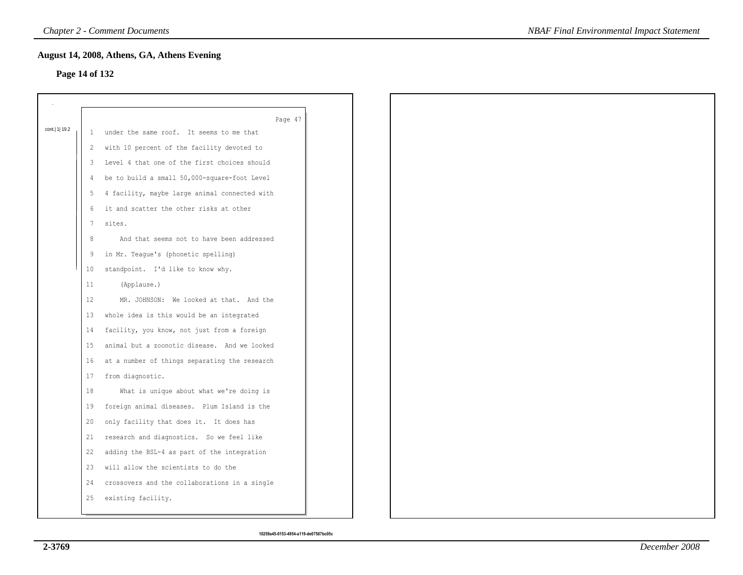# **Page 14 of 132**

|                  |                 | Page 47                                         |
|------------------|-----------------|-------------------------------------------------|
| cont.   1   19.2 | 1               | under the same roof. It seems to me that        |
|                  | $\mathbf{2}$    | with 10 percent of the facility devoted to      |
|                  | $3^{\circ}$     | Level 4 that one of the first choices should    |
|                  | 4               | be to build a small 50,000-square-foot Level    |
|                  |                 | 5 4 facility, maybe large animal connected with |
|                  | 6               | it and scatter the other risks at other         |
|                  | 7               | sites.                                          |
|                  | 8               | And that seems not to have been addressed       |
|                  | 9               | in Mr. Teague's (phonetic spelling)             |
|                  | 10 <sup>°</sup> | standpoint. I'd like to know why.               |
|                  | 11              | (Applause.)                                     |
|                  | 12              | MR. JOHNSON: We looked at that. And the         |
|                  | 13              | whole idea is this would be an integrated       |
|                  | 14              | facility, you know, not just from a foreign     |
|                  | 15              | animal but a zoonotic disease. And we looked    |
|                  | 16              | at a number of things separating the research   |
|                  | 17              | from diagnostic.                                |
|                  | 18              | What is unique about what we're doing is        |
|                  | 19              | foreign animal diseases. Plum Island is the     |
|                  | 20              | only facility that does it. It does has         |
|                  | 21              | research and diagnostics. So we feel like       |
|                  | 22              | adding the BSL-4 as part of the integration     |
|                  | 23              | will allow the scientists to do the             |
|                  | 24              | crossovers and the collaborations in a single   |
|                  | 25              | existing facility.                              |
|                  |                 |                                                 |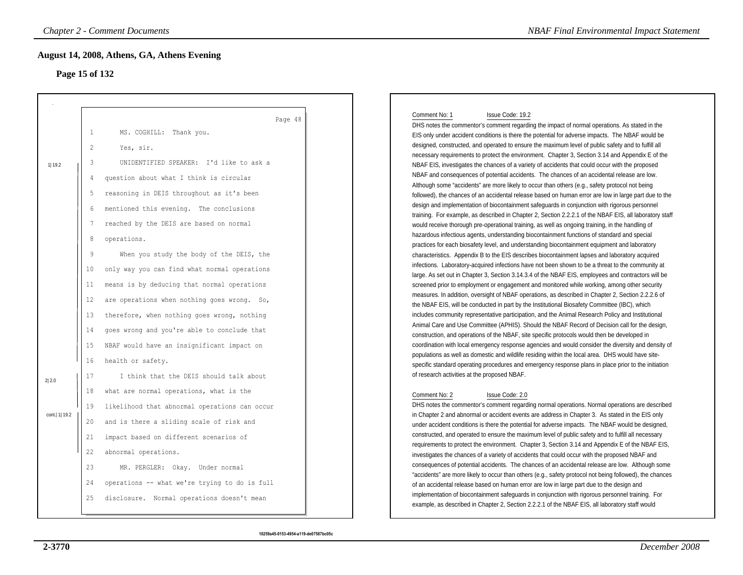# **Page 15 of 132**

|                 |                                                                           | <b>Chapter 2 - Comment Documents</b>                                                                                                                                                                                                                                                                                                                                                               | <b>NBAF Final Environmental Impact Statement</b>                                                                                                                                                                                                                                                                                                                                                                                                                                                                                                                                                                                                                                                                                                                                                                                                                                                                                                                                                                                                                                                                                                                                                                                                                                                                                                                                              |
|-----------------|---------------------------------------------------------------------------|----------------------------------------------------------------------------------------------------------------------------------------------------------------------------------------------------------------------------------------------------------------------------------------------------------------------------------------------------------------------------------------------------|-----------------------------------------------------------------------------------------------------------------------------------------------------------------------------------------------------------------------------------------------------------------------------------------------------------------------------------------------------------------------------------------------------------------------------------------------------------------------------------------------------------------------------------------------------------------------------------------------------------------------------------------------------------------------------------------------------------------------------------------------------------------------------------------------------------------------------------------------------------------------------------------------------------------------------------------------------------------------------------------------------------------------------------------------------------------------------------------------------------------------------------------------------------------------------------------------------------------------------------------------------------------------------------------------------------------------------------------------------------------------------------------------|
| Page 15 of 132  |                                                                           | August 14, 2008, Athens, GA, Athens Evening                                                                                                                                                                                                                                                                                                                                                        |                                                                                                                                                                                                                                                                                                                                                                                                                                                                                                                                                                                                                                                                                                                                                                                                                                                                                                                                                                                                                                                                                                                                                                                                                                                                                                                                                                                               |
| 1   19.2        | $\mathbf{1}$<br>$\overline{2}$<br>3<br>$\overline{4}$<br>5<br>6<br>7<br>8 | Page 48<br>MS. COGHILL: Thank you.<br>Yes, sir.<br>UNIDENTIFIED SPEAKER: I'd like to ask a<br>question about what I think is circular<br>reasoning in DEIS throughout as it's been<br>mentioned this evening. The conclusions<br>reached by the DEIS are based on normal<br>operations.                                                                                                            | Comment No: 1<br>Issue Code: 19.2<br>DHS notes the commentor's comment regarding the impact of normal operations. As stated in the<br>EIS only under accident conditions is there the potential for adverse impacts. The NBAF would be<br>designed, constructed, and operated to ensure the maximum level of public safety and to fulfill all<br>necessary requirements to protect the environment. Chapter 3, Section 3.14 and Appendix E of the<br>NBAF EIS, investigates the chances of a variety of accidents that could occur with the proposed<br>NBAF and consequences of potential accidents. The chances of an accidental release are low.<br>Although some "accidents" are more likely to occur than others (e.g., safety protocol not being<br>followed), the chances of an accidental release based on human error are low in large part due to the<br>design and implementation of biocontainment safeguards in conjunction with rigorous personnel<br>training. For example, as described in Chapter 2, Section 2.2.2.1 of the NBAF EIS, all laboratory staff<br>would receive thorough pre-operational training, as well as ongoing training, in the handling of<br>hazardous infectious agents, understanding biocontainment functions of standard and special                                                                                                                |
| 2 2.0           | 9<br>10<br>11<br>12<br>13<br>14<br>15<br>16<br>17                         | When you study the body of the DEIS, the<br>only way you can find what normal operations<br>means is by deducing that normal operations<br>are operations when nothing goes wrong. So,<br>therefore, when nothing goes wrong, nothing<br>goes wrong and you're able to conclude that<br>NBAF would have an insignificant impact on<br>health or safety.<br>I think that the DEIS should talk about | practices for each biosafety level, and understanding biocontainment equipment and laboratory<br>characteristics. Appendix B to the EIS describes biocontainment lapses and laboratory acquired<br>infections. Laboratory-acquired infections have not been shown to be a threat to the community at<br>large. As set out in Chapter 3, Section 3.14.3.4 of the NBAF EIS, employees and contractors will be<br>screened prior to employment or engagement and monitored while working, among other security<br>measures. In addition, oversight of NBAF operations, as described in Chapter 2, Section 2.2.2.6 of<br>the NBAF EIS, will be conducted in part by the Institutional Biosafety Committee (IBC), which<br>includes community representative participation, and the Animal Research Policy and Institutional<br>Animal Care and Use Committee (APHIS). Should the NBAF Record of Decision call for the design,<br>construction, and operations of the NBAF, site specific protocols would then be developed in<br>coordination with local emergency response agencies and would consider the diversity and density of<br>populations as well as domestic and wildlife residing within the local area. DHS would have site-<br>specific standard operating procedures and emergency response plans in place prior to the initiation<br>of research activities at the proposed NBAF. |
| cont.   1  19.2 | 18<br>19<br>20<br>21<br>22<br>23<br>24<br>25                              | what are normal operations, what is the<br>likelihood that abnormal operations can occur<br>and is there a sliding scale of risk and<br>impact based on different scenarios of<br>abnormal operations.<br>MR. PERGLER: Okay. Under normal<br>operations -- what we're trying to do is full<br>disclosure. Normal operations doesn't mean                                                           | Comment No: 2<br>Issue Code: 2.0<br>DHS notes the commentor's comment regarding normal operations. Normal operations are described<br>in Chapter 2 and abnormal or accident events are address in Chapter 3. As stated in the EIS only<br>under accident conditions is there the potential for adverse impacts. The NBAF would be designed,<br>constructed, and operated to ensure the maximum level of public safety and to fulfill all necessary<br>requirements to protect the environment. Chapter 3, Section 3.14 and Appendix E of the NBAF EIS,<br>investigates the chances of a variety of accidents that could occur with the proposed NBAF and<br>consequences of potential accidents. The chances of an accidental release are low. Although some<br>"accidents" are more likely to occur than others (e.g., safety protocol not being followed), the chances<br>of an accidental release based on human error are low in large part due to the design and<br>implementation of biocontainment safeguards in conjunction with rigorous personnel training. For<br>example, as described in Chapter 2, Section 2.2.2.1 of the NBAF EIS, all laboratory staff would                                                                                                                                                                                                                  |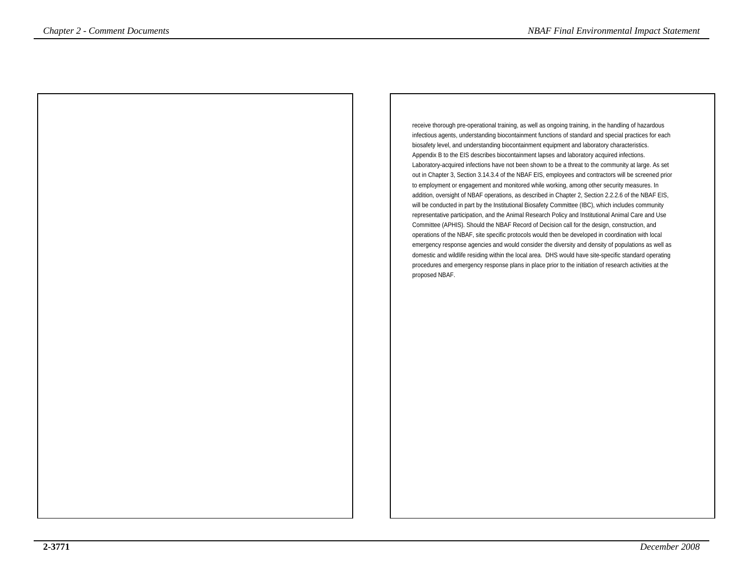receive thorough pre-operational training, as well as ongoing training, in the handling of hazardous infectious agents, understanding biocontainment functions of standard and special practices for eachbiosafety level, and understanding biocontainment equipment and laboratory characteristics.Appendix B to the EIS describes biocontainment lapses and laboratory acquired infections. Laboratory-acquired infections have not been shown to be a threat to the community at large. As set out in Chapter 3, Section 3.14.3.4 of the NBAF EIS, employees and contractors will be screened priorto employment or engagement and monitored while working, among other security measures. In addition, oversight of NBAF operations, as described in Chapter 2, Section 2.2.2.6 of the NBAF EIS,will be conducted in part by the Institutional Biosafety Committee (IBC), which includes community representative participation, and the Animal Research Policy and Institutional Animal Care and UseCommittee (APHIS). Should the NBAF Record of Decision call for the design, construction, and operations of the NBAF, site specific protocols would then be developed in coordination with localemergency response agencies and would consider the diversity and density of populations as well as domestic and wildlife residing within the local area. DHS would have site-specific standard operating procedures and emergency response plans in place prior to the initiation of research activities at the**Proposed Internal Comments** *Impact Statement*<br> **Proposed NBAF.** *Chapter and Chapter and Chapter and Chapter and Chapter and Chapter and Chapter and Chapter and Chapter and Chapter and Chapter and Chapter and Chapter and*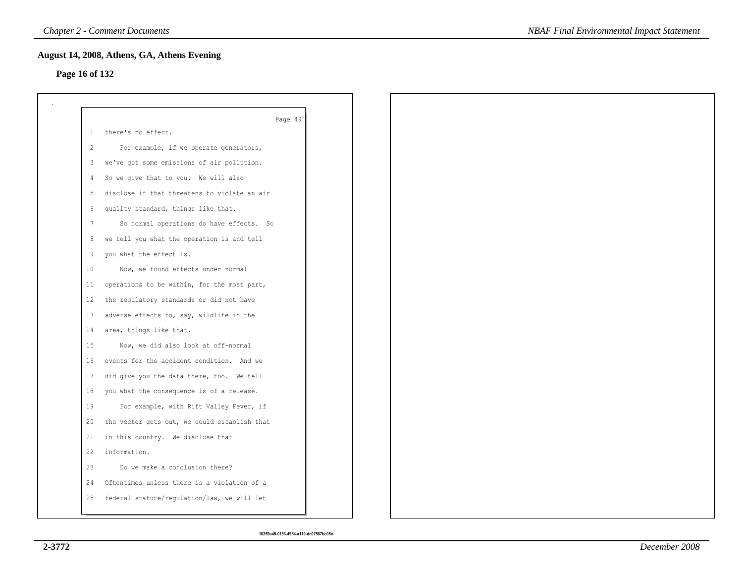# **Page 16 of 132**

| 1  | Page 49<br>there's no effect.                |
|----|----------------------------------------------|
| 2  | For example, if we operate generators,       |
| 3  | we've got some emissions of air pollution.   |
| 4  | So we give that to you. We will also         |
| -5 | disclose if that threatens to violate an air |
| 6  | quality standard, things like that.          |
| 7  | So normal operations do have effects. So     |
| 8  | we tell you what the operation is and tell   |
| 9  | you what the effect is.                      |
| 10 | Now, we found effects under normal           |
| 11 | operations to be within, for the most part,  |
| 12 | the regulatory standards or did not have     |
| 13 | adverse effects to, say, wildlife in the     |
| 14 | area, things like that.                      |
| 15 | Now, we did also look at off-normal          |
| 16 | events for the accident condition. And we    |
| 17 | did give you the data there, too. We tell    |
| 18 | you what the consequence is of a release.    |
| 19 | For example, with Rift Valley Fever, if      |
| 20 | the vector gets out, we could establish that |
| 21 | in this country. We disclose that            |
| 22 | information.                                 |
| 23 | Do we make a conclusion there?               |
| 24 | Oftentimes unless there is a violation of a  |
| 25 | federal statute/regulation/law, we will let  |

*NBAF Final Environmental Impact Statement*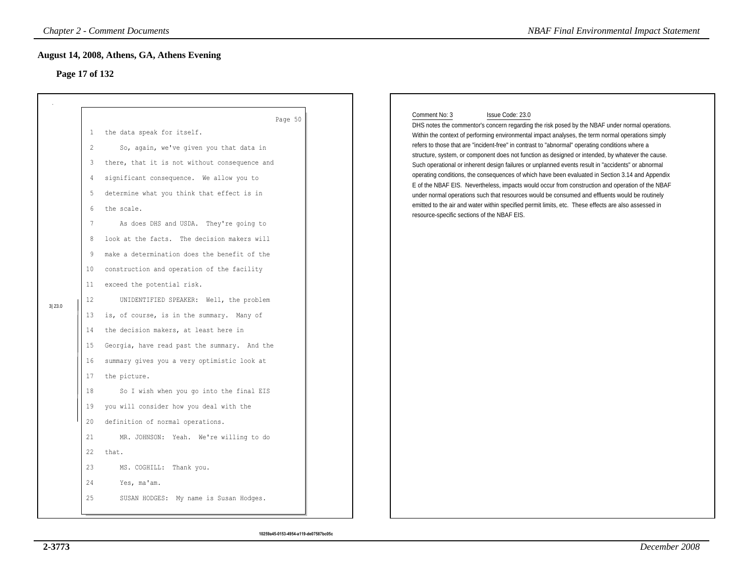# **Page 17 of 132**

|                |                                                                                                                                                                   | <b>Chapter 2 - Comment Documents</b>                                                                                                                                                                                                                                                                                                                                                                                                                                                                                                                                                                                                                                                                                                                                                                                                                                                                                                                                             | <b>NBAF Final Environmental Impact Statement</b>                                                                                                                                                                                                                                                                                                                                                                                                                                                                                                                                                                                                                                                                                                                                                                                                                                                                                                                                                                         |
|----------------|-------------------------------------------------------------------------------------------------------------------------------------------------------------------|----------------------------------------------------------------------------------------------------------------------------------------------------------------------------------------------------------------------------------------------------------------------------------------------------------------------------------------------------------------------------------------------------------------------------------------------------------------------------------------------------------------------------------------------------------------------------------------------------------------------------------------------------------------------------------------------------------------------------------------------------------------------------------------------------------------------------------------------------------------------------------------------------------------------------------------------------------------------------------|--------------------------------------------------------------------------------------------------------------------------------------------------------------------------------------------------------------------------------------------------------------------------------------------------------------------------------------------------------------------------------------------------------------------------------------------------------------------------------------------------------------------------------------------------------------------------------------------------------------------------------------------------------------------------------------------------------------------------------------------------------------------------------------------------------------------------------------------------------------------------------------------------------------------------------------------------------------------------------------------------------------------------|
| Page 17 of 132 |                                                                                                                                                                   | August 14, 2008, Athens, GA, Athens Evening                                                                                                                                                                                                                                                                                                                                                                                                                                                                                                                                                                                                                                                                                                                                                                                                                                                                                                                                      |                                                                                                                                                                                                                                                                                                                                                                                                                                                                                                                                                                                                                                                                                                                                                                                                                                                                                                                                                                                                                          |
| 3 23.0         | $\mathbf{1}$<br>$\overline{2}$<br>3<br>4<br>5<br>6<br>7<br>8<br>9<br>10<br>11<br>12<br>13<br>14<br>15<br>16<br>17<br>18<br>19<br>20<br>21<br>22<br>23<br>24<br>25 | Page 50<br>the data speak for itself.<br>So, again, we've given you that data in<br>there, that it is not without consequence and<br>significant consequence. We allow you to<br>determine what you think that effect is in<br>the scale.<br>As does DHS and USDA. They're going to<br>look at the facts. The decision makers will<br>make a determination does the benefit of the<br>construction and operation of the facility<br>exceed the potential risk.<br>UNIDENTIFIED SPEAKER: Well, the problem<br>is, of course, is in the summary. Many of<br>the decision makers, at least here in<br>Georgia, have read past the summary. And the<br>summary gives you a very optimistic look at<br>the picture.<br>So I wish when you go into the final EIS<br>you will consider how you deal with the<br>definition of normal operations.<br>MR. JOHNSON: Yeah. We're willing to do<br>that.<br>MS. COGHILL: Thank you.<br>Yes, ma'am.<br>SUSAN HODGES: My name is Susan Hodges. | Comment No: 3<br>Issue Code: 23.0<br>DHS notes the commentor's concern regarding the risk posed by the NBAF under normal operations.<br>Within the context of performing environmental impact analyses, the term normal operations simply<br>refers to those that are "incident-free" in contrast to "abnormal" operating conditions where a<br>structure, system, or component does not function as designed or intended, by whatever the cause.<br>Such operational or inherent design failures or unplanned events result in "accidents" or abnormal<br>operating conditions, the consequences of which have been evaluated in Section 3.14 and Appendix<br>E of the NBAF EIS. Nevertheless, impacts would occur from construction and operation of the NBAF<br>under normal operations such that resources would be consumed and effluents would be routinely<br>emitted to the air and water within specified permit limits, etc. These effects are also assessed in<br>resource-specific sections of the NBAF EIS. |
|                |                                                                                                                                                                   |                                                                                                                                                                                                                                                                                                                                                                                                                                                                                                                                                                                                                                                                                                                                                                                                                                                                                                                                                                                  |                                                                                                                                                                                                                                                                                                                                                                                                                                                                                                                                                                                                                                                                                                                                                                                                                                                                                                                                                                                                                          |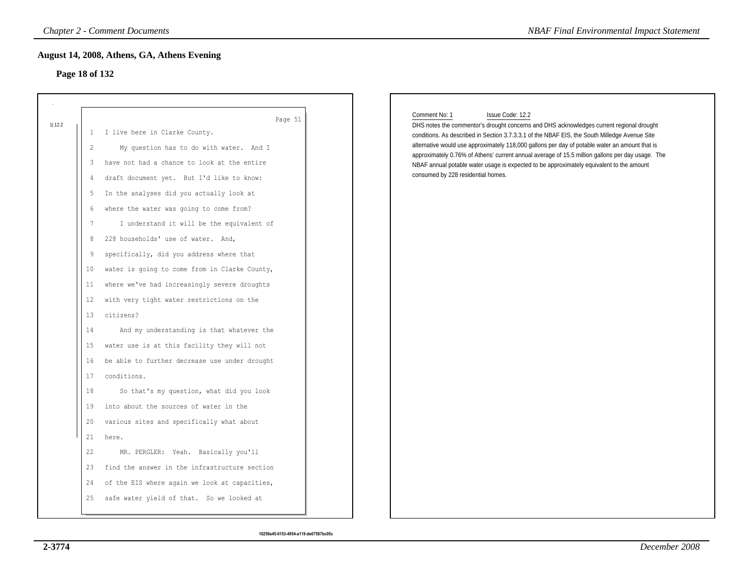# **Page 18 of 132**

| Page 18 of 132                                                                                                                                                         | August 14, 2008, Athens, GA, Athens Evening                                                                                                                                                                                                                                                                                                                                                                                                                                                                                                                                                                                                                                                                                                                                                                                                                              |                                                                                                                                                                                                                                                                                                                                                                                                                                                                                                                                                                        |
|------------------------------------------------------------------------------------------------------------------------------------------------------------------------|--------------------------------------------------------------------------------------------------------------------------------------------------------------------------------------------------------------------------------------------------------------------------------------------------------------------------------------------------------------------------------------------------------------------------------------------------------------------------------------------------------------------------------------------------------------------------------------------------------------------------------------------------------------------------------------------------------------------------------------------------------------------------------------------------------------------------------------------------------------------------|------------------------------------------------------------------------------------------------------------------------------------------------------------------------------------------------------------------------------------------------------------------------------------------------------------------------------------------------------------------------------------------------------------------------------------------------------------------------------------------------------------------------------------------------------------------------|
| 1 12.2<br>$\mathbf{1}$<br>$\overline{c}$<br>3<br>4<br>5<br>6<br>$7\phantom{.0}$<br>8<br>9<br>10<br>11<br>$12 \,$<br>13<br>14<br>15<br>16<br>17<br>18<br>19<br>20<br>21 | Page 51<br>I live here in Clarke County.<br>My question has to do with water. And I<br>have not had a chance to look at the entire<br>draft document yet. But I'd like to know:<br>In the analyses did you actually look at<br>where the water was going to come from?<br>I understand it will be the equivalent of<br>228 households' use of water. And,<br>specifically, did you address where that<br>water is going to come from in Clarke County,<br>where we've had increasingly severe droughts<br>with very tight water restrictions on the<br>citizens?<br>And my understanding is that whatever the<br>water use is at this facility they will not<br>be able to further decrease use under drought<br>conditions.<br>So that's my question, what did you look<br>into about the sources of water in the<br>various sites and specifically what about<br>here. | Comment No: 1<br>Issue Code: 12.2<br>DHS notes the commentor's drought concerns and DHS acknowledges current regional drought<br>conditions. As described in Section 3.7.3.3.1 of the NBAF EIS, the South Milledge Avenue Site<br>alternative would use approximately 118,000 gallons per day of potable water an amount that is<br>approximately 0.76% of Athens' current annual average of 15.5 million gallons per day usage. The<br>NBAF annual potable water usage is expected to be approximately equivalent to the amount<br>consumed by 228 residential homes. |
| 22<br>23                                                                                                                                                               | MR. PERGLER: Yeah. Basically you'll<br>find the answer in the infrastructure section                                                                                                                                                                                                                                                                                                                                                                                                                                                                                                                                                                                                                                                                                                                                                                                     |                                                                                                                                                                                                                                                                                                                                                                                                                                                                                                                                                                        |
| 24<br>25                                                                                                                                                               | of the EIS where again we look at capacities,<br>safe water yield of that. So we looked at                                                                                                                                                                                                                                                                                                                                                                                                                                                                                                                                                                                                                                                                                                                                                                               |                                                                                                                                                                                                                                                                                                                                                                                                                                                                                                                                                                        |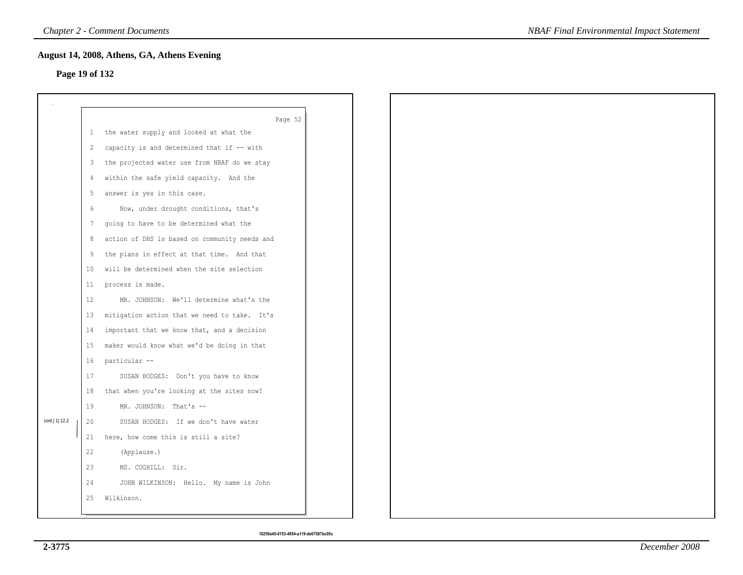# **Page 19 of 132**

|                  |                 | August 14, 2008, Athens, GA, Athens Evening     |  |  |
|------------------|-----------------|-------------------------------------------------|--|--|
| Page 19 of 132   |                 |                                                 |  |  |
|                  |                 |                                                 |  |  |
|                  |                 |                                                 |  |  |
|                  |                 | Page 52                                         |  |  |
|                  |                 | 1 the water supply and looked at what the       |  |  |
|                  | 2               | capacity is and determined that if -- with      |  |  |
|                  | 3               | the projected water use from NBAF do we stay    |  |  |
|                  | $\overline{4}$  | within the safe yield capacity. And the         |  |  |
|                  | 5               | answer is yes in this case.                     |  |  |
|                  | 6               | Now, under drought conditions, that's           |  |  |
|                  | 7               | going to have to be determined what the         |  |  |
|                  | 8               | action of DHS is based on community needs and   |  |  |
|                  | 9               | the plans in effect at that time. And that      |  |  |
|                  | 10 <sub>1</sub> | will be determined when the site selection      |  |  |
|                  |                 | 11 process is made.                             |  |  |
|                  | 12              | MR. JOHNSON: We'll determine what's the         |  |  |
|                  |                 | 13 mitigation action that we need to take. It's |  |  |
|                  | 14              | important that we know that, and a decision     |  |  |
|                  | 15              | maker would know what we'd be doing in that     |  |  |
|                  | 16              | particular --                                   |  |  |
|                  | 17              | SUSAN HODGES: Don't you have to know            |  |  |
|                  | 18              | that when you're looking at the sites now?      |  |  |
|                  | 19              | MR. JOHNSON: That's --                          |  |  |
| cont.   1   12.2 | 20              | SUSAN HODGES: If we don't have water            |  |  |
|                  |                 | 21 here, how come this is still a site?         |  |  |
|                  | 22              | (Applause.)                                     |  |  |
|                  | 23              | MS. COGHILL: Sir.                               |  |  |
|                  | 24              | JOHN WILKINSON: Hello. My name is John          |  |  |
|                  | 25              | Wilkinson.                                      |  |  |
|                  |                 |                                                 |  |  |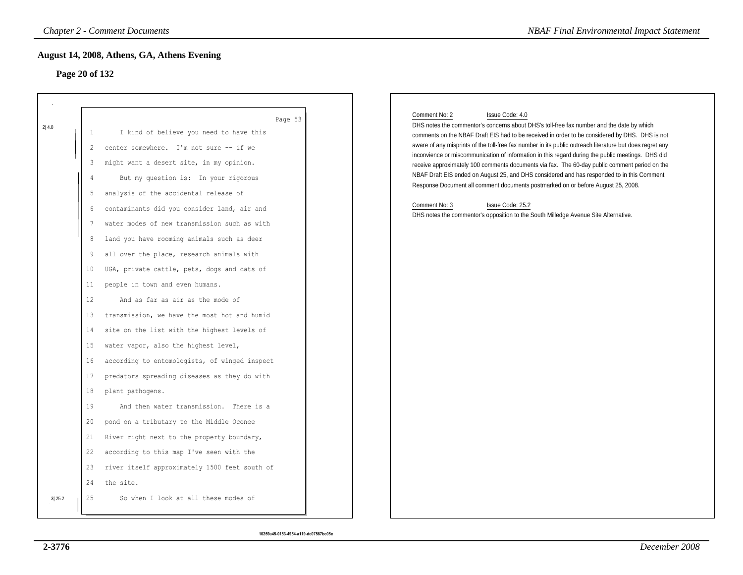# **Page 20 of 132**

| Page 20 of 132                                                                                                                                      |                                                                                                                                                                                                                                                                                                                                                                                                                                                                                                                                                                                                                                                                                                                                                                                                                                                                                                                                                                                                                                          |                                                                                                                                                                                                                                                                                                                                                                                                                                                                                                                                                                                                                                                                                                                                                                                                                                                                 |
|-----------------------------------------------------------------------------------------------------------------------------------------------------|------------------------------------------------------------------------------------------------------------------------------------------------------------------------------------------------------------------------------------------------------------------------------------------------------------------------------------------------------------------------------------------------------------------------------------------------------------------------------------------------------------------------------------------------------------------------------------------------------------------------------------------------------------------------------------------------------------------------------------------------------------------------------------------------------------------------------------------------------------------------------------------------------------------------------------------------------------------------------------------------------------------------------------------|-----------------------------------------------------------------------------------------------------------------------------------------------------------------------------------------------------------------------------------------------------------------------------------------------------------------------------------------------------------------------------------------------------------------------------------------------------------------------------------------------------------------------------------------------------------------------------------------------------------------------------------------------------------------------------------------------------------------------------------------------------------------------------------------------------------------------------------------------------------------|
| 2 4.0<br>1<br>$\overline{c}$<br>3<br>4<br>5<br>6<br>7<br>8<br>9<br>10<br>11<br>12<br>13<br>14<br>15<br>16<br>17<br>18<br>19<br>20<br>21<br>22<br>23 | Page 53<br>I kind of believe you need to have this<br>center somewhere. I'm not sure -- if we<br>might want a desert site, in my opinion.<br>But my question is: In your rigorous<br>analysis of the accidental release of<br>contaminants did you consider land, air and<br>water modes of new transmission such as with<br>land you have rooming animals such as deer<br>all over the place, research animals with<br>UGA, private cattle, pets, dogs and cats of<br>people in town and even humans.<br>And as far as air as the mode of<br>transmission, we have the most hot and humid<br>site on the list with the highest levels of<br>water vapor, also the highest level,<br>according to entomologists, of winged inspect<br>predators spreading diseases as they do with<br>plant pathogens.<br>And then water transmission. There is a<br>pond on a tributary to the Middle Oconee<br>River right next to the property boundary,<br>according to this map I've seen with the<br>river itself approximately 1500 feet south of | Comment No: 2<br>Issue Code: 4.0<br>DHS notes the commentor's concerns about DHS's toll-free fax number and the date by which<br>comments on the NBAF Draft EIS had to be received in order to be considered by DHS. DHS is not<br>aware of any misprints of the toll-free fax number in its public outreach literature but does regret any<br>inconvience or miscommunication of information in this regard during the public meetings. DHS did<br>receive approximately 100 comments documents via fax. The 60-day public comment period on the<br>NBAF Draft EIS ended on August 25, and DHS considered and has responded to in this Comment<br>Response Document all comment documents postmarked on or before August 25, 2008.<br>Comment No: 3<br>Issue Code: 25.2<br>DHS notes the commentor's opposition to the South Milledge Avenue Site Alternative. |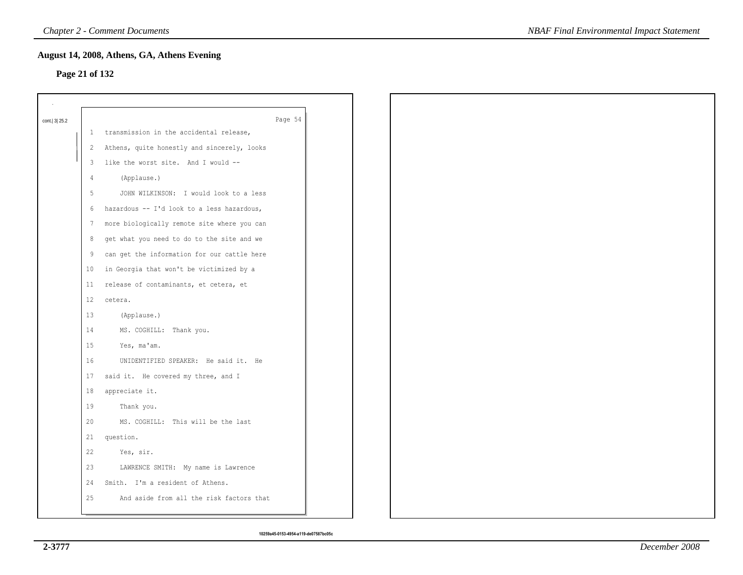### **Page 21 of 132**

| August 14, 2008, Athens, GA, Athens Evening<br>Page 21 of 132 |                                             |  |  |  |  |
|---------------------------------------------------------------|---------------------------------------------|--|--|--|--|
|                                                               |                                             |  |  |  |  |
| cont. 3 25.2                                                  | Page 54                                     |  |  |  |  |
| $\mathbf{1}$                                                  | transmission in the accidental release,     |  |  |  |  |
| 2                                                             | Athens, quite honestly and sincerely, looks |  |  |  |  |
| 3                                                             | like the worst site. And I would --         |  |  |  |  |
| $\frac{4}{3}$                                                 | (Applause.)                                 |  |  |  |  |
| 5                                                             | JOHN WILKINSON: I would look to a less      |  |  |  |  |
| 6                                                             | hazardous -- I'd look to a less hazardous,  |  |  |  |  |
| 7                                                             | more biologically remote site where you can |  |  |  |  |
| 8                                                             | get what you need to do to the site and we  |  |  |  |  |
| 9                                                             | can get the information for our cattle here |  |  |  |  |
| 10                                                            | in Georgia that won't be victimized by a    |  |  |  |  |
| 11                                                            | release of contaminants, et cetera, et      |  |  |  |  |
| 12                                                            | cetera.                                     |  |  |  |  |
| 13                                                            | (Applause.)                                 |  |  |  |  |
| 14                                                            | MS. COGHILL: Thank you.                     |  |  |  |  |
| 15                                                            | Yes, ma'am.                                 |  |  |  |  |
| 16                                                            | UNIDENTIFIED SPEAKER: He said it. He        |  |  |  |  |
| 17                                                            | said it. He covered my three, and I         |  |  |  |  |
| 18                                                            | appreciate it.                              |  |  |  |  |
| 19                                                            | Thank you.                                  |  |  |  |  |
| 20                                                            | MS. COGHILL: This will be the last          |  |  |  |  |
| 21                                                            | question.                                   |  |  |  |  |
| 22                                                            | Yes, sir.                                   |  |  |  |  |
| 23                                                            | LAWRENCE SMITH: My name is Lawrence         |  |  |  |  |
| 24                                                            | Smith. I'm a resident of Athens.            |  |  |  |  |
| 25                                                            | And aside from all the risk factors that    |  |  |  |  |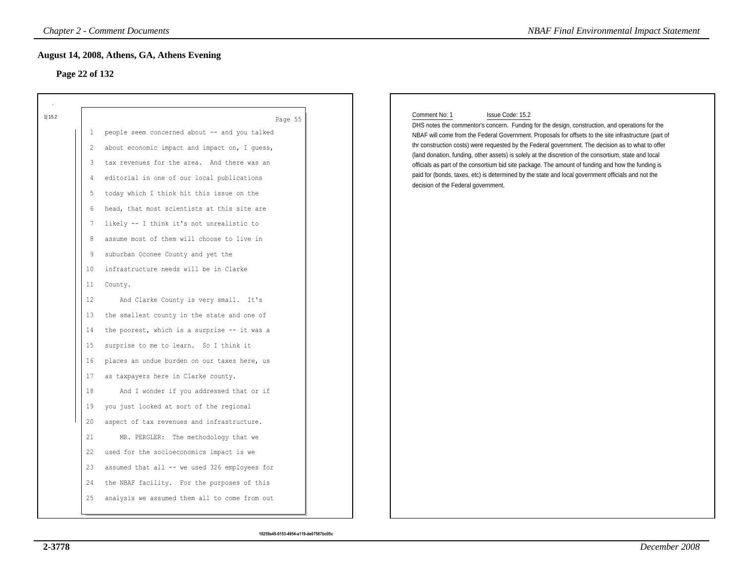# **Page 22 of 132**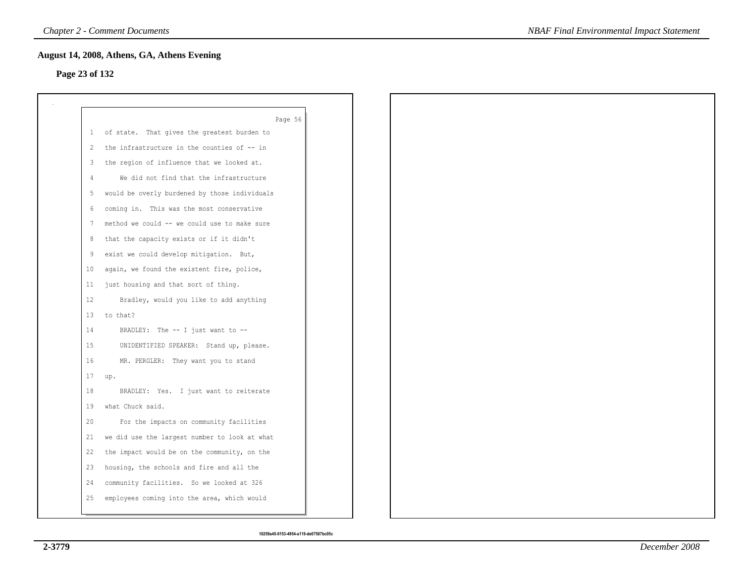### **Page 23 of 132**

|                | Page 56                                       |
|----------------|-----------------------------------------------|
| 1              | of state. That gives the greatest burden to   |
| 2              | the infrastructure in the counties of -- in   |
| 3              | the region of influence that we looked at.    |
| $\overline{4}$ | We did not find that the infrastructure       |
| 5              | would be overly burdened by those individuals |
| 6              | coming in. This was the most conservative     |
| 7              | method we could -- we could use to make sure  |
| 8              | that the capacity exists or if it didn't      |
| 9              | exist we could develop mitigation. But,       |
| 10             | again, we found the existent fire, police,    |
| 11             | just housing and that sort of thing.          |
| 12             | Bradley, would you like to add anything       |
| 13             | to that?                                      |
| 14             | BRADLEY: The -- I just want to --             |
| 15             | UNIDENTIFIED SPEAKER: Stand up, please.       |
| 16             | MR. PERGLER: They want you to stand           |
| 17             | up.                                           |
| 18             | BRADLEY: Yes. I just want to reiterate        |
| 19             | what Chuck said.                              |
| 20             | For the impacts on community facilities       |
| 21             | we did use the largest number to look at what |
| 22             | the impact would be on the community, on the  |
| 23             | housing, the schools and fire and all the     |
| 24             | community facilities. So we looked at 326     |
| 25             | employees coming into the area, which would   |
|                |                                               |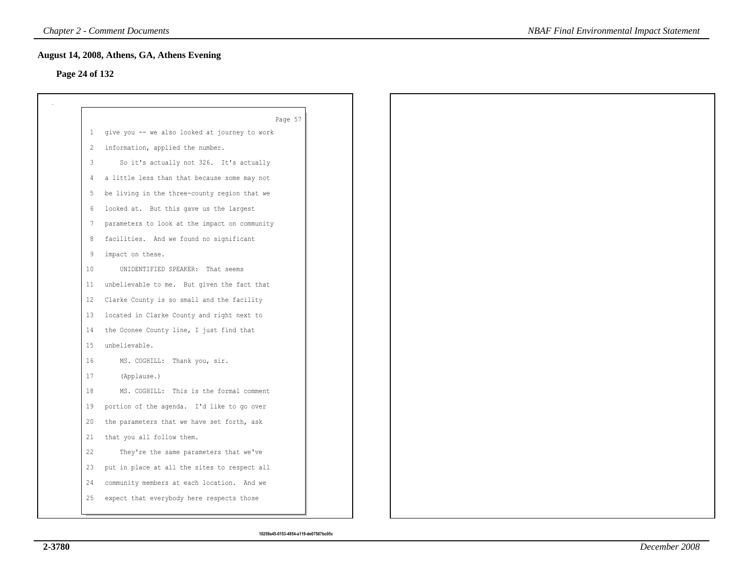# **Page 24 of 132**

|              | Page 57                                       |
|--------------|-----------------------------------------------|
| $\mathbf{1}$ | give you -- we also looked at journey to work |
| 2            | information, applied the number.              |
| 3            | So it's actually not 326. It's actually       |
| 4            | a little less than that because some may not  |
| 5            | be living in the three-county region that we  |
| 6            | looked at. But this gave us the largest       |
| 7            | parameters to look at the impact on community |
| 8            | facilities. And we found no significant       |
| 9            | impact on these.                              |
| 10           | UNIDENTIFIED SPEAKER: That seems              |
| 11           | unbelievable to me. But given the fact that   |
| 12           | Clarke County is so small and the facility    |
| 13           | located in Clarke County and right next to    |
| 14           | the Oconee County line, I just find that      |
| 15           | unbelievable.                                 |
| 16           | MS. COGHILL: Thank you, sir.                  |
| 17           | (Applause.)                                   |
| 18           | MS. COGHILL: This is the formal comment       |
| 19           | portion of the agenda. I'd like to go over    |
| 20           | the parameters that we have set forth, ask    |
| 21           | that you all follow them.                     |
| 22           | They're the same parameters that we've        |
| 23           | put in place at all the sites to respect all  |
| 24           | community members at each location. And we    |
| 25           | expect that everybody here respects those     |
|              |                                               |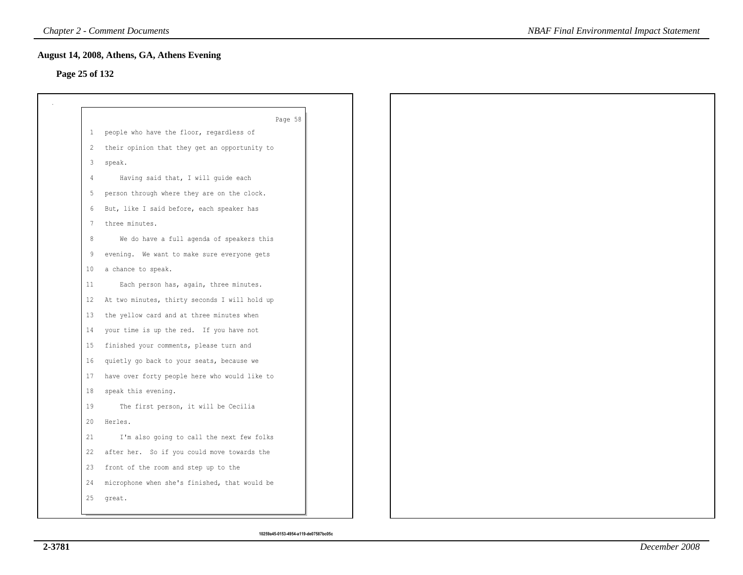# **Page 25 of 132**

|                | Page 58                                         |
|----------------|-------------------------------------------------|
|                | 1 people who have the floor, regardless of      |
|                | 2 their opinion that they get an opportunity to |
| 3 <sup>7</sup> | speak.                                          |
| 4              | Having said that, I will guide each             |
| 5              | person through where they are on the clock.     |
|                | 6 But, like I said before, each speaker has     |
| 7              | three minutes.                                  |
| 8              | We do have a full agenda of speakers this       |
| 9              | evening. We want to make sure everyone gets     |
| 10             | a chance to speak.                              |
| 11             | Each person has, again, three minutes.          |
| 12             | At two minutes, thirty seconds I will hold up   |
| 13             | the yellow card and at three minutes when       |
| 14             | your time is up the red. If you have not        |
| 15             | finished your comments, please turn and         |
| 16             | quietly go back to your seats, because we       |
| 17             | have over forty people here who would like to   |
| 18             | speak this evening.                             |
| 19             | The first person, it will be Cecilia            |
| 20             | Herles.                                         |
| 21             | I'm also going to call the next few folks       |
| 22             | after her. So if you could move towards the     |
| 23             | front of the room and step up to the            |
| 24             | microphone when she's finished, that would be   |
| 25             | great.                                          |
|                |                                                 |

```
10259a45-0153-4954-a119-de07587bc05c
```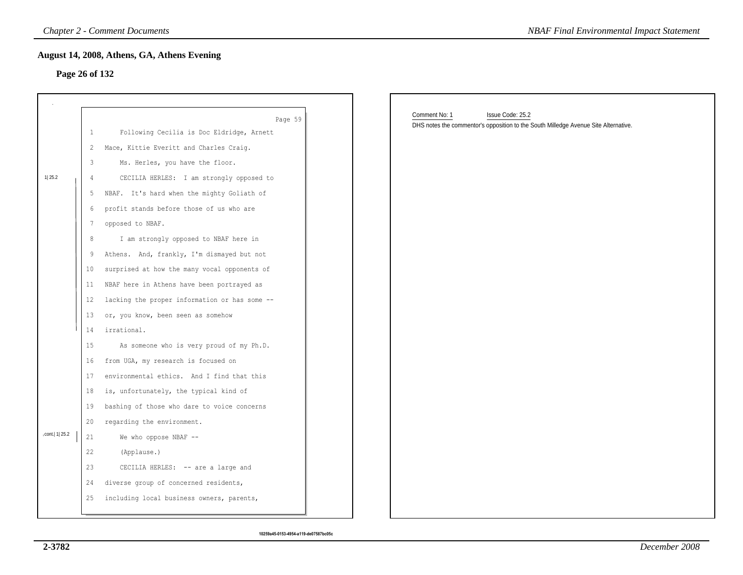### **Page 26 of 132**

|                 |                | <b>Chapter 2 - Comment Documents</b>                 | <b>NBAF Final Environmental Impact Statement</b>                                                                         |
|-----------------|----------------|------------------------------------------------------|--------------------------------------------------------------------------------------------------------------------------|
| Page 26 of 132  |                | August 14, 2008, Athens, GA, Athens Evening          |                                                                                                                          |
|                 |                |                                                      |                                                                                                                          |
|                 |                |                                                      |                                                                                                                          |
|                 | $\mathbf{1}$   | Page 59<br>Following Cecilia is Doc Eldridge, Arnett | Comment No: 1<br>Issue Code: 25.2<br>DHS notes the commentor's opposition to the South Milledge Avenue Site Alternative. |
|                 | 2              | Mace, Kittie Everitt and Charles Craig.              |                                                                                                                          |
|                 | 3              | Ms. Herles, you have the floor.                      |                                                                                                                          |
| 1 25.2          | $\overline{4}$ | CECILIA HERLES: I am strongly opposed to             |                                                                                                                          |
|                 | 5              | NBAF. It's hard when the mighty Goliath of           |                                                                                                                          |
|                 | 6              | profit stands before those of us who are             |                                                                                                                          |
|                 | 7              | opposed to NBAF.                                     |                                                                                                                          |
|                 | 8              | I am strongly opposed to NBAF here in                |                                                                                                                          |
|                 | 9              | Athens. And, frankly, I'm dismayed but not           |                                                                                                                          |
|                 | 10             | surprised at how the many vocal opponents of         |                                                                                                                          |
|                 | 11             | NBAF here in Athens have been portrayed as           |                                                                                                                          |
|                 | 12             | lacking the proper information or has some --        |                                                                                                                          |
|                 | 13             | or, you know, been seen as somehow                   |                                                                                                                          |
|                 | 14             | irrational.                                          |                                                                                                                          |
|                 | 15             | As someone who is very proud of my Ph.D.             |                                                                                                                          |
|                 | 16             | from UGA, my research is focused on                  |                                                                                                                          |
|                 | 17             | environmental ethics. And I find that this           |                                                                                                                          |
|                 | 18             | is, unfortunately, the typical kind of               |                                                                                                                          |
|                 | 19             | bashing of those who dare to voice concerns          |                                                                                                                          |
|                 | 20             | regarding the environment.                           |                                                                                                                          |
| cont.   1  25.2 | 21             | We who oppose NBAF --                                |                                                                                                                          |
|                 | 22             | (Applause.)                                          |                                                                                                                          |
|                 | 23             | CECILIA HERLES: -- are a large and                   |                                                                                                                          |
|                 | 24             | diverse group of concerned residents,                |                                                                                                                          |
|                 | 25             | including local business owners, parents,            |                                                                                                                          |
|                 |                |                                                      |                                                                                                                          |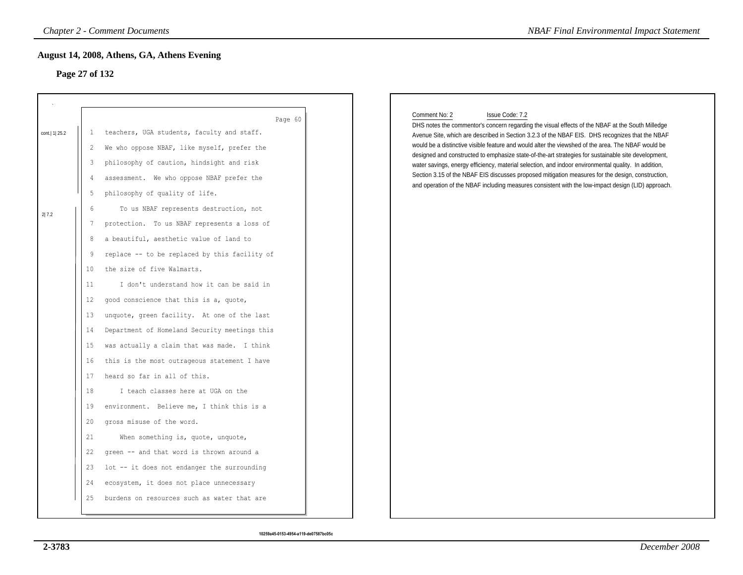# **Page 27 of 132**

| Page 27 of 132            |                                                                                                                         |                                                                                                                                                                                                                                                                                                                                                                                                                                                                                                                                                                                                                                                                                                                                                                                                                                                                                                                                                                              |                                                                                                                                                                                                                                                                                                                                                                                                                                                                                                                                                                                                                                                                                                                                                                         |
|---------------------------|-------------------------------------------------------------------------------------------------------------------------|------------------------------------------------------------------------------------------------------------------------------------------------------------------------------------------------------------------------------------------------------------------------------------------------------------------------------------------------------------------------------------------------------------------------------------------------------------------------------------------------------------------------------------------------------------------------------------------------------------------------------------------------------------------------------------------------------------------------------------------------------------------------------------------------------------------------------------------------------------------------------------------------------------------------------------------------------------------------------|-------------------------------------------------------------------------------------------------------------------------------------------------------------------------------------------------------------------------------------------------------------------------------------------------------------------------------------------------------------------------------------------------------------------------------------------------------------------------------------------------------------------------------------------------------------------------------------------------------------------------------------------------------------------------------------------------------------------------------------------------------------------------|
| cont.   1   25.2<br>2 7.2 | 1<br>2<br>3<br>4<br>5<br>6<br>7<br>8<br>9<br>10<br>11<br>12<br>13<br>14<br>15<br>16<br>17<br>18<br>19<br>20<br>21<br>22 | Page 60<br>teachers, UGA students, faculty and staff.<br>We who oppose NBAF, like myself, prefer the<br>philosophy of caution, hindsight and risk<br>assessment. We who oppose NBAF prefer the<br>philosophy of quality of life.<br>To us NBAF represents destruction, not<br>protection. To us NBAF represents a loss of<br>a beautiful, aesthetic value of land to<br>replace -- to be replaced by this facility of<br>the size of five Walmarts.<br>I don't understand how it can be said in<br>good conscience that this is a, quote,<br>unquote, green facility. At one of the last<br>Department of Homeland Security meetings this<br>was actually a claim that was made. I think<br>this is the most outrageous statement I have<br>heard so far in all of this.<br>I teach classes here at UGA on the<br>environment. Believe me, I think this is a<br>gross misuse of the word.<br>When something is, quote, unquote,<br>green -- and that word is thrown around a | Comment No: 2<br>Issue Code: 7.2<br>DHS notes the commentor's concern regarding the visual effects of the NBAF at the South Milledge<br>Avenue Site, which are described in Section 3.2.3 of the NBAF EIS. DHS recognizes that the NBAF<br>would be a distinctive visible feature and would alter the viewshed of the area. The NBAF would be<br>designed and constructed to emphasize state-of-the-art strategies for sustainable site development,<br>water savings, energy efficiency, material selection, and indoor environmental quality. In addition,<br>Section 3.15 of the NBAF EIS discusses proposed mitigation measures for the design, construction,<br>and operation of the NBAF including measures consistent with the low-impact design (LID) approach. |
|                           | 23<br>24                                                                                                                | lot -- it does not endanger the surrounding<br>ecosystem, it does not place unnecessary                                                                                                                                                                                                                                                                                                                                                                                                                                                                                                                                                                                                                                                                                                                                                                                                                                                                                      |                                                                                                                                                                                                                                                                                                                                                                                                                                                                                                                                                                                                                                                                                                                                                                         |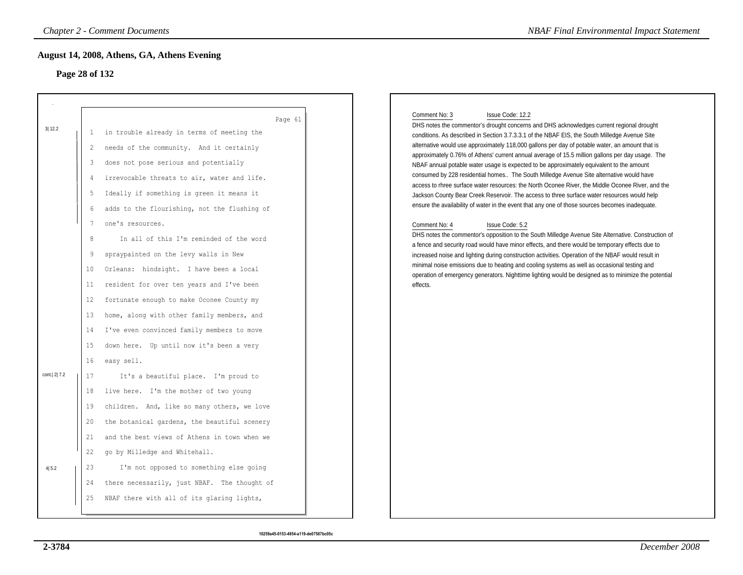# **Page 28 of 132**

| <b>Chapter 2 - Comment Documents</b>                                                                                                                                                                                                                                                                                                                                                                                                                                                                                                                                                                                                                                                                                                                                             | <b>NBAF Final Environmental Impact Statement</b>                                                                                                                                                                                                                                                                                                                                                                                                                                                                                                                                                                                                                                                                                                                                                                                                                                                                                                                                                                                                                                                                                                                                                                                                                                                                                                                                                                                                                                                            |
|----------------------------------------------------------------------------------------------------------------------------------------------------------------------------------------------------------------------------------------------------------------------------------------------------------------------------------------------------------------------------------------------------------------------------------------------------------------------------------------------------------------------------------------------------------------------------------------------------------------------------------------------------------------------------------------------------------------------------------------------------------------------------------|-------------------------------------------------------------------------------------------------------------------------------------------------------------------------------------------------------------------------------------------------------------------------------------------------------------------------------------------------------------------------------------------------------------------------------------------------------------------------------------------------------------------------------------------------------------------------------------------------------------------------------------------------------------------------------------------------------------------------------------------------------------------------------------------------------------------------------------------------------------------------------------------------------------------------------------------------------------------------------------------------------------------------------------------------------------------------------------------------------------------------------------------------------------------------------------------------------------------------------------------------------------------------------------------------------------------------------------------------------------------------------------------------------------------------------------------------------------------------------------------------------------|
| August 14, 2008, Athens, GA, Athens Evening<br>Page 28 of 132                                                                                                                                                                                                                                                                                                                                                                                                                                                                                                                                                                                                                                                                                                                    |                                                                                                                                                                                                                                                                                                                                                                                                                                                                                                                                                                                                                                                                                                                                                                                                                                                                                                                                                                                                                                                                                                                                                                                                                                                                                                                                                                                                                                                                                                             |
| Page 61<br>in trouble already in terms of meeting the<br>-1<br>needs of the community. And it certainly<br>2<br>does not pose serious and potentially<br>3<br>irrevocable threats to air, water and life.<br>$\overline{4}$<br>Ideally if something is green it means it<br>5<br>adds to the flourishing, not the flushing of<br>6<br>7<br>one's resources.<br>8<br>In all of this I'm reminded of the word<br>spraypainted on the levy walls in New<br>9<br>Orleans: hindsight. I have been a local<br>10<br>resident for over ten years and I've been<br>11<br>fortunate enough to make Oconee County my<br>12<br>home, along with other family members, and<br>13<br>I've even convinced family members to move<br>14<br>down here. Up until now it's been a very<br>15<br>16 | Comment No: 3<br>Issue Code: 12.2<br>DHS notes the commentor's drought concerns and DHS acknowledges current regional drought<br>conditions. As described in Section 3.7.3.3.1 of the NBAF EIS, the South Milledge Avenue Site<br>alternative would use approximately 118,000 gallons per day of potable water, an amount that is<br>approximately 0.76% of Athens' current annual average of 15.5 million gallons per day usage. The<br>NBAF annual potable water usage is expected to be approximately equivalent to the amount<br>consumed by 228 residential homes The South Milledge Avenue Site alternative would have<br>access to rhree surface water resources: the North Oconee River, the Middle Oconee River, and the<br>Jackson County Bear Creek Reservoir. The access to three surface water resources would help<br>ensure the availability of water in the event that any one of those sources becomes inadequate.<br>Comment No: 4<br>Issue Code: 5.2<br>DHS notes the commentor's opposition to the South Milledge Avenue Site Alternative. Construction of<br>a fence and security road would have minor effects, and there would be temporary effects due to<br>increased noise and lighting during construction activities. Operation of the NBAF would result in<br>minimal noise emissions due to heating and cooling systems as well as occasional testing and<br>operation of emergency generators. Nighttime lighting would be designed as to minimize the potential<br>effects. |
| It's a beautiful place. I'm proud to<br>17<br>18<br>live here. I'm the mother of two young<br>children. And, like so many others, we love<br>19<br>the botanical gardens, the beautiful scenery<br>20<br>21<br>and the best views of Athens in town when we<br>go by Milledge and Whitehall.<br>22<br>23<br>I'm not opposed to something else going<br>24<br>there necessarily, just NBAF. The thought of<br>NBAF there with all of its glaring lights,<br>25                                                                                                                                                                                                                                                                                                                    |                                                                                                                                                                                                                                                                                                                                                                                                                                                                                                                                                                                                                                                                                                                                                                                                                                                                                                                                                                                                                                                                                                                                                                                                                                                                                                                                                                                                                                                                                                             |
|                                                                                                                                                                                                                                                                                                                                                                                                                                                                                                                                                                                                                                                                                                                                                                                  | easy sell.                                                                                                                                                                                                                                                                                                                                                                                                                                                                                                                                                                                                                                                                                                                                                                                                                                                                                                                                                                                                                                                                                                                                                                                                                                                                                                                                                                                                                                                                                                  |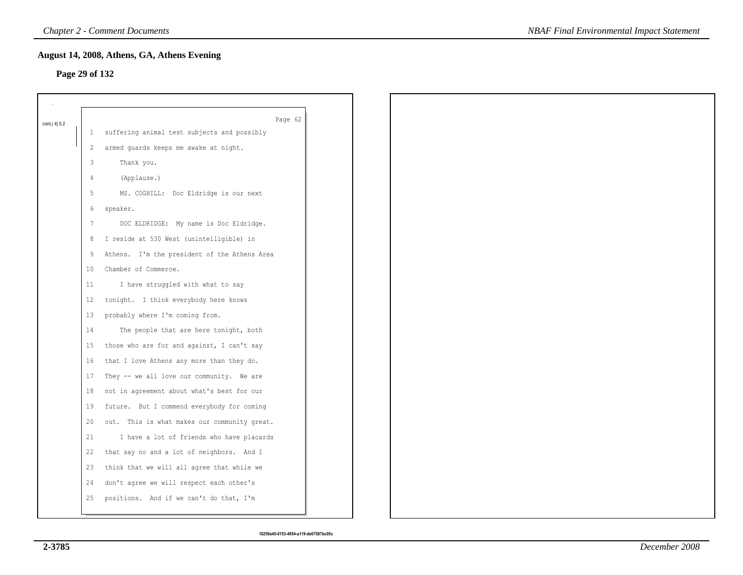# **Page 29 of 132**

| cont.   4   5.2 |              | Page 62                                      |
|-----------------|--------------|----------------------------------------------|
|                 | $\mathbf{1}$ | suffering animal test subjects and possibly  |
|                 | 2            | armed guards keeps me awake at night.        |
|                 | 3            | Thank you.                                   |
|                 | 4            | (Applause.)                                  |
|                 | 5            | MS. COGHILL: Doc Eldridge is our next        |
|                 | 6            | speaker.                                     |
|                 | 7            | DOC ELDRIDGE: My name is Doc Eldridge.       |
|                 | 8            | I reside at 530 West (unintelligible) in     |
|                 | 9            | Athens. I'm the president of the Athens Area |
|                 | 10           | Chamber of Commerce.                         |
|                 | 11           | I have struggled with what to say            |
|                 | 12           | tonight. I think everybody here knows        |
|                 | 13           | probably where I'm coming from.              |
|                 | 14           | The people that are here tonight, both       |
|                 | 15           | those who are for and against, I can't say   |
|                 | 16           | that I love Athens any more than they do.    |
|                 | 17           | They -- we all love our community. We are    |
|                 | 18           | not in agreement about what's best for our   |
|                 | 19           | future. But I commend everybody for coming   |
|                 | 20           | out. This is what makes our community great. |
|                 | 21           | I have a lot of friends who have placards    |
|                 | 22           | that say no and a lot of neighbors. And I    |
|                 | 23           | think that we will all agree that while we   |
|                 | 24           | don't agree we will respect each other's     |
|                 | 25           | positions. And if we can't do that, I'm      |
|                 |              |                                              |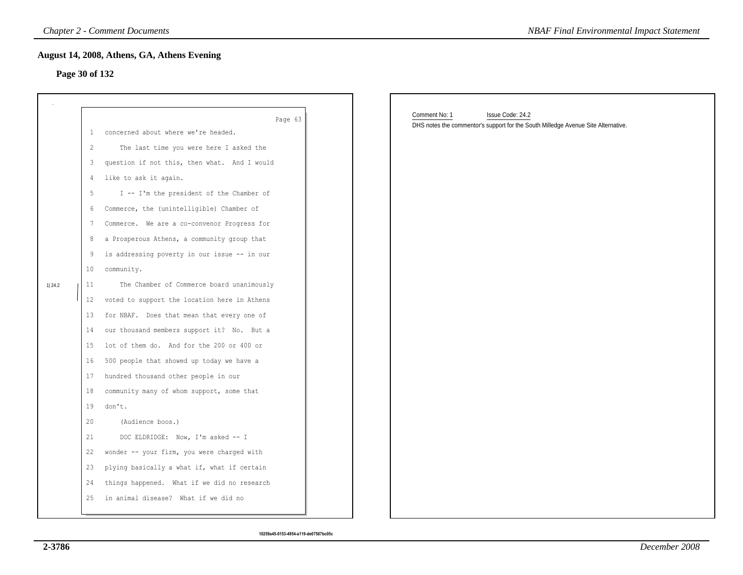### **Page 30 of 132**

|                |                                                                                               | <b>Chapter 2 - Comment Documents</b>                                                                                                                                                                                                                                                                                                                                                                                                                                                                                                                                                                                                                          | <b>NBAF Final Environmental Impact Statement</b>                                                                       |
|----------------|-----------------------------------------------------------------------------------------------|---------------------------------------------------------------------------------------------------------------------------------------------------------------------------------------------------------------------------------------------------------------------------------------------------------------------------------------------------------------------------------------------------------------------------------------------------------------------------------------------------------------------------------------------------------------------------------------------------------------------------------------------------------------|------------------------------------------------------------------------------------------------------------------------|
| Page 30 of 132 |                                                                                               | August 14, 2008, Athens, GA, Athens Evening                                                                                                                                                                                                                                                                                                                                                                                                                                                                                                                                                                                                                   |                                                                                                                        |
| 1 24.2         | $\mathbf{1}$<br>2<br>3<br>4<br>5<br>6<br>7<br>8<br>9<br>$10 \,$<br>11<br>12<br>13<br>14<br>15 | Page 63<br>concerned about where we're headed.<br>The last time you were here I asked the<br>question if not this, then what. And I would<br>like to ask it again.<br>I -- I'm the president of the Chamber of<br>Commerce, the (unintelligible) Chamber of<br>Commerce. We are a co-convenor Progress for<br>a Prosperous Athens, a community group that<br>is addressing poverty in our issue -- in our<br>community.<br>The Chamber of Commerce board unanimously<br>voted to support the location here in Athens<br>for NBAF. Does that mean that every one of<br>our thousand members support it? No. But a<br>lot of them do. And for the 200 or 400 or | Comment No: 1<br>Issue Code: 24.2<br>DHS notes the commentor's support for the South Milledge Avenue Site Alternative. |
|                | 16<br>17<br>18<br>19<br>20<br>21<br>22<br>23<br>24                                            | 500 people that showed up today we have a<br>hundred thousand other people in our<br>community many of whom support, some that<br>don't.<br>(Audience boos.)<br>DOC ELDRIDGE: Now, I'm asked -- I<br>wonder -- your firm, you were charged with<br>plying basically a what if, what if certain<br>things happened. What if we did no research<br>25 in animal disease? What if we did no                                                                                                                                                                                                                                                                      |                                                                                                                        |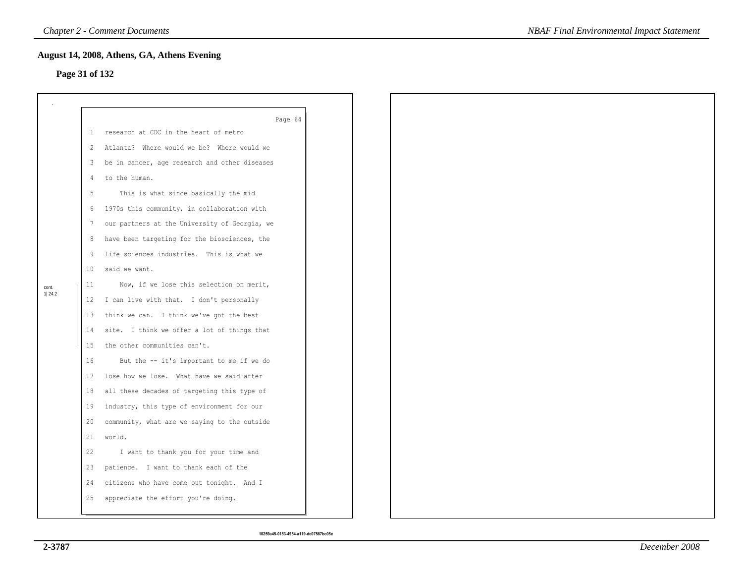# **Page 31 of 132**

|        | -1 | Page 64<br>research at CDC in the heart of metro |
|--------|----|--------------------------------------------------|
|        | -2 | Atlanta? Where would we be? Where would we       |
|        |    |                                                  |
|        | 3  | be in cancer, age research and other diseases    |
|        | 4  | to the human.                                    |
|        | 5  | This is what since basically the mid             |
|        | 6  | 1970s this community, in collaboration with      |
|        | 7  | our partners at the University of Georgia, we    |
|        | 8  | have been targeting for the biosciences, the     |
|        | 9  | life sciences industries. This is what we        |
|        | 10 | said we want.                                    |
| cont.  | 11 | Now, if we lose this selection on merit,         |
| 1 24.2 | 12 | I can live with that. I don't personally         |
|        | 13 | think we can. I think we've got the best         |
|        | 14 | site. I think we offer a lot of things that      |
|        | 15 | the other communities can't.                     |
|        | 16 | But the -- it's important to me if we do         |
|        | 17 | lose how we lose. What have we said after        |
|        | 18 | all these decades of targeting this type of      |
|        | 19 | industry, this type of environment for our       |
|        | 20 | community, what are we saying to the outside     |
|        | 21 | world.                                           |
|        | 22 | I want to thank you for your time and            |
|        | 23 | patience. I want to thank each of the            |
|        | 24 | citizens who have come out tonight. And I        |
|        | 25 | appreciate the effort you're doing.              |
|        |    |                                                  |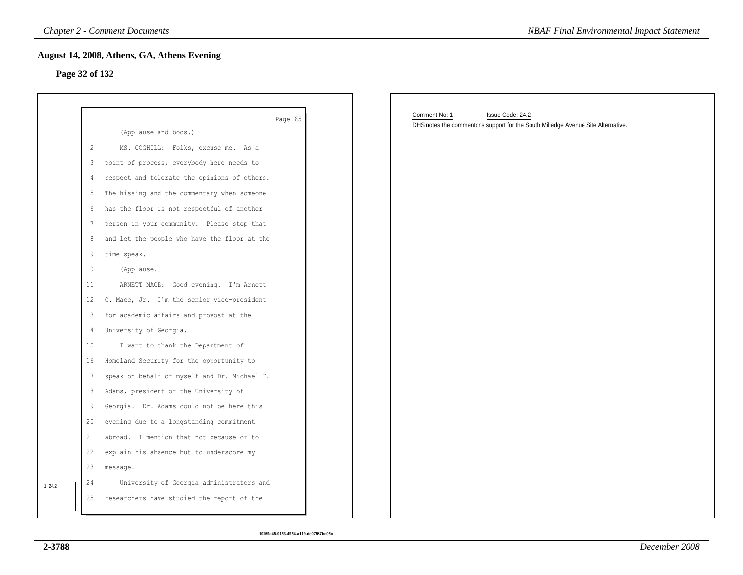### **Page 32 of 132**

|                |    | <b>Chapter 2 - Comment Documents</b>         | <b>NBAF Final Environmental Impact Statement</b>                                  |
|----------------|----|----------------------------------------------|-----------------------------------------------------------------------------------|
|                |    | August 14, 2008, Athens, GA, Athens Evening  |                                                                                   |
| Page 32 of 132 |    |                                              |                                                                                   |
|                |    |                                              |                                                                                   |
|                |    | Page 65                                      | Comment No: 1<br>Issue Code: 24.2                                                 |
|                | 1  | (Applause and boos.)                         | DHS notes the commentor's support for the South Milledge Avenue Site Alternative. |
|                | 2  | MS. COGHILL: Folks, excuse me. As a          |                                                                                   |
|                | 3  | point of process, everybody here needs to    |                                                                                   |
|                | 4  | respect and tolerate the opinions of others. |                                                                                   |
|                | 5  | The hissing and the commentary when someone  |                                                                                   |
|                | 6  | has the floor is not respectful of another   |                                                                                   |
|                | 7  | person in your community. Please stop that   |                                                                                   |
|                | 8  | and let the people who have the floor at the |                                                                                   |
|                | 9  | time speak.                                  |                                                                                   |
|                | 10 | (Applause.)                                  |                                                                                   |
|                | 11 | ARNETT MACE: Good evening. I'm Arnett        |                                                                                   |
|                | 12 | C. Mace, Jr. I'm the senior vice-president   |                                                                                   |
|                | 13 | for academic affairs and provost at the      |                                                                                   |
|                | 14 | University of Georgia.                       |                                                                                   |
|                | 15 | I want to thank the Department of            |                                                                                   |
|                | 16 | Homeland Security for the opportunity to     |                                                                                   |
|                | 17 | speak on behalf of myself and Dr. Michael F. |                                                                                   |
|                | 18 | Adams, president of the University of        |                                                                                   |
|                | 19 | Georgia. Dr. Adams could not be here this    |                                                                                   |
|                | 20 | evening due to a longstanding commitment     |                                                                                   |
|                | 21 | abroad. I mention that not because or to     |                                                                                   |
|                | 22 | explain his absence but to underscore my     |                                                                                   |
|                | 23 | message.                                     |                                                                                   |
| 1 24.2         | 24 | University of Georgia administrators and     |                                                                                   |
|                | 25 | researchers have studied the report of the   |                                                                                   |
|                |    |                                              |                                                                                   |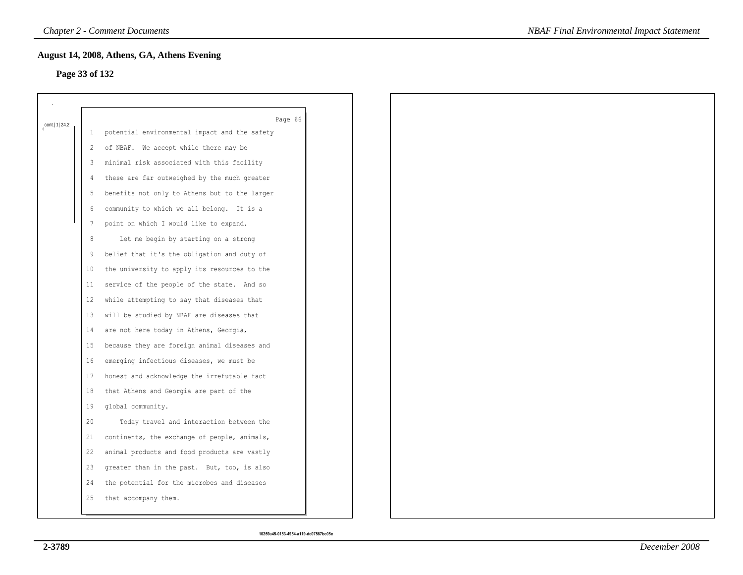### **Page 33 of 132**

|                  |                 | Page 66                                       |
|------------------|-----------------|-----------------------------------------------|
| cont.   1   24.2 | $\mathbf{1}$    | potential environmental impact and the safety |
|                  | 2               | of NBAF. We accept while there may be         |
|                  | 3               | minimal risk associated with this facility    |
|                  | 4               | these are far outweighed by the much greater  |
|                  | 5               | benefits not only to Athens but to the larger |
|                  | 6               | community to which we all belong. It is a     |
|                  | 7               | point on which I would like to expand.        |
|                  | 8               | Let me begin by starting on a strong          |
|                  | 9               | belief that it's the obligation and duty of   |
|                  | 10 <sup>°</sup> | the university to apply its resources to the  |
|                  | 11              | service of the people of the state. And so    |
|                  | $12 \,$         | while attempting to say that diseases that    |
|                  | 13              | will be studied by NBAF are diseases that     |
|                  | 14              | are not here today in Athens, Georgia,        |
|                  | 15              | because they are foreign animal diseases and  |
|                  | 16              | emerging infectious diseases, we must be      |
|                  | 17              | honest and acknowledge the irrefutable fact   |
|                  | 18              | that Athens and Georgia are part of the       |
|                  | 19              | global community.                             |
|                  | 20              | Today travel and interaction between the      |
|                  | 21              | continents, the exchange of people, animals,  |
|                  | 22              | animal products and food products are vastly  |
|                  | 23              | greater than in the past. But, too, is also   |
|                  | 24              | the potential for the microbes and diseases   |
|                  | 25              | that accompany them.                          |
|                  |                 |                                               |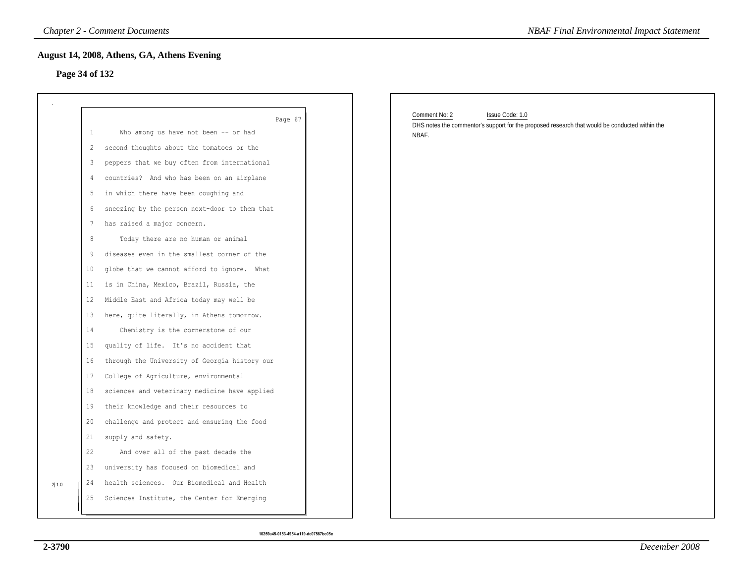### **Page 34 of 132**

|       |                | <b>Chapter 2 - Comment Documents</b>          | <b>NBAF Final Environmental Impact Statement</b>                                                        |
|-------|----------------|-----------------------------------------------|---------------------------------------------------------------------------------------------------------|
|       |                | August 14, 2008, Athens, GA, Athens Evening   |                                                                                                         |
|       | Page 34 of 132 |                                               |                                                                                                         |
|       |                |                                               |                                                                                                         |
|       |                | Page 67                                       | Comment No: 2<br>Issue Code: 1.0                                                                        |
|       | $\mathbf{1}$   | Who among us have not been -- or had          | DHS notes the commentor's support for the proposed research that would be conducted within the<br>NBAF. |
|       | 2              | second thoughts about the tomatoes or the     |                                                                                                         |
|       | 3              | peppers that we buy often from international  |                                                                                                         |
|       | 4              | countries? And who has been on an airplane    |                                                                                                         |
|       | 5              | in which there have been coughing and         |                                                                                                         |
|       | 6              | sneezing by the person next-door to them that |                                                                                                         |
|       | 7              | has raised a major concern.                   |                                                                                                         |
|       | 8              | Today there are no human or animal            |                                                                                                         |
|       | 9              | diseases even in the smallest corner of the   |                                                                                                         |
|       | 10             | globe that we cannot afford to ignore. What   |                                                                                                         |
|       | 11             | is in China, Mexico, Brazil, Russia, the      |                                                                                                         |
|       | 12             | Middle East and Africa today may well be      |                                                                                                         |
|       | 13             | here, quite literally, in Athens tomorrow.    |                                                                                                         |
|       | 14             | Chemistry is the cornerstone of our           |                                                                                                         |
|       | 15             | quality of life. It's no accident that        |                                                                                                         |
|       | 16             | through the University of Georgia history our |                                                                                                         |
|       | 17             | College of Agriculture, environmental         |                                                                                                         |
|       | 18             | sciences and veterinary medicine have applied |                                                                                                         |
|       | 19             | their knowledge and their resources to        |                                                                                                         |
|       | 20             | challenge and protect and ensuring the food   |                                                                                                         |
|       | 21             | supply and safety.                            |                                                                                                         |
|       | 22             | And over all of the past decade the           |                                                                                                         |
|       | 23             | university has focused on biomedical and      |                                                                                                         |
| 2 1.0 | 24             | health sciences. Our Biomedical and Health    |                                                                                                         |
|       | 25             | Sciences Institute, the Center for Emerging   |                                                                                                         |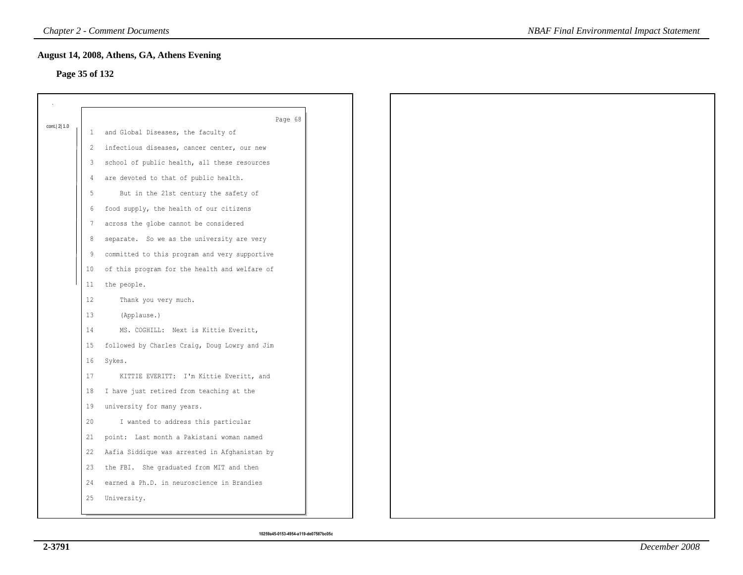# **Page 35 of 132**

|              |                 | Page 68                                        |
|--------------|-----------------|------------------------------------------------|
| cont. 2  1.0 |                 | 1 and Global Diseases, the faculty of          |
|              |                 | 2 infectious diseases, cancer center, our new  |
|              |                 | 3 school of public health, all these resources |
|              | 4               | are devoted to that of public health.          |
|              | 5               | But in the 21st century the safety of          |
|              | 6               | food supply, the health of our citizens        |
|              | 7               | across the globe cannot be considered          |
|              | 8               | separate. So we as the university are very     |
|              | 9               | committed to this program and very supportive  |
|              | 10 <sup>°</sup> | of this program for the health and welfare of  |
|              | 11              | the people.                                    |
|              | $12 \,$         | Thank you very much.                           |
|              | 13              | (Applause.)                                    |
|              | 14              | MS. COGHILL: Next is Kittie Everitt,           |
|              | 15 <sub>1</sub> | followed by Charles Craig, Doug Lowry and Jim  |
|              | 16              | Sykes.                                         |
|              | 17              | KITTIE EVERITT: I'm Kittie Everitt, and        |
|              | 18              | I have just retired from teaching at the       |
|              | 19              | university for many years.                     |
|              | 20              | I wanted to address this particular            |
|              | 21              | point: Last month a Pakistani woman named      |
|              | 22              | Aafia Siddique was arrested in Afghanistan by  |
|              | 23              | the FBI. She graduated from MIT and then       |
|              | 24              | earned a Ph.D. in neuroscience in Brandies     |
|              | 25              | University.                                    |
|              |                 |                                                |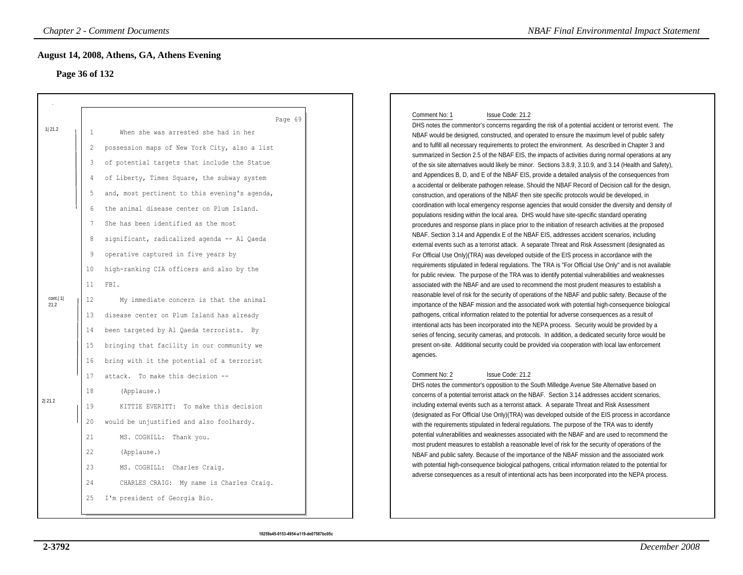# **Page 36 of 132**

|                    | <b>Chapter 2 - Comment Documents</b>                                                                                                                                                                                                                                                                                                                                                                                                                                                                                                    | <b>NBAF Final Environmental Impact Statement</b>                                                                                                                                                                                                                                                                                                                                                                                                                                                                                                                                                                                                                                                                                                                                                                                                                                                                                                                                                                                                                                                                                                                                                                                                                                                                                                                                                                                                                                                                                                                                                                                                                                                                       |
|--------------------|-----------------------------------------------------------------------------------------------------------------------------------------------------------------------------------------------------------------------------------------------------------------------------------------------------------------------------------------------------------------------------------------------------------------------------------------------------------------------------------------------------------------------------------------|------------------------------------------------------------------------------------------------------------------------------------------------------------------------------------------------------------------------------------------------------------------------------------------------------------------------------------------------------------------------------------------------------------------------------------------------------------------------------------------------------------------------------------------------------------------------------------------------------------------------------------------------------------------------------------------------------------------------------------------------------------------------------------------------------------------------------------------------------------------------------------------------------------------------------------------------------------------------------------------------------------------------------------------------------------------------------------------------------------------------------------------------------------------------------------------------------------------------------------------------------------------------------------------------------------------------------------------------------------------------------------------------------------------------------------------------------------------------------------------------------------------------------------------------------------------------------------------------------------------------------------------------------------------------------------------------------------------------|
|                    | August 14, 2008, Athens, GA, Athens Evening<br>Page 36 of 132                                                                                                                                                                                                                                                                                                                                                                                                                                                                           |                                                                                                                                                                                                                                                                                                                                                                                                                                                                                                                                                                                                                                                                                                                                                                                                                                                                                                                                                                                                                                                                                                                                                                                                                                                                                                                                                                                                                                                                                                                                                                                                                                                                                                                        |
| 1 21.2             | Page 69<br>When she was arrested she had in her<br>1<br>$\overline{2}$<br>possession maps of New York City, also a list<br>of potential targets that include the Statue<br>3<br>of Liberty, Times Square, the subway system<br>4<br>5<br>and, most pertinent to this evening's agenda,<br>the animal disease center on Plum Island.<br>6<br>7<br>She has been identified as the most<br>significant, radicalized agenda -- Al Qaeda<br>8<br>9<br>operative captured in five years by<br>high-ranking CIA officers and also by the<br>10 | Comment No: 1<br>Issue Code: 21.2<br>DHS notes the commentor's concerns regarding the risk of a potential accident or terrorist event. The<br>NBAF would be designed, constructed, and operated to ensure the maximum level of public safety<br>and to fulfill all necessary requirements to protect the environment. As described in Chapter 3 and<br>summarized in Section 2.5 of the NBAF EIS, the impacts of activities during normal operations at any<br>of the six site alternatives would likely be minor. Sections 3.8.9, 3.10.9, and 3.14 (Health and Safety),<br>and Appendices B, D, and E of the NBAF EIS, provide a detailed analysis of the consequences from<br>a accidental or deliberate pathogen release. Should the NBAF Record of Decision call for the design,<br>construction, and operations of the NBAF then site specific protocols would be developed, in<br>coordination with local emergency response agencies that would consider the diversity and density of<br>populations residing within the local area. DHS would have site-specific standard operating<br>procedures and response plans in place prior to the initiation of research activities at the proposed<br>NBAF. Section 3.14 and Appendix E of the NBAF EIS, addresses accident scenarios, including<br>external events such as a terrorist attack. A separate Threat and Risk Assessment (designated as<br>For Official Use Only)(TRA) was developed outside of the EIS process in accordance with the<br>requirements stipulated in federal regulations. The TRA is "For Official Use Only" and is not available<br>for public review. The purpose of the TRA was to identify potential vulnerabilities and weaknesses |
| cont.   1 <br>21.2 | 11<br>FBI.<br>$12 \overline{ }$<br>My immediate concern is that the animal<br>disease center on Plum Island has already<br>13<br>been targeted by Al Qaeda terrorists. By<br>14<br>bringing that facility in our community we<br>15<br>16                                                                                                                                                                                                                                                                                               | associated with the NBAF and are used to recommend the most prudent measures to establish a<br>reasonable level of risk for the security of operations of the NBAF and public safety. Because of the<br>importance of the NBAF mission and the associated work with potential high-consequence biological<br>pathogens, critical information related to the potential for adverse consequences as a result of<br>intentional acts has been incorporated into the NEPA process. Security would be provided by a<br>series of fencing, security cameras, and protocols. In addition, a dedicated security force would be<br>present on-site. Additional security could be provided via cooperation with local law enforcement<br>agencies.                                                                                                                                                                                                                                                                                                                                                                                                                                                                                                                                                                                                                                                                                                                                                                                                                                                                                                                                                                               |
| 2 21.2             | bring with it the potential of a terrorist<br>attack. To make this decision --<br>17<br>18<br>(Applause.)<br>19<br>KITTIE EVERITT: To make this decision<br>20<br>would be unjustified and also foolhardy.<br>21<br>MS. COGHILL: Thank you.<br>22<br>(Applause.)<br>23<br>MS. COGHILL: Charles Craig.<br>24<br>CHARLES CRAIG: My name is Charles Craig.<br>25<br>I'm president of Georgia Bio.                                                                                                                                          | Comment No: 2<br>Issue Code: 21.2<br>DHS notes the commentor's opposition to the South Milledge Avenue Site Alternative based on<br>concerns of a potential terrorist attack on the NBAF. Section 3.14 addresses accident scenarios,<br>including external events such as a terrorist attack. A separate Threat and Risk Assessment<br>(designated as For Official Use Only)(TRA) was developed outside of the EIS process in accordance<br>with the requirements stipulated in federal regulations. The purpose of the TRA was to identify<br>potential vulnerabilities and weaknesses associated with the NBAF and are used to recommend the<br>most prudent measures to establish a reasonable level of risk for the security of operations of the<br>NBAF and public safety. Because of the importance of the NBAF mission and the associated work<br>with potential high-consequence biological pathogens, critical information related to the potential for<br>adverse consequences as a result of intentional acts has been incorporated into the NEPA process.                                                                                                                                                                                                                                                                                                                                                                                                                                                                                                                                                                                                                                                 |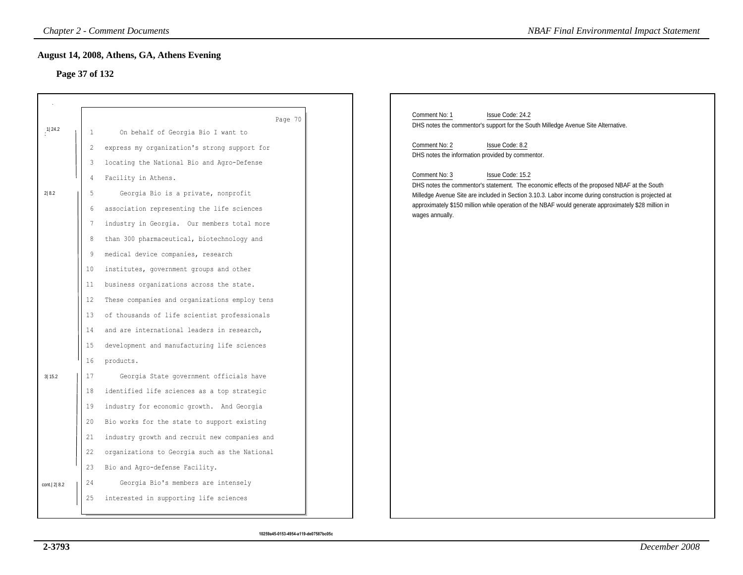# **Page 37 of 132**

|             |                | <b>Chapter 2 - Comment Documents</b>          | <b>NBAF Final Environmental Impact Statement</b>                                                                                                                                                              |
|-------------|----------------|-----------------------------------------------|---------------------------------------------------------------------------------------------------------------------------------------------------------------------------------------------------------------|
|             |                | August 14, 2008, Athens, GA, Athens Evening   |                                                                                                                                                                                                               |
|             | Page 37 of 132 |                                               |                                                                                                                                                                                                               |
|             |                |                                               |                                                                                                                                                                                                               |
|             |                |                                               | Comment No: 1<br>Issue Code: 24.2                                                                                                                                                                             |
| $1$   24.2  |                | Page 70                                       | DHS notes the commentor's support for the South Milledge Avenue Site Alternative.                                                                                                                             |
|             | 1              | On behalf of Georgia Bio I want to            | Comment No: 2<br>Issue Code: 8.2                                                                                                                                                                              |
|             | 2              | express my organization's strong support for  | DHS notes the information provided by commentor.                                                                                                                                                              |
|             | 3              | locating the National Bio and Agro-Defense    | Comment No: 3<br>Issue Code: 15.2                                                                                                                                                                             |
|             | 4              | Facility in Athens.                           | DHS notes the commentor's statement. The economic effects of the proposed NBAF at the South                                                                                                                   |
| 2 8.2       | 5              | Georgia Bio is a private, nonprofit           | Milledge Avenue Site are included in Section 3.10.3. Labor income during construction is projected at<br>approximately \$150 million while operation of the NBAF would generate approximately \$28 million in |
|             | 6              | association representing the life sciences    | wages annually.                                                                                                                                                                                               |
|             | 7              | industry in Georgia. Our members total more   |                                                                                                                                                                                                               |
|             | 8              | than 300 pharmaceutical, biotechnology and    |                                                                                                                                                                                                               |
|             | 9              | medical device companies, research            |                                                                                                                                                                                                               |
|             | 10             | institutes, government groups and other       |                                                                                                                                                                                                               |
|             | 11             | business organizations across the state.      |                                                                                                                                                                                                               |
|             | 12             | These companies and organizations employ tens |                                                                                                                                                                                                               |
|             | 13             | of thousands of life scientist professionals  |                                                                                                                                                                                                               |
|             | 14             | and are international leaders in research,    |                                                                                                                                                                                                               |
|             | 15             | development and manufacturing life sciences   |                                                                                                                                                                                                               |
|             | 16             | products.                                     |                                                                                                                                                                                                               |
| 3 15.2      | 17             | Georgia State government officials have       |                                                                                                                                                                                                               |
|             | 18             | identified life sciences as a top strategic   |                                                                                                                                                                                                               |
|             | 19             | industry for economic growth. And Georgia     |                                                                                                                                                                                                               |
|             | 20             | Bio works for the state to support existing   |                                                                                                                                                                                                               |
|             | 21             | industry growth and recruit new companies and |                                                                                                                                                                                                               |
|             | 22             | organizations to Georgia such as the National |                                                                                                                                                                                                               |
|             | 23             | Bio and Agro-defense Facility.                |                                                                                                                                                                                                               |
| cont. 2 8.2 | 24             | Georgia Bio's members are intensely           |                                                                                                                                                                                                               |
|             | 25             | interested in supporting life sciences        |                                                                                                                                                                                                               |
|             |                |                                               |                                                                                                                                                                                                               |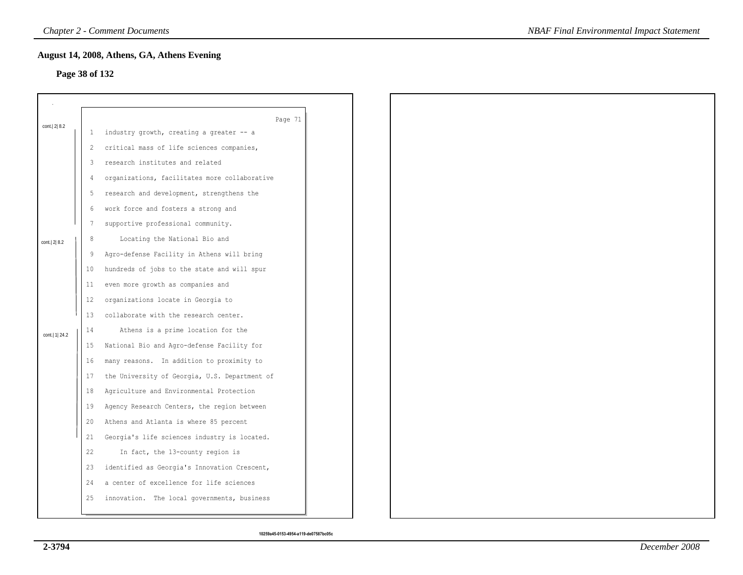# **Page 38 of 132**

|                  |    | Page 71                                       |
|------------------|----|-----------------------------------------------|
| cont. 2 8.2      | 1  | industry growth, creating a greater -- a      |
|                  | 2  | critical mass of life sciences companies,     |
|                  | 3  | research institutes and related               |
|                  | 4  | organizations, facilitates more collaborative |
|                  | 5  | research and development, strengthens the     |
|                  | 6  | work force and fosters a strong and           |
|                  | 7  | supportive professional community.            |
| cont. 2 8.2      | 8  | Locating the National Bio and                 |
|                  | 9  | Agro-defense Facility in Athens will bring    |
|                  | 10 | hundreds of jobs to the state and will spur   |
|                  | 11 | even more growth as companies and             |
|                  | 12 | organizations locate in Georgia to            |
|                  | 13 | collaborate with the research center.         |
| cont.   1   24.2 | 14 | Athens is a prime location for the            |
|                  | 15 | National Bio and Agro-defense Facility for    |
|                  | 16 | many reasons. In addition to proximity to     |
|                  | 17 | the University of Georgia, U.S. Department of |
|                  | 18 | Agriculture and Environmental Protection      |
|                  | 19 | Agency Research Centers, the region between   |
|                  | 20 | Athens and Atlanta is where 85 percent        |
|                  | 21 | Georgia's life sciences industry is located.  |
|                  | 22 | In fact, the 13-county region is              |
|                  | 23 | identified as Georgia's Innovation Crescent,  |
|                  | 24 | a center of excellence for life sciences      |
|                  | 25 | innovation. The local governments, business   |
|                  |    |                                               |

*NBAF Final Environmental Impact Statement*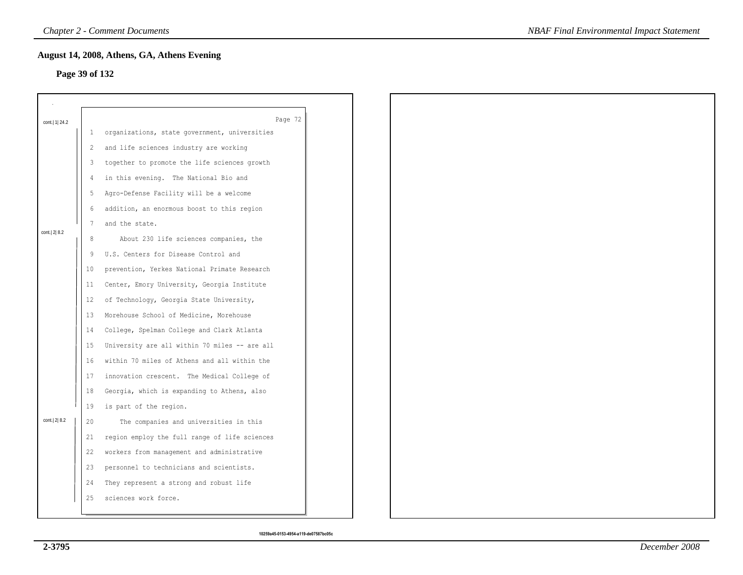# **Page 39 of 132**

| Page 39 of 132   |              | August 14, 2008, Athens, GA, Athens Evening   |
|------------------|--------------|-----------------------------------------------|
|                  |              |                                               |
|                  |              |                                               |
| cont.   1   24.2 |              | Page 72                                       |
|                  | $\mathbf{1}$ | organizations, state government, universities |
|                  | 2            | and life sciences industry are working        |
|                  | 3            | together to promote the life sciences growth  |
|                  | 4            | in this evening. The National Bio and         |
|                  | 5            | Agro-Defense Facility will be a welcome       |
|                  | 6            | addition, an enormous boost to this region    |
| cont. 2 8.2      | 7            | and the state.                                |
|                  | $\,8\,$      | About 230 life sciences companies, the        |
|                  | 9            | U.S. Centers for Disease Control and          |
|                  | 10           | prevention, Yerkes National Primate Research  |
|                  | 11           | Center, Emory University, Georgia Institute   |
|                  | 12           | of Technology, Georgia State University,      |
|                  | 13           | Morehouse School of Medicine, Morehouse       |
|                  | 14           | College, Spelman College and Clark Atlanta    |
|                  | 15           | University are all within 70 miles -- are all |
|                  | 16           | within 70 miles of Athens and all within the  |
|                  | 17           | innovation crescent. The Medical College of   |
|                  | 18           | Georgia, which is expanding to Athens, also   |
|                  | 19           | is part of the region.                        |
| cont. 2 8.2      | 20           | The companies and universities in this        |
|                  | 21           | region employ the full range of life sciences |
|                  | 22           | workers from management and administrative    |
|                  | 23           | personnel to technicians and scientists.      |
|                  | 24           | They represent a strong and robust life       |
|                  | 25           | sciences work force.                          |
|                  |              |                                               |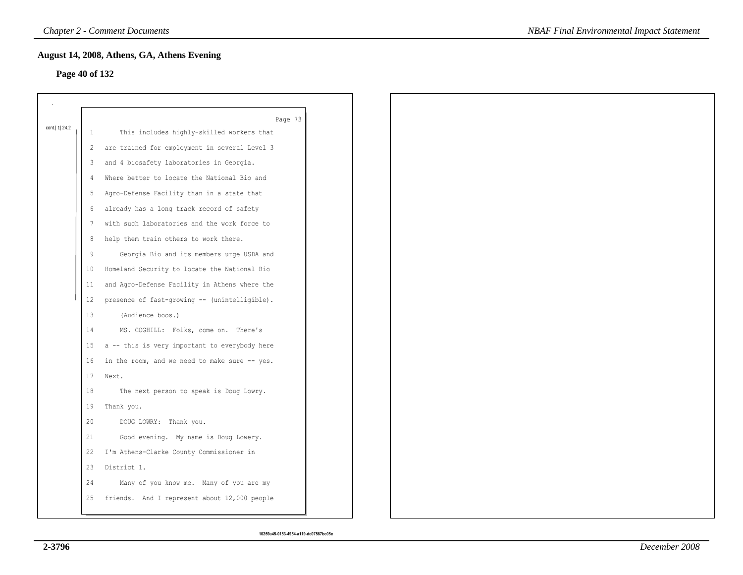# **Page 40 of 132**

| cont.   1   24.2 |    | Page 73                                       |
|------------------|----|-----------------------------------------------|
|                  | 1  | This includes highly-skilled workers that     |
|                  | 2  | are trained for employment in several Level 3 |
|                  | 3  | and 4 biosafety laboratories in Georgia.      |
|                  |    | Where better to locate the National Bio and   |
|                  | 5  | Agro-Defense Facility than in a state that    |
|                  | 6  | already has a long track record of safety     |
|                  |    | with such laboratories and the work force to  |
|                  | 8  | help them train others to work there.         |
|                  | 9  | Georgia Bio and its members urge USDA and     |
|                  | 10 | Homeland Security to locate the National Bio  |
|                  | 11 | and Agro-Defense Facility in Athens where the |
|                  | 12 | presence of fast-growing -- (unintelligible). |
|                  | 13 | (Audience boos.)                              |
|                  | 14 | MS. COGHILL: Folks, come on. There's          |
|                  | 15 | a -- this is very important to everybody here |
|                  | 16 | in the room, and we need to make sure -- yes. |
|                  | 17 | Next.                                         |
|                  | 18 | The next person to speak is Doug Lowry.       |
|                  | 19 | Thank you.                                    |
|                  | 20 | DOUG LOWRY: Thank you.                        |
|                  | 21 | Good evening. My name is Doug Lowery.         |
|                  | 22 | I'm Athens-Clarke County Commissioner in      |
|                  | 23 | District 1.                                   |
|                  | 24 | Many of you know me. Many of you are my       |
|                  | 25 | friends. And I represent about 12,000 people  |
|                  |    |                                               |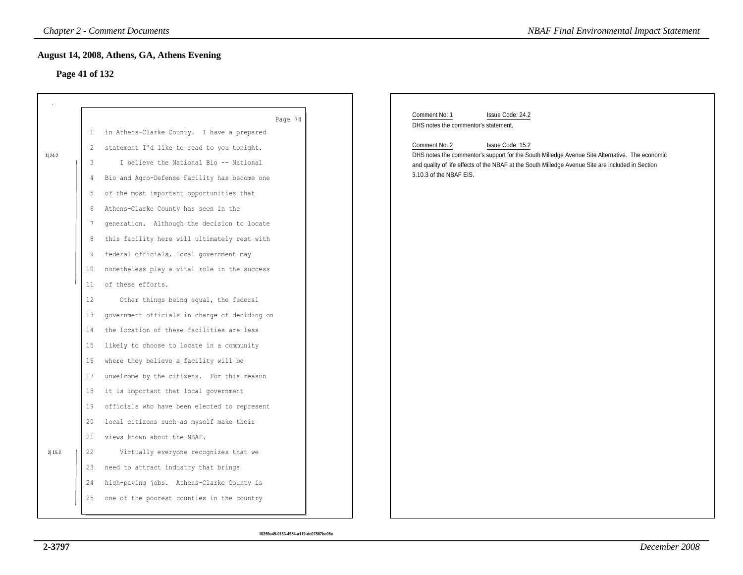### **Page 41 of 132**

|                |    | <b>Chapter 2 - Comment Documents</b>          | <b>NBAF Final Environmental Impact Statement</b>                                                                             |
|----------------|----|-----------------------------------------------|------------------------------------------------------------------------------------------------------------------------------|
|                |    | August 14, 2008, Athens, GA, Athens Evening   |                                                                                                                              |
| Page 41 of 132 |    |                                               |                                                                                                                              |
|                |    |                                               |                                                                                                                              |
|                |    |                                               |                                                                                                                              |
|                |    | Page 74                                       | Comment No: 1<br>Issue Code: 24.2<br>DHS notes the commentor's statement.                                                    |
|                | 1  | in Athens-Clarke County. I have a prepared    | Comment No: 2<br>Issue Code: 15.2                                                                                            |
| 1 24.2         | 2  | statement I'd like to read to you tonight.    | DHS notes the commentor's support for the South Milledge Avenue Site Alternative. The economic                               |
|                | 3  | I believe the National Bio -- National        | and quality of life effects of the NBAF at the South Milledge Avenue Site are included in Section<br>3.10.3 of the NBAF EIS. |
|                | 4  | Bio and Agro-Defense Facility has become one  |                                                                                                                              |
|                | 5  | of the most important opportunities that      |                                                                                                                              |
|                | 6  | Athens-Clarke County has seen in the          |                                                                                                                              |
|                | 7  | generation. Although the decision to locate   |                                                                                                                              |
|                | 8  | this facility here will ultimately rest with  |                                                                                                                              |
|                | 9  | federal officials, local government may       |                                                                                                                              |
|                | 10 | nonetheless play a vital role in the success  |                                                                                                                              |
|                | 11 | of these efforts.                             |                                                                                                                              |
|                | 12 | Other things being equal, the federal         |                                                                                                                              |
|                | 13 | government officials in charge of deciding on |                                                                                                                              |
|                | 14 | the location of these facilities are less     |                                                                                                                              |
|                | 15 | likely to choose to locate in a community     |                                                                                                                              |
|                | 16 | where they believe a facility will be         |                                                                                                                              |
|                | 17 | unwelcome by the citizens. For this reason    |                                                                                                                              |
|                | 18 | it is important that local government         |                                                                                                                              |
|                | 19 | officials who have been elected to represent  |                                                                                                                              |
|                | 20 | local citizens such as myself make their      |                                                                                                                              |
|                | 21 | views known about the NBAF.                   |                                                                                                                              |
| 2 15.2         | 22 | Virtually everyone recognizes that we         |                                                                                                                              |
|                | 23 | need to attract industry that brings          |                                                                                                                              |
|                | 24 | high-paying jobs. Athens-Clarke County is     |                                                                                                                              |
|                | 25 | one of the poorest counties in the country    |                                                                                                                              |
|                |    |                                               |                                                                                                                              |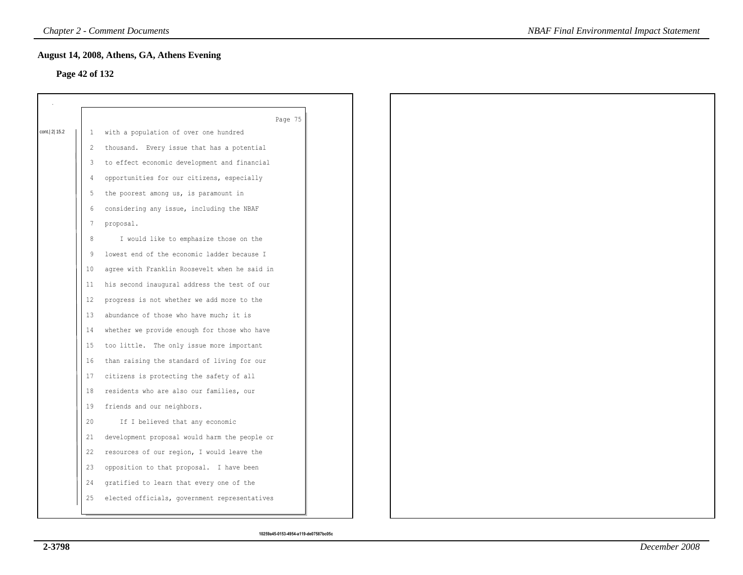#### **Page 42 of 132**

|              |         | Page 75                                       |
|--------------|---------|-----------------------------------------------|
| cont. 2 15.2 | 1       | with a population of over one hundred         |
|              | 2       | thousand. Every issue that has a potential    |
|              | 3       | to effect economic development and financial  |
|              | 4       | opportunities for our citizens, especially    |
|              | 5       | the poorest among us, is paramount in         |
|              | 6       | considering any issue, including the NBAF     |
|              | 7       | proposal.                                     |
|              | $\,8\,$ | I would like to emphasize those on the        |
|              | 9       | lowest end of the economic ladder because I   |
|              | 10      | agree with Franklin Roosevelt when he said in |
|              | 11      | his second inaugural address the test of our  |
|              | 12      | progress is not whether we add more to the    |
|              | 13      | abundance of those who have much; it is       |
|              | 14      | whether we provide enough for those who have  |
|              | 15      | too little. The only issue more important     |
|              | 16      | than raising the standard of living for our   |
|              | 17      | citizens is protecting the safety of all      |
|              | 18      | residents who are also our families, our      |
|              | 19      | friends and our neighbors.                    |
|              | 20      | If I believed that any economic               |
|              | 21      | development proposal would harm the people or |
|              | 22      | resources of our region, I would leave the    |
|              | 23      | opposition to that proposal. I have been      |
|              | 24      | gratified to learn that every one of the      |
|              | 25      | elected officials, government representatives |
|              |         |                                               |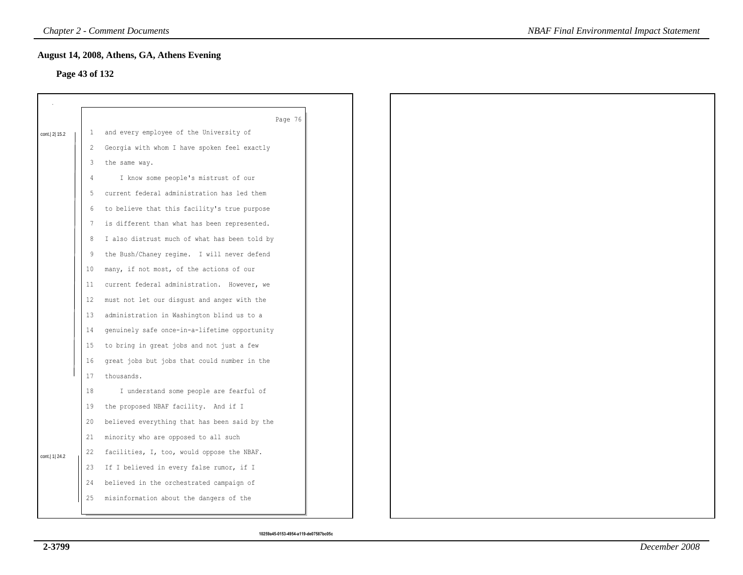### **Page 43 of 132**

|                  |    | August 14, 2008, Athens, GA, Athens Evening        |  |
|------------------|----|----------------------------------------------------|--|
| Page 43 of 132   |    |                                                    |  |
|                  |    |                                                    |  |
|                  |    |                                                    |  |
|                  | 1  | Page 76<br>and every employee of the University of |  |
| cont. 2 15.2     |    | Georgia with whom I have spoken feel exactly       |  |
|                  | 2  |                                                    |  |
|                  | 3  | the same way.                                      |  |
|                  | 4  | I know some people's mistrust of our               |  |
|                  | 5  | current federal administration has led them        |  |
|                  | 6  | to believe that this facility's true purpose       |  |
|                  | 7  | is different than what has been represented.       |  |
|                  | 8  | I also distrust much of what has been told by      |  |
|                  | 9  | the Bush/Chaney regime. I will never defend        |  |
|                  | 10 | many, if not most, of the actions of our           |  |
|                  | 11 | current federal administration. However, we        |  |
|                  | 12 | must not let our disgust and anger with the        |  |
|                  | 13 | administration in Washington blind us to a         |  |
|                  | 14 | genuinely safe once-in-a-lifetime opportunity      |  |
|                  | 15 | to bring in great jobs and not just a few          |  |
|                  | 16 | great jobs but jobs that could number in the       |  |
|                  | 17 | thousands.                                         |  |
|                  | 18 | I understand some people are fearful of            |  |
|                  | 19 | the proposed NBAF facility. And if I               |  |
|                  | 20 | believed everything that has been said by the      |  |
|                  | 21 | minority who are opposed to all such               |  |
|                  | 22 | facilities, I, too, would oppose the NBAF.         |  |
| cont.   1   24.2 | 23 | If I believed in every false rumor, if I           |  |
|                  | 24 | believed in the orchestrated campaign of           |  |
|                  | 25 | misinformation about the dangers of the            |  |
|                  |    |                                                    |  |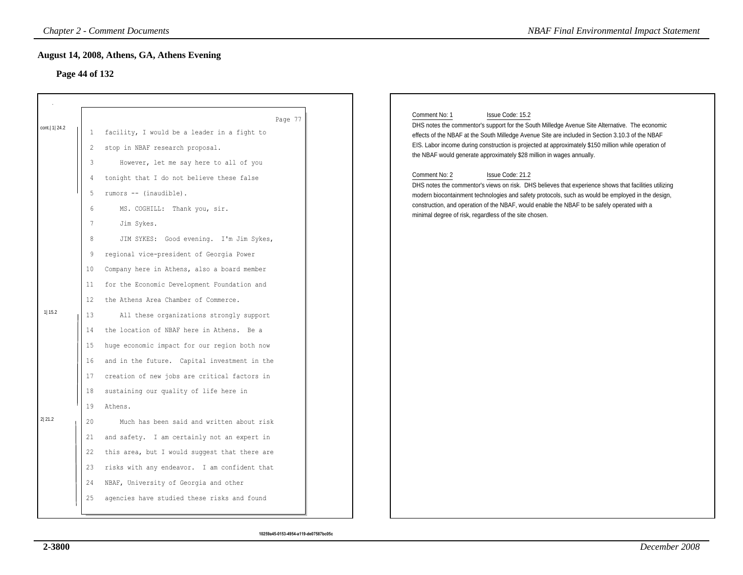# **Page 44 of 132**

|                  |                 | <b>Chapter 2 - Comment Documents</b>          | <b>NBAF Final Environmental Impact Statement</b>                                                                                                                              |
|------------------|-----------------|-----------------------------------------------|-------------------------------------------------------------------------------------------------------------------------------------------------------------------------------|
|                  |                 | August 14, 2008, Athens, GA, Athens Evening   |                                                                                                                                                                               |
|                  | Page 44 of 132  |                                               |                                                                                                                                                                               |
|                  |                 |                                               |                                                                                                                                                                               |
|                  |                 |                                               |                                                                                                                                                                               |
| cont.   1   24.2 |                 | Page 77                                       | Comment No: 1<br>Issue Code: 15.2<br>DHS notes the commentor's support for the South Milledge Avenue Site Alternative. The economic                                           |
|                  | 1               | facility, I would be a leader in a fight to   | effects of the NBAF at the South Milledge Avenue Site are included in Section 3.10.3 of the NBAF                                                                              |
|                  | 2               | stop in NBAF research proposal.               | EIS. Labor income during construction is projected at approximately \$150 million while operation of<br>the NBAF would generate approximately \$28 million in wages annually. |
|                  | 3               | However, let me say here to all of you        |                                                                                                                                                                               |
|                  | 4               | tonight that I do not believe these false     | Comment No: 2<br>Issue Code: 21.2<br>DHS notes the commentor's views on risk. DHS believes that experience shows that facilities utilizing                                    |
|                  | 5               | rumors -- (inaudible).                        | modern biocontainment technologies and safety protocols, such as would be employed in the design,                                                                             |
|                  | 6               | MS. COGHILL: Thank you, sir.                  | construction, and operation of the NBAF, would enable the NBAF to be safely operated with a<br>minimal degree of risk, regardless of the site chosen.                         |
|                  | $7\phantom{.0}$ | Jim Sykes.                                    |                                                                                                                                                                               |
|                  | $\,8\,$         | JIM SYKES: Good evening. I'm Jim Sykes,       |                                                                                                                                                                               |
|                  | 9               | regional vice-president of Georgia Power      |                                                                                                                                                                               |
|                  | 10              | Company here in Athens, also a board member   |                                                                                                                                                                               |
|                  | 11              | for the Economic Development Foundation and   |                                                                                                                                                                               |
|                  | 12              | the Athens Area Chamber of Commerce.          |                                                                                                                                                                               |
| 11 15.2          | 13              | All these organizations strongly support      |                                                                                                                                                                               |
|                  | 14              | the location of NBAF here in Athens. Be a     |                                                                                                                                                                               |
|                  | 15              | huge economic impact for our region both now  |                                                                                                                                                                               |
|                  | 16              | and in the future. Capital investment in the  |                                                                                                                                                                               |
|                  | 17              | creation of new jobs are critical factors in  |                                                                                                                                                                               |
|                  | 18              | sustaining our quality of life here in        |                                                                                                                                                                               |
|                  | 19              | Athens.                                       |                                                                                                                                                                               |
| 2 21.2           | 20              | Much has been said and written about risk     |                                                                                                                                                                               |
|                  | 21              | and safety. I am certainly not an expert in   |                                                                                                                                                                               |
|                  | 22              | this area, but I would suggest that there are |                                                                                                                                                                               |
|                  | 23              | risks with any endeavor. I am confident that  |                                                                                                                                                                               |
|                  | 24              | NBAF, University of Georgia and other         |                                                                                                                                                                               |
|                  | 25              | agencies have studied these risks and found   |                                                                                                                                                                               |
|                  |                 |                                               |                                                                                                                                                                               |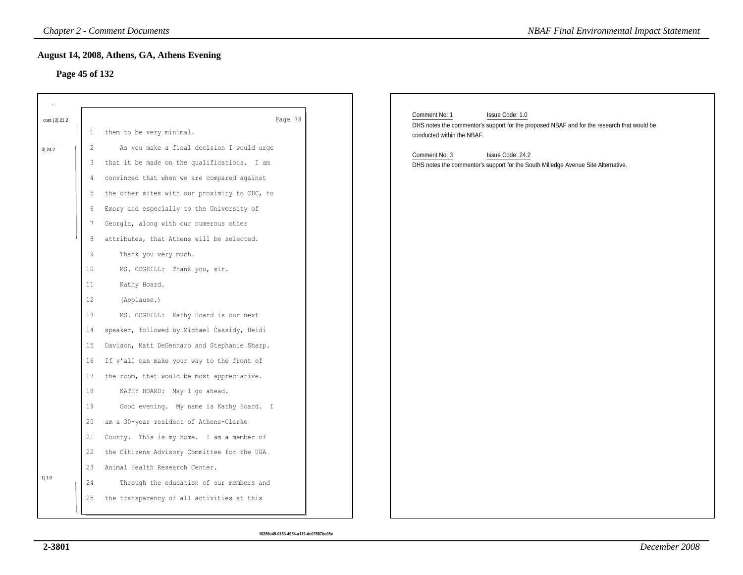### **Page 45 of 132**

|              |                                                                                                                         | <b>Chapter 2 - Comment Documents</b>                                                                                                                                                                                                                                                                                                                                                                                                                                                                                                                                                                                                                                                                                                                                                                                                                                    | <b>NBAF Final Environmental Impact Statement</b>                                                                                                             |
|--------------|-------------------------------------------------------------------------------------------------------------------------|-------------------------------------------------------------------------------------------------------------------------------------------------------------------------------------------------------------------------------------------------------------------------------------------------------------------------------------------------------------------------------------------------------------------------------------------------------------------------------------------------------------------------------------------------------------------------------------------------------------------------------------------------------------------------------------------------------------------------------------------------------------------------------------------------------------------------------------------------------------------------|--------------------------------------------------------------------------------------------------------------------------------------------------------------|
|              | Page 45 of 132                                                                                                          | August 14, 2008, Athens, GA, Athens Evening                                                                                                                                                                                                                                                                                                                                                                                                                                                                                                                                                                                                                                                                                                                                                                                                                             |                                                                                                                                                              |
| cont. 2 21.2 | $\mathbf{1}$                                                                                                            | Page 78<br>them to be very minimal.                                                                                                                                                                                                                                                                                                                                                                                                                                                                                                                                                                                                                                                                                                                                                                                                                                     | Comment No: 1<br>Issue Code: 1.0<br>DHS notes the commentor's support for the proposed NBAF and for the research that would be<br>conducted within the NBAF. |
| 3 24.2       | 2<br>3<br>4<br>5<br>6<br>7<br>8<br>9<br>$10 \,$<br>11<br>12<br>13<br>14<br>15<br>16<br>17<br>18<br>19<br>20<br>21<br>22 | As you make a final decision I would urge<br>that it be made on the qualifications. I am<br>convinced that when we are compared against<br>the other sites with our proximity to CDC, to<br>Emory and especially to the University of<br>Georgia, along with our numerous other<br>attributes, that Athens will be selected.<br>Thank you very much.<br>MS. COGHILL: Thank you, sir.<br>Kathy Hoard.<br>(Applause.)<br>MS. COGHILL: Kathy Hoard is our next<br>speaker, followed by Michael Cassidy, Heidi<br>Davison, Matt DeGennaro and Stephanie Sharp.<br>If y'all can make your way to the front of<br>the room, that would be most appreciative.<br>KATHY HOARD: May I go ahead.<br>Good evening. My name is Kathy Hoard. I<br>am a 30-year resident of Athens-Clarke<br>County. This is my home. I am a member of<br>the Citizens Advisory Committee for the UGA | Comment No: 3<br>Issue Code: 24.2<br>DHS notes the commentor's support for the South Milledge Avenue Site Alternative.                                       |
| 1 1.0        | 23<br>24<br>25                                                                                                          | Animal Health Research Center.<br>Through the education of our members and<br>the transparency of all activities at this                                                                                                                                                                                                                                                                                                                                                                                                                                                                                                                                                                                                                                                                                                                                                |                                                                                                                                                              |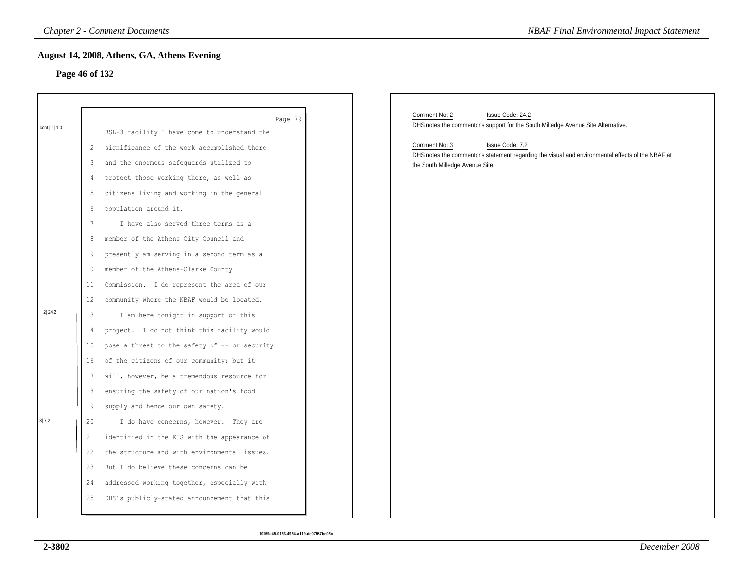#### **Page 46 of 132**

| August 14, 2008, Athens, GA, Athens Evening<br>Page 46 of 132<br>Comment No: 2<br>Issue Code: 24.2<br>Page 79<br>DHS notes the commentor's support for the South Milledge Avenue Site Alternative.<br>cont.   1   1.0<br>BSL-3 facility I have come to understand the<br>$\mathbf{1}$<br>Comment No: 3<br>Issue Code: 7.2<br>significance of the work accomplished there<br>2<br>DHS notes the commentor's statement regarding the visual and environmental effects of the NBAF at<br>and the enormous safeguards utilized to<br>3<br>the South Milledge Avenue Site.<br>protect those working there, as well as<br>4<br>citizens living and working in the general<br>5<br>population around it.<br>6<br>$7\phantom{.0}$<br>I have also served three terms as a<br>member of the Athens City Council and<br>8<br>9<br>presently am serving in a second term as a<br>member of the Athens-Clarke County<br>10<br>Commission. I do represent the area of our<br>11<br>community where the NBAF would be located.<br>12<br>2 24.2<br>I am here tonight in support of this<br>13<br>project. I do not think this facility would<br>14<br>pose a threat to the safety of -- or security<br>15<br>of the citizens of our community; but it<br>16<br>will, however, be a tremendous resource for<br>17<br>ensuring the safety of our nation's food<br>18<br>supply and hence our own safety.<br>19<br>3 7.2<br>I do have concerns, however. They are<br>20 | <b>NBAF Final Environmental Impact Statement</b> |
|------------------------------------------------------------------------------------------------------------------------------------------------------------------------------------------------------------------------------------------------------------------------------------------------------------------------------------------------------------------------------------------------------------------------------------------------------------------------------------------------------------------------------------------------------------------------------------------------------------------------------------------------------------------------------------------------------------------------------------------------------------------------------------------------------------------------------------------------------------------------------------------------------------------------------------------------------------------------------------------------------------------------------------------------------------------------------------------------------------------------------------------------------------------------------------------------------------------------------------------------------------------------------------------------------------------------------------------------------------------------------------------------------------------------------------------------------|--------------------------------------------------|
|                                                                                                                                                                                                                                                                                                                                                                                                                                                                                                                                                                                                                                                                                                                                                                                                                                                                                                                                                                                                                                                                                                                                                                                                                                                                                                                                                                                                                                                      |                                                  |
|                                                                                                                                                                                                                                                                                                                                                                                                                                                                                                                                                                                                                                                                                                                                                                                                                                                                                                                                                                                                                                                                                                                                                                                                                                                                                                                                                                                                                                                      |                                                  |
|                                                                                                                                                                                                                                                                                                                                                                                                                                                                                                                                                                                                                                                                                                                                                                                                                                                                                                                                                                                                                                                                                                                                                                                                                                                                                                                                                                                                                                                      |                                                  |
|                                                                                                                                                                                                                                                                                                                                                                                                                                                                                                                                                                                                                                                                                                                                                                                                                                                                                                                                                                                                                                                                                                                                                                                                                                                                                                                                                                                                                                                      |                                                  |
|                                                                                                                                                                                                                                                                                                                                                                                                                                                                                                                                                                                                                                                                                                                                                                                                                                                                                                                                                                                                                                                                                                                                                                                                                                                                                                                                                                                                                                                      |                                                  |
|                                                                                                                                                                                                                                                                                                                                                                                                                                                                                                                                                                                                                                                                                                                                                                                                                                                                                                                                                                                                                                                                                                                                                                                                                                                                                                                                                                                                                                                      |                                                  |
|                                                                                                                                                                                                                                                                                                                                                                                                                                                                                                                                                                                                                                                                                                                                                                                                                                                                                                                                                                                                                                                                                                                                                                                                                                                                                                                                                                                                                                                      |                                                  |
|                                                                                                                                                                                                                                                                                                                                                                                                                                                                                                                                                                                                                                                                                                                                                                                                                                                                                                                                                                                                                                                                                                                                                                                                                                                                                                                                                                                                                                                      |                                                  |
|                                                                                                                                                                                                                                                                                                                                                                                                                                                                                                                                                                                                                                                                                                                                                                                                                                                                                                                                                                                                                                                                                                                                                                                                                                                                                                                                                                                                                                                      |                                                  |
|                                                                                                                                                                                                                                                                                                                                                                                                                                                                                                                                                                                                                                                                                                                                                                                                                                                                                                                                                                                                                                                                                                                                                                                                                                                                                                                                                                                                                                                      |                                                  |
|                                                                                                                                                                                                                                                                                                                                                                                                                                                                                                                                                                                                                                                                                                                                                                                                                                                                                                                                                                                                                                                                                                                                                                                                                                                                                                                                                                                                                                                      |                                                  |
|                                                                                                                                                                                                                                                                                                                                                                                                                                                                                                                                                                                                                                                                                                                                                                                                                                                                                                                                                                                                                                                                                                                                                                                                                                                                                                                                                                                                                                                      |                                                  |
|                                                                                                                                                                                                                                                                                                                                                                                                                                                                                                                                                                                                                                                                                                                                                                                                                                                                                                                                                                                                                                                                                                                                                                                                                                                                                                                                                                                                                                                      |                                                  |
|                                                                                                                                                                                                                                                                                                                                                                                                                                                                                                                                                                                                                                                                                                                                                                                                                                                                                                                                                                                                                                                                                                                                                                                                                                                                                                                                                                                                                                                      |                                                  |
|                                                                                                                                                                                                                                                                                                                                                                                                                                                                                                                                                                                                                                                                                                                                                                                                                                                                                                                                                                                                                                                                                                                                                                                                                                                                                                                                                                                                                                                      |                                                  |
|                                                                                                                                                                                                                                                                                                                                                                                                                                                                                                                                                                                                                                                                                                                                                                                                                                                                                                                                                                                                                                                                                                                                                                                                                                                                                                                                                                                                                                                      |                                                  |
|                                                                                                                                                                                                                                                                                                                                                                                                                                                                                                                                                                                                                                                                                                                                                                                                                                                                                                                                                                                                                                                                                                                                                                                                                                                                                                                                                                                                                                                      |                                                  |
|                                                                                                                                                                                                                                                                                                                                                                                                                                                                                                                                                                                                                                                                                                                                                                                                                                                                                                                                                                                                                                                                                                                                                                                                                                                                                                                                                                                                                                                      |                                                  |
|                                                                                                                                                                                                                                                                                                                                                                                                                                                                                                                                                                                                                                                                                                                                                                                                                                                                                                                                                                                                                                                                                                                                                                                                                                                                                                                                                                                                                                                      |                                                  |
|                                                                                                                                                                                                                                                                                                                                                                                                                                                                                                                                                                                                                                                                                                                                                                                                                                                                                                                                                                                                                                                                                                                                                                                                                                                                                                                                                                                                                                                      |                                                  |
|                                                                                                                                                                                                                                                                                                                                                                                                                                                                                                                                                                                                                                                                                                                                                                                                                                                                                                                                                                                                                                                                                                                                                                                                                                                                                                                                                                                                                                                      |                                                  |
|                                                                                                                                                                                                                                                                                                                                                                                                                                                                                                                                                                                                                                                                                                                                                                                                                                                                                                                                                                                                                                                                                                                                                                                                                                                                                                                                                                                                                                                      |                                                  |
|                                                                                                                                                                                                                                                                                                                                                                                                                                                                                                                                                                                                                                                                                                                                                                                                                                                                                                                                                                                                                                                                                                                                                                                                                                                                                                                                                                                                                                                      |                                                  |
|                                                                                                                                                                                                                                                                                                                                                                                                                                                                                                                                                                                                                                                                                                                                                                                                                                                                                                                                                                                                                                                                                                                                                                                                                                                                                                                                                                                                                                                      |                                                  |
|                                                                                                                                                                                                                                                                                                                                                                                                                                                                                                                                                                                                                                                                                                                                                                                                                                                                                                                                                                                                                                                                                                                                                                                                                                                                                                                                                                                                                                                      |                                                  |
| identified in the EIS with the appearance of<br>21                                                                                                                                                                                                                                                                                                                                                                                                                                                                                                                                                                                                                                                                                                                                                                                                                                                                                                                                                                                                                                                                                                                                                                                                                                                                                                                                                                                                   |                                                  |
| 22<br>the structure and with environmental issues.                                                                                                                                                                                                                                                                                                                                                                                                                                                                                                                                                                                                                                                                                                                                                                                                                                                                                                                                                                                                                                                                                                                                                                                                                                                                                                                                                                                                   |                                                  |
| But I do believe these concerns can be<br>23                                                                                                                                                                                                                                                                                                                                                                                                                                                                                                                                                                                                                                                                                                                                                                                                                                                                                                                                                                                                                                                                                                                                                                                                                                                                                                                                                                                                         |                                                  |
| addressed working together, especially with<br>24                                                                                                                                                                                                                                                                                                                                                                                                                                                                                                                                                                                                                                                                                                                                                                                                                                                                                                                                                                                                                                                                                                                                                                                                                                                                                                                                                                                                    |                                                  |
| DHS's publicly-stated announcement that this<br>25                                                                                                                                                                                                                                                                                                                                                                                                                                                                                                                                                                                                                                                                                                                                                                                                                                                                                                                                                                                                                                                                                                                                                                                                                                                                                                                                                                                                   |                                                  |
|                                                                                                                                                                                                                                                                                                                                                                                                                                                                                                                                                                                                                                                                                                                                                                                                                                                                                                                                                                                                                                                                                                                                                                                                                                                                                                                                                                                                                                                      |                                                  |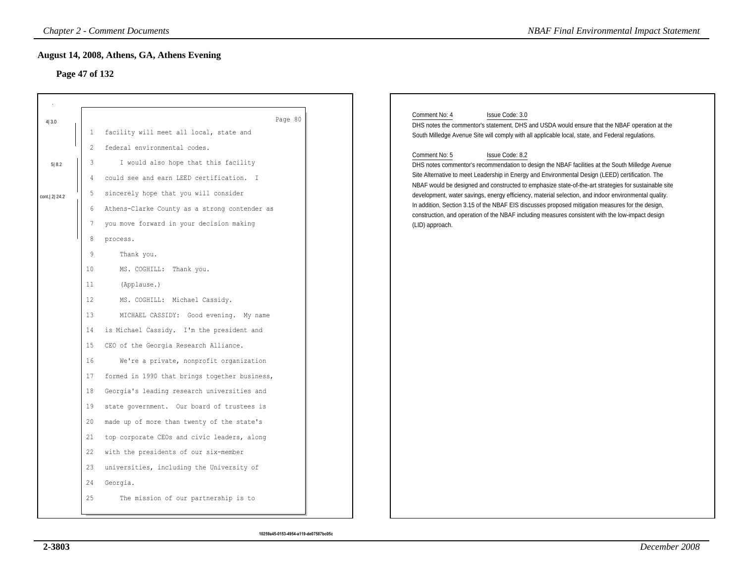# **Page 47 of 132**

|                |                | <b>Chapter 2 - Comment Documents</b>          | <b>NBAF Final Environmental Impact Statement</b>                                                                                                                                                             |
|----------------|----------------|-----------------------------------------------|--------------------------------------------------------------------------------------------------------------------------------------------------------------------------------------------------------------|
| Page 47 of 132 |                | August 14, 2008, Athens, GA, Athens Evening   |                                                                                                                                                                                                              |
| 4 3.0          |                | Page 80                                       | Comment No: 4<br>Issue Code: 3.0                                                                                                                                                                             |
|                | 1              | facility will meet all local, state and       | DHS notes the commentor's statement. DHS and USDA would ensure that the NBAF operation at the<br>South Milledge Avenue Site will comply with all applicable local, state, and Federal regulations.           |
|                | 2              | federal environmental codes.                  |                                                                                                                                                                                                              |
| 5 8.2          | 3              | I would also hope that this facility          | Comment No: 5<br>Issue Code: 8.2<br>DHS notes commentor's recommendation to design the NBAF facilities at the South Milledge Avenue                                                                          |
|                | $\overline{4}$ | could see and earn LEED certification. I      | Site Alternative to meet Leadership in Energy and Environmental Design (LEED) certification. The                                                                                                             |
| cont. 2 24.2   | 5              | sincerely hope that you will consider         | NBAF would be designed and constructed to emphasize state-of-the-art strategies for sustainable site<br>development, water savings, energy efficiency, material selection, and indoor environmental quality. |
|                | 6              | Athens-Clarke County as a strong contender as | In addition, Section 3.15 of the NBAF EIS discusses proposed mitigation measures for the design,                                                                                                             |
|                | 7              | you move forward in your decision making      | construction, and operation of the NBAF including measures consistent with the low-impact design<br>(LID) approach.                                                                                          |
|                | $\,8\,$        | process.                                      |                                                                                                                                                                                                              |
|                | $\overline{9}$ | Thank you.                                    |                                                                                                                                                                                                              |
|                | 10             | MS. COGHILL: Thank you.                       |                                                                                                                                                                                                              |
|                | 11             | (Applause.)                                   |                                                                                                                                                                                                              |
|                | 12             | MS. COGHILL: Michael Cassidy.                 |                                                                                                                                                                                                              |
|                | 13             | MICHAEL CASSIDY: Good evening. My name        |                                                                                                                                                                                                              |
|                | 14             | is Michael Cassidy. I'm the president and     |                                                                                                                                                                                                              |
|                | 15             | CEO of the Georgia Research Alliance.         |                                                                                                                                                                                                              |
|                | 16             | We're a private, nonprofit organization       |                                                                                                                                                                                                              |
|                | 17             | formed in 1990 that brings together business, |                                                                                                                                                                                                              |
|                | 18             | Georgia's leading research universities and   |                                                                                                                                                                                                              |
|                | 19             | state government. Our board of trustees is    |                                                                                                                                                                                                              |
|                | 20             | made up of more than twenty of the state's    |                                                                                                                                                                                                              |
|                | 21             | top corporate CEOs and civic leaders, along   |                                                                                                                                                                                                              |
|                | 22             | with the presidents of our six-member         |                                                                                                                                                                                                              |
|                | 23             | universities, including the University of     |                                                                                                                                                                                                              |
|                | 24             | Georgia.                                      |                                                                                                                                                                                                              |
|                | 25             | The mission of our partnership is to          |                                                                                                                                                                                                              |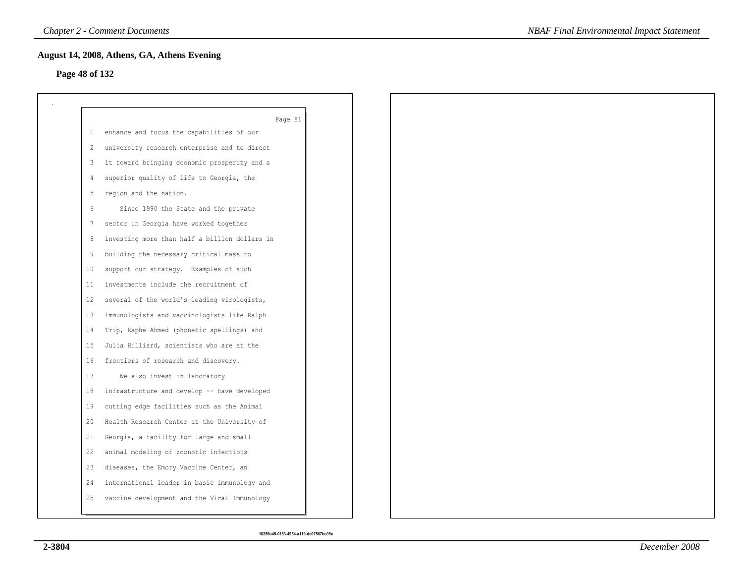# **Page 48 of 132**

|    | Page 81                                       |
|----|-----------------------------------------------|
| -1 | enhance and focus the capabilities of our     |
| 2  | university research enterprise and to direct  |
| 3  | it toward bringing economic prosperity and a  |
| 4  | superior quality of life to Georgia, the      |
| 5  | region and the nation.                        |
| 6  | Since 1990 the State and the private          |
| 7  | sector in Georgia have worked together        |
| 8  | investing more than half a billion dollars in |
| 9  | building the necessary critical mass to       |
| 10 | support our strategy. Examples of such        |
| 11 | investments include the recruitment of        |
| 12 | several of the world's leading virologists,   |
| 13 | immunologists and vaccinologists like Ralph   |
| 14 | Trip, Raphe Ahmed (phonetic spellings) and    |
| 15 | Julia Hilliard, scientists who are at the     |
| 16 | frontiers of research and discovery.          |
| 17 | We also invest in laboratory                  |
| 18 | infrastructure and develop -- have developed  |
| 19 | cutting edge facilities such as the Animal    |
| 20 | Health Research Center at the University of   |
| 21 | Georgia, a facility for large and small       |
| 22 | animal modeling of zoonotic infectious        |
| 23 | diseases, the Emory Vaccine Center, an        |
| 24 | international leader in basic immunology and  |
| 25 | vaccine development and the Viral Immunology  |
|    |                                               |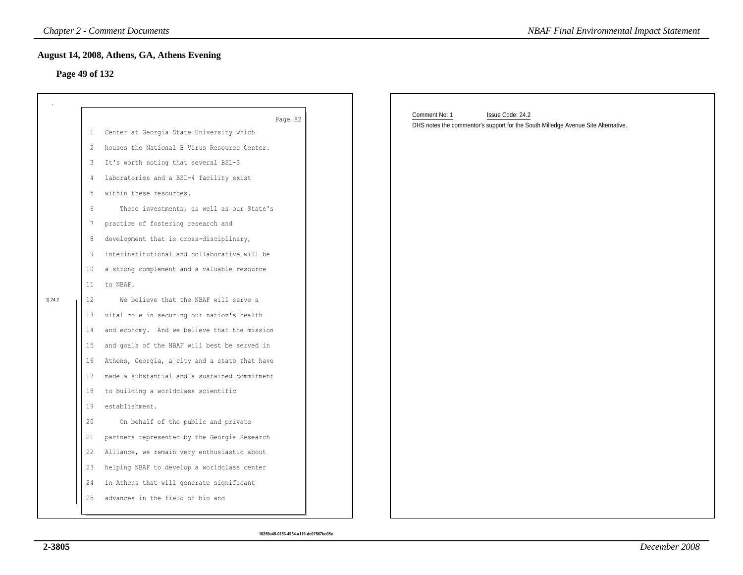# **Page 49 of 132**

|                |              | <b>Chapter 2 - Comment Documents</b>          | <b>NBAF Final Environmental Impact Statement</b>                                                                       |
|----------------|--------------|-----------------------------------------------|------------------------------------------------------------------------------------------------------------------------|
| Page 49 of 132 |              | August 14, 2008, Athens, GA, Athens Evening   |                                                                                                                        |
|                |              |                                               |                                                                                                                        |
|                |              |                                               |                                                                                                                        |
|                |              | Page 82                                       | Comment No: 1<br>Issue Code: 24.2<br>DHS notes the commentor's support for the South Milledge Avenue Site Alternative. |
|                | $\mathbf{1}$ | Center at Georgia State University which      |                                                                                                                        |
|                | 2            | houses the National B Virus Resource Center.  |                                                                                                                        |
|                | 3            | It's worth noting that several BSL-3          |                                                                                                                        |
|                | 4            | laboratories and a BSL-4 facility exist       |                                                                                                                        |
|                | 5            | within these resources.                       |                                                                                                                        |
|                | 6            | These investments, as well as our State's     |                                                                                                                        |
|                | 7            | practice of fostering research and            |                                                                                                                        |
|                | 8            | development that is cross-disciplinary,       |                                                                                                                        |
|                | 9            | interinstitutional and collaborative will be  |                                                                                                                        |
|                | 10           | a strong complement and a valuable resource   |                                                                                                                        |
|                | 11           | to NBAF.                                      |                                                                                                                        |
| 1 24.2         | 12           | We believe that the NBAF will serve a         |                                                                                                                        |
|                | 13           | vital role in securing our nation's health    |                                                                                                                        |
|                | 14           | and economy. And we believe that the mission  |                                                                                                                        |
|                | 15           | and goals of the NBAF will best be served in  |                                                                                                                        |
|                | 16           | Athens, Georgia, a city and a state that have |                                                                                                                        |
|                | 17           | made a substantial and a sustained commitment |                                                                                                                        |
|                | 18           | to building a worldclass scientific           |                                                                                                                        |
|                | 19           | establishment.                                |                                                                                                                        |
|                | 20           | On behalf of the public and private           |                                                                                                                        |
|                | 21           | partners represented by the Georgia Research  |                                                                                                                        |
|                | 22           | Alliance, we remain very enthusiastic about   |                                                                                                                        |
|                | 23           | helping NBAF to develop a worldclass center   |                                                                                                                        |
|                | 24           | in Athens that will generate significant      |                                                                                                                        |
|                | 25           | advances in the field of bio and              |                                                                                                                        |
|                |              |                                               |                                                                                                                        |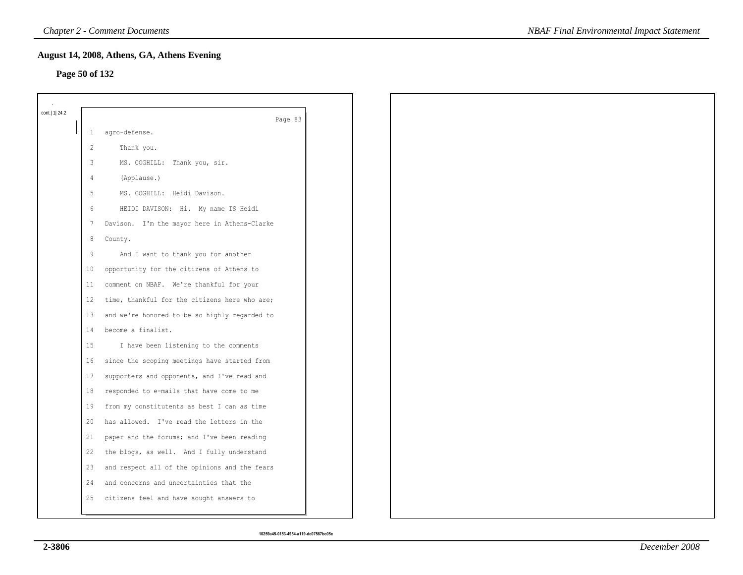#### **Page 50 of 132**

| cont.  1  24.2 |                 | Page 83                                       |
|----------------|-----------------|-----------------------------------------------|
|                | $\mathbf{1}$    | agro-defense.                                 |
|                | $\overline{c}$  | Thank you.                                    |
|                | 3               | MS. COGHILL: Thank you, sir.                  |
|                | $\overline{4}$  | (Applause.)                                   |
|                | 5               | MS. COGHILL: Heidi Davison.                   |
|                | 6               | HEIDI DAVISON: Hi. My name IS Heidi           |
|                | $7\phantom{.0}$ | Davison. I'm the mayor here in Athens-Clarke  |
|                | 8               | County.                                       |
|                | 9               | And I want to thank you for another           |
|                | 10              | opportunity for the citizens of Athens to     |
|                | 11              | comment on NBAF. We're thankful for your      |
|                | 12              | time, thankful for the citizens here who are; |
|                | 13              | and we're honored to be so highly regarded to |
|                | 14              | become a finalist.                            |
|                | 15              | I have been listening to the comments         |
|                | 16              | since the scoping meetings have started from  |
|                | 17              | supporters and opponents, and I've read and   |
|                | 18              | responded to e-mails that have come to me     |
|                | 19              | from my constitutents as best I can as time   |
|                | 20              | has allowed. I've read the letters in the     |
|                | 21              | paper and the forums; and I've been reading   |
|                | 22              | the blogs, as well. And I fully understand    |
|                | 23              | and respect all of the opinions and the fears |
|                | 24              | and concerns and uncertainties that the       |
|                | 25              | citizens feel and have sought answers to      |
|                |                 |                                               |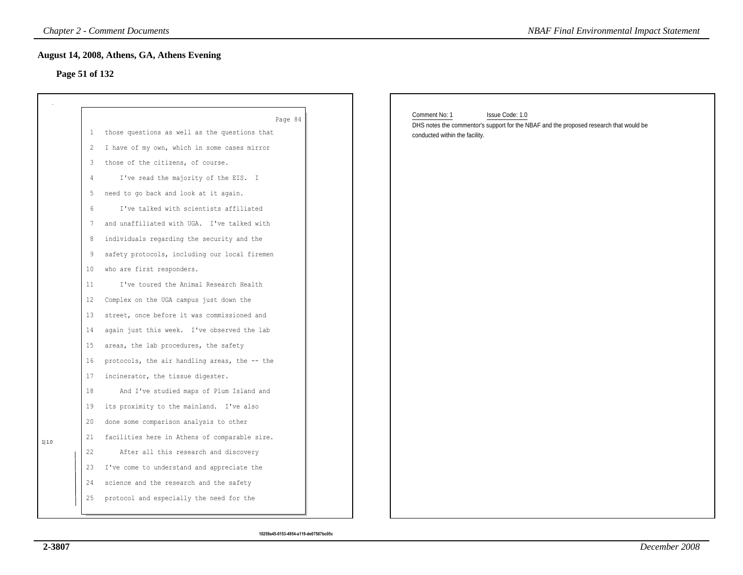# **Page 51 of 132**

|                   | <b>Chapter 2 - Comment Documents</b>          | <b>NBAF Final Environmental Impact Statement</b>                                                                           |
|-------------------|-----------------------------------------------|----------------------------------------------------------------------------------------------------------------------------|
|                   | August 14, 2008, Athens, GA, Athens Evening   |                                                                                                                            |
| Page 51 of 132    |                                               |                                                                                                                            |
|                   |                                               |                                                                                                                            |
|                   | Page 84                                       | Comment No: 1<br>Issue Code: 1.0<br>DHS notes the commentor's support for the NBAF and the proposed research that would be |
| $\mathbf{1}$      | those questions as well as the questions that | conducted within the facility.                                                                                             |
| $\overline{c}$    | I have of my own, which in some cases mirror  |                                                                                                                            |
| 3                 | those of the citizens, of course.             |                                                                                                                            |
| 4                 | I've read the majority of the EIS. I          |                                                                                                                            |
| 5                 | need to go back and look at it again.         |                                                                                                                            |
| 6                 | I've talked with scientists affiliated        |                                                                                                                            |
| 7                 | and unaffiliated with UGA. I've talked with   |                                                                                                                            |
| 8                 | individuals regarding the security and the    |                                                                                                                            |
| 9                 | safety protocols, including our local firemen |                                                                                                                            |
| 10                | who are first responders.                     |                                                                                                                            |
| 11                | I've toured the Animal Research Health        |                                                                                                                            |
| $12 \overline{ }$ | Complex on the UGA campus just down the       |                                                                                                                            |
| 13                | street, once before it was commissioned and   |                                                                                                                            |
| 14                | again just this week. I've observed the lab   |                                                                                                                            |
| 15                | areas, the lab procedures, the safety         |                                                                                                                            |
| 16                | protocols, the air handling areas, the -- the |                                                                                                                            |
| 17                | incinerator, the tissue digester.             |                                                                                                                            |
| 18                | And I've studied maps of Plum Island and      |                                                                                                                            |
| 19                | its proximity to the mainland. I've also      |                                                                                                                            |
| 20                | done some comparison analysis to other        |                                                                                                                            |
| 21                | facilities here in Athens of comparable size. |                                                                                                                            |
| 22                | After all this research and discovery         |                                                                                                                            |
| 23                | I've come to understand and appreciate the    |                                                                                                                            |
| 24                | science and the research and the safety       |                                                                                                                            |
| 25                | protocol and especially the need for the      |                                                                                                                            |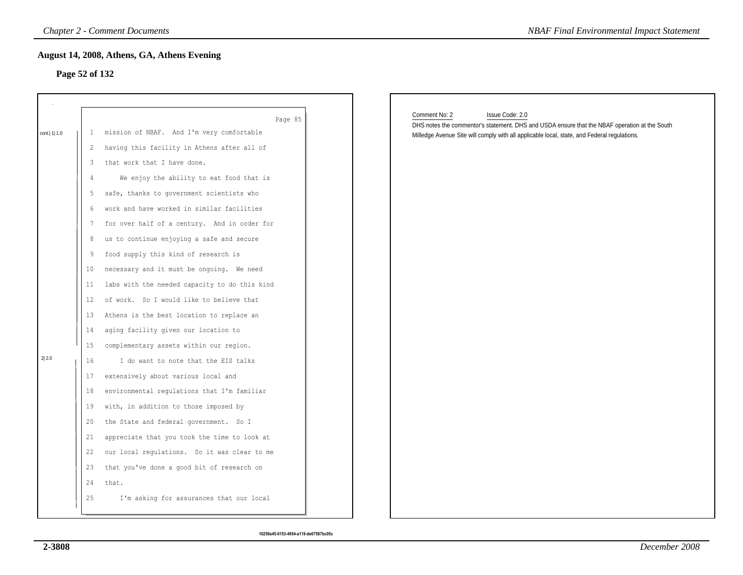### **Page 52 of 132**

|                |    | <b>Chapter 2 - Comment Documents</b>          | <b>NBAF Final Environmental Impact Statement</b>                                                                                  |
|----------------|----|-----------------------------------------------|-----------------------------------------------------------------------------------------------------------------------------------|
|                |    | August 14, 2008, Athens, GA, Athens Evening   |                                                                                                                                   |
| Page 52 of 132 |    |                                               |                                                                                                                                   |
|                |    |                                               |                                                                                                                                   |
|                |    |                                               |                                                                                                                                   |
|                |    | Page 85                                       | Comment No: 2<br>Issue Code: 2.0<br>DHS notes the commentor's statement. DHS and USDA ensure that the NBAF operation at the South |
| cont.   1  1.0 | 1  | mission of NBAF. And I'm very comfortable     | Milledge Avenue Site will comply with all applicable local, state, and Federal regulations.                                       |
|                | 2  | having this facility in Athens after all of   |                                                                                                                                   |
|                | 3  | that work that I have done.                   |                                                                                                                                   |
|                | 4  | We enjoy the ability to eat food that is      |                                                                                                                                   |
|                | 5  | safe, thanks to government scientists who     |                                                                                                                                   |
|                | 6  | work and have worked in similar facilities    |                                                                                                                                   |
|                | 7  | for over half of a century. And in order for  |                                                                                                                                   |
|                | 8  | us to continue enjoying a safe and secure     |                                                                                                                                   |
|                | 9  | food supply this kind of research is          |                                                                                                                                   |
|                | 10 | necessary and it must be ongoing. We need     |                                                                                                                                   |
|                | 11 | labs with the needed capacity to do this kind |                                                                                                                                   |
|                | 12 | of work. So I would like to believe that      |                                                                                                                                   |
|                | 13 | Athens is the best location to replace an     |                                                                                                                                   |
|                | 14 | aging facility given our location to          |                                                                                                                                   |
|                | 15 | complementary assets within our region.       |                                                                                                                                   |
| 2 2.0          | 16 | I do want to note that the EIS talks          |                                                                                                                                   |
|                | 17 | extensively about various local and           |                                                                                                                                   |
|                | 18 | environmental regulations that I'm familiar   |                                                                                                                                   |
|                | 19 | with, in addition to those imposed by         |                                                                                                                                   |
|                | 20 | the State and federal government. So I        |                                                                                                                                   |
|                | 21 | appreciate that you took the time to look at  |                                                                                                                                   |
|                | 22 | our local regulations. So it was clear to me  |                                                                                                                                   |
|                | 23 | that you've done a good bit of research on    |                                                                                                                                   |
|                | 24 | that.                                         |                                                                                                                                   |
|                | 25 | I'm asking for assurances that our local      |                                                                                                                                   |
|                |    |                                               |                                                                                                                                   |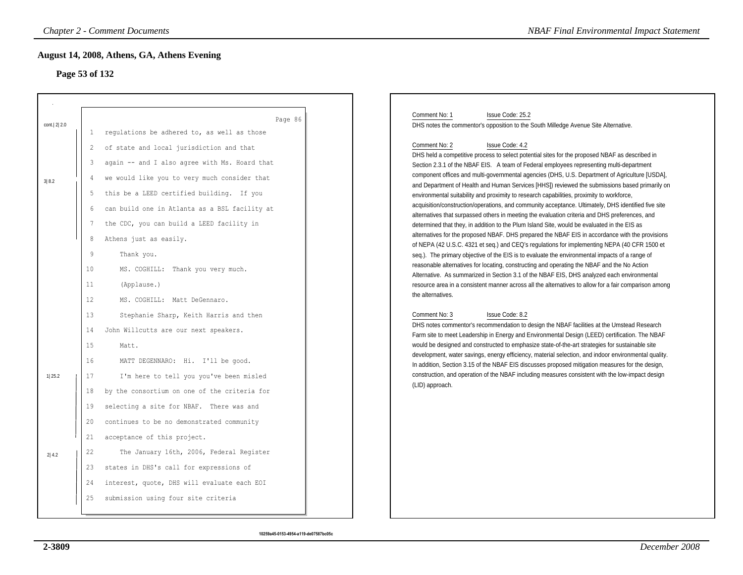# **Page 53 of 132**

|                      |                                                        | <b>Chapter 2 - Comment Documents</b>                                                                                                                                                                                                                                                                                                                                                   | <b>NBAF Final Environmental Impact Statement</b>                                                                                                                                                                                                                                                                                                                                                                                                                                                                                                                                                                                                                                                                                                                                                                                                                                                                                                                                                                                                                                                                                                                                                                                                                         |
|----------------------|--------------------------------------------------------|----------------------------------------------------------------------------------------------------------------------------------------------------------------------------------------------------------------------------------------------------------------------------------------------------------------------------------------------------------------------------------------|--------------------------------------------------------------------------------------------------------------------------------------------------------------------------------------------------------------------------------------------------------------------------------------------------------------------------------------------------------------------------------------------------------------------------------------------------------------------------------------------------------------------------------------------------------------------------------------------------------------------------------------------------------------------------------------------------------------------------------------------------------------------------------------------------------------------------------------------------------------------------------------------------------------------------------------------------------------------------------------------------------------------------------------------------------------------------------------------------------------------------------------------------------------------------------------------------------------------------------------------------------------------------|
|                      | Page 53 of 132                                         | August 14, 2008, Athens, GA, Athens Evening                                                                                                                                                                                                                                                                                                                                            |                                                                                                                                                                                                                                                                                                                                                                                                                                                                                                                                                                                                                                                                                                                                                                                                                                                                                                                                                                                                                                                                                                                                                                                                                                                                          |
| cont. 2 2.0<br>3 8.2 | 1<br>2<br>3<br>4<br>5<br>6<br>$\overline{7}$<br>8<br>9 | Page 86<br>regulations be adhered to, as well as those<br>of state and local jurisdiction and that<br>again -- and I also agree with Ms. Hoard that<br>we would like you to very much consider that<br>this be a LEED certified building. If you<br>can build one in Atlanta as a BSL facility at<br>the CDC, you can build a LEED facility in<br>Athens just as easily.<br>Thank you. | Comment No: 1<br>Issue Code: 25.2<br>DHS notes the commentor's opposition to the South Milledge Avenue Site Alternative.<br>Comment No: 2<br>Issue Code: 4.2<br>DHS held a competitive process to select potential sites for the proposed NBAF as described in<br>Section 2.3.1 of the NBAF EIS. A team of Federal employees representing multi-department<br>component offices and multi-governmental agencies (DHS, U.S. Department of Agriculture [USDA],<br>and Department of Health and Human Services [HHS]) reviewed the submissions based primarily on<br>environmental suitability and proximity to research capabilities, proximity to workforce,<br>acquisition/construction/operations, and community acceptance. Ultimately, DHS identified five site<br>alternatives that surpassed others in meeting the evaluation criteria and DHS preferences, and<br>determined that they, in addition to the Plum Island Site, would be evaluated in the EIS as<br>alternatives for the proposed NBAF. DHS prepared the NBAF EIS in accordance with the provisions<br>of NEPA (42 U.S.C. 4321 et seq.) and CEQ's regulations for implementing NEPA (40 CFR 1500 et<br>seq.). The primary objective of the EIS is to evaluate the environmental impacts of a range of |
|                      | 10<br>11<br>12<br>13                                   | MS. COGHILL: Thank you very much.<br>(Applause.)<br>MS. COGHILL: Matt DeGennaro.<br>Stephanie Sharp, Keith Harris and then                                                                                                                                                                                                                                                             | reasonable alternatives for locating, constructing and operating the NBAF and the No Action<br>Alternative. As summarized in Section 3.1 of the NBAF EIS, DHS analyzed each environmental<br>resource area in a consistent manner across all the alternatives to allow for a fair comparison among<br>the alternatives.<br>Comment No: 3<br>Issue Code: 8.2                                                                                                                                                                                                                                                                                                                                                                                                                                                                                                                                                                                                                                                                                                                                                                                                                                                                                                              |
| 1 25.2               | 14<br>15<br>16<br>17                                   | John Willcutts are our next speakers.<br>Matt.<br>MATT DEGENNARO: Hi. I'll be good.<br>I'm here to tell you you've been misled                                                                                                                                                                                                                                                         | DHS notes commentor's recommendation to design the NBAF facilities at the Umstead Research<br>Farm site to meet Leadership in Energy and Environmental Design (LEED) certification. The NBAF<br>would be designed and constructed to emphasize state-of-the-art strategies for sustainable site<br>development, water savings, energy efficiency, material selection, and indoor environmental quality.<br>In addition, Section 3.15 of the NBAF EIS discusses proposed mitigation measures for the design,<br>construction, and operation of the NBAF including measures consistent with the low-impact design<br>(LID) approach.                                                                                                                                                                                                                                                                                                                                                                                                                                                                                                                                                                                                                                       |
|                      | 18<br>19<br>20<br>21                                   | by the consortium on one of the criteria for<br>selecting a site for NBAF. There was and<br>continues to be no demonstrated community<br>acceptance of this project.                                                                                                                                                                                                                   |                                                                                                                                                                                                                                                                                                                                                                                                                                                                                                                                                                                                                                                                                                                                                                                                                                                                                                                                                                                                                                                                                                                                                                                                                                                                          |
| 2 4.2                | 22<br>23<br>24<br>25                                   | The January 16th, 2006, Federal Register<br>states in DHS's call for expressions of<br>interest, quote, DHS will evaluate each EOI<br>submission using four site criteria                                                                                                                                                                                                              |                                                                                                                                                                                                                                                                                                                                                                                                                                                                                                                                                                                                                                                                                                                                                                                                                                                                                                                                                                                                                                                                                                                                                                                                                                                                          |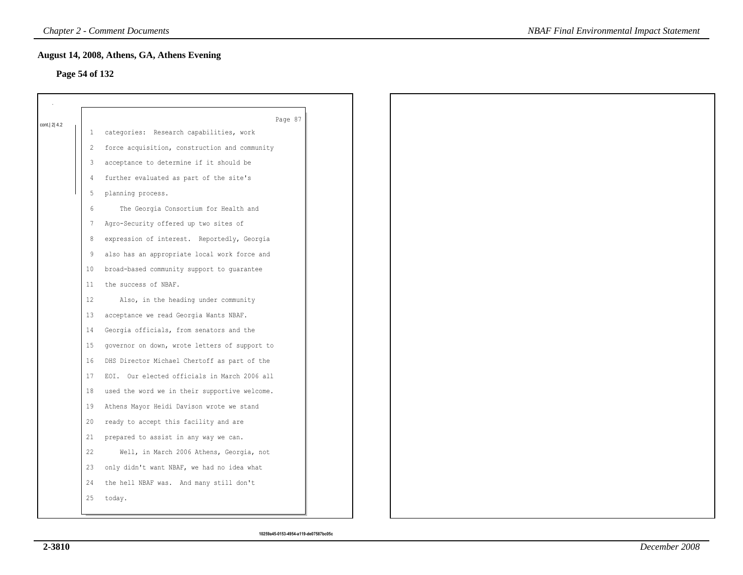### **Page 54 of 132**

|             |              | Page 87                                       |
|-------------|--------------|-----------------------------------------------|
| cont. 2 4.2 | $\mathbf{1}$ | categories: Research capabilities, work       |
|             | 2            | force acquisition, construction and community |
|             | 3            | acceptance to determine if it should be       |
|             | 4            | further evaluated as part of the site's       |
|             | 5            | planning process.                             |
|             | 6            | The Georgia Consortium for Health and         |
|             | 7            | Agro-Security offered up two sites of         |
|             | 8            | expression of interest. Reportedly, Georgia   |
|             | 9            | also has an appropriate local work force and  |
|             | 10           | broad-based community support to guarantee    |
|             | 11           | the success of NBAF.                          |
|             | 12           | Also, in the heading under community          |
|             | 13           | acceptance we read Georgia Wants NBAF.        |
|             | 14           | Georgia officials, from senators and the      |
|             | 15           | governor on down, wrote letters of support to |
|             | 16           | DHS Director Michael Chertoff as part of the  |
|             | 17           | EOI. Our elected officials in March 2006 all  |
|             | 18           | used the word we in their supportive welcome. |
|             | 19           | Athens Mayor Heidi Davison wrote we stand     |
|             | 20           | ready to accept this facility and are         |
|             | 21           | prepared to assist in any way we can.         |
|             | 22           | Well, in March 2006 Athens, Georgia, not      |
|             | 23           | only didn't want NBAF, we had no idea what    |
|             | 24           | the hell NBAF was. And many still don't       |
|             | 25           | today.                                        |
|             |              |                                               |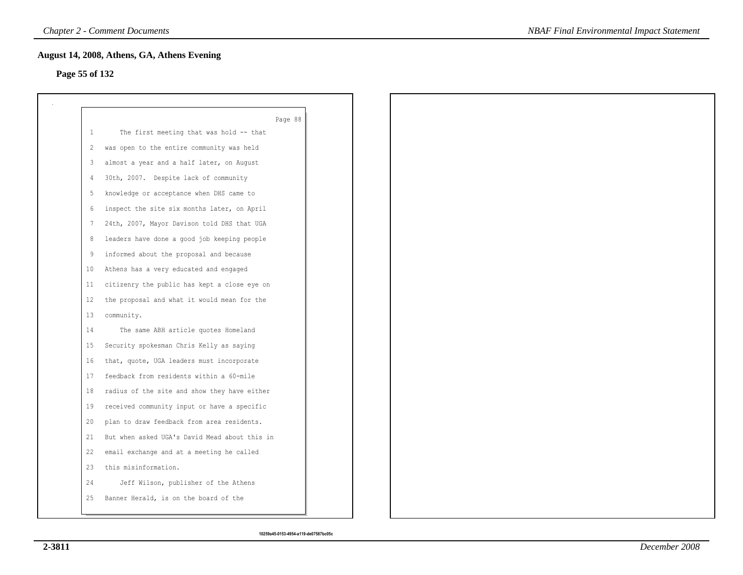# **Page 55 of 132**

|    | Page 88                                       |
|----|-----------------------------------------------|
| 1  | The first meeting that was hold -- that       |
| 2  | was open to the entire community was held     |
| 3  | almost a year and a half later, on August     |
| 4  | 30th, 2007. Despite lack of community         |
| 5  | knowledge or acceptance when DHS came to      |
| 6  | inspect the site six months later, on April   |
| 7  | 24th, 2007, Mayor Davison told DHS that UGA   |
| 8  | leaders have done a good job keeping people   |
| 9  | informed about the proposal and because       |
| 10 | Athens has a very educated and engaged        |
| 11 | citizenry the public has kept a close eye on  |
| 12 | the proposal and what it would mean for the   |
| 13 | community.                                    |
| 14 | The same ABH article quotes Homeland          |
| 15 | Security spokesman Chris Kelly as saying      |
| 16 | that, quote, UGA leaders must incorporate     |
| 17 | feedback from residents within a 60-mile      |
| 18 | radius of the site and show they have either  |
| 19 | received community input or have a specific   |
| 20 | plan to draw feedback from area residents.    |
| 21 | But when asked UGA's David Mead about this in |
| 22 | email exchange and at a meeting he called     |
| 23 | this misinformation.                          |
| 24 | Jeff Wilson, publisher of the Athens          |
| 25 | Banner Herald, is on the board of the         |
|    |                                               |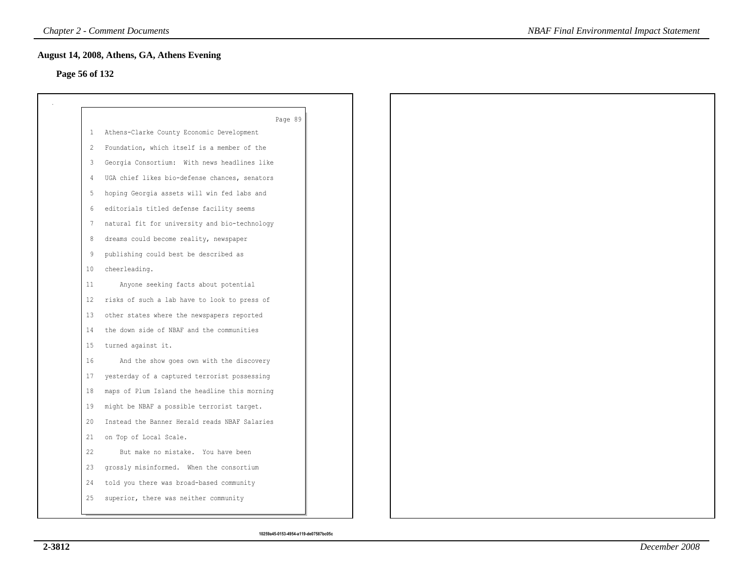# **Page 56 of 132**

|    | Page 89                                       |
|----|-----------------------------------------------|
|    | 1 Athens-Clarke County Economic Development   |
| 2  | Foundation, which itself is a member of the   |
| 3  | Georgia Consortium: With news headlines like  |
| 4  | UGA chief likes bio-defense chances, senators |
| 5  | hoping Georgia assets will win fed labs and   |
| 6  | editorials titled defense facility seems      |
| 7  | natural fit for university and bio-technology |
| 8  | dreams could become reality, newspaper        |
| 9  | publishing could best be described as         |
| 10 | cheerleading.                                 |
| 11 | Anyone seeking facts about potential          |
| 12 | risks of such a lab have to look to press of  |
| 13 | other states where the newspapers reported    |
| 14 | the down side of NBAF and the communities     |
| 15 | turned against it.                            |
| 16 | And the show goes own with the discovery      |
| 17 | yesterday of a captured terrorist possessing  |
| 18 | maps of Plum Island the headline this morning |
| 19 | might be NBAF a possible terrorist target.    |
| 20 | Instead the Banner Herald reads NBAF Salaries |
| 21 | on Top of Local Scale.                        |
| 22 | But make no mistake. You have been            |
| 23 | grossly misinformed. When the consortium      |
| 24 | told you there was broad-based community      |
| 25 | superior, there was neither community         |
|    |                                               |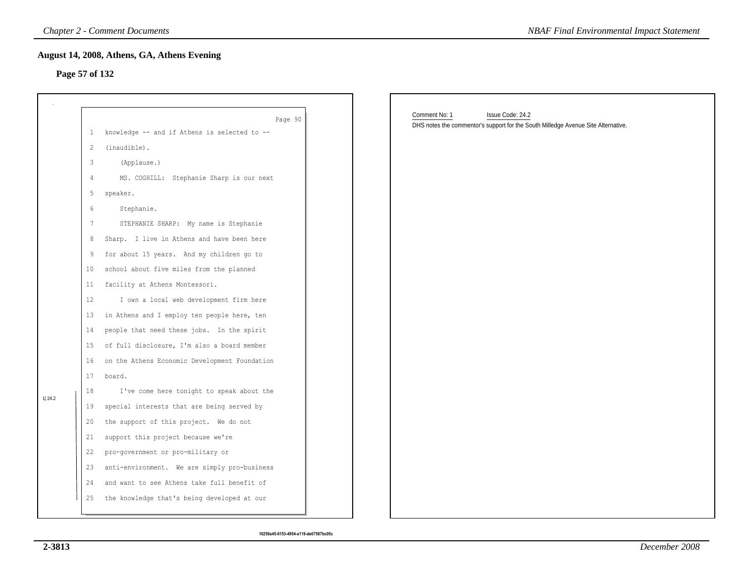#### **Page 57 of 132**

|                |              | <b>Chapter 2 - Comment Documents</b>          | <b>NBAF Final Environmental Impact Statement</b>                                  |
|----------------|--------------|-----------------------------------------------|-----------------------------------------------------------------------------------|
|                |              | August 14, 2008, Athens, GA, Athens Evening   |                                                                                   |
| Page 57 of 132 |              |                                               |                                                                                   |
|                |              |                                               |                                                                                   |
|                |              | Page 90                                       | Comment No: 1<br>Issue Code: 24.2                                                 |
|                | $\mathbf{1}$ | knowledge -- and if Athens is selected to --  | DHS notes the commentor's support for the South Milledge Avenue Site Alternative. |
|                | 2            | (inaudible).                                  |                                                                                   |
|                | 3            | (Applause.)                                   |                                                                                   |
|                | 4            | MS. COGHILL: Stephanie Sharp is our next      |                                                                                   |
|                | 5            | speaker.                                      |                                                                                   |
|                | 6            | Stephanie.                                    |                                                                                   |
|                | 7            | STEPHANIE SHARP: My name is Stephanie         |                                                                                   |
|                | 8            | Sharp. I live in Athens and have been here    |                                                                                   |
|                | 9            | for about 15 years. And my children go to     |                                                                                   |
|                | 10           | school about five miles from the planned      |                                                                                   |
|                | 11           | facility at Athens Montessori.                |                                                                                   |
|                | 12           | I own a local web development firm here       |                                                                                   |
|                | 13           | in Athens and I employ ten people here, ten   |                                                                                   |
|                | 14           | people that need these jobs. In the spirit    |                                                                                   |
|                | 15           | of full disclosure, I'm also a board member   |                                                                                   |
|                | 16           | on the Athens Economic Development Foundation |                                                                                   |
|                | 17           | board.                                        |                                                                                   |
| 1 24.2         | 18           | I've come here tonight to speak about the     |                                                                                   |
|                | 19           | special interests that are being served by    |                                                                                   |
|                | 20           | the support of this project. We do not        |                                                                                   |
|                | 21           | support this project because we're            |                                                                                   |
|                | 22           | pro-government or pro-military or             |                                                                                   |
|                | 23           | anti-environment. We are simply pro-business  |                                                                                   |
|                | 24           | and want to see Athens take full benefit of   |                                                                                   |
|                | 25           | the knowledge that's being developed at our   |                                                                                   |
|                |              |                                               |                                                                                   |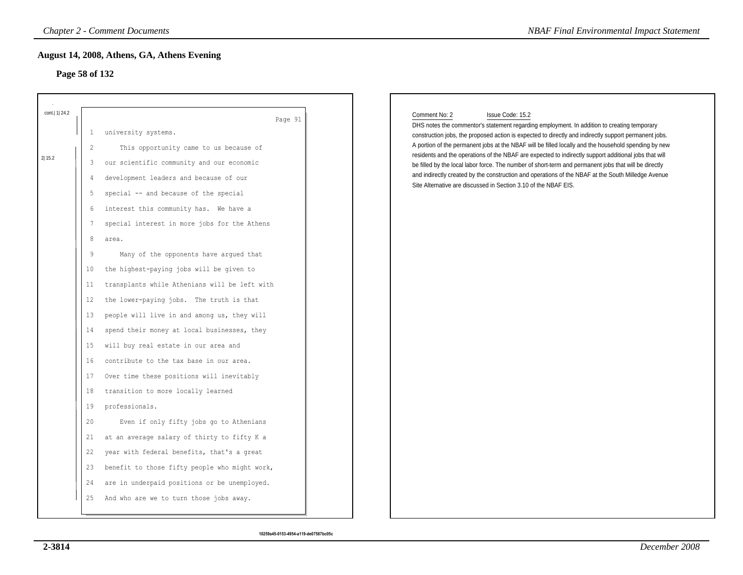# **Page 58 of 132**

| Page 58 of 132                                                                                                                                                                      | August 14, 2008, Athens, GA, Athens Evening                                                                                                                                                                                                                                                                                                                                                                                                                                                                                                                                                                                                                                                                                                                                                                                                                                                                                                                                                                                                                              |
|-------------------------------------------------------------------------------------------------------------------------------------------------------------------------------------|--------------------------------------------------------------------------------------------------------------------------------------------------------------------------------------------------------------------------------------------------------------------------------------------------------------------------------------------------------------------------------------------------------------------------------------------------------------------------------------------------------------------------------------------------------------------------------------------------------------------------------------------------------------------------------------------------------------------------------------------------------------------------------------------------------------------------------------------------------------------------------------------------------------------------------------------------------------------------------------------------------------------------------------------------------------------------|
| cont.   1   24.2<br>$\mathbf{1}$<br>2<br>2 15.2<br>3<br>4<br>-5<br>6<br>7<br>8<br>9<br>10<br>11<br>12<br>13<br>14<br>15<br>16<br>17<br>18<br>19<br>20<br>21<br>22<br>23<br>24<br>25 | Page 91<br>university systems.<br>This opportunity came to us because of<br>our scientific community and our economic<br>development leaders and because of our<br>special -- and because of the special<br>interest this community has. We have a<br>special interest in more jobs for the Athens<br>area.<br>Many of the opponents have argued that<br>the highest-paying jobs will be given to<br>transplants while Athenians will be left with<br>the lower-paying jobs. The truth is that<br>people will live in and among us, they will<br>spend their money at local businesses, they<br>will buy real estate in our area and<br>contribute to the tax base in our area.<br>Over time these positions will inevitably<br>transition to more locally learned<br>professionals.<br>Even if only fifty jobs go to Athenians<br>at an average salary of thirty to fifty K a<br>year with federal benefits, that's a great<br>benefit to those fifty people who might work,<br>are in underpaid positions or be unemployed.<br>And who are we to turn those jobs away. |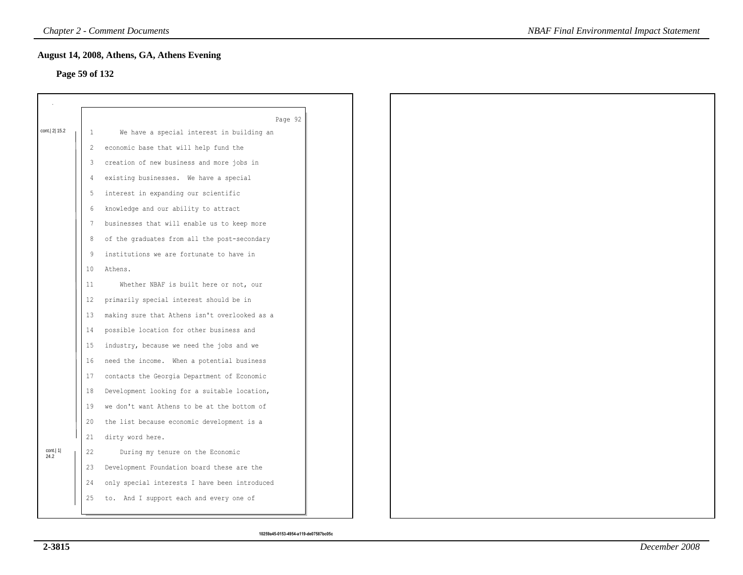# **Page 59 of 132**

|                   |                   | Page 92                                       |  |
|-------------------|-------------------|-----------------------------------------------|--|
| cont. 2 15.2      | 1                 | We have a special interest in building an     |  |
|                   | 2                 | economic base that will help fund the         |  |
|                   | 3                 | creation of new business and more jobs in     |  |
|                   | 4                 | existing businesses. We have a special        |  |
|                   | 5                 | interest in expanding our scientific          |  |
|                   | 6                 | knowledge and our ability to attract          |  |
|                   | 7                 | businesses that will enable us to keep more   |  |
|                   | 8                 | of the graduates from all the post-secondary  |  |
|                   | 9                 | institutions we are fortunate to have in      |  |
|                   | 10                | Athens.                                       |  |
|                   | 11                | Whether NBAF is built here or not, our        |  |
|                   | $12 \overline{ }$ | primarily special interest should be in       |  |
|                   | 13                | making sure that Athens isn't overlooked as a |  |
|                   | 14                | possible location for other business and      |  |
|                   | 15                | industry, because we need the jobs and we     |  |
|                   | 16                | need the income. When a potential business    |  |
|                   | 17                | contacts the Georgia Department of Economic   |  |
|                   | 18                | Development looking for a suitable location,  |  |
|                   | 19                | we don't want Athens to be at the bottom of   |  |
|                   | 20                | the list because economic development is a    |  |
|                   | 21                | dirty word here.                              |  |
|                   | 22                | During my tenure on the Economic              |  |
| cont.  1 <br>24.2 |                   |                                               |  |
|                   | 23                | Development Foundation board these are the    |  |
|                   | 24                | only special interests I have been introduced |  |
|                   | 25                | to. And I support each and every one of       |  |
|                   |                   |                                               |  |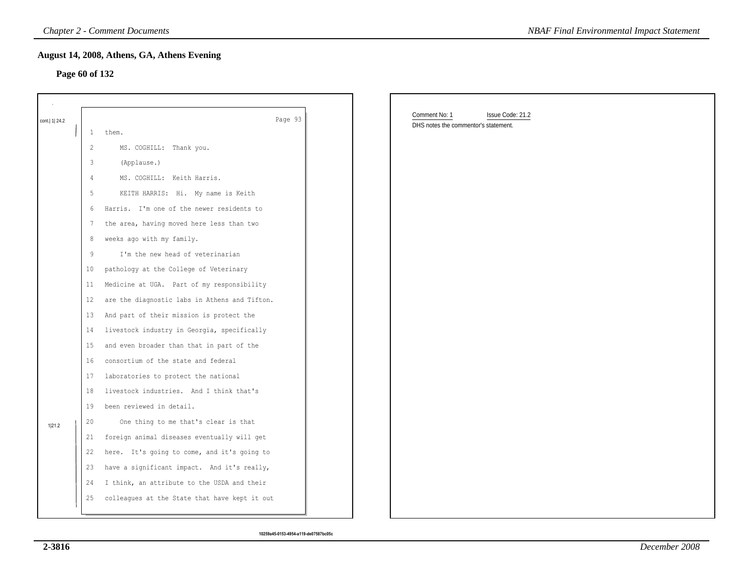#### **Page 60 of 132**

|                  |                | <b>Chapter 2 - Comment Documents</b>          | <b>NBAF Final Environmental Impact Statement</b>                          |
|------------------|----------------|-----------------------------------------------|---------------------------------------------------------------------------|
| Page 60 of 132   |                | August 14, 2008, Athens, GA, Athens Evening   |                                                                           |
|                  |                |                                               |                                                                           |
|                  |                |                                               |                                                                           |
| cont.   1   24.2 |                | Page 93                                       | Comment No: 1<br>Issue Code: 21.2<br>DHS notes the commentor's statement. |
|                  | $\mathbf{1}$   | them.                                         |                                                                           |
|                  | $\overline{2}$ | MS. COGHILL: Thank you.                       |                                                                           |
|                  | 3              | (Applause.)                                   |                                                                           |
|                  | $\overline{4}$ | MS. COGHILL: Keith Harris.                    |                                                                           |
|                  | 5              | KEITH HARRIS: Hi. My name is Keith            |                                                                           |
|                  | 6              | Harris. I'm one of the newer residents to     |                                                                           |
|                  | $\overline{7}$ | the area, having moved here less than two     |                                                                           |
|                  | 8              | weeks ago with my family.                     |                                                                           |
|                  | $9\,$          | I'm the new head of veterinarian              |                                                                           |
|                  | 10             | pathology at the College of Veterinary        |                                                                           |
|                  | 11             | Medicine at UGA. Part of my responsibility    |                                                                           |
|                  | 12             | are the diagnostic labs in Athens and Tifton. |                                                                           |
|                  | 13             | And part of their mission is protect the      |                                                                           |
|                  | 14             | livestock industry in Georgia, specifically   |                                                                           |
|                  | 15             | and even broader than that in part of the     |                                                                           |
|                  | 16             | consortium of the state and federal           |                                                                           |
|                  | 17             | laboratories to protect the national          |                                                                           |
|                  | 18             | livestock industries. And I think that's      |                                                                           |
|                  | 19             | been reviewed in detail.                      |                                                                           |
| 1 21.2           | 20             | One thing to me that's clear is that          |                                                                           |
|                  | 21             | foreign animal diseases eventually will get   |                                                                           |
|                  | 22             | here. It's going to come, and it's going to   |                                                                           |
|                  | 23             | have a significant impact. And it's really,   |                                                                           |
|                  | 24             | I think, an attribute to the USDA and their   |                                                                           |
|                  | 25             | colleagues at the State that have kept it out |                                                                           |
|                  |                |                                               |                                                                           |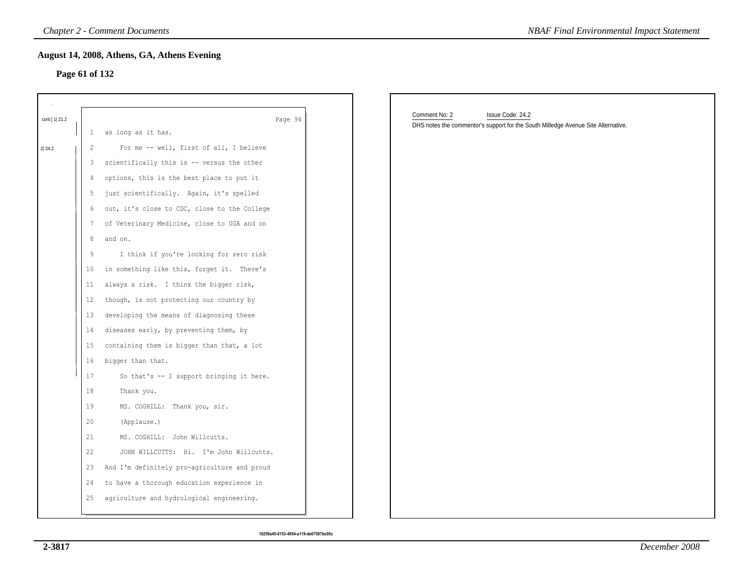### **Page 61 of 132**

|                  |                 | <b>Chapter 2 - Comment Documents</b>         | <b>NBAF Final Environmental Impact Statement</b>                                                                       |
|------------------|-----------------|----------------------------------------------|------------------------------------------------------------------------------------------------------------------------|
|                  | Page 61 of 132  | August 14, 2008, Athens, GA, Athens Evening  |                                                                                                                        |
|                  |                 |                                              |                                                                                                                        |
| cont.   1   21.2 | $\mathbf{1}$    | Page 94<br>as long as it has.                | Comment No: 2<br>Issue Code: 24.2<br>DHS notes the commentor's support for the South Milledge Avenue Site Alternative. |
| 2 24.2           | 2               | For me -- well, first of all, I believe      |                                                                                                                        |
|                  | 3               | scientifically this is -- versus the other   |                                                                                                                        |
|                  | $\overline{4}$  | options, this is the best place to put it    |                                                                                                                        |
|                  | 5               | just scientifically. Again, it's spelled     |                                                                                                                        |
|                  | 6               | out, it's close to CDC, close to the College |                                                                                                                        |
|                  | 7               | of Veterinary Medicine, close to UGA and on  |                                                                                                                        |
|                  | 8               | and on.                                      |                                                                                                                        |
|                  | 9               | I think if you're looking for zero risk      |                                                                                                                        |
|                  | 10 <sub>1</sub> | in something like this, forget it. There's   |                                                                                                                        |
|                  | 11              | always a risk. I think the bigger risk,      |                                                                                                                        |
|                  | 12              | though, is not protecting our country by     |                                                                                                                        |
|                  | 13              | developing the means of diagnosing these     |                                                                                                                        |
|                  | 14              | diseases early, by preventing them, by       |                                                                                                                        |
|                  | 15              | containing them is bigger than that, a lot   |                                                                                                                        |
|                  | 16 <sup>°</sup> | bigger than that.                            |                                                                                                                        |
|                  | 17              | So that's -- I support bringing it here.     |                                                                                                                        |
|                  | 18              | Thank you.                                   |                                                                                                                        |
|                  | 19              | MS. COGHILL: Thank you, sir.                 |                                                                                                                        |
|                  | 20              | (Applause.)                                  |                                                                                                                        |
|                  | 21              | MS. COGHILL: John Willcutts.                 |                                                                                                                        |
|                  | 22              | JOHN WILLCUTTS: Hi. I'm John Willcutts.      |                                                                                                                        |
|                  | 23              | And I'm definitely pro-agriculture and proud |                                                                                                                        |
|                  | 24              | to have a thorough education experience in   |                                                                                                                        |
|                  | 25              | agriculture and hydrological engineering.    |                                                                                                                        |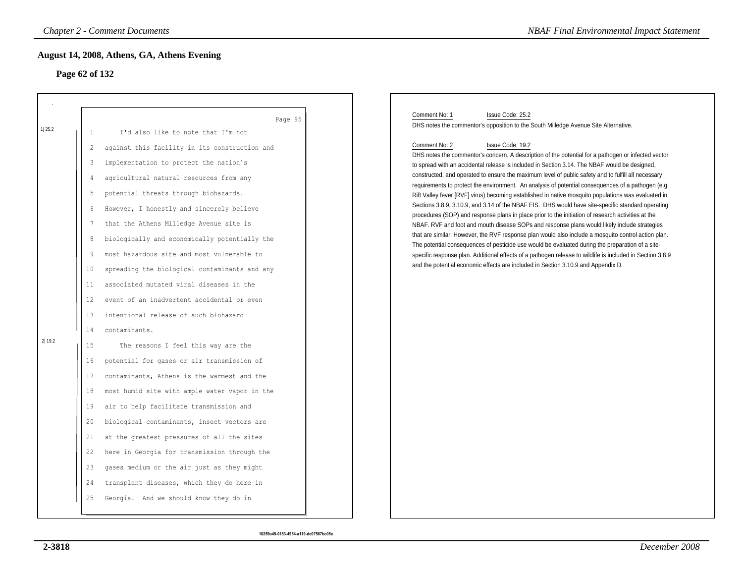# **Page 62 of 132**

|                  |                                                                                                                         | <b>Chapter 2 - Comment Documents</b>                                                                                                                                                                                                                                                                                                                                                                                                                                                                                                                                                                                                                                                                                                                                                                          | <b>NBAF Final Environmental Impact Statement</b>                                                                                                                                                                                                                                                                                                                                                                                                                                                                                                                                                                                                                                                                                                                                                                                                                                                                                                                                                                                                                                                                                                                                                                                                                                                                                                                                                                  |
|------------------|-------------------------------------------------------------------------------------------------------------------------|---------------------------------------------------------------------------------------------------------------------------------------------------------------------------------------------------------------------------------------------------------------------------------------------------------------------------------------------------------------------------------------------------------------------------------------------------------------------------------------------------------------------------------------------------------------------------------------------------------------------------------------------------------------------------------------------------------------------------------------------------------------------------------------------------------------|-------------------------------------------------------------------------------------------------------------------------------------------------------------------------------------------------------------------------------------------------------------------------------------------------------------------------------------------------------------------------------------------------------------------------------------------------------------------------------------------------------------------------------------------------------------------------------------------------------------------------------------------------------------------------------------------------------------------------------------------------------------------------------------------------------------------------------------------------------------------------------------------------------------------------------------------------------------------------------------------------------------------------------------------------------------------------------------------------------------------------------------------------------------------------------------------------------------------------------------------------------------------------------------------------------------------------------------------------------------------------------------------------------------------|
|                  | Page 62 of 132                                                                                                          | August 14, 2008, Athens, GA, Athens Evening                                                                                                                                                                                                                                                                                                                                                                                                                                                                                                                                                                                                                                                                                                                                                                   |                                                                                                                                                                                                                                                                                                                                                                                                                                                                                                                                                                                                                                                                                                                                                                                                                                                                                                                                                                                                                                                                                                                                                                                                                                                                                                                                                                                                                   |
| 1 25.2<br>2 19.2 | $\mathbf{1}$<br>$\overline{2}$<br>3<br>4<br>5<br>6<br>7<br>8<br>9<br>10<br>11<br>12<br>13<br>14<br>15<br>16<br>17<br>18 | Page 95<br>I'd also like to note that I'm not<br>against this facility in its construction and<br>implementation to protect the nation's<br>agricultural natural resources from any<br>potential threats through biohazards.<br>However, I honestly and sincerely believe<br>that the Athens Milledge Avenue site is<br>biologically and economically potentially the<br>most hazardous site and most vulnerable to<br>spreading the biological contaminants and any<br>associated mutated viral diseases in the<br>event of an inadvertent accidental or even<br>intentional release of such biohazard<br>contaminants.<br>The reasons I feel this way are the<br>potential for gases or air transmission of<br>contaminants, Athens is the warmest and the<br>most humid site with ample water vapor in the | Comment No: 1<br>Issue Code: 25.2<br>DHS notes the commentor's opposition to the South Milledge Avenue Site Alternative.<br>Comment No: 2<br>Issue Code: 19.2<br>DHS notes the commentor's concern. A description of the potential for a pathogen or infected vector<br>to spread with an accidental release is included in Section 3.14. The NBAF would be designed,<br>constructed, and operated to ensure the maximum level of public safety and to fulfill all necessary<br>requirements to protect the environment. An analysis of potential consequences of a pathogen (e.g.<br>Rift Valley fever [RVF] virus) becoming established in native mosquito populations was evaluated in<br>Sections 3.8.9, 3.10.9, and 3.14 of the NBAF EIS. DHS would have site-specific standard operating<br>procedures (SOP) and response plans in place prior to the initiation of research activities at the<br>NBAF. RVF and foot and mouth disease SOPs and response plans would likely include strategies<br>that are similar. However, the RVF response plan would also include a mosquito control action plan.<br>The potential consequences of pesticide use would be evaluated during the preparation of a site-<br>specific response plan. Additional effects of a pathogen release to wildlife is included in Section 3.8.9<br>and the potential economic effects are included in Section 3.10.9 and Appendix D. |
|                  | 19<br>20<br>21<br>22<br>23<br>24<br>25                                                                                  | air to help facilitate transmission and<br>biological contaminants, insect vectors are<br>at the greatest pressures of all the sites<br>here in Georgia for transmission through the<br>gases medium or the air just as they might<br>transplant diseases, which they do here in<br>Georgia. And we should know they do in                                                                                                                                                                                                                                                                                                                                                                                                                                                                                    |                                                                                                                                                                                                                                                                                                                                                                                                                                                                                                                                                                                                                                                                                                                                                                                                                                                                                                                                                                                                                                                                                                                                                                                                                                                                                                                                                                                                                   |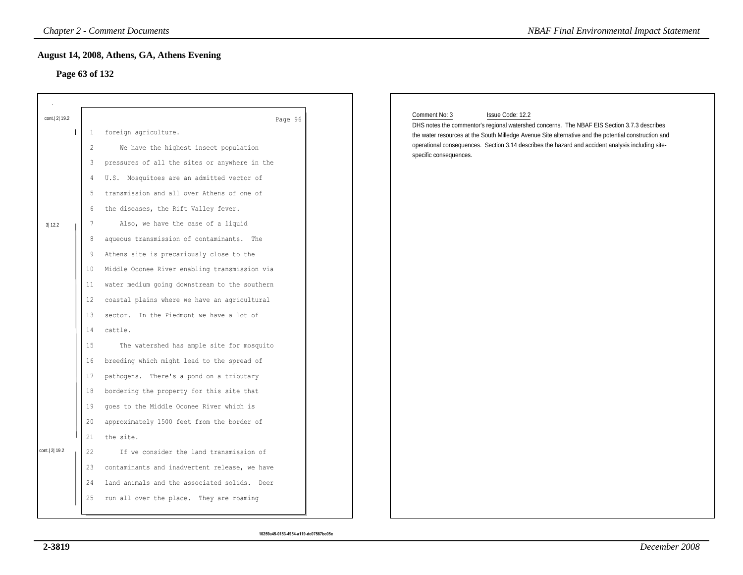# **Page 63 of 132**

| Page 63 of 132 |                | August 14, 2008, Athens, GA, Athens Evening   |                                                                                                                                  |
|----------------|----------------|-----------------------------------------------|----------------------------------------------------------------------------------------------------------------------------------|
| cont. 2 19.2   |                | Page 96                                       | Comment No: 3<br>Issue Code: 12.2<br>DHS notes the commentor's regional watershed concerns. The NBAF EIS Section 3.7.3 describes |
|                | $\mathbf{1}$   | foreign agriculture.                          | the water resources at the South Milledge Avenue Site alternative and the potential construction and                             |
|                | $\overline{c}$ | We have the highest insect population         | operational consequences. Section 3.14 describes the hazard and accident analysis including site-<br>specific consequences.      |
|                | 3              | pressures of all the sites or anywhere in the |                                                                                                                                  |
|                | 4              | U.S. Mosquitoes are an admitted vector of     |                                                                                                                                  |
|                | 5              | transmission and all over Athens of one of    |                                                                                                                                  |
|                | 6              | the diseases, the Rift Valley fever.          |                                                                                                                                  |
| 3 12.2         | 7              | Also, we have the case of a liquid            |                                                                                                                                  |
|                | 8              | aqueous transmission of contaminants. The     |                                                                                                                                  |
|                | 9              | Athens site is precariously close to the      |                                                                                                                                  |
|                | 10             | Middle Oconee River enabling transmission via |                                                                                                                                  |
|                | 11             | water medium going downstream to the southern |                                                                                                                                  |
|                | 12             | coastal plains where we have an agricultural  |                                                                                                                                  |
|                | 13             | sector. In the Piedmont we have a lot of      |                                                                                                                                  |
|                | 14             | cattle.                                       |                                                                                                                                  |
|                | 15             | The watershed has ample site for mosquito     |                                                                                                                                  |
|                | 16             | breeding which might lead to the spread of    |                                                                                                                                  |
|                | 17             | pathogens. There's a pond on a tributary      |                                                                                                                                  |
|                | 18             | bordering the property for this site that     |                                                                                                                                  |
|                | 19             | goes to the Middle Oconee River which is      |                                                                                                                                  |
|                | 20             | approximately 1500 feet from the border of    |                                                                                                                                  |
|                | 21             | the site.                                     |                                                                                                                                  |
| cont.  2  19.2 | 22             | If we consider the land transmission of       |                                                                                                                                  |
|                | 23             | contaminants and inadvertent release, we have |                                                                                                                                  |
|                | 24             | land animals and the associated solids. Deer  |                                                                                                                                  |
|                | 25             | run all over the place. They are roaming      |                                                                                                                                  |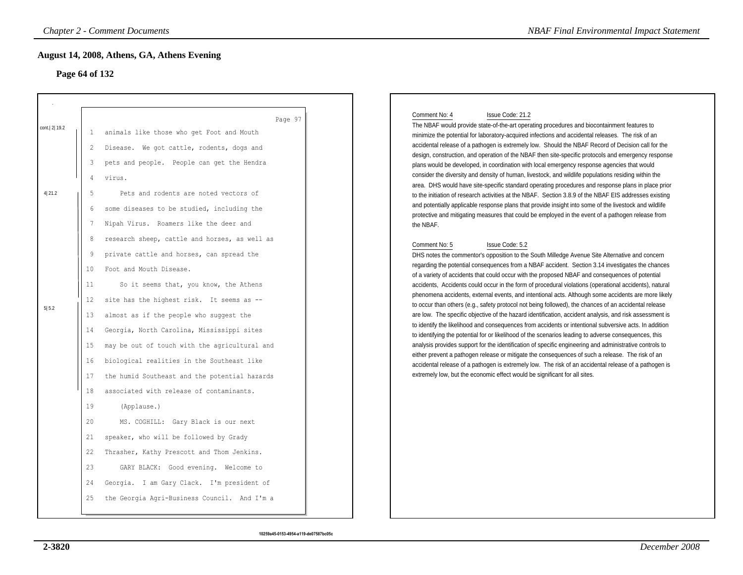# **Page 64 of 132**

|                                 |                                                                                                                                                        | <b>Chapter 2 - Comment Documents</b>                                                                                                                                                                                                                                                                                                                                                                                                                                                                                                                                                                                                                                                                                                                                                                                                                                                                                                                                                                                                | <b>NBAF Final Environmental Impact Statement</b>                                                                                                                                                                                                                                                                                                                                                                                                                                                                                                                                                                                                                                                                                                                                                                                                                                                                                                                                                                                                                                                                                                                                                                                                                                                                                                                                                                                                                                                                                                                                                                                                                                                                                                                                                                                                                                                                                                                                                                                                                                                                                                                                                                                                                                                                                                                                                                                                                                                                 |
|---------------------------------|--------------------------------------------------------------------------------------------------------------------------------------------------------|-------------------------------------------------------------------------------------------------------------------------------------------------------------------------------------------------------------------------------------------------------------------------------------------------------------------------------------------------------------------------------------------------------------------------------------------------------------------------------------------------------------------------------------------------------------------------------------------------------------------------------------------------------------------------------------------------------------------------------------------------------------------------------------------------------------------------------------------------------------------------------------------------------------------------------------------------------------------------------------------------------------------------------------|------------------------------------------------------------------------------------------------------------------------------------------------------------------------------------------------------------------------------------------------------------------------------------------------------------------------------------------------------------------------------------------------------------------------------------------------------------------------------------------------------------------------------------------------------------------------------------------------------------------------------------------------------------------------------------------------------------------------------------------------------------------------------------------------------------------------------------------------------------------------------------------------------------------------------------------------------------------------------------------------------------------------------------------------------------------------------------------------------------------------------------------------------------------------------------------------------------------------------------------------------------------------------------------------------------------------------------------------------------------------------------------------------------------------------------------------------------------------------------------------------------------------------------------------------------------------------------------------------------------------------------------------------------------------------------------------------------------------------------------------------------------------------------------------------------------------------------------------------------------------------------------------------------------------------------------------------------------------------------------------------------------------------------------------------------------------------------------------------------------------------------------------------------------------------------------------------------------------------------------------------------------------------------------------------------------------------------------------------------------------------------------------------------------------------------------------------------------------------------------------------------------|
| Page 64 of 132                  |                                                                                                                                                        | August 14, 2008, Athens, GA, Athens Evening                                                                                                                                                                                                                                                                                                                                                                                                                                                                                                                                                                                                                                                                                                                                                                                                                                                                                                                                                                                         |                                                                                                                                                                                                                                                                                                                                                                                                                                                                                                                                                                                                                                                                                                                                                                                                                                                                                                                                                                                                                                                                                                                                                                                                                                                                                                                                                                                                                                                                                                                                                                                                                                                                                                                                                                                                                                                                                                                                                                                                                                                                                                                                                                                                                                                                                                                                                                                                                                                                                                                  |
| cont. 2 19.2<br>4 21.2<br>5 5.2 | -1<br>$\overline{2}$<br>3<br>4<br>5<br>6<br>7<br>8<br>9<br>10<br>11<br>$12 \,$<br>13<br>14<br>15<br>16<br>17<br>18<br>19<br>20<br>21<br>22<br>23<br>24 | Page 97<br>animals like those who get Foot and Mouth<br>Disease. We got cattle, rodents, dogs and<br>pets and people. People can get the Hendra<br>virus.<br>Pets and rodents are noted vectors of<br>some diseases to be studied, including the<br>Nipah Virus. Roamers like the deer and<br>research sheep, cattle and horses, as well as<br>private cattle and horses, can spread the<br>Foot and Mouth Disease.<br>So it seems that, you know, the Athens<br>site has the highest risk. It seems as --<br>almost as if the people who suggest the<br>Georgia, North Carolina, Mississippi sites<br>may be out of touch with the agricultural and<br>biological realities in the Southeast like<br>the humid Southeast and the potential hazards<br>associated with release of contaminants.<br>(Applause.)<br>MS. COGHILL: Gary Black is our next<br>speaker, who will be followed by Grady<br>Thrasher, Kathy Prescott and Thom Jenkins.<br>GARY BLACK: Good evening. Welcome to<br>Georgia. I am Gary Clack. I'm president of | Comment No: 4<br>Issue Code: 21.2<br>The NBAF would provide state-of-the-art operating procedures and biocontainment features to<br>minimize the potential for laboratory-acquired infections and accidental releases. The risk of an<br>accidental release of a pathogen is extremely low. Should the NBAF Record of Decision call for the<br>design, construction, and operation of the NBAF then site-specific protocols and emergency response<br>plans would be developed, in coordination with local emergency response agencies that would<br>consider the diversity and density of human, livestock, and wildlife populations residing within the<br>area. DHS would have site-specific standard operating procedures and response plans in place prior<br>to the initiation of research activities at the NBAF. Section 3.8.9 of the NBAF EIS addresses existing<br>and potentially applicable response plans that provide insight into some of the livestock and wildlife<br>protective and mitigating measures that could be employed in the event of a pathogen release from<br>the NBAF.<br>Comment No: 5<br>Issue Code: 5.2<br>DHS notes the commentor's opposition to the South Milledge Avenue Site Alternative and concern<br>regarding the potential consequences from a NBAF accident. Section 3.14 investigates the chances<br>of a variety of accidents that could occur with the proposed NBAF and consequences of potential<br>accidents, Accidents could occur in the form of procedural violations (operational accidents), natural<br>phenomena accidents, external events, and intentional acts. Although some accidents are more likely<br>to occur than others (e.g., safety protocol not being followed), the chances of an accidental release<br>are low. The specific objective of the hazard identification, accident analysis, and risk assessment is<br>to identify the likelihood and consequences from accidents or intentional subversive acts. In addition<br>to identifying the potential for or likelihood of the scenarios leading to adverse consequences, this<br>analysis provides support for the identification of specific engineering and administrative controls to<br>either prevent a pathogen release or mitigate the consequences of such a release. The risk of an<br>accidental release of a pathogen is extremely low. The risk of an accidental release of a pathogen is<br>extremely low, but the economic effect would be significant for all sites. |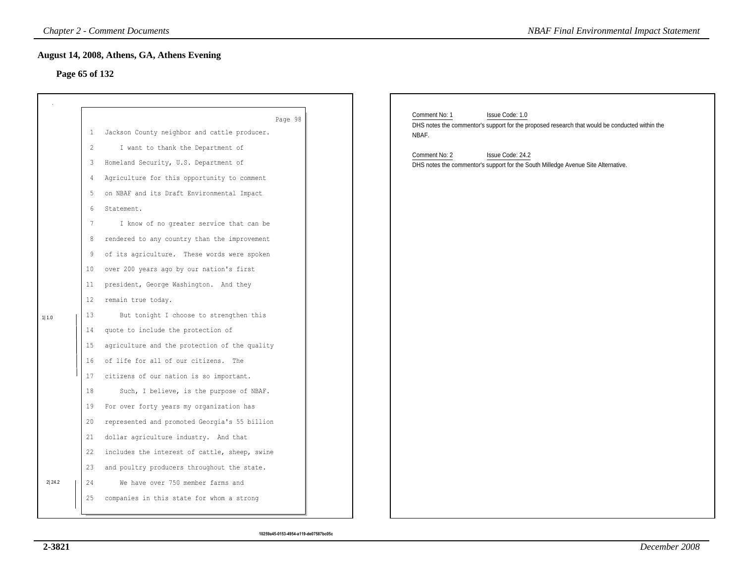# **Page 65 of 132**

|                |                                                                                                                     | <b>Chapter 2 - Comment Documents</b>                                                                                                                                                                                                                                                                                                                                                                                                                                                                                                                                                                                                                                                                                                                      | <b>NBAF Final Environmental Impact Statement</b>                                                                                            |
|----------------|---------------------------------------------------------------------------------------------------------------------|-----------------------------------------------------------------------------------------------------------------------------------------------------------------------------------------------------------------------------------------------------------------------------------------------------------------------------------------------------------------------------------------------------------------------------------------------------------------------------------------------------------------------------------------------------------------------------------------------------------------------------------------------------------------------------------------------------------------------------------------------------------|---------------------------------------------------------------------------------------------------------------------------------------------|
| Page 65 of 132 |                                                                                                                     | August 14, 2008, Athens, GA, Athens Evening                                                                                                                                                                                                                                                                                                                                                                                                                                                                                                                                                                                                                                                                                                               |                                                                                                                                             |
|                | $\mathbf{1}$                                                                                                        | Page 98<br>Jackson County neighbor and cattle producer.                                                                                                                                                                                                                                                                                                                                                                                                                                                                                                                                                                                                                                                                                                   | Comment No: 1<br>Issue Code: 1.0<br>DHS notes the commentor's support for the proposed research that would be conducted within the<br>NBAF. |
| 1 1.0          | 2<br>3<br>4<br>5<br>6<br>$7\phantom{.0}$<br>8<br>9<br>10<br>11<br>$12 \,$<br>13<br>14<br>15<br>16<br>17<br>18<br>19 | I want to thank the Department of<br>Homeland Security, U.S. Department of<br>Agriculture for this opportunity to comment<br>on NBAF and its Draft Environmental Impact<br>Statement.<br>I know of no greater service that can be<br>rendered to any country than the improvement<br>of its agriculture. These words were spoken<br>over 200 years ago by our nation's first<br>president, George Washington. And they<br>remain true today.<br>But tonight I choose to strengthen this<br>quote to include the protection of<br>agriculture and the protection of the quality<br>of life for all of our citizens. The<br>citizens of our nation is so important.<br>Such, I believe, is the purpose of NBAF.<br>For over forty years my organization has | Issue Code: 24.2<br>Comment No: 2<br>DHS notes the commentor's support for the South Milledge Avenue Site Alternative.                      |
| 2 24.2         | 20<br>21<br>22<br>23<br>24<br>25                                                                                    | represented and promoted Georgia's 55 billion<br>dollar agriculture industry. And that<br>includes the interest of cattle, sheep, swine<br>and poultry producers throughout the state.<br>We have over 750 member farms and<br>companies in this state for whom a strong                                                                                                                                                                                                                                                                                                                                                                                                                                                                                  |                                                                                                                                             |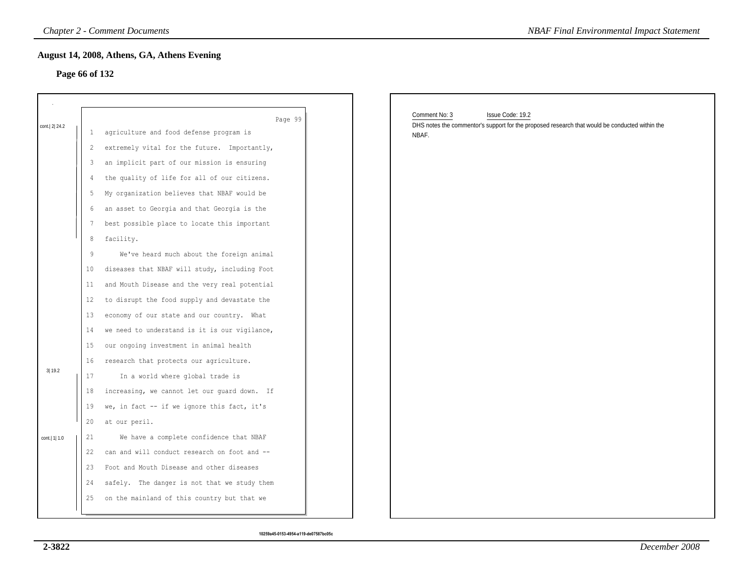#### **Page 66 of 132**

|                |    | <b>Chapter 2 - Comment Documents</b>               | <b>NBAF Final Environmental Impact Statement</b>                                                                                    |
|----------------|----|----------------------------------------------------|-------------------------------------------------------------------------------------------------------------------------------------|
| Page 66 of 132 |    | August 14, 2008, Athens, GA, Athens Evening        |                                                                                                                                     |
| cont. 2 24.2   | 1  | Page 99<br>agriculture and food defense program is | Comment No: 3<br>Issue Code: 19.2<br>DHS notes the commentor's support for the proposed research that would be conducted within the |
|                | 2  | extremely vital for the future. Importantly,       | NBAF.                                                                                                                               |
|                | 3  | an implicit part of our mission is ensuring        |                                                                                                                                     |
|                | 4  | the quality of life for all of our citizens.       |                                                                                                                                     |
|                | 5  | My organization believes that NBAF would be        |                                                                                                                                     |
|                | 6  | an asset to Georgia and that Georgia is the        |                                                                                                                                     |
|                | 7  | best possible place to locate this important       |                                                                                                                                     |
|                | 8  | facility.                                          |                                                                                                                                     |
|                | 9  | We've heard much about the foreign animal          |                                                                                                                                     |
|                | 10 | diseases that NBAF will study, including Foot      |                                                                                                                                     |
|                | 11 | and Mouth Disease and the very real potential      |                                                                                                                                     |
|                | 12 | to disrupt the food supply and devastate the       |                                                                                                                                     |
|                | 13 | economy of our state and our country. What         |                                                                                                                                     |
|                | 14 | we need to understand is it is our vigilance,      |                                                                                                                                     |
|                | 15 | our ongoing investment in animal health            |                                                                                                                                     |
|                | 16 | research that protects our agriculture.            |                                                                                                                                     |
| 3 19.2         | 17 | In a world where global trade is                   |                                                                                                                                     |
|                | 18 | increasing, we cannot let our guard down. If       |                                                                                                                                     |
|                | 19 | we, in fact -- if we ignore this fact, it's        |                                                                                                                                     |
|                | 20 | at our peril.                                      |                                                                                                                                     |
| cont.   1  1.0 | 21 | We have a complete confidence that NBAF            |                                                                                                                                     |
|                | 22 | can and will conduct research on foot and --       |                                                                                                                                     |
|                | 23 | Foot and Mouth Disease and other diseases          |                                                                                                                                     |
|                | 24 | safely. The danger is not that we study them       |                                                                                                                                     |
|                | 25 | on the mainland of this country but that we        |                                                                                                                                     |
|                |    |                                                    |                                                                                                                                     |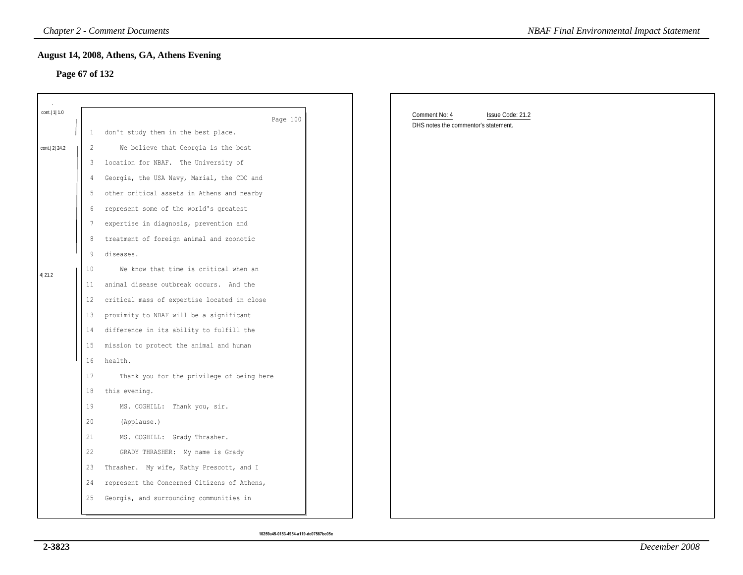### **Page 67 of 132**

|                 |                 | <b>Chapter 2 - Comment Documents</b>        | <b>NBAF Final Environmental Impact Statement</b>                          |
|-----------------|-----------------|---------------------------------------------|---------------------------------------------------------------------------|
|                 |                 | August 14, 2008, Athens, GA, Athens Evening |                                                                           |
|                 | Page 67 of 132  |                                             |                                                                           |
|                 |                 |                                             |                                                                           |
| cont.   1   1.0 |                 | Page 100                                    | Comment No: 4<br>Issue Code: 21.2<br>DHS notes the commentor's statement. |
|                 | 1               | don't study them in the best place.         |                                                                           |
| cont.   2  24.2 | $\overline{2}$  | We believe that Georgia is the best         |                                                                           |
|                 | 3               | location for NBAF. The University of        |                                                                           |
|                 | 4               | Georgia, the USA Navy, Marial, the CDC and  |                                                                           |
|                 | 5               | other critical assets in Athens and nearby  |                                                                           |
|                 | 6               | represent some of the world's greatest      |                                                                           |
|                 | $\overline{7}$  | expertise in diagnosis, prevention and      |                                                                           |
|                 | $\,8\,$         | treatment of foreign animal and zoonotic    |                                                                           |
|                 | 9               | diseases.                                   |                                                                           |
| 4 21.2          | 10              | We know that time is critical when an       |                                                                           |
|                 | 11              | animal disease outbreak occurs. And the     |                                                                           |
|                 | 12              | critical mass of expertise located in close |                                                                           |
|                 | 13              | proximity to NBAF will be a significant     |                                                                           |
|                 | 14              | difference in its ability to fulfill the    |                                                                           |
|                 | 15 <sub>1</sub> | mission to protect the animal and human     |                                                                           |
|                 | 16              | health.                                     |                                                                           |
|                 | $17\,$          | Thank you for the privilege of being here   |                                                                           |
|                 | 18              | this evening.                               |                                                                           |
|                 | 19              | MS. COGHILL: Thank you, sir.                |                                                                           |
|                 | 20              | (Applause.)                                 |                                                                           |
|                 | 21              | MS. COGHILL: Grady Thrasher.                |                                                                           |
|                 | 22              | GRADY THRASHER: My name is Grady            |                                                                           |
|                 | 23              | Thrasher. My wife, Kathy Prescott, and I    |                                                                           |
|                 | 24              | represent the Concerned Citizens of Athens, |                                                                           |
|                 | 25              | Georgia, and surrounding communities in     |                                                                           |
|                 |                 |                                             |                                                                           |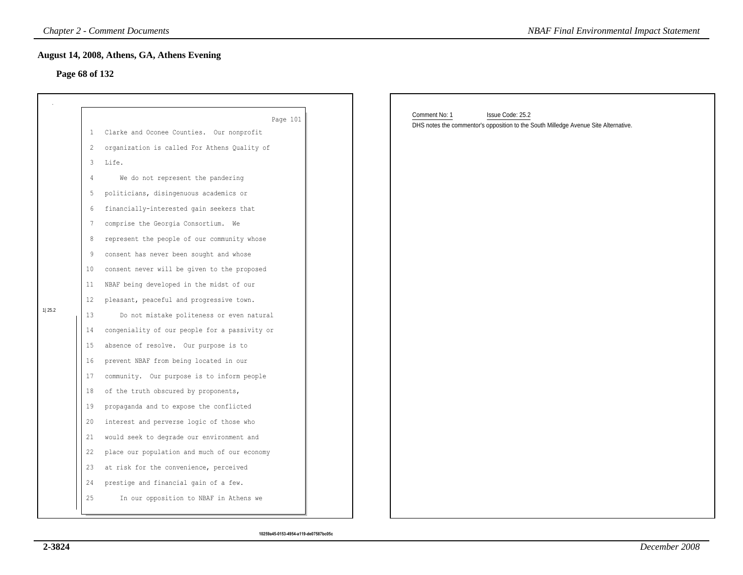#### **Page 68 of 132**

|                |                | <b>Chapter 2 - Comment Documents</b>          | <b>NBAF Final Environmental Impact Statement</b>                                    |
|----------------|----------------|-----------------------------------------------|-------------------------------------------------------------------------------------|
|                |                | August 14, 2008, Athens, GA, Athens Evening   |                                                                                     |
| Page 68 of 132 |                |                                               |                                                                                     |
|                |                |                                               |                                                                                     |
|                |                | Page 101                                      | Comment No: 1<br>Issue Code: 25.2                                                   |
|                | $\mathbf{1}$   | Clarke and Oconee Counties. Our nonprofit     | DHS notes the commentor's opposition to the South Milledge Avenue Site Alternative. |
|                | $\overline{2}$ | organization is called For Athens Quality of  |                                                                                     |
|                | 3              | Life.                                         |                                                                                     |
|                | 4              | We do not represent the pandering             |                                                                                     |
|                | 5              | politicians, disingenuous academics or        |                                                                                     |
|                | 6              | financially-interested gain seekers that      |                                                                                     |
|                | 7              | comprise the Georgia Consortium. We           |                                                                                     |
|                | 8              | represent the people of our community whose   |                                                                                     |
|                | 9              | consent has never been sought and whose       |                                                                                     |
|                | $10\,$         | consent never will be given to the proposed   |                                                                                     |
|                | 11             | NBAF being developed in the midst of our      |                                                                                     |
|                | 12             | pleasant, peaceful and progressive town.      |                                                                                     |
| 1 25.2         | 13             | Do not mistake politeness or even natural     |                                                                                     |
|                | 14             | congeniality of our people for a passivity or |                                                                                     |
|                | 15             | absence of resolve. Our purpose is to         |                                                                                     |
|                | 16             | prevent NBAF from being located in our        |                                                                                     |
|                | 17             | community. Our purpose is to inform people    |                                                                                     |
|                | 18             | of the truth obscured by proponents,          |                                                                                     |
|                | 19             | propaganda and to expose the conflicted       |                                                                                     |
|                | 20             | interest and perverse logic of those who      |                                                                                     |
|                | 21             | would seek to degrade our environment and     |                                                                                     |
|                | 22             | place our population and much of our economy  |                                                                                     |
|                | 23             | at risk for the convenience, perceived        |                                                                                     |
|                | 24             | prestige and financial gain of a few.         |                                                                                     |
|                | 25             | In our opposition to NBAF in Athens we        |                                                                                     |
|                |                |                                               |                                                                                     |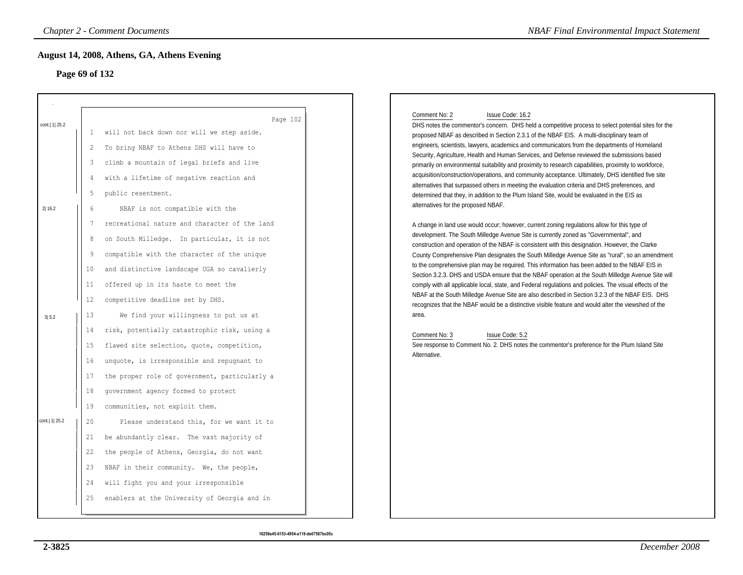# **Page 69 of 132**

|                                                                            | <b>Chapter 2 - Comment Documents</b>                                                                                                                                                                                                                                                                                                                                                                                                                                                                                                                                                     | <b>NBAF Final Environmental Impact Statement</b>                                                                                                                                                                                                                                                                                                                                                                                                                                                                                                                                                                                                                                                                                                                                                                                                                                                                                                                                                                                                                                                                                                                                                                                                                                                                                                                                                                                                                                                                                                                                                                                                                                                                   |
|----------------------------------------------------------------------------|------------------------------------------------------------------------------------------------------------------------------------------------------------------------------------------------------------------------------------------------------------------------------------------------------------------------------------------------------------------------------------------------------------------------------------------------------------------------------------------------------------------------------------------------------------------------------------------|--------------------------------------------------------------------------------------------------------------------------------------------------------------------------------------------------------------------------------------------------------------------------------------------------------------------------------------------------------------------------------------------------------------------------------------------------------------------------------------------------------------------------------------------------------------------------------------------------------------------------------------------------------------------------------------------------------------------------------------------------------------------------------------------------------------------------------------------------------------------------------------------------------------------------------------------------------------------------------------------------------------------------------------------------------------------------------------------------------------------------------------------------------------------------------------------------------------------------------------------------------------------------------------------------------------------------------------------------------------------------------------------------------------------------------------------------------------------------------------------------------------------------------------------------------------------------------------------------------------------------------------------------------------------------------------------------------------------|
|                                                                            |                                                                                                                                                                                                                                                                                                                                                                                                                                                                                                                                                                                          |                                                                                                                                                                                                                                                                                                                                                                                                                                                                                                                                                                                                                                                                                                                                                                                                                                                                                                                                                                                                                                                                                                                                                                                                                                                                                                                                                                                                                                                                                                                                                                                                                                                                                                                    |
| 1<br>2<br>3<br>4<br>5<br>$6\overline{6}$<br>7<br>8<br>9<br>10<br>11<br>12  | Page 102<br>will not back down nor will we step aside.<br>To bring NBAF to Athens DHS will have to<br>climb a mountain of legal briefs and live<br>with a lifetime of negative reaction and<br>public resentment.<br>NBAF is not compatible with the<br>recreational nature and character of the land<br>on South Milledge. In particular, it is not<br>compatible with the character of the unique<br>and distinctive landscape UGA so cavalierly<br>offered up in its haste to meet the<br>competitive deadline set by DHS.                                                            | Comment No: 2<br>Issue Code: 16.2<br>DHS notes the commentor's concern. DHS held a competitive process to select potential sites for the<br>proposed NBAF as described in Section 2.3.1 of the NBAF EIS. A multi-disciplinary team of<br>engineers, scientists, lawyers, academics and communicators from the departments of Homeland<br>Security, Agriculture, Health and Human Services, and Defense reviewed the submissions based<br>primarily on environmental suitability and proximity to research capabilities, proximity to workforce,<br>acquisition/construction/operations, and community acceptance. Ultimately, DHS identified five site<br>alternatives that surpassed others in meeting the evaluation criteria and DHS preferences, and<br>determined that they, in addition to the Plum Island Site, would be evaluated in the EIS as<br>alternatives for the proposed NBAF.<br>A change in land use would occur; however, current zoning regulations allow for this type of<br>development. The South Milledge Avenue Site is currently zoned as "Governmental", and<br>construction and operation of the NBAF is consistent with this designation. However, the Clarke<br>County Comprehensive Plan designates the South Milledge Avenue Site as "rural", so an amendment<br>to the comprehensive plan may be required. This information has been added to the NBAF EIS in<br>Section 3.2.3. DHS and USDA ensure that the NBAF operation at the South Milledge Avenue Site will<br>comply with all applicable local, state, and Federal regulations and policies. The visual effects of the<br>NBAF at the South Milledge Avenue Site are also described in Section 3.2.3 of the NBAF EIS. DHS |
| 13<br>14<br>15<br>16<br>17<br>18<br>19<br>20<br>21<br>22<br>23<br>24<br>25 | We find your willingness to put us at<br>risk, potentially catastrophic risk, using a<br>flawed site selection, quote, competition,<br>unquote, is irresponsible and repugnant to<br>the proper role of government, particularly a<br>government agency formed to protect<br>communities, not exploit them.<br>Please understand this, for we want it to<br>be abundantly clear. The vast majority of<br>the people of Athens, Georgia, do not want<br>NBAF in their community. We, the people,<br>will fight you and your irresponsible<br>enablers at the University of Georgia and in | recognizes that the NBAF would be a distinctive visible feature and would alter the viewshed of the<br>area.<br>Comment No: 3<br>Issue Code: 5.2<br>See response to Comment No. 2. DHS notes the commentor's preference for the Plum Island Site<br>Alternative.                                                                                                                                                                                                                                                                                                                                                                                                                                                                                                                                                                                                                                                                                                                                                                                                                                                                                                                                                                                                                                                                                                                                                                                                                                                                                                                                                                                                                                                   |
|                                                                            |                                                                                                                                                                                                                                                                                                                                                                                                                                                                                                                                                                                          | August 14, 2008, Athens, GA, Athens Evening<br>Page 69 of 132                                                                                                                                                                                                                                                                                                                                                                                                                                                                                                                                                                                                                                                                                                                                                                                                                                                                                                                                                                                                                                                                                                                                                                                                                                                                                                                                                                                                                                                                                                                                                                                                                                                      |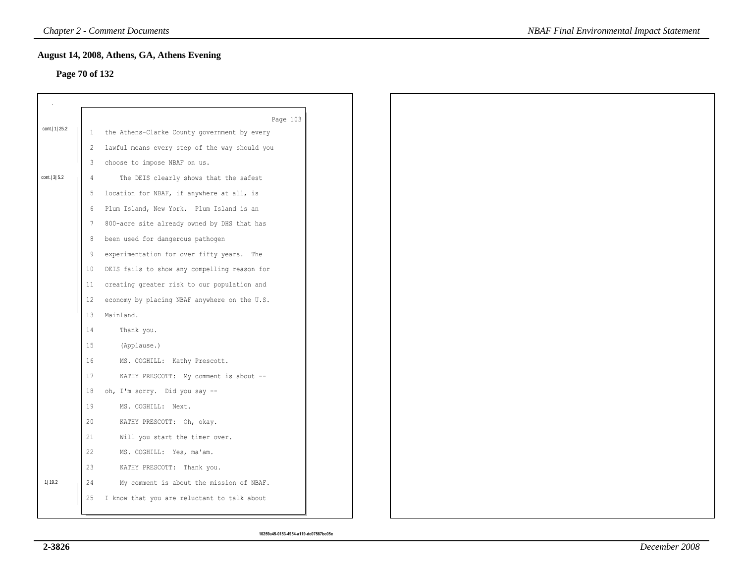# **Page 70 of 132**

|                  |                 | Page 103                                      |
|------------------|-----------------|-----------------------------------------------|
| cont.   1   25.2 | $\mathbf{1}$    | the Athens-Clarke County government by every  |
|                  | 2               | lawful means every step of the way should you |
|                  | 3               | choose to impose NBAF on us.                  |
| cont. 3 5.2      | $\overline{4}$  | The DEIS clearly shows that the safest        |
|                  | 5               | location for NBAF, if anywhere at all, is     |
|                  | 6               | Plum Island, New York. Plum Island is an      |
|                  | 7               | 800-acre site already owned by DHS that has   |
|                  | 8               | been used for dangerous pathogen              |
|                  | 9               | experimentation for over fifty years. The     |
|                  | 10 <sup>°</sup> | DEIS fails to show any compelling reason for  |
|                  | 11              | creating greater risk to our population and   |
|                  | 12 <sup>°</sup> | economy by placing NBAF anywhere on the U.S.  |
|                  | 13              | Mainland.                                     |
|                  | 14              | Thank you.                                    |
|                  | 15              | (Applause.)                                   |
|                  | 16              | MS. COGHILL: Kathy Prescott.                  |
|                  | 17              | KATHY PRESCOTT: My comment is about --        |
|                  | 18              | oh, I'm sorry. Did you say --                 |
|                  | 19              | MS. COGHILL: Next.                            |
|                  | 20              | KATHY PRESCOTT: Oh, okay.                     |
|                  | 21              | Will you start the timer over.                |
|                  | 22              | MS. COGHILL: Yes, ma'am.                      |
|                  | 23              | KATHY PRESCOTT: Thank you.                    |
| 1 19.2           | 24              | My comment is about the mission of NBAF.      |
|                  |                 |                                               |
|                  | 25              | I know that you are reluctant to talk about   |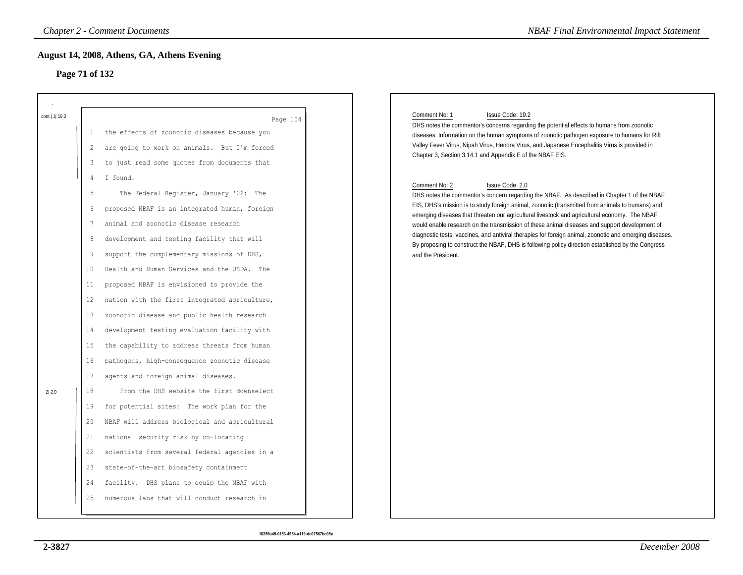# **Page 71 of 132**

|                 |                                                                                                  | <b>Chapter 2 - Comment Documents</b>                                                                                                                                                                                                                                                                                                                                                                                                                                                                                                                                                                                                                                                                                                                          | <b>NBAF Final Environmental Impact Statement</b>                                                                                                                                                                                                                                                                                                                                                                                                                                                                                                                                                                                                                                                                                                                                                                                                                                                                                                                                                                                                                             |
|-----------------|--------------------------------------------------------------------------------------------------|---------------------------------------------------------------------------------------------------------------------------------------------------------------------------------------------------------------------------------------------------------------------------------------------------------------------------------------------------------------------------------------------------------------------------------------------------------------------------------------------------------------------------------------------------------------------------------------------------------------------------------------------------------------------------------------------------------------------------------------------------------------|------------------------------------------------------------------------------------------------------------------------------------------------------------------------------------------------------------------------------------------------------------------------------------------------------------------------------------------------------------------------------------------------------------------------------------------------------------------------------------------------------------------------------------------------------------------------------------------------------------------------------------------------------------------------------------------------------------------------------------------------------------------------------------------------------------------------------------------------------------------------------------------------------------------------------------------------------------------------------------------------------------------------------------------------------------------------------|
| Page 71 of 132  |                                                                                                  | August 14, 2008, Athens, GA, Athens Evening                                                                                                                                                                                                                                                                                                                                                                                                                                                                                                                                                                                                                                                                                                                   |                                                                                                                                                                                                                                                                                                                                                                                                                                                                                                                                                                                                                                                                                                                                                                                                                                                                                                                                                                                                                                                                              |
| cont.   1  19.2 | -1<br>2<br>3<br>4<br>5<br>6<br>$7\phantom{.0}$<br>8<br>9                                         | Page 104<br>the effects of zoonotic diseases because you<br>are going to work on animals. But I'm forced<br>to just read some quotes from documents that<br>I found.<br>The Federal Register, January '06: The<br>proposed NBAF is an integrated human, foreign<br>animal and zoonotic disease research<br>development and testing facility that will<br>support the complementary missions of DHS,                                                                                                                                                                                                                                                                                                                                                           | Comment No: 1<br>Issue Code: 19.2<br>DHS notes the commentor's concerns regarding the potential effects to humans from zoonotic<br>diseases. Information on the human symptoms of zoonotic pathogen exposure to humans for Rift<br>Valley Fever Virus, Nipah Virus, Hendra Virus, and Japanese Encephalitis Virus is provided in<br>Chapter 3, Section 3.14.1 and Appendix E of the NBAF EIS.<br>Comment No: 2<br>Issue Code: 2.0<br>DHS notes the commentor's concern regarding the NBAF. As described in Chapter 1 of the NBAF<br>EIS, DHS's mission is to study foreign animal, zoonotic (transmitted from animals to humans) and<br>emerging diseases that threaten our agricultural livestock and agricultural economy. The NBAF<br>would enable research on the transmission of these animal diseases and support development of<br>diagnostic tests, vaccines, and antiviral therapies for foreign animal, zoonotic and emerging diseases.<br>By proposing to construct the NBAF, DHS is following policy direction established by the Congress<br>and the President. |
| 2 2.0           | $10\,$<br>11<br>12<br>13<br>14<br>15<br>16<br>17<br>18<br>19<br>20<br>21<br>22<br>23<br>24<br>25 | Health and Human Services and the USDA. The<br>proposed NBAF is envisioned to provide the<br>nation with the first integrated agriculture,<br>zoonotic disease and public health research<br>development testing evaluation facility with<br>the capability to address threats from human<br>pathogens, high-consequence zoonotic disease<br>agents and foreign animal diseases.<br>From the DHS website the first downselect<br>for potential sites: The work plan for the<br>NBAF will address biological and agricultural<br>national security risk by co-locating<br>scientists from several federal agencies in a<br>state-of-the-art biosafety containment<br>facility. DHS plans to equip the NBAF with<br>numerous labs that will conduct research in |                                                                                                                                                                                                                                                                                                                                                                                                                                                                                                                                                                                                                                                                                                                                                                                                                                                                                                                                                                                                                                                                              |

#### Comment No: 1 Issue Code: 19.2

#### Comment No: 2 Issue Code: 2.0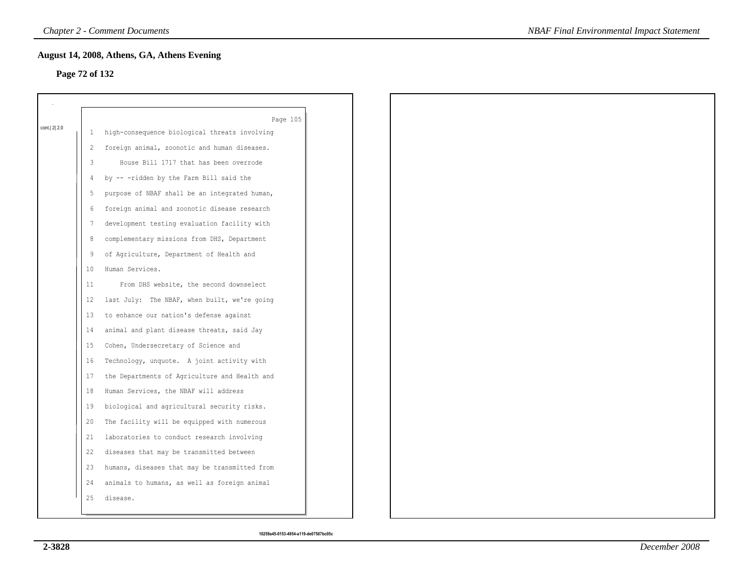### **Page 72 of 132**

|             |    | Page 105                                      |
|-------------|----|-----------------------------------------------|
| cont. 2 2.0 | 1  | high-consequence biological threats involving |
|             | 2  | foreign animal, zoonotic and human diseases.  |
|             | 3  | House Bill 1717 that has been overrode        |
|             | 4  | by -- -ridden by the Farm Bill said the       |
|             | 5  | purpose of NBAF shall be an integrated human, |
|             | 6  | foreign animal and zoonotic disease research  |
|             | 7  | development testing evaluation facility with  |
|             | 8  | complementary missions from DHS, Department   |
|             | 9  | of Agriculture, Department of Health and      |
|             | 10 | Human Services.                               |
|             | 11 | From DHS website, the second downselect       |
|             | 12 | last July: The NBAF, when built, we're going  |
|             | 13 | to enhance our nation's defense against       |
|             | 14 | animal and plant disease threats, said Jay    |
|             | 15 | Cohen, Undersecretary of Science and          |
|             | 16 | Technology, unquote. A joint activity with    |
|             | 17 | the Departments of Agriculture and Health and |
|             | 18 | Human Services, the NBAF will address         |
|             | 19 | biological and agricultural security risks.   |
|             | 20 | The facility will be equipped with numerous   |
|             | 21 | laboratories to conduct research involving    |
|             | 22 | diseases that may be transmitted between      |
|             | 23 | humans, diseases that may be transmitted from |
|             | 24 | animals to humans, as well as foreign animal  |
|             | 25 | disease.                                      |
|             |    |                                               |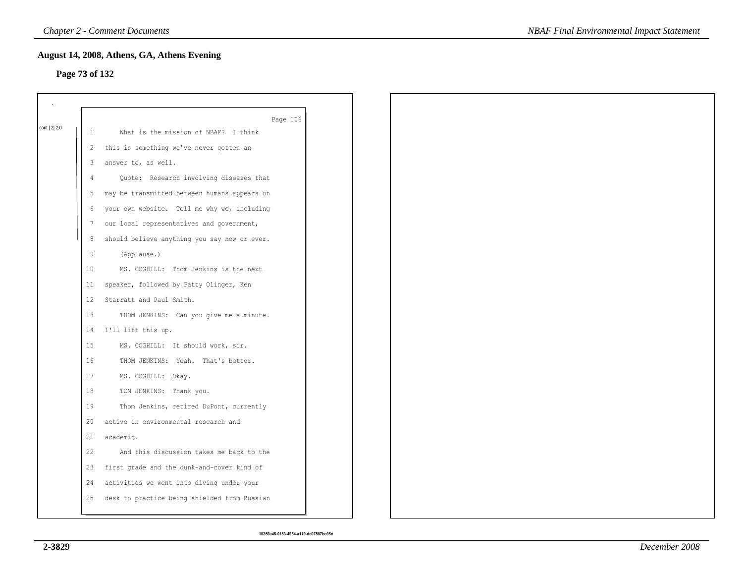### **Page 73 of 132**

|             |                | Page 106                                     |
|-------------|----------------|----------------------------------------------|
| cont. 2 2.0 | 1              | What is the mission of NBAF? I think         |
|             | 2              | this is something we've never gotten an      |
|             | 3              | answer to, as well.                          |
|             | $\overline{4}$ | Quote: Research involving diseases that      |
|             | 5              | may be transmitted between humans appears on |
|             | 6              | your own website. Tell me why we, including  |
|             | 7              | our local representatives and government,    |
|             |                |                                              |
|             | 8              | should believe anything you say now or ever. |
|             | 9              | (Applause.)                                  |
|             | 10             | MS. COGHILL: Thom Jenkins is the next        |
|             | 11             | speaker, followed by Patty Olinger, Ken      |
|             | 12             | Starratt and Paul Smith.                     |
|             | 13             | THOM JENKINS: Can you give me a minute.      |
|             | 14             | I'll lift this up.                           |
|             | 15             | MS. COGHILL: It should work, sir.            |
|             | 16             | THOM JENKINS: Yeah. That's better.           |
|             | 17             | MS. COGHILL: Okay.                           |
|             | 18             | TOM JENKINS: Thank you.                      |
|             | 19             | Thom Jenkins, retired DuPont, currently      |
|             | 20             | active in environmental research and         |
|             | 21             | academic.                                    |
|             | 22             | And this discussion takes me back to the     |
|             | 23             | first grade and the dunk-and-cover kind of   |
|             | 24             | activities we went into diving under your    |
|             | 25             | desk to practice being shielded from Russian |
|             |                |                                              |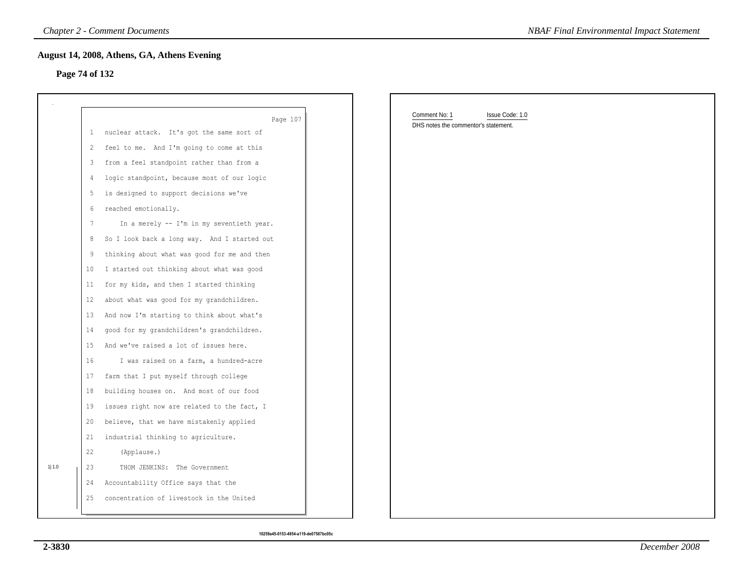#### **Page 74 of 132**

|                |    | <b>Chapter 2 - Comment Documents</b>         | <b>NBAF Final Environmental Impact Statement</b> |
|----------------|----|----------------------------------------------|--------------------------------------------------|
| Page 74 of 132 |    | August 14, 2008, Athens, GA, Athens Evening  |                                                  |
|                |    |                                              |                                                  |
|                |    | Page 107                                     | Comment No: 1<br>Issue Code: 1.0                 |
|                |    | 1 nuclear attack. It's got the same sort of  | DHS notes the commentor's statement.             |
|                | 2  | feel to me. And I'm going to come at this    |                                                  |
|                | 3  | from a feel standpoint rather than from a    |                                                  |
|                | 4  | logic standpoint, because most of our logic  |                                                  |
|                | 5  | is designed to support decisions we've       |                                                  |
|                | 6  | reached emotionally.                         |                                                  |
|                | 7  | In a merely -- I'm in my seventieth year.    |                                                  |
|                | 8  | So I look back a long way. And I started out |                                                  |
|                | 9  | thinking about what was good for me and then |                                                  |
|                | 10 | I started out thinking about what was good   |                                                  |
|                | 11 | for my kids, and then I started thinking     |                                                  |
|                | 12 | about what was good for my grandchildren.    |                                                  |
|                | 13 | And now I'm starting to think about what's   |                                                  |
|                | 14 | good for my grandchildren's grandchildren.   |                                                  |
|                | 15 | And we've raised a lot of issues here.       |                                                  |
|                | 16 | I was raised on a farm, a hundred-acre       |                                                  |
|                | 17 | farm that I put myself through college       |                                                  |
|                | 18 | building houses on. And most of our food     |                                                  |
|                | 19 | issues right now are related to the fact, I  |                                                  |
|                | 20 | believe, that we have mistakenly applied     |                                                  |
|                | 21 | industrial thinking to agriculture.          |                                                  |
|                | 22 | (Applause.)                                  |                                                  |
| 1 1.0          | 23 | THOM JENKINS: The Government                 |                                                  |
|                | 24 | Accountability Office says that the          |                                                  |
|                | 25 | concentration of livestock in the United     |                                                  |
|                |    |                                              |                                                  |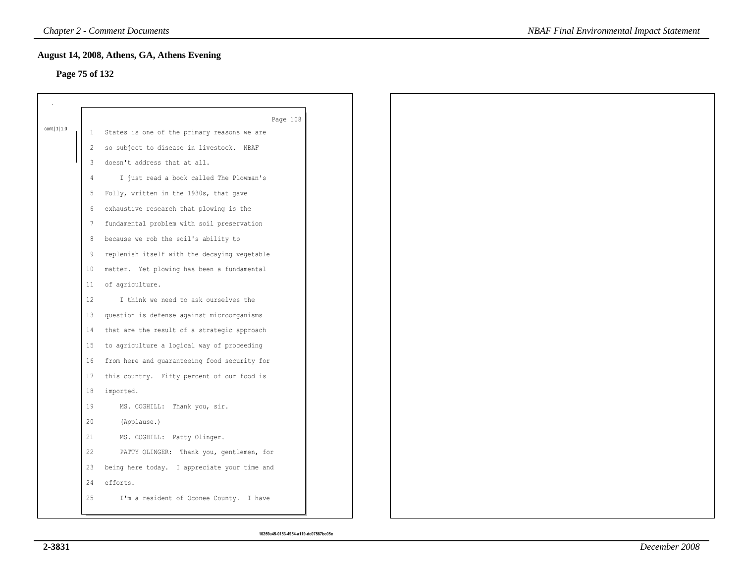# **Page 75 of 132**

|                |    | Page 108                                      |
|----------------|----|-----------------------------------------------|
| cont.   1  1.0 |    | 1 States is one of the primary reasons we are |
|                | 2  | so subject to disease in livestock. NBAF      |
|                | 3  | doesn't address that at all.                  |
|                | 4  | I just read a book called The Plowman's       |
|                | 5  | Folly, written in the 1930s, that gave        |
|                | 6  | exhaustive research that plowing is the       |
|                | 7  | fundamental problem with soil preservation    |
|                | 8  | because we rob the soil's ability to          |
|                | 9  | replenish itself with the decaying vegetable  |
|                | 10 | matter. Yet plowing has been a fundamental    |
|                | 11 | of agriculture.                               |
|                | 12 | I think we need to ask ourselves the          |
|                | 13 | question is defense against microorganisms    |
|                | 14 | that are the result of a strategic approach   |
|                | 15 | to agriculture a logical way of proceeding    |
|                | 16 | from here and guaranteeing food security for  |
|                | 17 | this country. Fifty percent of our food is    |
|                | 18 | imported.                                     |
|                | 19 | MS. COGHILL: Thank you, sir.                  |
|                | 20 | (Applause.)                                   |
|                | 21 | MS. COGHILL: Patty Olinger.                   |
|                | 22 | PATTY OLINGER: Thank you, gentlemen, for      |
|                | 23 | being here today. I appreciate your time and  |
|                | 24 | efforts.                                      |
|                | 25 | I'm a resident of Oconee County. I have       |
|                |    |                                               |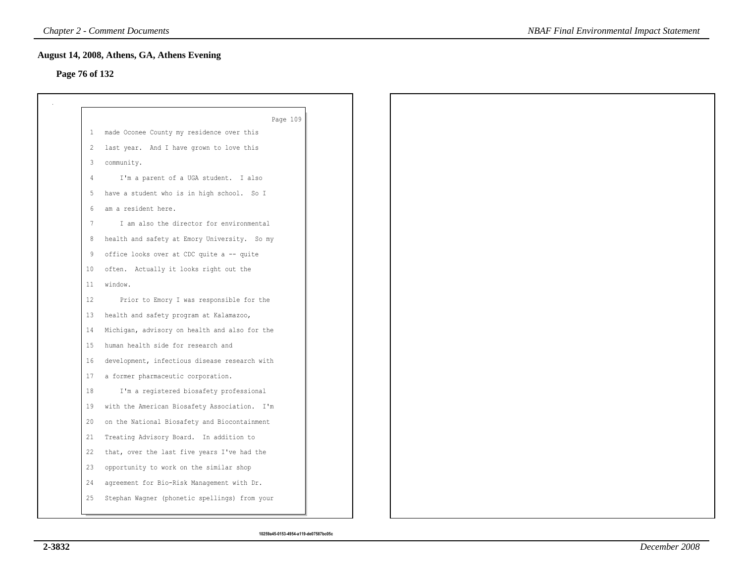# **Page 76 of 132**

|              | Page 109                                      |
|--------------|-----------------------------------------------|
| $\mathbf{1}$ | made Oconee County my residence over this     |
| 2            | last year. And I have grown to love this      |
| 3            | community.                                    |
| 4            | I'm a parent of a UGA student. I also         |
| 5            | have a student who is in high school. So I    |
| 6            | am a resident here.                           |
| 7            | I am also the director for environmental      |
| 8            | health and safety at Emory University. So my  |
| 9            | office looks over at CDC quite a -- quite     |
| 10           | often. Actually it looks right out the        |
| 11           | window.                                       |
| 12           | Prior to Emory I was responsible for the      |
| 13           | health and safety program at Kalamazoo,       |
| 14           | Michigan, advisory on health and also for the |
| 15           | human health side for research and            |
| 16           | development, infectious disease research with |
| 17           | a former pharmaceutic corporation.            |
| 18           | I'm a registered biosafety professional       |
| 19           | with the American Biosafety Association. I'm  |
| 20           | on the National Biosafety and Biocontainment  |
| 21           | Treating Advisory Board. In addition to       |
| 22           | that, over the last five years I've had the   |
| 23           | opportunity to work on the similar shop       |
| 24           | agreement for Bio-Risk Management with Dr.    |
| 25           | Stephan Wagner (phonetic spellings) from your |
|              |                                               |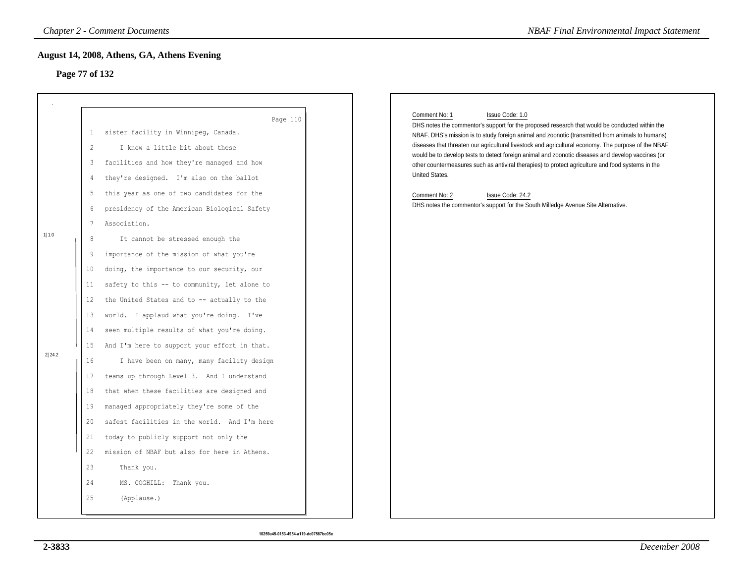# **Page 77 of 132**

|                 |                                                                                                                                          | <b>Chapter 2 - Comment Documents</b>                                                                                                                                                                                                                                                                                                                                                                                                                                                                                                                                                                                                                                                                                                                                                                                                                                                                                                                                                                 | <b>NBAF Final Environmental Impact Statement</b>                                                                                                                                                                                                                                                                                                                                                                                                                                                                                                                                                                                                                                                    |
|-----------------|------------------------------------------------------------------------------------------------------------------------------------------|------------------------------------------------------------------------------------------------------------------------------------------------------------------------------------------------------------------------------------------------------------------------------------------------------------------------------------------------------------------------------------------------------------------------------------------------------------------------------------------------------------------------------------------------------------------------------------------------------------------------------------------------------------------------------------------------------------------------------------------------------------------------------------------------------------------------------------------------------------------------------------------------------------------------------------------------------------------------------------------------------|-----------------------------------------------------------------------------------------------------------------------------------------------------------------------------------------------------------------------------------------------------------------------------------------------------------------------------------------------------------------------------------------------------------------------------------------------------------------------------------------------------------------------------------------------------------------------------------------------------------------------------------------------------------------------------------------------------|
|                 | Page 77 of 132                                                                                                                           | August 14, 2008, Athens, GA, Athens Evening                                                                                                                                                                                                                                                                                                                                                                                                                                                                                                                                                                                                                                                                                                                                                                                                                                                                                                                                                          |                                                                                                                                                                                                                                                                                                                                                                                                                                                                                                                                                                                                                                                                                                     |
| 1 1.0<br>2 24.2 | $\mathbf{1}$<br>2<br>3<br>4<br>5<br>6<br>7<br>$\,8\,$<br>9<br>10<br>11<br>12<br>13<br>14<br>15<br>16<br>17<br>18<br>19<br>20<br>21<br>22 | Page 110<br>sister facility in Winnipeg, Canada.<br>I know a little bit about these<br>facilities and how they're managed and how<br>they're designed. I'm also on the ballot<br>this year as one of two candidates for the<br>presidency of the American Biological Safety<br>Association.<br>It cannot be stressed enough the<br>importance of the mission of what you're<br>doing, the importance to our security, our<br>safety to this -- to community, let alone to<br>the United States and to -- actually to the<br>world. I applaud what you're doing. I've<br>seen multiple results of what you're doing.<br>And I'm here to support your effort in that.<br>I have been on many, many facility design<br>teams up through Level 3. And I understand<br>that when these facilities are designed and<br>managed appropriately they're some of the<br>safest facilities in the world. And I'm here<br>today to publicly support not only the<br>mission of NBAF but also for here in Athens. | Issue Code: 1.0<br>Comment No: 1<br>DHS notes the commentor's support for the proposed research that would be conducted within the<br>NBAF. DHS's mission is to study foreign animal and zoonotic (transmitted from animals to humans)<br>diseases that threaten our agricultural livestock and agricultural economy. The purpose of the NBAF<br>would be to develop tests to detect foreign animal and zoonotic diseases and develop vaccines (or<br>other countermeasures such as antiviral therapies) to protect agriculture and food systems in the<br>United States.<br>Comment No: 2<br>Issue Code: 24.2<br>DHS notes the commentor's support for the South Milledge Avenue Site Alternative. |
|                 | 23<br>24<br>25                                                                                                                           | Thank you.<br>MS. COGHILL: Thank you.<br>(Applause.)                                                                                                                                                                                                                                                                                                                                                                                                                                                                                                                                                                                                                                                                                                                                                                                                                                                                                                                                                 |                                                                                                                                                                                                                                                                                                                                                                                                                                                                                                                                                                                                                                                                                                     |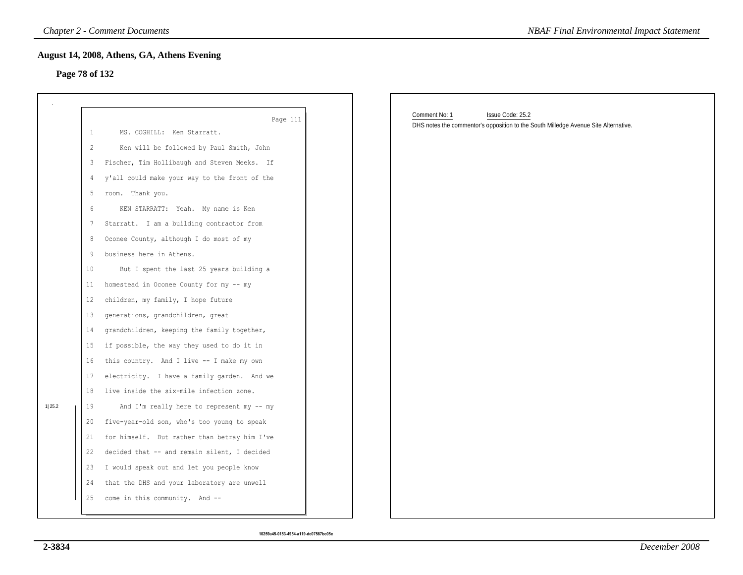#### **Page 78 of 132**

|                |                                                                            | <b>Chapter 2 - Comment Documents</b>                                                                                                                                                                                                                                                                                                                                                                                                                                                                                                                                                                 | <b>NBAF Final Environmental Impact Statement</b>                                                                         |
|----------------|----------------------------------------------------------------------------|------------------------------------------------------------------------------------------------------------------------------------------------------------------------------------------------------------------------------------------------------------------------------------------------------------------------------------------------------------------------------------------------------------------------------------------------------------------------------------------------------------------------------------------------------------------------------------------------------|--------------------------------------------------------------------------------------------------------------------------|
| Page 78 of 132 |                                                                            | August 14, 2008, Athens, GA, Athens Evening                                                                                                                                                                                                                                                                                                                                                                                                                                                                                                                                                          |                                                                                                                          |
|                | $\mathbf{1}$<br>2                                                          | Page 111<br>MS. COGHILL: Ken Starratt.<br>Ken will be followed by Paul Smith, John                                                                                                                                                                                                                                                                                                                                                                                                                                                                                                                   | Comment No: 1<br>Issue Code: 25.2<br>DHS notes the commentor's opposition to the South Milledge Avenue Site Alternative. |
|                | 3<br>4<br>5<br>6<br>7<br>8<br>9<br>10<br>11                                | Fischer, Tim Hollibaugh and Steven Meeks. If<br>y'all could make your way to the front of the<br>room. Thank you.<br>KEN STARRATT: Yeah. My name is Ken<br>Starratt. I am a building contractor from<br>Oconee County, although I do most of my<br>business here in Athens.<br>But I spent the last 25 years building a<br>homestead in Oconee County for my -- my                                                                                                                                                                                                                                   |                                                                                                                          |
| 1 25.2         | 12<br>13<br>14<br>15<br>16<br>17<br>18<br>19<br>20<br>21<br>22<br>23<br>24 | children, my family, I hope future<br>generations, grandchildren, great<br>grandchildren, keeping the family together,<br>if possible, the way they used to do it in<br>this country. And I live -- I make my own<br>electricity. I have a family garden. And we<br>live inside the six-mile infection zone.<br>And I'm really here to represent my -- my<br>five-year-old son, who's too young to speak<br>for himself. But rather than betray him I've<br>decided that -- and remain silent, I decided<br>I would speak out and let you people know<br>that the DHS and your laboratory are unwell |                                                                                                                          |
|                | 25                                                                         | come in this community. And --                                                                                                                                                                                                                                                                                                                                                                                                                                                                                                                                                                       |                                                                                                                          |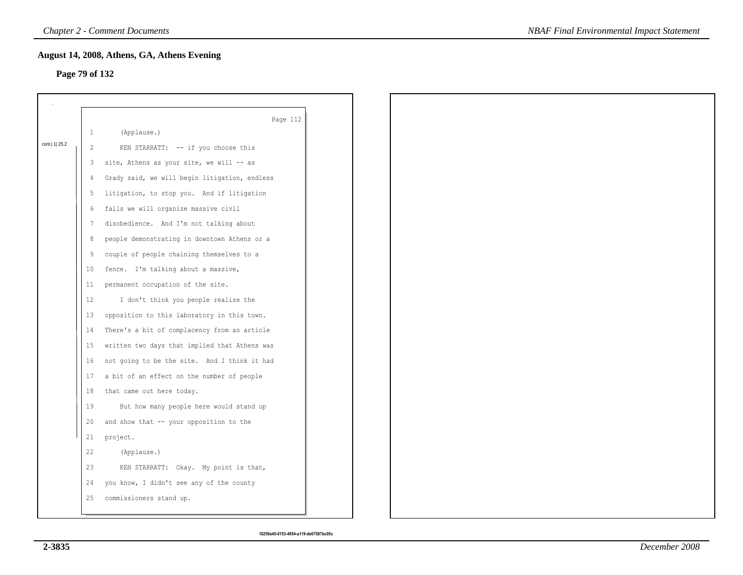# **Page 79 of 132**

|                  |                | August 14, 2008, Athens, GA, Athens Evening   |
|------------------|----------------|-----------------------------------------------|
| Page 79 of 132   |                |                                               |
|                  |                |                                               |
|                  |                | Page 112                                      |
|                  | $\mathbf{1}$   | (Applause.)                                   |
| cont.   1   25.2 | $\overline{2}$ | KEN STARRATT: -- if you choose this           |
|                  | 3              | site, Athens as your site, we will -- as      |
|                  | 4              | Grady said, we will begin litigation, endless |
|                  | 5              | litigation, to stop you. And if litigation    |
|                  | 6              | fails we will organize massive civil          |
|                  | 7              | disobedience. And I'm not talking about       |
|                  | 8              | people demonstrating in downtown Athens or a  |
|                  | 9              | couple of people chaining themselves to a     |
|                  | 10             | fence. I'm talking about a massive,           |
|                  | 11             | permanent occupation of the site.             |
|                  | 12             | I don't think you people realize the          |
|                  | 13             | opposition to this laboratory in this town.   |
|                  | 14             | There's a bit of complacency from an article  |
|                  | 15             | written two days that implied that Athens was |
|                  | 16             | not going to be the site. And I think it had  |
|                  | 17             | a bit of an effect on the number of people    |
|                  | 18             | that came out here today.                     |
|                  | 19             | But how many people here would stand up       |
|                  | 20             | and show that -- your opposition to the       |
|                  | 21             | project.                                      |
|                  | 22             | (Applause.)                                   |
|                  | 23             | KEN STARRATT: Okay. My point is that,         |
|                  | 24             | you know, I didn't see any of the county      |
|                  | 25             | commissioners stand up.                       |
|                  |                |                                               |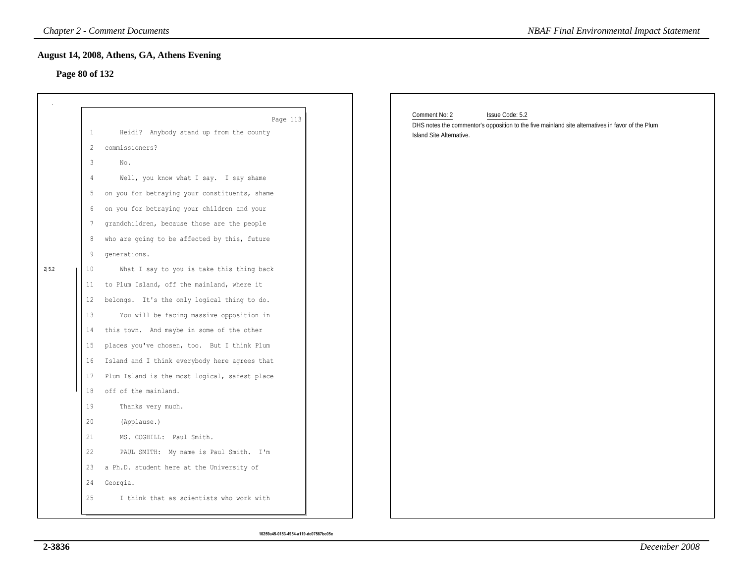# **Page 80 of 132**

|                |              | <b>Chapter 2 - Comment Documents</b>          | <b>NBAF Final Environmental Impact Statement</b>                                                                             |
|----------------|--------------|-----------------------------------------------|------------------------------------------------------------------------------------------------------------------------------|
|                |              | August 14, 2008, Athens, GA, Athens Evening   |                                                                                                                              |
| Page 80 of 132 |              |                                               |                                                                                                                              |
|                |              |                                               |                                                                                                                              |
|                |              | Page 113                                      | Comment No: 2<br>Issue Code: 5.2                                                                                             |
|                | $\mathbf{1}$ | Heidi? Anybody stand up from the county       | DHS notes the commentor's opposition to the five mainland site alternatives in favor of the Plum<br>Island Site Alternative. |
|                | 2            | commissioners?                                |                                                                                                                              |
|                | 3            | No.                                           |                                                                                                                              |
|                | 4            | Well, you know what I say. I say shame        |                                                                                                                              |
|                | 5            | on you for betraying your constituents, shame |                                                                                                                              |
|                | 6            | on you for betraying your children and your   |                                                                                                                              |
|                | 7            | grandchildren, because those are the people   |                                                                                                                              |
|                | 8            | who are going to be affected by this, future  |                                                                                                                              |
|                | 9            | generations.                                  |                                                                                                                              |
| 2 5.2          | 10           | What I say to you is take this thing back     |                                                                                                                              |
|                | 11           | to Plum Island, off the mainland, where it    |                                                                                                                              |
|                | 12           | belongs. It's the only logical thing to do.   |                                                                                                                              |
|                | 13           | You will be facing massive opposition in      |                                                                                                                              |
|                | 14           | this town. And maybe in some of the other     |                                                                                                                              |
|                | 15           | places you've chosen, too. But I think Plum   |                                                                                                                              |
|                | 16           | Island and I think everybody here agrees that |                                                                                                                              |
|                | 17           | Plum Island is the most logical, safest place |                                                                                                                              |
|                | 18           | off of the mainland.                          |                                                                                                                              |
|                | 19           | Thanks very much.                             |                                                                                                                              |
|                | 20           | (Applause.)                                   |                                                                                                                              |
|                | 21           | MS. COGHILL: Paul Smith.                      |                                                                                                                              |
|                | 22           | PAUL SMITH: My name is Paul Smith. I'm        |                                                                                                                              |
|                | 23           | a Ph.D. student here at the University of     |                                                                                                                              |
|                | 24           | Georgia.                                      |                                                                                                                              |
|                | 25           | I think that as scientists who work with      |                                                                                                                              |
|                |              |                                               |                                                                                                                              |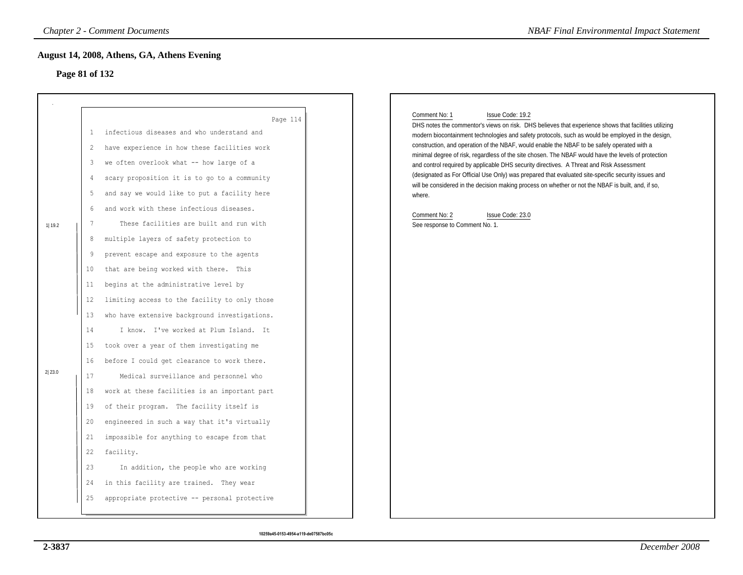# **Page 81 of 132**

|                  |                                                                                                                                           | <b>Chapter 2 - Comment Documents</b>                                                                                                                                                                                                                                                                                                                                                                                                                                                                                                                                                                                                                                                                                                                                                                                                                                                                                                                                                                                                                                                                                                                   | <b>NBAF Final Environmental Impact Statement</b>                                                                                                                                                                                                                                                                                                                                                                                                                                                                                                                                                                                                                                                                                                                                                                                                |
|------------------|-------------------------------------------------------------------------------------------------------------------------------------------|--------------------------------------------------------------------------------------------------------------------------------------------------------------------------------------------------------------------------------------------------------------------------------------------------------------------------------------------------------------------------------------------------------------------------------------------------------------------------------------------------------------------------------------------------------------------------------------------------------------------------------------------------------------------------------------------------------------------------------------------------------------------------------------------------------------------------------------------------------------------------------------------------------------------------------------------------------------------------------------------------------------------------------------------------------------------------------------------------------------------------------------------------------|-------------------------------------------------------------------------------------------------------------------------------------------------------------------------------------------------------------------------------------------------------------------------------------------------------------------------------------------------------------------------------------------------------------------------------------------------------------------------------------------------------------------------------------------------------------------------------------------------------------------------------------------------------------------------------------------------------------------------------------------------------------------------------------------------------------------------------------------------|
| Page 81 of 132   |                                                                                                                                           | August 14, 2008, Athens, GA, Athens Evening                                                                                                                                                                                                                                                                                                                                                                                                                                                                                                                                                                                                                                                                                                                                                                                                                                                                                                                                                                                                                                                                                                            |                                                                                                                                                                                                                                                                                                                                                                                                                                                                                                                                                                                                                                                                                                                                                                                                                                                 |
| 1 19.2<br>2 23.0 | 1<br>2<br>3<br>4<br>5<br>6<br>7<br>8<br>9<br>10<br>11<br>12<br>13<br>14<br>15<br>16<br>17<br>18<br>19<br>20<br>21<br>22<br>23<br>24<br>25 | Page 114<br>infectious diseases and who understand and<br>have experience in how these facilities work<br>we often overlook what -- how large of a<br>scary proposition it is to go to a community<br>and say we would like to put a facility here<br>and work with these infectious diseases.<br>These facilities are built and run with<br>multiple layers of safety protection to<br>prevent escape and exposure to the agents<br>that are being worked with there. This<br>begins at the administrative level by<br>limiting access to the facility to only those<br>who have extensive background investigations.<br>I know. I've worked at Plum Island. It<br>took over a year of them investigating me<br>before I could get clearance to work there.<br>Medical surveillance and personnel who<br>work at these facilities is an important part<br>of their program. The facility itself is<br>engineered in such a way that it's virtually<br>impossible for anything to escape from that<br>facility.<br>In addition, the people who are working<br>in this facility are trained. They wear<br>appropriate protective -- personal protective | Comment No: 1<br>Issue Code: 19.2<br>DHS notes the commentor's views on risk. DHS believes that experience shows that facilities utilizing<br>modern biocontainment technologies and safety protocols, such as would be employed in the design,<br>construction, and operation of the NBAF, would enable the NBAF to be safely operated with a<br>minimal degree of risk, regardless of the site chosen. The NBAF would have the levels of protection<br>and control required by applicable DHS security directives. A Threat and Risk Assessment<br>(designated as For Official Use Only) was prepared that evaluated site-specific security issues and<br>will be considered in the decision making process on whether or not the NBAF is built, and, if so,<br>where.<br>Comment No: 2<br>Issue Code: 23.0<br>See response to Comment No. 1. |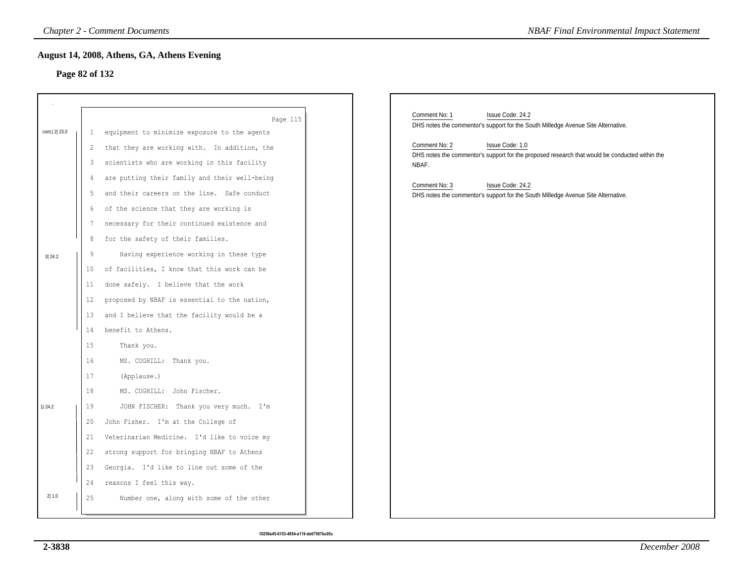### **Page 82 of 132**

|                |              | <b>Chapter 2 - Comment Documents</b>          | <b>NBAF Final Environmental Impact Statement</b>                                                                       |
|----------------|--------------|-----------------------------------------------|------------------------------------------------------------------------------------------------------------------------|
| Page 82 of 132 |              | August 14, 2008, Athens, GA, Athens Evening   |                                                                                                                        |
|                |              |                                               |                                                                                                                        |
|                |              |                                               |                                                                                                                        |
|                |              | Page 115                                      | Comment No: 1<br>Issue Code: 24.2                                                                                      |
| cont. 2 23.0   | $\mathbf{1}$ | equipment to minimize exposure to the agents  | DHS notes the commentor's support for the South Milledge Avenue Site Alternative.                                      |
|                | 2            | that they are working with. In addition, the  | Comment No: 2<br>Issue Code: 1.0                                                                                       |
|                | 3            | scientists who are working in this facility   | DHS notes the commentor's support for the proposed research that would be conducted within the<br>NBAF.                |
|                | 4            | are putting their family and their well-being |                                                                                                                        |
|                | 5            | and their careers on the line. Safe conduct   | Comment No: 3<br>Issue Code: 24.2<br>DHS notes the commentor's support for the South Milledge Avenue Site Alternative. |
|                | 6            | of the science that they are working is       |                                                                                                                        |
|                | 7            | necessary for their continued existence and   |                                                                                                                        |
|                | 8            | for the safety of their families.             |                                                                                                                        |
| 3 24.2         | 9            | Having experience working in these type       |                                                                                                                        |
|                | $10\,$       | of facilities, I know that this work can be   |                                                                                                                        |
|                | 11           | done safely. I believe that the work          |                                                                                                                        |
|                | 12           | proposed by NBAF is essential to the nation,  |                                                                                                                        |
|                | 13           | and I believe that the facility would be a    |                                                                                                                        |
|                | 14           | benefit to Athens.                            |                                                                                                                        |
|                | 15           | Thank you.                                    |                                                                                                                        |
|                | 16           | MS. COGHILL: Thank you.                       |                                                                                                                        |
|                | 17           | (Applause.)                                   |                                                                                                                        |
|                | 18           | MS. COGHILL: John Fischer.                    |                                                                                                                        |
| 1 24.2         | 19           | JOHN FISCHER: Thank you very much. I'm        |                                                                                                                        |
|                | 20           | John Fisher. I'm at the College of            |                                                                                                                        |
|                | 21           | Veterinarian Medicine. I'd like to voice my   |                                                                                                                        |
|                | 22           | strong support for bringing NBAF to Athens    |                                                                                                                        |
|                | 23           | Georgia. I'd like to line out some of the     |                                                                                                                        |
|                | 24           | reasons I feel this way.                      |                                                                                                                        |
| 2 1.0          | 25           | Number one, along with some of the other      |                                                                                                                        |
|                |              |                                               |                                                                                                                        |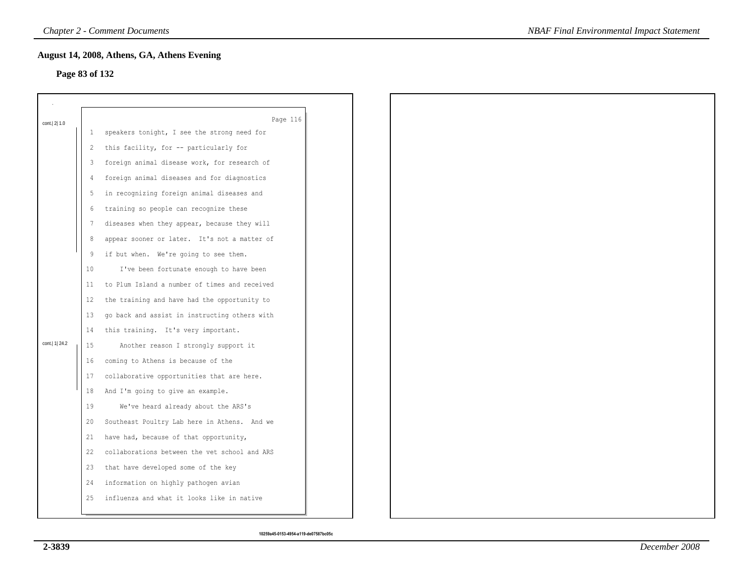### **Page 83 of 132**

|                  |    | August 14, 2008, Athens, GA, Athens Evening             |
|------------------|----|---------------------------------------------------------|
| Page 83 of 132   |    |                                                         |
|                  |    |                                                         |
|                  |    |                                                         |
| cont. 2 1.0      | 1  | Page 116<br>speakers tonight, I see the strong need for |
|                  | 2  | this facility, for -- particularly for                  |
|                  |    | foreign animal disease work, for research of            |
|                  | 3  |                                                         |
|                  | 4  | foreign animal diseases and for diagnostics             |
|                  | 5  | in recognizing foreign animal diseases and              |
|                  | 6  | training so people can recognize these                  |
|                  | 7  | diseases when they appear, because they will            |
|                  | 8  | appear sooner or later. It's not a matter of            |
|                  | 9  | if but when. We're going to see them.                   |
|                  | 10 | I've been fortunate enough to have been                 |
|                  | 11 | to Plum Island a number of times and received           |
|                  | 12 | the training and have had the opportunity to            |
|                  | 13 | go back and assist in instructing others with           |
|                  | 14 | this training. It's very important.                     |
| cont.   1   24.2 | 15 | Another reason I strongly support it                    |
|                  | 16 | coming to Athens is because of the                      |
|                  | 17 | collaborative opportunities that are here.              |
|                  | 18 | And I'm going to give an example.                       |
|                  | 19 | We've heard already about the ARS's                     |
|                  | 20 | Southeast Poultry Lab here in Athens. And we            |
|                  | 21 | have had, because of that opportunity,                  |
|                  | 22 | collaborations between the vet school and ARS           |
|                  | 23 | that have developed some of the key                     |
|                  | 24 | information on highly pathogen avian                    |
|                  | 25 | influenza and what it looks like in native              |
|                  |    |                                                         |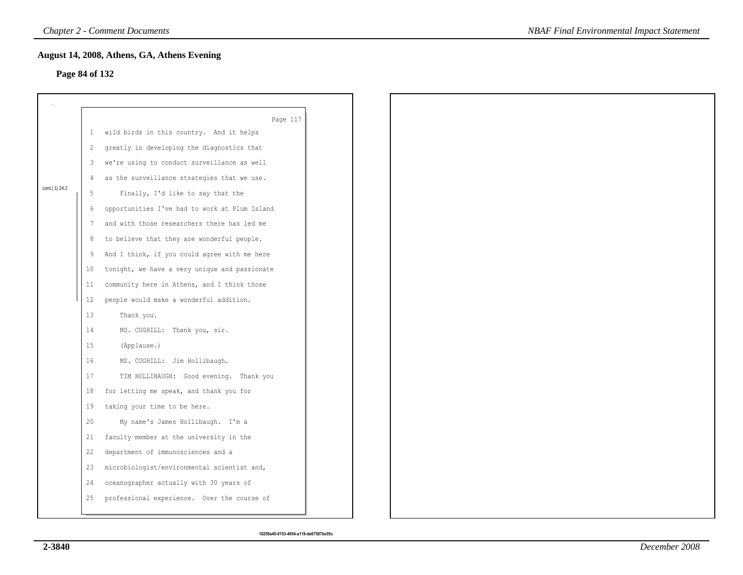#### **Page 84 of 132**

|                  |                 | August 14, 2008, Athens, GA, Athens Evening   |  |
|------------------|-----------------|-----------------------------------------------|--|
| Page 84 of 132   |                 |                                               |  |
|                  |                 |                                               |  |
|                  |                 | Page 117                                      |  |
|                  | $\mathbf{1}$    | wild birds in this country. And it helps      |  |
|                  | 2               | greatly in developing the diagnostics that    |  |
|                  | 3               | we're using to conduct surveillance as well   |  |
|                  | 4               | as the surveillance strategies that we use.   |  |
| cont.   1   24.2 | 5               | Finally, I'd like to say that the             |  |
|                  | 6               | opportunities I've had to work at Plum Island |  |
|                  | 7               | and with those researchers there has led me   |  |
|                  | 8               | to believe that they are wonderful people.    |  |
|                  | 9               | And I think, if you could agree with me here  |  |
|                  | 10 <sup>°</sup> | tonight, we have a very unique and passionate |  |
|                  | 11              | community here in Athens, and I think those   |  |
|                  | 12              | people would make a wonderful addition.       |  |
|                  | 13              | Thank you.                                    |  |
|                  | 14              | MS. COGHILL: Thank you, sir.                  |  |
|                  | 15              | (Applause.)                                   |  |
|                  | 16              | MS. COGHILL: Jim Hollibaugh.                  |  |
|                  | 17              | TIM HOLLIBAUGH: Good evening. Thank you       |  |
|                  | 18              | for letting me speak, and thank you for       |  |
|                  | 19              | taking your time to be here.                  |  |
|                  | 20              | My name's James Hollibaugh. I'm a             |  |
|                  | 21              | faculty member at the university in the       |  |
|                  | 22              | department of immunosciences and a            |  |
|                  | 23              | microbiologist/environmental scientist and,   |  |
|                  | 24              | oceanographer actually with 30 years of       |  |
|                  | 25              | professional experience. Over the course of   |  |
|                  |                 |                                               |  |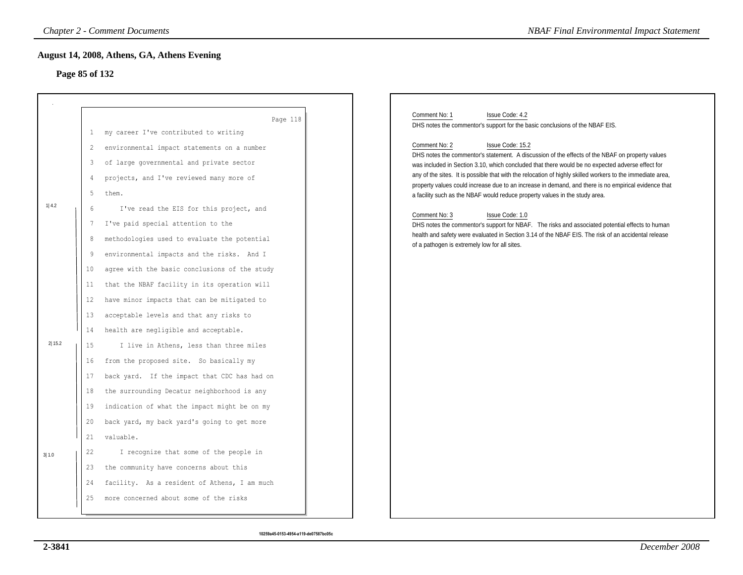# **Page 85 of 132**

|        |                                                        | <b>Chapter 2 - Comment Documents</b>                                                                                                                                                                                                                                                                                                                                                                                  | <b>NBAF Final Environmental Impact Statement</b>                                                                                                                                                                                                                                                                                                                                                                                                                                                                                                                                                                                                                                                                                                                                                                                                                                                                                                                 |
|--------|--------------------------------------------------------|-----------------------------------------------------------------------------------------------------------------------------------------------------------------------------------------------------------------------------------------------------------------------------------------------------------------------------------------------------------------------------------------------------------------------|------------------------------------------------------------------------------------------------------------------------------------------------------------------------------------------------------------------------------------------------------------------------------------------------------------------------------------------------------------------------------------------------------------------------------------------------------------------------------------------------------------------------------------------------------------------------------------------------------------------------------------------------------------------------------------------------------------------------------------------------------------------------------------------------------------------------------------------------------------------------------------------------------------------------------------------------------------------|
|        | Page 85 of 132                                         | August 14, 2008, Athens, GA, Athens Evening                                                                                                                                                                                                                                                                                                                                                                           |                                                                                                                                                                                                                                                                                                                                                                                                                                                                                                                                                                                                                                                                                                                                                                                                                                                                                                                                                                  |
| 1 4.2  | 1<br>$\overline{2}$<br>3<br>4<br>5<br>6<br>7<br>8<br>9 | Page 118<br>my career I've contributed to writing<br>environmental impact statements on a number<br>of large governmental and private sector<br>projects, and I've reviewed many more of<br>them.<br>I've read the EIS for this project, and<br>I've paid special attention to the<br>methodologies used to evaluate the potential<br>environmental impacts and the risks. And I                                      | Comment No: 1<br>Issue Code: 4.2<br>DHS notes the commentor's support for the basic conclusions of the NBAF EIS.<br>Issue Code: 15.2<br>Comment No: 2<br>DHS notes the commentor's statement. A discussion of the effects of the NBAF on property values<br>was included in Section 3.10, which concluded that there would be no expected adverse effect for<br>any of the sites. It is possible that with the relocation of highly skilled workers to the immediate area,<br>property values could increase due to an increase in demand, and there is no empirical evidence that<br>a facility such as the NBAF would reduce property values in the study area.<br>Comment No: 3<br>Issue Code: 1.0<br>DHS notes the commentor's support for NBAF. The risks and associated potential effects to human<br>health and safety were evaluated in Section 3.14 of the NBAF EIS. The risk of an accidental release<br>of a pathogen is extremely low for all sites. |
| 2 15.2 | 10<br>11<br>12<br>13<br>14<br>15<br>16<br>17<br>18     | agree with the basic conclusions of the study<br>that the NBAF facility in its operation will<br>have minor impacts that can be mitigated to<br>acceptable levels and that any risks to<br>health are negligible and acceptable.<br>I live in Athens, less than three miles<br>from the proposed site. So basically my<br>back yard. If the impact that CDC has had on<br>the surrounding Decatur neighborhood is any |                                                                                                                                                                                                                                                                                                                                                                                                                                                                                                                                                                                                                                                                                                                                                                                                                                                                                                                                                                  |
| 3 1.0  | 19<br>20<br>21<br>22<br>23<br>24<br>25                 | indication of what the impact might be on my<br>back yard, my back yard's going to get more<br>valuable.<br>I recognize that some of the people in<br>the community have concerns about this<br>facility. As a resident of Athens, I am much<br>more concerned about some of the risks                                                                                                                                |                                                                                                                                                                                                                                                                                                                                                                                                                                                                                                                                                                                                                                                                                                                                                                                                                                                                                                                                                                  |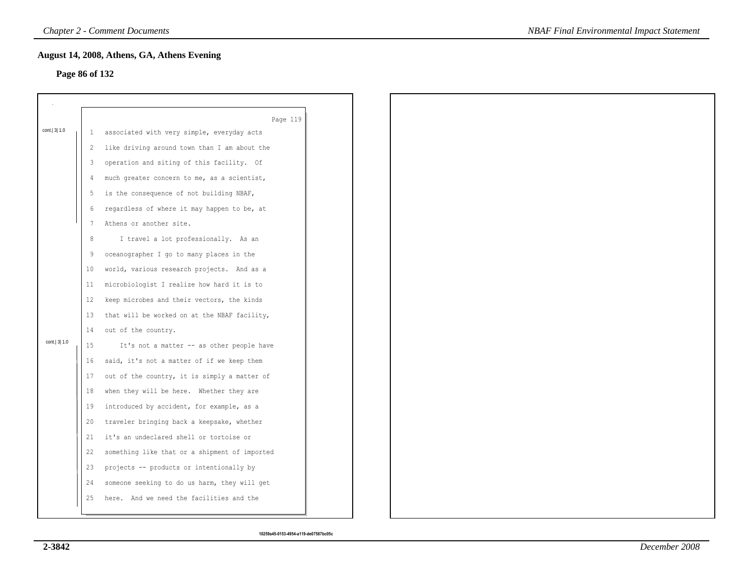# **Page 86 of 132**

|                |              | August 14, 2008, Athens, GA, Athens Evening   |  |
|----------------|--------------|-----------------------------------------------|--|
| Page 86 of 132 |              |                                               |  |
|                |              |                                               |  |
|                |              |                                               |  |
|                |              | Page 119                                      |  |
| cont. 3 1.0    | $\mathbf{1}$ | associated with very simple, everyday acts    |  |
|                | 2            | like driving around town than I am about the  |  |
|                | 3            | operation and siting of this facility. Of     |  |
|                | 4            | much greater concern to me, as a scientist,   |  |
|                | 5            | is the consequence of not building NBAF,      |  |
|                | 6            | regardless of where it may happen to be, at   |  |
|                | 7            | Athens or another site.                       |  |
|                | 8            | I travel a lot professionally. As an          |  |
|                | 9            | oceanographer I go to many places in the      |  |
|                | 10           | world, various research projects. And as a    |  |
|                | 11           | microbiologist I realize how hard it is to    |  |
|                | 12           | keep microbes and their vectors, the kinds    |  |
|                | 13           | that will be worked on at the NBAF facility,  |  |
|                | 14           | out of the country.                           |  |
| cont.   3  1.0 | 15           | It's not a matter -- as other people have     |  |
|                | 16           | said, it's not a matter of if we keep them    |  |
|                | 17           | out of the country, it is simply a matter of  |  |
|                | 18           | when they will be here. Whether they are      |  |
|                | 19           | introduced by accident, for example, as a     |  |
|                | 20           | traveler bringing back a keepsake, whether    |  |
|                | 21           | it's an undeclared shell or tortoise or       |  |
|                | 22           | something like that or a shipment of imported |  |
|                | 23           | projects -- products or intentionally by      |  |
|                | 24           | someone seeking to do us harm, they will get  |  |
|                | 25           | here. And we need the facilities and the      |  |
|                |              |                                               |  |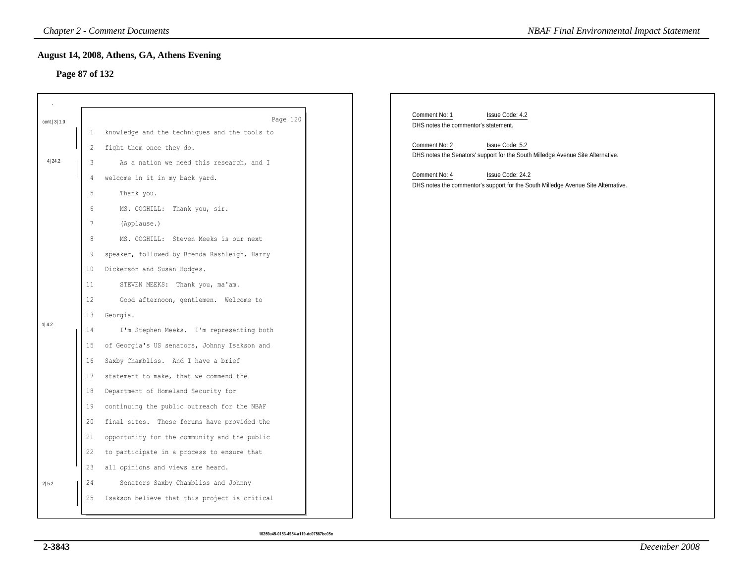#### **Page 87 of 132**

|             | <b>Chapter 2 - Comment Documents</b><br><b>NBAF Final Environmental Impact Statement</b> |                                                                                                                                                                                                                                                                                                                                                                                                                                                        |                                                                                                                                                                                                                                               |  |  |  |
|-------------|------------------------------------------------------------------------------------------|--------------------------------------------------------------------------------------------------------------------------------------------------------------------------------------------------------------------------------------------------------------------------------------------------------------------------------------------------------------------------------------------------------------------------------------------------------|-----------------------------------------------------------------------------------------------------------------------------------------------------------------------------------------------------------------------------------------------|--|--|--|
|             | August 14, 2008, Athens, GA, Athens Evening<br>Page 87 of 132                            |                                                                                                                                                                                                                                                                                                                                                                                                                                                        |                                                                                                                                                                                                                                               |  |  |  |
| cont. 3 1.0 | 1                                                                                        | Page 120<br>knowledge and the techniques and the tools to                                                                                                                                                                                                                                                                                                                                                                                              | Comment No: 1<br>Issue Code: 4.2<br>DHS notes the commentor's statement.                                                                                                                                                                      |  |  |  |
| 4 24.2      | 2<br>3<br>4<br>5                                                                         | fight them once they do.<br>As a nation we need this research, and I<br>welcome in it in my back yard.                                                                                                                                                                                                                                                                                                                                                 | Comment No: 2<br>Issue Code: 5.2<br>DHS notes the Senators' support for the South Milledge Avenue Site Alternative.<br>Comment No: 4<br>Issue Code: 24.2<br>DHS notes the commentor's support for the South Milledge Avenue Site Alternative. |  |  |  |
| 1 4.2       | 6<br>7<br>8<br>9<br>10<br>11<br>12<br>13<br>14<br>15<br>16<br>17                         | Thank you.<br>MS. COGHILL: Thank you, sir.<br>(Applause.)<br>MS. COGHILL: Steven Meeks is our next<br>speaker, followed by Brenda Rashleigh, Harry<br>Dickerson and Susan Hodges.<br>STEVEN MEEKS: Thank you, ma'am.<br>Good afternoon, gentlemen. Welcome to<br>Georgia.<br>I'm Stephen Meeks. I'm representing both<br>of Georgia's US senators, Johnny Isakson and<br>Saxby Chambliss. And I have a brief<br>statement to make, that we commend the |                                                                                                                                                                                                                                               |  |  |  |
| 2 5.2       | 18<br>19<br>20<br>21<br>22<br>23<br>24<br>25                                             | Department of Homeland Security for<br>continuing the public outreach for the NBAF<br>final sites. These forums have provided the<br>opportunity for the community and the public<br>to participate in a process to ensure that<br>all opinions and views are heard.<br>Senators Saxby Chambliss and Johnny<br>Isakson believe that this project is critical                                                                                           |                                                                                                                                                                                                                                               |  |  |  |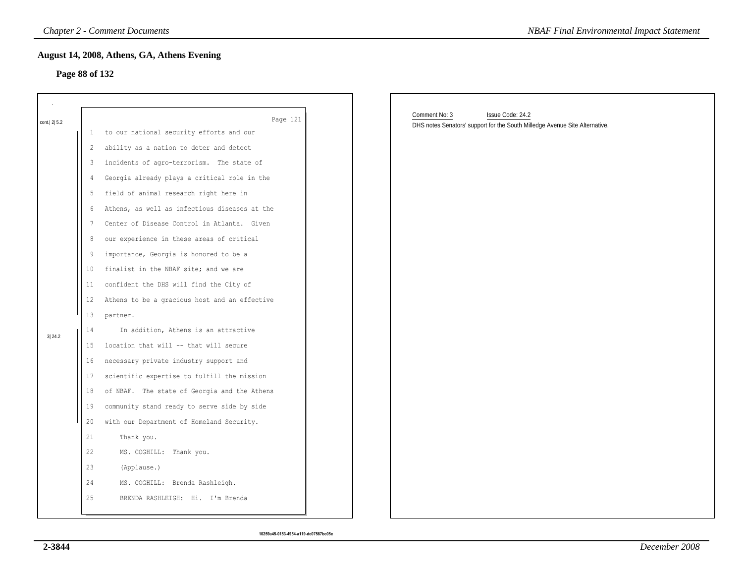#### **Page 88 of 132**

|             |                | <b>Chapter 2 - Comment Documents</b>                 | <b>NBAF Final Environmental Impact Statement</b>                                                                 |
|-------------|----------------|------------------------------------------------------|------------------------------------------------------------------------------------------------------------------|
|             | Page 88 of 132 | August 14, 2008, Athens, GA, Athens Evening          |                                                                                                                  |
| cont. 2 5.2 | Ι.             | Page 121<br>to our national security efforts and our | Comment No: 3<br>Issue Code: 24.2<br>DHS notes Senators' support for the South Milledge Avenue Site Alternative. |
|             | 2              | ability as a nation to deter and detect              |                                                                                                                  |
|             | 3              | incidents of agro-terrorism. The state of            |                                                                                                                  |
|             | 4              | Georgia already plays a critical role in the         |                                                                                                                  |
|             | 5              | field of animal research right here in               |                                                                                                                  |
|             | 6              | Athens, as well as infectious diseases at the        |                                                                                                                  |
|             | 7              | Center of Disease Control in Atlanta. Given          |                                                                                                                  |
|             | 8              | our experience in these areas of critical            |                                                                                                                  |
|             | 9              | importance, Georgia is honored to be a               |                                                                                                                  |
|             | 10             | finalist in the NBAF site; and we are                |                                                                                                                  |
|             | 11             | confident the DHS will find the City of              |                                                                                                                  |
|             | 12             | Athens to be a gracious host and an effective        |                                                                                                                  |
|             | 13             | partner.                                             |                                                                                                                  |
| 3 24.2      | 14             | In addition, Athens is an attractive                 |                                                                                                                  |
|             | 15             | location that will -- that will secure               |                                                                                                                  |
|             | 16             | necessary private industry support and               |                                                                                                                  |
|             | 17             | scientific expertise to fulfill the mission          |                                                                                                                  |
|             | 18             | of NBAF. The state of Georgia and the Athens         |                                                                                                                  |
|             | 19             | community stand ready to serve side by side          |                                                                                                                  |
|             | 20             | with our Department of Homeland Security.            |                                                                                                                  |
|             | 21             | Thank you.                                           |                                                                                                                  |
|             | 22             | MS. COGHILL: Thank you.                              |                                                                                                                  |
|             | 23             | (Applause.)                                          |                                                                                                                  |
|             | 24             | MS. COGHILL: Brenda Rashleigh.                       |                                                                                                                  |
|             | 25             | BRENDA RASHLEIGH: Hi. I'm Brenda                     |                                                                                                                  |
|             |                |                                                      |                                                                                                                  |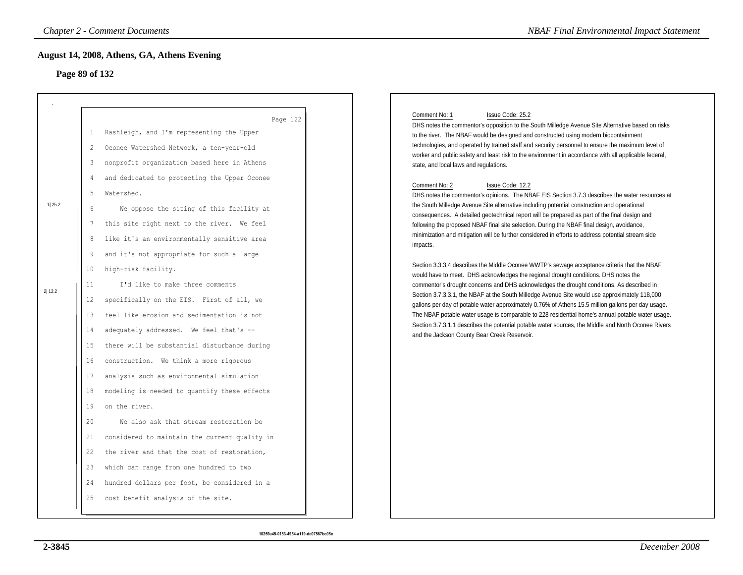# **Page 89 of 132**

| Comment No: 1<br>Issue Code: 25.2<br>DHS notes the commentor's opposition to the South Milledge Avenue Site Alternative based on risks<br>to the river. The NBAF would be designed and constructed using modern biocontainment<br>technologies, and operated by trained staff and security personnel to ensure the maximum level of<br>worker and public safety and least risk to the environment in accordance with all applicable federal,<br>state, and local laws and regulations.                                                                                                                                                                                                                                                                                                                                                                                                                                                                                                                                                                                                                                                                                                                                                                                                                    |
|-----------------------------------------------------------------------------------------------------------------------------------------------------------------------------------------------------------------------------------------------------------------------------------------------------------------------------------------------------------------------------------------------------------------------------------------------------------------------------------------------------------------------------------------------------------------------------------------------------------------------------------------------------------------------------------------------------------------------------------------------------------------------------------------------------------------------------------------------------------------------------------------------------------------------------------------------------------------------------------------------------------------------------------------------------------------------------------------------------------------------------------------------------------------------------------------------------------------------------------------------------------------------------------------------------------|
|                                                                                                                                                                                                                                                                                                                                                                                                                                                                                                                                                                                                                                                                                                                                                                                                                                                                                                                                                                                                                                                                                                                                                                                                                                                                                                           |
| Comment No: 2<br>Issue Code: 12.2<br>DHS notes the commentor's opinions. The NBAF EIS Section 3.7.3 describes the water resources at<br>the South Milledge Avenue Site alternative including potential construction and operational<br>consequences. A detailed geotechnical report will be prepared as part of the final design and<br>following the proposed NBAF final site selection. During the NBAF final design, avoidance,<br>minimization and mitigation will be further considered in efforts to address potential stream side<br>impacts.<br>Section 3.3.3.4 describes the Middle Oconee WWTP's sewage acceptance criteria that the NBAF<br>would have to meet. DHS acknowledges the regional drought conditions. DHS notes the<br>commentor's drought concerns and DHS acknowledges the drought conditions. As described in<br>Section 3.7.3.3.1, the NBAF at the South Milledge Avenue Site would use approximately 118,000<br>gallons per day of potable water approximately 0.76% of Athens 15.5 million gallons per day usage.<br>The NBAF potable water usage is comparable to 228 residential home's annual potable water usage.<br>Section 3.7.3.1.1 describes the potential potable water sources, the Middle and North Oconee Rivers<br>and the Jackson County Bear Creek Reservoir. |
|                                                                                                                                                                                                                                                                                                                                                                                                                                                                                                                                                                                                                                                                                                                                                                                                                                                                                                                                                                                                                                                                                                                                                                                                                                                                                                           |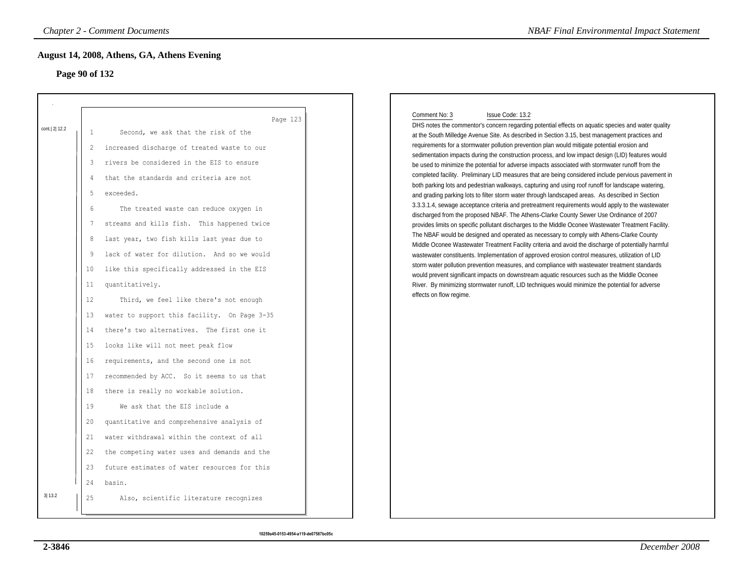# **Page 90 of 132**

|              |                                                                                                                                                                           | <b>Chapter 2 - Comment Documents</b>                                                                                                                                                                                                                                                                                                                                                                                                                                                                                                                                                                                                                                                                                                                                                                                                                                                                                                                                                                               | <b>NBAF Final Environmental Impact Statement</b>                                                                                                                                                                                                                                                                                                                                                                                                                                                                                                                                                                                                                                                                                                                                                                                                                                                                                                                                                                                                                                                                                                                                                                                                                                                                                                                                                                                                                                                                                                                                                                                                                                                                                                                                                                 |  |
|--------------|---------------------------------------------------------------------------------------------------------------------------------------------------------------------------|--------------------------------------------------------------------------------------------------------------------------------------------------------------------------------------------------------------------------------------------------------------------------------------------------------------------------------------------------------------------------------------------------------------------------------------------------------------------------------------------------------------------------------------------------------------------------------------------------------------------------------------------------------------------------------------------------------------------------------------------------------------------------------------------------------------------------------------------------------------------------------------------------------------------------------------------------------------------------------------------------------------------|------------------------------------------------------------------------------------------------------------------------------------------------------------------------------------------------------------------------------------------------------------------------------------------------------------------------------------------------------------------------------------------------------------------------------------------------------------------------------------------------------------------------------------------------------------------------------------------------------------------------------------------------------------------------------------------------------------------------------------------------------------------------------------------------------------------------------------------------------------------------------------------------------------------------------------------------------------------------------------------------------------------------------------------------------------------------------------------------------------------------------------------------------------------------------------------------------------------------------------------------------------------------------------------------------------------------------------------------------------------------------------------------------------------------------------------------------------------------------------------------------------------------------------------------------------------------------------------------------------------------------------------------------------------------------------------------------------------------------------------------------------------------------------------------------------------|--|
|              | Page 90 of 132                                                                                                                                                            | August 14, 2008, Athens, GA, Athens Evening                                                                                                                                                                                                                                                                                                                                                                                                                                                                                                                                                                                                                                                                                                                                                                                                                                                                                                                                                                        |                                                                                                                                                                                                                                                                                                                                                                                                                                                                                                                                                                                                                                                                                                                                                                                                                                                                                                                                                                                                                                                                                                                                                                                                                                                                                                                                                                                                                                                                                                                                                                                                                                                                                                                                                                                                                  |  |
| cont. 2 12.2 | $\mathbf{1}$<br>$\overline{c}$<br>3<br>$\overline{4}$<br>-5<br>6<br>7<br>8<br>9<br>10<br>11<br>12<br>13<br>14<br>15<br>16<br>17<br>18<br>19<br>20<br>21<br>22<br>23<br>24 | Page 123<br>Second, we ask that the risk of the<br>increased discharge of treated waste to our<br>rivers be considered in the EIS to ensure<br>that the standards and criteria are not<br>exceeded.<br>The treated waste can reduce oxygen in<br>streams and kills fish. This happened twice<br>last year, two fish kills last year due to<br>lack of water for dilution. And so we would<br>like this specifically addressed in the EIS<br>quantitatively.<br>Third, we feel like there's not enough<br>water to support this facility. On Page 3-35<br>there's two alternatives. The first one it<br>looks like will not meet peak flow<br>requirements, and the second one is not<br>recommended by ACC. So it seems to us that<br>there is really no workable solution.<br>We ask that the EIS include a<br>quantitative and comprehensive analysis of<br>water withdrawal within the context of all<br>the competing water uses and demands and the<br>future estimates of water resources for this<br>basin. | Comment No: 3<br>Issue Code: 13.2<br>DHS notes the commentor's concern regarding potential effects on aquatic species and water quality<br>at the South Milledge Avenue Site. As described in Section 3.15, best management practices and<br>requirements for a stormwater pollution prevention plan would mitigate potential erosion and<br>sedimentation impacts during the construction process, and low impact design (LID) features would<br>be used to minimize the potential for adverse impacts associated with stormwater runoff from the<br>completed facility. Preliminary LID measures that are being considered include pervious pavement in<br>both parking lots and pedestrian walkways, capturing and using roof runoff for landscape watering,<br>and grading parking lots to filter storm water through landscaped areas. As described in Section<br>3.3.3.1.4, sewage acceptance criteria and pretreatment requirements would apply to the wastewater<br>discharged from the proposed NBAF. The Athens-Clarke County Sewer Use Ordinance of 2007<br>provides limits on specific pollutant discharges to the Middle Oconee Wastewater Treatment Facility.<br>The NBAF would be designed and operated as necessary to comply with Athens-Clarke County<br>Middle Oconee Wastewater Treatment Facility criteria and avoid the discharge of potentially harmful<br>wastewater constituents. Implementation of approved erosion control measures, utilization of LID<br>storm water pollution prevention measures, and compliance with wastewater treatment standards<br>would prevent significant impacts on downstream aquatic resources such as the Middle Oconee<br>River. By minimizing stormwater runoff, LID techniques would minimize the potential for adverse<br>effects on flow regime. |  |
| 3 13.2       | 25                                                                                                                                                                        | Also, scientific literature recognizes                                                                                                                                                                                                                                                                                                                                                                                                                                                                                                                                                                                                                                                                                                                                                                                                                                                                                                                                                                             |                                                                                                                                                                                                                                                                                                                                                                                                                                                                                                                                                                                                                                                                                                                                                                                                                                                                                                                                                                                                                                                                                                                                                                                                                                                                                                                                                                                                                                                                                                                                                                                                                                                                                                                                                                                                                  |  |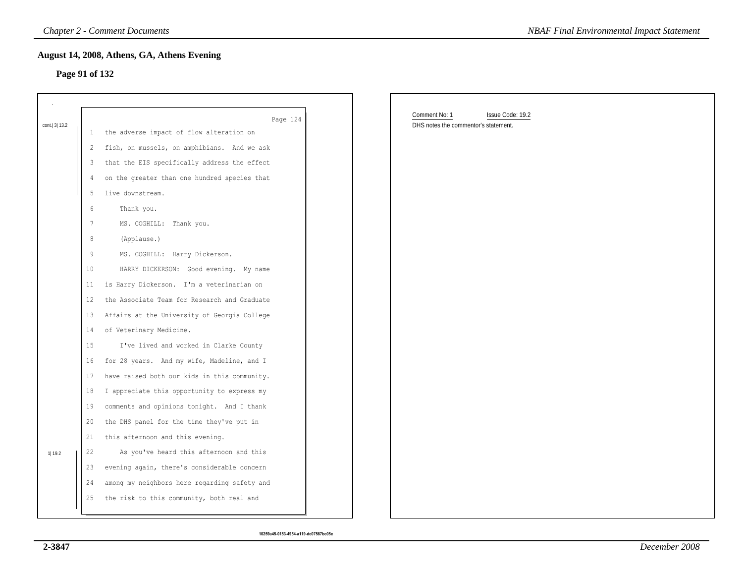#### **Page 91 of 132**

|                |                 | <b>Chapter 2 - Comment Documents</b>                 | <b>NBAF Final Environmental Impact Statement</b>                          |
|----------------|-----------------|------------------------------------------------------|---------------------------------------------------------------------------|
| Page 91 of 132 |                 | August 14, 2008, Athens, GA, Athens Evening          |                                                                           |
|                |                 |                                                      |                                                                           |
| cont. 3 13.2   | Ι.              | Page 124<br>the adverse impact of flow alteration on | Comment No: 1<br>Issue Code: 19.2<br>DHS notes the commentor's statement. |
|                | 2               | fish, on mussels, on amphibians. And we ask          |                                                                           |
|                | 3               | that the EIS specifically address the effect         |                                                                           |
|                | $\overline{4}$  | on the greater than one hundred species that         |                                                                           |
|                | 5               | live downstream.                                     |                                                                           |
|                | 6               | Thank you.                                           |                                                                           |
|                | $7\phantom{.0}$ | MS. COGHILL: Thank you.                              |                                                                           |
|                | 8               | (Applause.)                                          |                                                                           |
|                | 9               | MS. COGHILL: Harry Dickerson.                        |                                                                           |
|                | 10              | HARRY DICKERSON: Good evening. My name               |                                                                           |
|                | 11              | is Harry Dickerson. I'm a veterinarian on            |                                                                           |
|                | 12              | the Associate Team for Research and Graduate         |                                                                           |
|                | 13              | Affairs at the University of Georgia College         |                                                                           |
|                | 14              | of Veterinary Medicine.                              |                                                                           |
|                | 15              | I've lived and worked in Clarke County               |                                                                           |
|                | 16              | for 28 years. And my wife, Madeline, and I           |                                                                           |
|                | 17              | have raised both our kids in this community.         |                                                                           |
|                | 18              | I appreciate this opportunity to express my          |                                                                           |
|                | 19              | comments and opinions tonight. And I thank           |                                                                           |
|                | 20              | the DHS panel for the time they've put in            |                                                                           |
|                | 21              | this afternoon and this evening.                     |                                                                           |
| 1  19.2        | 22              | As you've heard this afternoon and this              |                                                                           |
|                | 23              | evening again, there's considerable concern          |                                                                           |
|                | 24              | among my neighbors here regarding safety and         |                                                                           |
|                | 25              | the risk to this community, both real and            |                                                                           |
|                |                 |                                                      |                                                                           |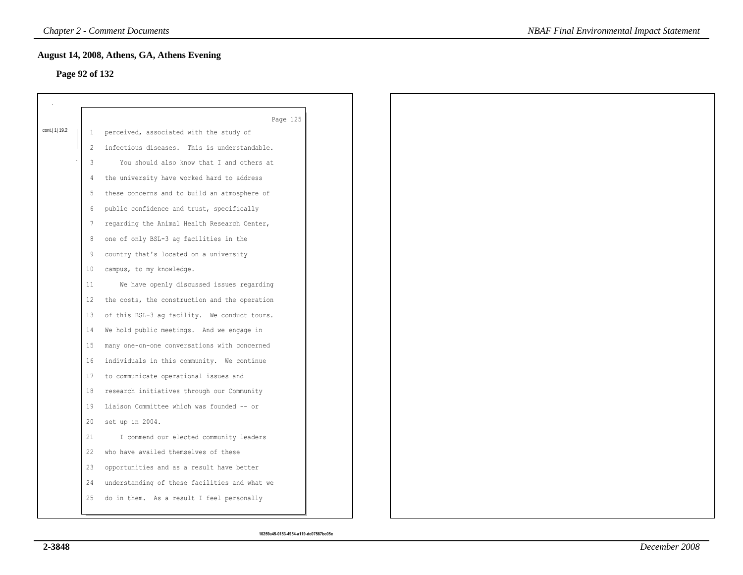### **Page 92 of 132**

|                 |                   | Page 125                                      |
|-----------------|-------------------|-----------------------------------------------|
| cont.   1  19.2 | $\mathbf{1}$      | perceived, associated with the study of       |
|                 | 2                 | infectious diseases. This is understandable.  |
|                 | 3                 | You should also know that I and others at     |
|                 | 4                 | the university have worked hard to address    |
|                 | 5                 | these concerns and to build an atmosphere of  |
|                 | 6                 | public confidence and trust, specifically     |
|                 | 7                 | regarding the Animal Health Research Center,  |
|                 | 8                 | one of only BSL-3 ag facilities in the        |
|                 | 9                 | country that's located on a university        |
|                 | 10 <sup>°</sup>   | campus, to my knowledge.                      |
|                 | 11                | We have openly discussed issues regarding     |
|                 | $12 \overline{ }$ | the costs, the construction and the operation |
|                 | 13                | of this BSL-3 ag facility. We conduct tours.  |
|                 | 14                | We hold public meetings. And we engage in     |
|                 | 15                | many one-on-one conversations with concerned  |
|                 | 16                | individuals in this community. We continue    |
|                 | 17                | to communicate operational issues and         |
|                 | 18                | research initiatives through our Community    |
|                 | 19                | Liaison Committee which was founded -- or     |
|                 | 20                | set up in 2004.                               |
|                 | 21                | I commend our elected community leaders       |
|                 | 22                | who have availed themselves of these          |
|                 | 23                | opportunities and as a result have better     |
|                 | 24                | understanding of these facilities and what we |
|                 | 25                | do in them. As a result I feel personally     |
|                 |                   |                                               |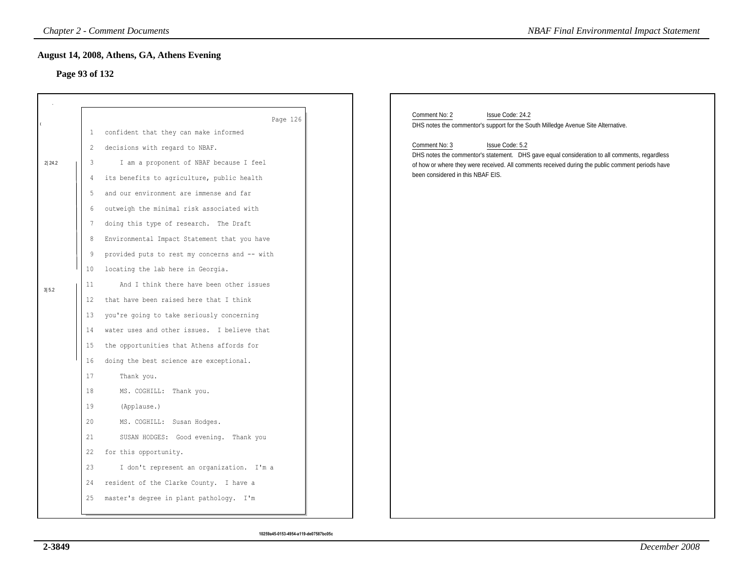# **Page 93 of 132**

|                 |                                                                                                     | <b>Chapter 2 - Comment Documents</b>                                                                                                                                                                                                                                                                                                                                                                                                                                                                                                                                                                                                                                                                                            | <b>NBAF Final Environmental Impact Statement</b>                                                                                                                                                                                                                                                                                                                                                     |  |  |
|-----------------|-----------------------------------------------------------------------------------------------------|---------------------------------------------------------------------------------------------------------------------------------------------------------------------------------------------------------------------------------------------------------------------------------------------------------------------------------------------------------------------------------------------------------------------------------------------------------------------------------------------------------------------------------------------------------------------------------------------------------------------------------------------------------------------------------------------------------------------------------|------------------------------------------------------------------------------------------------------------------------------------------------------------------------------------------------------------------------------------------------------------------------------------------------------------------------------------------------------------------------------------------------------|--|--|
|                 | August 14, 2008, Athens, GA, Athens Evening<br>Page 93 of 132                                       |                                                                                                                                                                                                                                                                                                                                                                                                                                                                                                                                                                                                                                                                                                                                 |                                                                                                                                                                                                                                                                                                                                                                                                      |  |  |
| 2 24.2<br>3 5.2 | $\mathbf{1}$<br>2<br>3<br>4<br>5<br>6<br>7<br>8<br>9<br>10<br>11<br>$12 \,$<br>13<br>14<br>15<br>16 | Page 126<br>confident that they can make informed<br>decisions with regard to NBAF.<br>I am a proponent of NBAF because I feel<br>its benefits to agriculture, public health<br>and our environment are immense and far<br>outweigh the minimal risk associated with<br>doing this type of research. The Draft<br>Environmental Impact Statement that you have<br>provided puts to rest my concerns and -- with<br>locating the lab here in Georgia.<br>And I think there have been other issues<br>that have been raised here that I think<br>you're going to take seriously concerning<br>water uses and other issues. I believe that<br>the opportunities that Athens affords for<br>doing the best science are exceptional. | Comment No: 2<br>Issue Code: 24.2<br>DHS notes the commentor's support for the South Milledge Avenue Site Alternative.<br>Comment No: 3<br>Issue Code: 5.2<br>DHS notes the commentor's statement. DHS gave equal consideration to all comments, regardless<br>of how or where they were received. All comments received during the public comment periods have<br>been considered in this NBAF EIS. |  |  |
|                 | 17<br>18<br>19<br>20<br>21<br>22<br>23<br>24<br>25                                                  | Thank you.<br>MS. COGHILL: Thank you.<br>(Applause.)<br>MS. COGHILL: Susan Hodges.<br>SUSAN HODGES: Good evening. Thank you<br>for this opportunity.<br>I don't represent an organization. I'm a<br>resident of the Clarke County. I have a<br>master's degree in plant pathology. I'm                                                                                                                                                                                                                                                                                                                                                                                                                                          |                                                                                                                                                                                                                                                                                                                                                                                                      |  |  |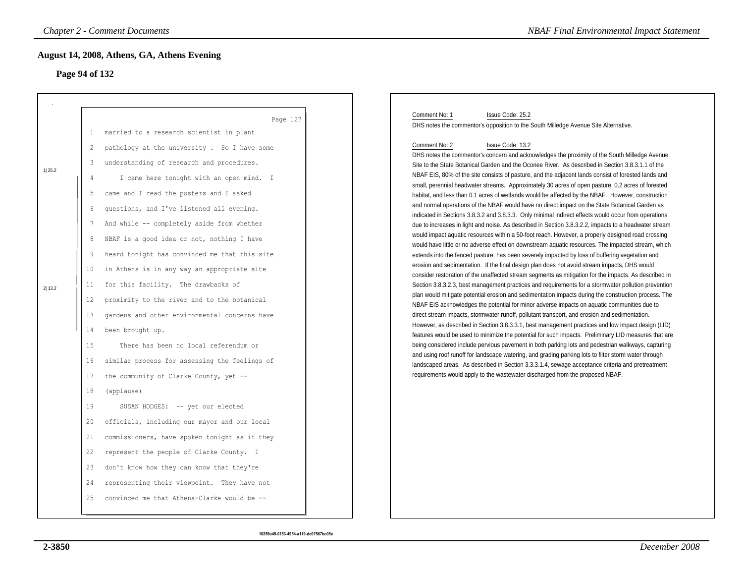# **Page 94 of 132**

|        |                | <b>Chapter 2 - Comment Documents</b>                 | <b>NBAF Final Environmental Impact Statement</b>                                                                                                                                                             |
|--------|----------------|------------------------------------------------------|--------------------------------------------------------------------------------------------------------------------------------------------------------------------------------------------------------------|
|        | Page 94 of 132 | August 14, 2008, Athens, GA, Athens Evening          |                                                                                                                                                                                                              |
|        |                |                                                      |                                                                                                                                                                                                              |
|        | $\mathbf{1}$   | Page 127<br>married to a research scientist in plant | Comment No: 1<br>Issue Code: 25.2<br>DHS notes the commentor's opposition to the South Milledge Avenue Site Alternative.                                                                                     |
|        | 2              | pathology at the university . So I have some         | Comment No: 2<br>Issue Code: 13.2                                                                                                                                                                            |
|        | 3              | understanding of research and procedures.            | DHS notes the commentor's concern and acknowledges the proximity of the South Milledge Avenue                                                                                                                |
| 1 25.2 |                |                                                      | Site to the State Botanical Garden and the Oconee River. As described in Section 3.8.3.1.1 of the<br>NBAF EIS, 80% of the site consists of pasture, and the adjacent lands consist of forested lands and     |
|        | 4              | I came here tonight with an open mind. I             | small, perennial headwater streams. Approximately 30 acres of open pasture, 0.2 acres of forested                                                                                                            |
|        | 5              | came and I read the posters and I asked              | habitat, and less than 0.1 acres of wetlands would be affected by the NBAF. However, construction                                                                                                            |
|        | 6              | questions, and I've listened all evening.            | and normal operations of the NBAF would have no direct impact on the State Botanical Garden as<br>indicated in Sections 3.8.3.2 and 3.8.3.3. Only minimal indirect effects would occur from operations       |
|        | -7             | And while -- completely aside from whether           | due to increases in light and noise. As described in Section 3.8.3.2.2, impacts to a headwater stream                                                                                                        |
|        | 8              | NBAF is a good idea or not, nothing I have           | would impact aquatic resources within a 50-foot reach. However, a properly designed road crossing                                                                                                            |
|        | 9              | heard tonight has convinced me that this site        | would have little or no adverse effect on downstream aquatic resources. The impacted stream, which<br>extends into the fenced pasture, has been severely impacted by loss of buffering vegetation and        |
|        | 10             | in Athens is in any way an appropriate site          | erosion and sedimentation. If the final design plan does not avoid stream impacts, DHS would                                                                                                                 |
| 2 13.2 | 11             | for this facility. The drawbacks of                  | consider restoration of the unaffected stream segments as mitigation for the impacts. As described in<br>Section 3.8.3.2.3, best management practices and requirements for a stormwater pollution prevention |
|        | 12             | proximity to the river and to the botanical          | plan would mitigate potential erosion and sedimentation impacts during the construction process. The                                                                                                         |
|        | 13             | gardens and other environmental concerns have        | NBAF EIS acknowledges the potential for minor adverse impacts on aquatic communities due to<br>direct stream impacts, stormwater runoff, pollutant transport, and erosion and sedimentation.                 |
|        | 14             | been brought up.                                     | However, as described in Section 3.8.3.3.1, best management practices and low impact design (LID)                                                                                                            |
|        | 15             | There has been no local referendum or                | features would be used to minimize the potential for such impacts. Preliminary LID measures that are<br>being considered include pervious pavement in both parking lots and pedestrian walkways, capturing   |
|        |                |                                                      | and using roof runoff for landscape watering, and grading parking lots to filter storm water through                                                                                                         |
|        | 16             | similar process for assessing the feelings of        | landscaped areas. As described in Section 3.3.3.1.4, sewage acceptance criteria and pretreatment                                                                                                             |
|        | 17             | the community of Clarke County, yet --               | requirements would apply to the wastewater discharged from the proposed NBAF.                                                                                                                                |
|        | 18             | (applause)                                           |                                                                                                                                                                                                              |
|        | 19             | SUSAN HODGES: -- yet our elected                     |                                                                                                                                                                                                              |
|        | 20             | officials, including our mayor and our local         |                                                                                                                                                                                                              |
|        | 21             | commissioners, have spoken tonight as if they        |                                                                                                                                                                                                              |
|        | 22             | represent the people of Clarke County. I             |                                                                                                                                                                                                              |
|        | 23             | don't know how they can know that they're            |                                                                                                                                                                                                              |
|        | 24             | representing their viewpoint. They have not          |                                                                                                                                                                                                              |
|        | 25             | convinced me that Athens-Clarke would be --          |                                                                                                                                                                                                              |
|        |                |                                                      |                                                                                                                                                                                                              |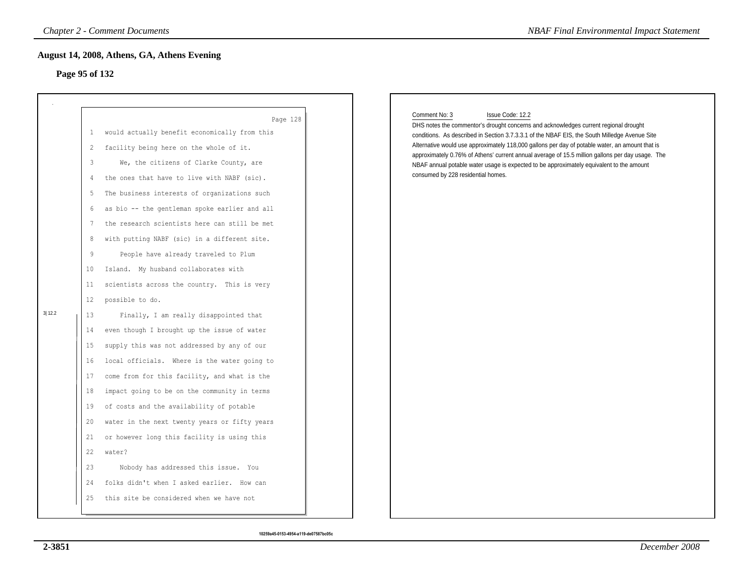# **Page 95 of 132**

|                |                                                                                                                                                      | <b>Chapter 2 - Comment Documents</b>                                                                                                                                                                                                                                                                                                                                                                                                                                                                                                                                                                                                                                                                                                                                                                                                                                                                                                                                                                                                                                                                                              | <b>NBAF Final Environmental Impact Statement</b>                                                                                                                                                                                                                                                                                                                                                                                                                                                                                                                    |
|----------------|------------------------------------------------------------------------------------------------------------------------------------------------------|-----------------------------------------------------------------------------------------------------------------------------------------------------------------------------------------------------------------------------------------------------------------------------------------------------------------------------------------------------------------------------------------------------------------------------------------------------------------------------------------------------------------------------------------------------------------------------------------------------------------------------------------------------------------------------------------------------------------------------------------------------------------------------------------------------------------------------------------------------------------------------------------------------------------------------------------------------------------------------------------------------------------------------------------------------------------------------------------------------------------------------------|---------------------------------------------------------------------------------------------------------------------------------------------------------------------------------------------------------------------------------------------------------------------------------------------------------------------------------------------------------------------------------------------------------------------------------------------------------------------------------------------------------------------------------------------------------------------|
| Page 95 of 132 |                                                                                                                                                      | August 14, 2008, Athens, GA, Athens Evening                                                                                                                                                                                                                                                                                                                                                                                                                                                                                                                                                                                                                                                                                                                                                                                                                                                                                                                                                                                                                                                                                       |                                                                                                                                                                                                                                                                                                                                                                                                                                                                                                                                                                     |
| 3 12.2         | $\mathbf{1}$<br>2<br>3<br>4<br>5<br>6<br>7<br>8<br>9<br>10<br>11<br>12<br>13<br>14<br>15<br>16<br>17<br>18<br>19<br>20<br>21<br>22<br>23<br>24<br>25 | Page 128<br>would actually benefit economically from this<br>facility being here on the whole of it.<br>We, the citizens of Clarke County, are<br>the ones that have to live with NABF (sic).<br>The business interests of organizations such<br>as bio -- the gentleman spoke earlier and all<br>the research scientists here can still be met<br>with putting NABF (sic) in a different site.<br>People have already traveled to Plum<br>Island. My husband collaborates with<br>scientists across the country. This is very<br>possible to do.<br>Finally, I am really disappointed that<br>even though I brought up the issue of water<br>supply this was not addressed by any of our<br>local officials. Where is the water going to<br>come from for this facility, and what is the<br>impact going to be on the community in terms<br>of costs and the availability of potable<br>water in the next twenty years or fifty years<br>or however long this facility is using this<br>water?<br>Nobody has addressed this issue. You<br>folks didn't when I asked earlier. How can<br>this site be considered when we have not | Comment No: 3<br>Issue Code: 12.2<br>DHS notes the commentor's drought concerns and acknowledges current regional drought<br>conditions. As described in Section 3.7.3.3.1 of the NBAF EIS, the South Milledge Avenue Site<br>Alternative would use approximately 118,000 gallons per day of potable water, an amount that is<br>approximately 0.76% of Athens' current annual average of 15.5 million gallons per day usage. The<br>NBAF annual potable water usage is expected to be approximately equivalent to the amount<br>consumed by 228 residential homes. |
|                |                                                                                                                                                      |                                                                                                                                                                                                                                                                                                                                                                                                                                                                                                                                                                                                                                                                                                                                                                                                                                                                                                                                                                                                                                                                                                                                   |                                                                                                                                                                                                                                                                                                                                                                                                                                                                                                                                                                     |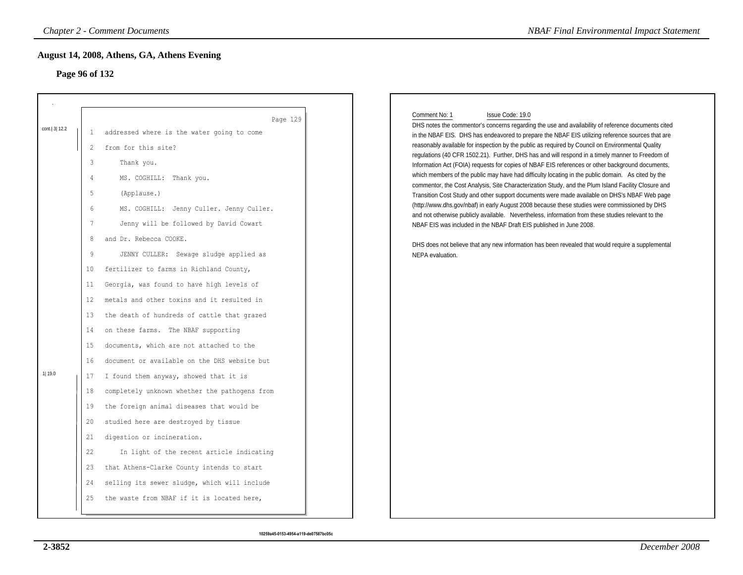# **Page 96 of 132**

|              |                   | <b>Chapter 2 - Comment Documents</b>          | <b>NBAF Final Environmental Impact Statement</b>                                                                                                                                                       |
|--------------|-------------------|-----------------------------------------------|--------------------------------------------------------------------------------------------------------------------------------------------------------------------------------------------------------|
|              |                   | August 14, 2008, Athens, GA, Athens Evening   |                                                                                                                                                                                                        |
|              | Page 96 of 132    |                                               |                                                                                                                                                                                                        |
|              |                   |                                               |                                                                                                                                                                                                        |
|              |                   | Page 129                                      | Comment No: 1<br>Issue Code: 19.0                                                                                                                                                                      |
| cont. 3 12.2 | 1                 | addressed where is the water going to come    | DHS notes the commentor's concerns regarding the use and availability of reference documents cited<br>in the NBAF EIS. DHS has endeavored to prepare the NBAF EIS utilizing reference sources that are |
|              | 2                 | from for this site?                           | reasonably available for inspection by the public as required by Council on Environmental Quality                                                                                                      |
|              | 3                 | Thank you.                                    | regulations (40 CFR 1502.21). Further, DHS has and will respond in a timely manner to Freedom of<br>Information Act (FOIA) requests for copies of NBAF EIS references or other background documents,   |
|              | 4                 | MS. COGHILL: Thank you.                       | which members of the public may have had difficulty locating in the public domain. As cited by the                                                                                                     |
|              | 5                 | (Applause.)                                   | commentor, the Cost Analysis, Site Characterization Study, and the Plum Island Facility Closure and<br>Transition Cost Study and other support documents were made available on DHS's NBAF Web page    |
|              | 6                 | MS. COGHILL: Jenny Culler. Jenny Culler.      | (http://www.dhs.gov/nbaf) in early August 2008 because these studies were commissioned by DHS                                                                                                          |
|              | 7                 | Jenny will be followed by David Cowart        | and not otherwise publicly available. Nevertheless, information from these studies relevant to the<br>NBAF EIS was included in the NBAF Draft EIS published in June 2008.                              |
|              | 8                 | and Dr. Rebecca COOKE.                        | DHS does not believe that any new information has been revealed that would require a supplemental                                                                                                      |
|              | 9                 | JENNY CULLER: Sewage sludge applied as        | NEPA evaluation.                                                                                                                                                                                       |
|              | 10                | fertilizer to farms in Richland County,       |                                                                                                                                                                                                        |
|              | 11                | Georgia, was found to have high levels of     |                                                                                                                                                                                                        |
|              | $12 \overline{ }$ | metals and other toxins and it resulted in    |                                                                                                                                                                                                        |
|              | 13                | the death of hundreds of cattle that grazed   |                                                                                                                                                                                                        |
|              | 14                | on these farms. The NBAF supporting           |                                                                                                                                                                                                        |
|              | 15                | documents, which are not attached to the      |                                                                                                                                                                                                        |
|              | 16                | document or available on the DHS website but  |                                                                                                                                                                                                        |
| 1  19.0      | 17                | I found them anyway, showed that it is        |                                                                                                                                                                                                        |
|              | 18                | completely unknown whether the pathogens from |                                                                                                                                                                                                        |
|              | 19                | the foreign animal diseases that would be     |                                                                                                                                                                                                        |
|              | 20                | studied here are destroyed by tissue          |                                                                                                                                                                                                        |
|              | 21                | digestion or incineration.                    |                                                                                                                                                                                                        |
|              | 22                | In light of the recent article indicating     |                                                                                                                                                                                                        |
|              | 23                | that Athens-Clarke County intends to start    |                                                                                                                                                                                                        |
|              | 24                | selling its sewer sludge, which will include  |                                                                                                                                                                                                        |
|              | 25                | the waste from NBAF if it is located here,    |                                                                                                                                                                                                        |
|              |                   |                                               |                                                                                                                                                                                                        |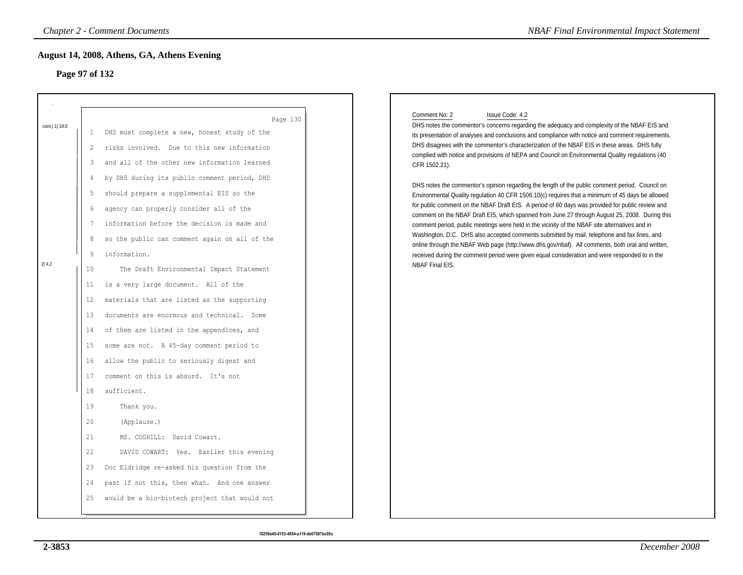# **Page 97 of 132**

|                                                                                                                                                                                                  | <b>Chapter 2 - Comment Documents</b>                                                                                                                                                                                                                                                                                                                                                                                                                                                                                                                                                                                                                                                                                                                                                                                                                                                                                                                                                                                                            | <b>NBAF Final Environmental Impact Statement</b>                                                                                                                                                                                                                                                                                                                                                                                                                                                                                                                                                                                                                                                                                                                                                                                                                                                                                                                                                                                                                                                                                                                                                                                                                                                   |
|--------------------------------------------------------------------------------------------------------------------------------------------------------------------------------------------------|-------------------------------------------------------------------------------------------------------------------------------------------------------------------------------------------------------------------------------------------------------------------------------------------------------------------------------------------------------------------------------------------------------------------------------------------------------------------------------------------------------------------------------------------------------------------------------------------------------------------------------------------------------------------------------------------------------------------------------------------------------------------------------------------------------------------------------------------------------------------------------------------------------------------------------------------------------------------------------------------------------------------------------------------------|----------------------------------------------------------------------------------------------------------------------------------------------------------------------------------------------------------------------------------------------------------------------------------------------------------------------------------------------------------------------------------------------------------------------------------------------------------------------------------------------------------------------------------------------------------------------------------------------------------------------------------------------------------------------------------------------------------------------------------------------------------------------------------------------------------------------------------------------------------------------------------------------------------------------------------------------------------------------------------------------------------------------------------------------------------------------------------------------------------------------------------------------------------------------------------------------------------------------------------------------------------------------------------------------------|
| Page 97 of 132                                                                                                                                                                                   | August 14, 2008, Athens, GA, Athens Evening                                                                                                                                                                                                                                                                                                                                                                                                                                                                                                                                                                                                                                                                                                                                                                                                                                                                                                                                                                                                     |                                                                                                                                                                                                                                                                                                                                                                                                                                                                                                                                                                                                                                                                                                                                                                                                                                                                                                                                                                                                                                                                                                                                                                                                                                                                                                    |
| cont.   1  19.0<br>-1<br>$\overline{c}$<br>3<br>$\overline{4}$<br>5<br>6<br>7<br>8<br>9<br>2 4.2<br>10<br>11<br>12<br>13<br>14<br>15<br>16<br>17<br>18<br>19<br>20<br>21<br>22<br>23<br>24<br>25 | Page 130<br>DHS must complete a new, honest study of the<br>risks involved. Due to this new information<br>and all of the other new information learned<br>by DHS during its public comment period, DHS<br>should prepare a supplemental EIS so the<br>agency can properly consider all of the<br>information before the decision is made and<br>so the public can comment again on all of the<br>information.<br>The Draft Environmental Impact Statement<br>is a very large document. All of the<br>materials that are listed as the supporting<br>documents are enormous and technical. Some<br>of them are listed in the appendices, and<br>some are not. A 45-day comment period to<br>allow the public to seriously digest and<br>comment on this is absurd. It's not<br>sufficient.<br>Thank you.<br>(Applause.)<br>MS. COGHILL: David Cowart.<br>DAVID COWART: Yes. Earlier this evening<br>Doc Eldridge re-asked his question from the<br>past if not this, then what. And one answer<br>would be a bio-biotech project that would not | Comment No: 2<br>Issue Code: 4.2<br>DHS notes the commentor's concerns regarding the adequacy and complexity of the NBAF EIS and<br>its presentation of analyses and conclusions and compliance with notice and comment requirements.<br>DHS disagrees with the commentor's characterization of the NBAF EIS in these areas. DHS fully<br>complied with notice and provisions of NEPA and Council on Environmental Quality regulations (40<br>CFR 1502.21).<br>DHS notes the commentor's opinion regarding the length of the public comment period. Council on<br>Environmental Quality regulation 40 CFR 1506.10(c) requires that a minimum of 45 days be allowed<br>for public comment on the NBAF Draft EIS. A period of 60 days was provided for public review and<br>comment on the NBAF Draft EIS, which spanned from June 27 through August 25, 2008. During this<br>comment period, public meetings were held in the vicinity of the NBAF site alternatives and in<br>Washington, D.C. DHS also accepted comments submitted by mail, telephone and fax lines, and<br>online through the NBAF Web page (http://www.dhs.gov/nbaf). All comments, both oral and written,<br>received during the comment period were given equal consideration and were responded to in the<br>NBAF Final EIS. |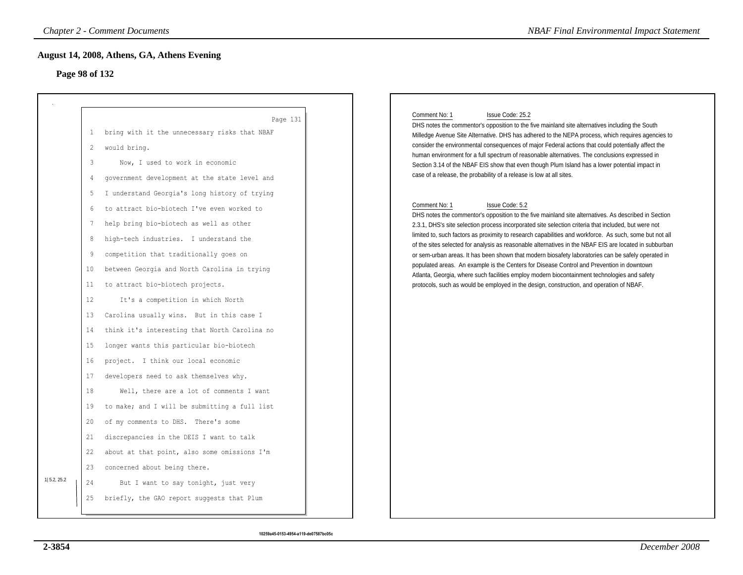## **Page 98 of 132**

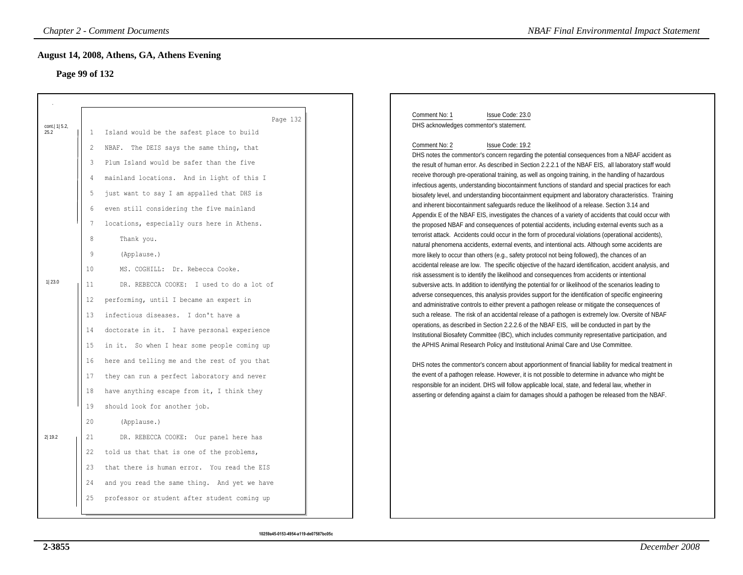# **Page 99 of 132**

|                          |                 | <b>Chapter 2 - Comment Documents</b>                  | <b>NBAF Final Environmental Impact Statement</b>                                                                                                                                                               |
|--------------------------|-----------------|-------------------------------------------------------|----------------------------------------------------------------------------------------------------------------------------------------------------------------------------------------------------------------|
| Page 99 of 132           |                 | August 14, 2008, Athens, GA, Athens Evening           |                                                                                                                                                                                                                |
|                          |                 |                                                       |                                                                                                                                                                                                                |
| cont.   1   5.2,<br>25.2 | 1               | Page 132<br>Island would be the safest place to build | Comment No: 1<br>Issue Code: 23.0<br>DHS acknowledges commentor's statement.                                                                                                                                   |
|                          | 2               | NBAF. The DEIS says the same thing, that              | Comment No: 2<br>Issue Code: 19.2                                                                                                                                                                              |
|                          | 3               | Plum Island would be safer than the five              | DHS notes the commentor's concern regarding the potential consequences from a NBAF accident as                                                                                                                 |
|                          | 4               | mainland locations. And in light of this I            | the result of human error. As described in Section 2.2.2.1 of the NBAF EIS, all laboratory staff would<br>receive thorough pre-operational training, as well as ongoing training, in the handling of hazardous |
|                          |                 |                                                       | infectious agents, understanding biocontainment functions of standard and special practices for each                                                                                                           |
|                          | 5               | just want to say I am appalled that DHS is            | biosafety level, and understanding biocontainment equipment and laboratory characteristics. Training<br>and inherent biocontainment safeguards reduce the likelihood of a release. Section 3.14 and            |
|                          | 6               | even still considering the five mainland              | Appendix E of the NBAF EIS, investigates the chances of a variety of accidents that could occur with                                                                                                           |
|                          | $7\phantom{.0}$ | locations, especially ours here in Athens.            | the proposed NBAF and consequences of potential accidents, including external events such as a<br>terrorist attack. Accidents could occur in the form of procedural violations (operational accidents),        |
|                          | 8               | Thank you.                                            | natural phenomena accidents, external events, and intentional acts. Although some accidents are                                                                                                                |
|                          | 9               | (Applause.)                                           | more likely to occur than others (e.g., safety protocol not being followed), the chances of an                                                                                                                 |
|                          | 10              | MS. COGHILL: Dr. Rebecca Cooke.                       | accidental release are low. The specific objective of the hazard identification, accident analysis, and<br>risk assessment is to identify the likelihood and consequences from accidents or intentional        |
| 1 23.0                   | 11              | DR. REBECCA COOKE: I used to do a lot of              | subversive acts. In addition to identifying the potential for or likelihood of the scenarios leading to                                                                                                        |
|                          | 12              | performing, until I became an expert in               | adverse consequences, this analysis provides support for the identification of specific engineering<br>and administrative controls to either prevent a pathogen release or mitigate the consequences of        |
|                          | 13              | infectious diseases. I don't have a                   | such a release. The risk of an accidental release of a pathogen is extremely low. Oversite of NBAF                                                                                                             |
|                          | 14              | doctorate in it. I have personal experience           | operations, as described in Section 2.2.2.6 of the NBAF EIS, will be conducted in part by the<br>Institutional Biosafety Committee (IBC), which includes community representative participation, and           |
|                          | 15              | in it. So when I hear some people coming up           | the APHIS Animal Research Policy and Institutional Animal Care and Use Committee.                                                                                                                              |
|                          | 16              | here and telling me and the rest of you that          | DHS notes the commentor's concern about apportionment of financial liability for medical treatment in                                                                                                          |
|                          | 17              | they can run a perfect laboratory and never           | the event of a pathogen release. However, it is not possible to determine in advance who might be                                                                                                              |
|                          | 18              | have anything escape from it, I think they            | responsible for an incident. DHS will follow applicable local, state, and federal law, whether in<br>asserting or defending against a claim for damages should a pathogen be released from the NBAF.           |
|                          | 19              | should look for another job.                          |                                                                                                                                                                                                                |
|                          | 20              | (Applause.)                                           |                                                                                                                                                                                                                |
| 2 19.2                   | 21              | DR. REBECCA COOKE: Our panel here has                 |                                                                                                                                                                                                                |
|                          | 22              | told us that that is one of the problems,             |                                                                                                                                                                                                                |
|                          | 23              | that there is human error. You read the EIS           |                                                                                                                                                                                                                |
|                          | 24              |                                                       |                                                                                                                                                                                                                |
|                          |                 | and you read the same thing. And yet we have          |                                                                                                                                                                                                                |
|                          | 25              | professor or student after student coming up          |                                                                                                                                                                                                                |
|                          |                 |                                                       |                                                                                                                                                                                                                |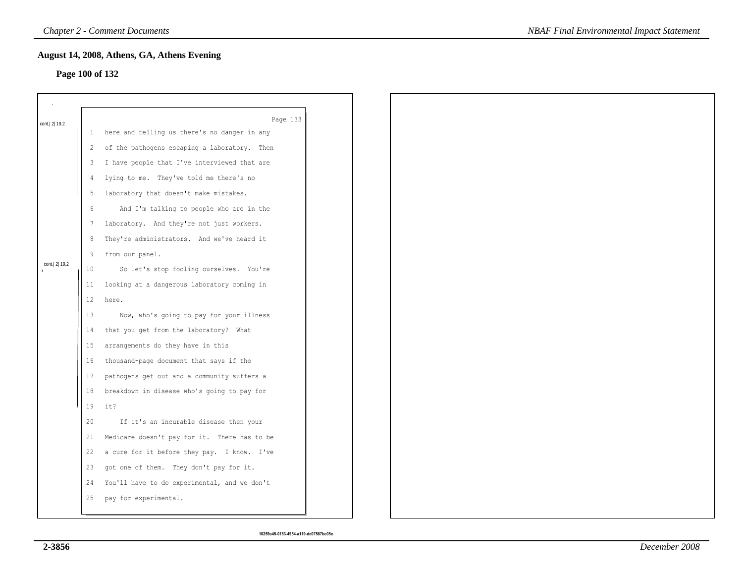# **Page 100 of 132**

|                 |              | August 14, 2008, Athens, GA, Athens Evening    |
|-----------------|--------------|------------------------------------------------|
| Page 100 of 132 |              |                                                |
|                 |              |                                                |
|                 |              |                                                |
| cont. 2 19.2    |              | Page 133                                       |
|                 |              | 1 here and telling us there's no danger in any |
|                 | $\mathbf{2}$ | of the pathogens escaping a laboratory. Then   |
|                 | 3            | I have people that I've interviewed that are   |
|                 | 4            | lying to me. They've told me there's no        |
|                 | 5            | laboratory that doesn't make mistakes.         |
|                 | 6            | And I'm talking to people who are in the       |
|                 | 7            | laboratory. And they're not just workers.      |
|                 | 8            | They're administrators. And we've heard it     |
|                 | 9            | from our panel.                                |
| cont. 2 19.2    | 10           | So let's stop fooling ourselves. You're        |
|                 |              | 11 looking at a dangerous laboratory coming in |
|                 | 12           | here.                                          |
|                 | 13           | Now, who's going to pay for your illness       |
|                 | 14           | that you get from the laboratory? What         |
|                 | 15           | arrangements do they have in this              |
|                 | 16           | thousand-page document that says if the        |
|                 | 17           | pathogens get out and a community suffers a    |
|                 | 18           | breakdown in disease who's going to pay for    |
|                 | 19           | it?                                            |
|                 | 20           | If it's an incurable disease then your         |
|                 | 21           | Medicare doesn't pay for it. There has to be   |
|                 | 22           | a cure for it before they pay. I know. I've    |
|                 | 23           | got one of them. They don't pay for it.        |
|                 | 24           | You'll have to do experimental, and we don't   |
|                 | 25           | pay for experimental.                          |
|                 |              |                                                |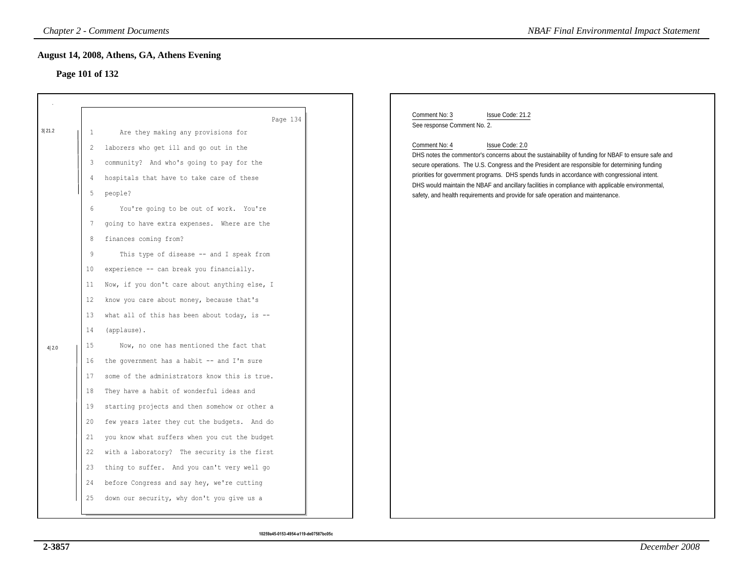# **Page 101 of 132**

|        |                 | August 14, 2008, Athens, GA, Athens Evening   |                                                                                                                                                                                                    |
|--------|-----------------|-----------------------------------------------|----------------------------------------------------------------------------------------------------------------------------------------------------------------------------------------------------|
|        | Page 101 of 132 |                                               |                                                                                                                                                                                                    |
|        |                 |                                               |                                                                                                                                                                                                    |
|        |                 | Page 134                                      | Comment No: 3<br>Issue Code: 21.2<br>See response Comment No. 2.                                                                                                                                   |
| 3 21.2 | 1               | Are they making any provisions for            |                                                                                                                                                                                                    |
|        | 2               | laborers who get ill and go out in the        | Comment No: 4<br>Issue Code: 2.0<br>DHS notes the commentor's concerns about the sustainability of funding for NBAF to ensure safe and                                                             |
|        | 3               | community? And who's going to pay for the     | secure operations. The U.S. Congress and the President are responsible for determining funding                                                                                                     |
|        | 4               | hospitals that have to take care of these     | priorities for government programs. DHS spends funds in accordance with congressional intent.<br>DHS would maintain the NBAF and ancillary facilities in compliance with applicable environmental, |
|        | 5               | people?                                       | safety, and health requirements and provide for safe operation and maintenance.                                                                                                                    |
|        | 6               | You're going to be out of work. You're        |                                                                                                                                                                                                    |
|        | 7               | going to have extra expenses. Where are the   |                                                                                                                                                                                                    |
|        | 8               | finances coming from?                         |                                                                                                                                                                                                    |
|        | 9               | This type of disease -- and I speak from      |                                                                                                                                                                                                    |
|        | 10              | experience -- can break you financially.      |                                                                                                                                                                                                    |
|        | 11              | Now, if you don't care about anything else, I |                                                                                                                                                                                                    |
|        | 12              | know you care about money, because that's     |                                                                                                                                                                                                    |
|        | 13              | what all of this has been about today, is --  |                                                                                                                                                                                                    |
|        | 14              | (applause).                                   |                                                                                                                                                                                                    |
| 4 2.0  | 15              | Now, no one has mentioned the fact that       |                                                                                                                                                                                                    |
|        | 16              | the government has a habit -- and I'm sure    |                                                                                                                                                                                                    |
|        | 17              | some of the administrators know this is true. |                                                                                                                                                                                                    |
|        | 18              | They have a habit of wonderful ideas and      |                                                                                                                                                                                                    |
|        | 19              | starting projects and then somehow or other a |                                                                                                                                                                                                    |
|        | 20              | few years later they cut the budgets. And do  |                                                                                                                                                                                                    |
|        | 21              | you know what suffers when you cut the budget |                                                                                                                                                                                                    |
|        | 22              | with a laboratory? The security is the first  |                                                                                                                                                                                                    |
|        | 23              | thing to suffer. And you can't very well go   |                                                                                                                                                                                                    |
|        | 24              | before Congress and say hey, we're cutting    |                                                                                                                                                                                                    |
|        | 25              | down our security, why don't you give us a    |                                                                                                                                                                                                    |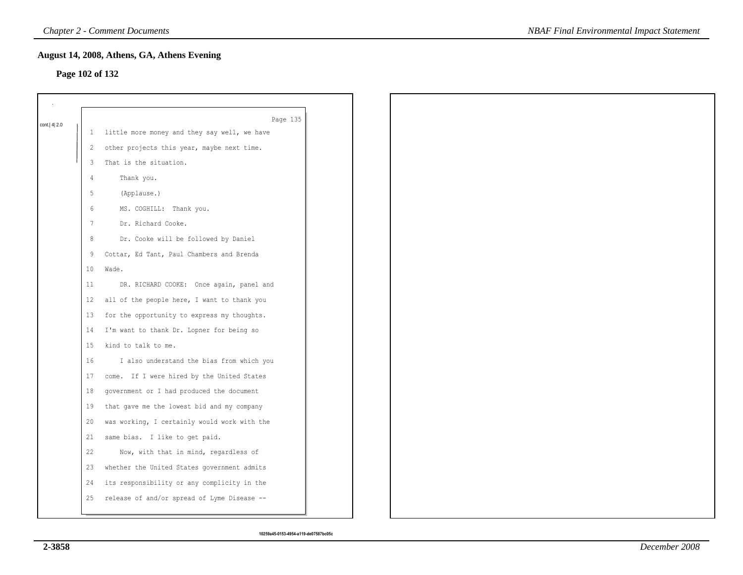# **Page 102 of 132**

|             |                 | Page 135                                     |
|-------------|-----------------|----------------------------------------------|
| cont. 4 2.0 | $\mathbf{1}$    | little more money and they say well, we have |
|             | 2               | other projects this year, maybe next time.   |
|             | 3               | That is the situation.                       |
|             | 4               | Thank you.                                   |
|             | 5               | (Applause.)                                  |
|             | $6\,$           | MS. COGHILL: Thank you.                      |
|             | $7\phantom{.0}$ | Dr. Richard Cooke.                           |
|             | 8               | Dr. Cooke will be followed by Daniel         |
|             | 9               | Cottar, Ed Tant, Paul Chambers and Brenda    |
|             | 10              | Wade.                                        |
|             | 11              | DR. RICHARD COOKE: Once again, panel and     |
|             | 12              | all of the people here, I want to thank you  |
|             | 13              | for the opportunity to express my thoughts.  |
|             | 14              | I'm want to thank Dr. Lopner for being so    |
|             | 15              | kind to talk to me.                          |
|             | 16              | I also understand the bias from which you    |
|             | 17              | come. If I were hired by the United States   |
|             | 18              | government or I had produced the document    |
|             | 19              | that gave me the lowest bid and my company   |
|             | 20              | was working, I certainly would work with the |
|             | 21              | same bias. I like to get paid.               |
|             | 22              | Now, with that in mind, regardless of        |
|             | 23              | whether the United States government admits  |
|             | 24              | its responsibility or any complicity in the  |
|             | 25              | release of and/or spread of Lyme Disease --  |
|             |                 |                                              |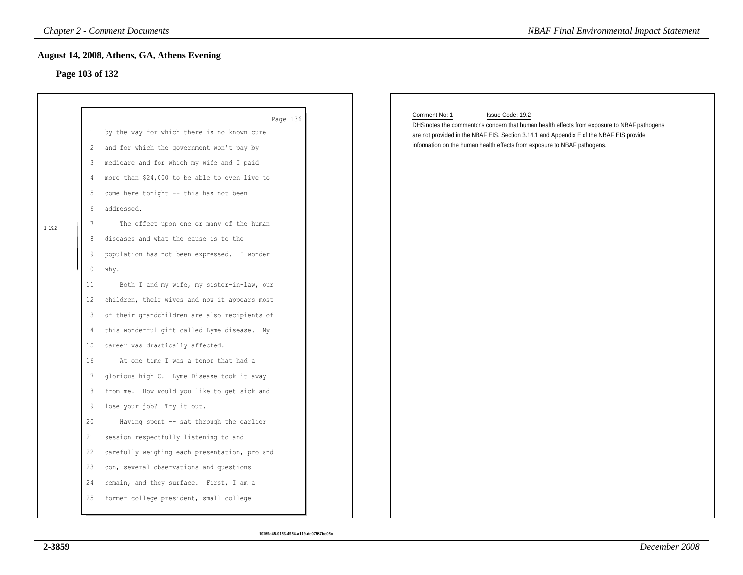# **Page 103 of 132**

|         | <b>Chapter 2 - Comment Documents</b><br>August 14, 2008, Athens, GA, Athens Evening<br>Page 103 of 132                                                                                                                                                                                                                                                                                                                                                                                                                                                                                                                                                                                                                                                                                                                                                                                                                                                                                                                                                                                                                                                                                                                         | <b>NBAF Final Environmental Impact Statement</b>                                                                                                                                                                                                                                                        |
|---------|--------------------------------------------------------------------------------------------------------------------------------------------------------------------------------------------------------------------------------------------------------------------------------------------------------------------------------------------------------------------------------------------------------------------------------------------------------------------------------------------------------------------------------------------------------------------------------------------------------------------------------------------------------------------------------------------------------------------------------------------------------------------------------------------------------------------------------------------------------------------------------------------------------------------------------------------------------------------------------------------------------------------------------------------------------------------------------------------------------------------------------------------------------------------------------------------------------------------------------|---------------------------------------------------------------------------------------------------------------------------------------------------------------------------------------------------------------------------------------------------------------------------------------------------------|
| 1  19.2 | Page 136<br>by the way for which there is no known cure<br>1<br>and for which the government won't pay by<br>2<br>medicare and for which my wife and I paid<br>3<br>more than \$24,000 to be able to even live to<br>4<br>come here tonight -- this has not been<br>5<br>addressed.<br>6<br>The effect upon one or many of the human<br>7<br>diseases and what the cause is to the<br>8<br>population has not been expressed. I wonder<br>9<br>10<br>why.<br>Both I and my wife, my sister-in-law, our<br>11<br>children, their wives and now it appears most<br>12<br>of their grandchildren are also recipients of<br>13<br>this wonderful gift called Lyme disease. My<br>14<br>15<br>career was drastically affected.<br>16<br>At one time I was a tenor that had a<br>glorious high C. Lyme Disease took it away<br>17<br>from me. How would you like to get sick and<br>18<br>lose your job? Try it out.<br>19<br>Having spent -- sat through the earlier<br>20<br>session respectfully listening to and<br>21<br>22<br>carefully weighing each presentation, pro and<br>con, several observations and questions<br>23<br>remain, and they surface. First, I am a<br>24<br>former college president, small college<br>25 | Comment No: 1<br>Issue Code: 19.2<br>DHS notes the commentor's concern that human health effects from exposure to NBAF pathogens<br>are not provided in the NBAF EIS. Section 3.14.1 and Appendix E of the NBAF EIS provide<br>information on the human health effects from exposure to NBAF pathogens. |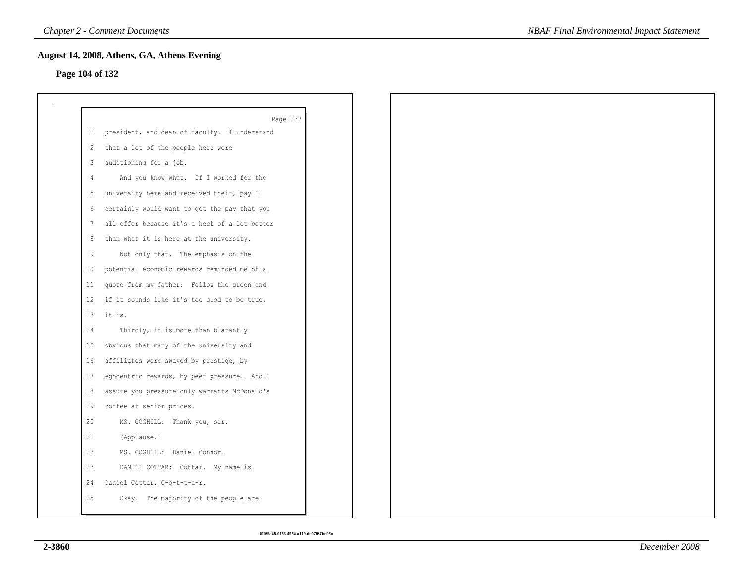# **Page 104 of 132**

|              | Page 137                                      |
|--------------|-----------------------------------------------|
| $\mathbf{1}$ | president, and dean of faculty. I understand  |
| 2            | that a lot of the people here were            |
| 3            | auditioning for a job.                        |
| 4            | And you know what. If I worked for the        |
| 5            | university here and received their, pay I     |
| 6            | certainly would want to get the pay that you  |
| 7            | all offer because it's a heck of a lot better |
| 8            | than what it is here at the university.       |
| 9            | Not only that. The emphasis on the            |
| 10           | potential economic rewards reminded me of a   |
| 11           | quote from my father: Follow the green and    |
| 12           | if it sounds like it's too good to be true,   |
| 13           | it is.                                        |
| 14           | Thirdly, it is more than blatantly            |
| 15           | obvious that many of the university and       |
| 16           | affiliates were swayed by prestige, by        |
| 17           | egocentric rewards, by peer pressure. And I   |
| 18           | assure you pressure only warrants McDonald's  |
| 19           | coffee at senior prices.                      |
| 20           | MS. COGHILL: Thank you, sir.                  |
| 21           | (Applause.)                                   |
| 22           | MS. COGHILL: Daniel Connor.                   |
| 23           | DANIEL COTTAR: Cottar. My name is             |
| 24           | Daniel Cottar, C-o-t-t-a-r.                   |
| 25           | Okay. The majority of the people are          |
|              |                                               |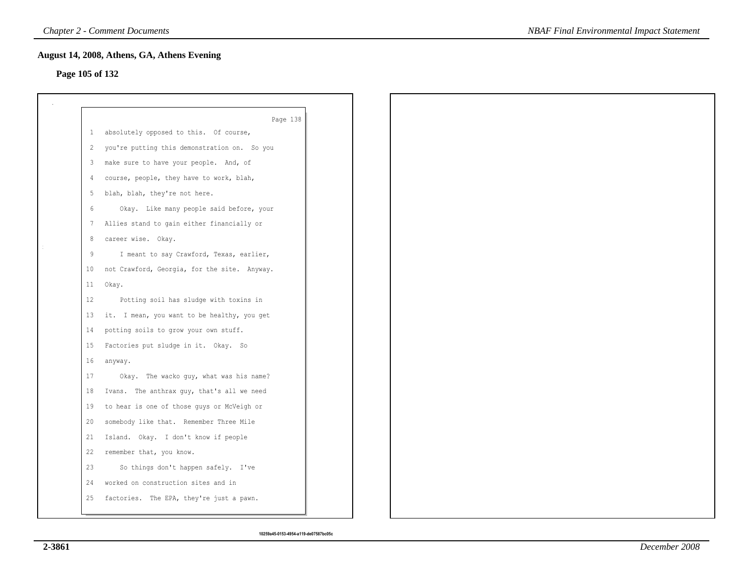# **Page 105 of 132**

|                 | Page 138                                     |
|-----------------|----------------------------------------------|
| $1 \quad$       | absolutely opposed to this. Of course,       |
| 2               | you're putting this demonstration on. So you |
| 3               | make sure to have your people. And, of       |
| 4               | course, people, they have to work, blah,     |
| 5               | blah, blah, they're not here.                |
| 6               | Okay. Like many people said before, your     |
|                 | 7 Allies stand to gain either financially or |
| 8               | career wise. Okay.                           |
| 9               | I meant to say Crawford, Texas, earlier,     |
| 10 <sub>1</sub> | not Crawford, Georgia, for the site. Anyway. |
| 11              | Okay.                                        |
| 12              | Potting soil has sludge with toxins in       |
| 13              | it. I mean, you want to be healthy, you get  |
| 14              | potting soils to grow your own stuff.        |
| 15              | Factories put sludge in it. Okay. So         |
| 16              | anyway.                                      |
| 17              | Okay. The wacko guy, what was his name?      |
| 18              | Ivans. The anthrax guy, that's all we need   |
| 19              | to hear is one of those guys or McVeigh or   |
| 20              | somebody like that. Remember Three Mile      |
| 21              | Island. Okay. I don't know if people         |
| 22              | remember that, you know.                     |
| 23              | So things don't happen safely. I've          |
| 24              | worked on construction sites and in          |
| 25              | factories. The EPA, they're just a pawn.     |
|                 |                                              |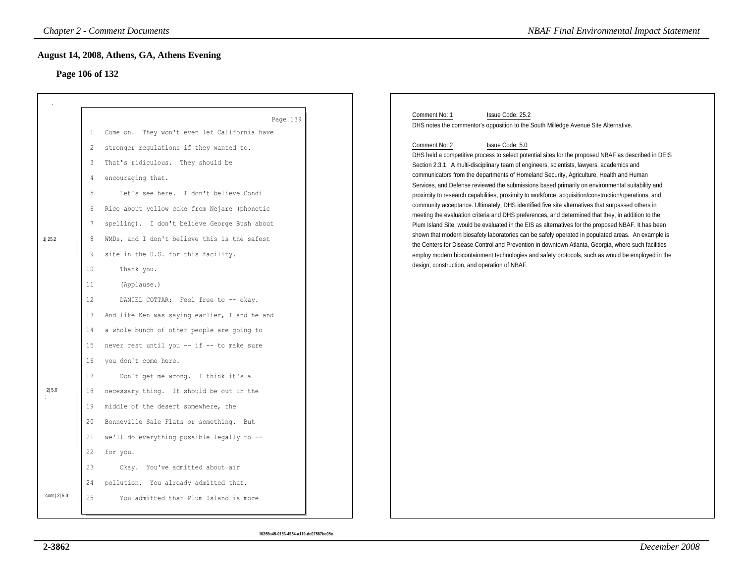# **Page 106 of 132**

|                 | <b>Chapter 2 - Comment Documents</b>                                                                                                                                                                                                                                                                                                                                                                                                    |                                                                                                                                                                                                                                                                                                                                                                                                                                                                                                                                                                                                                                                                                                 | <b>NBAF Final Environmental Impact Statement</b>                                                                                                                                                                                                                                                                                                                                                                                                                                                                                                                                                                                                                                                                                                                                                                                                                                                                                                                                                                                                                                                                                                                                                                                                                                                                                                    |
|-----------------|-----------------------------------------------------------------------------------------------------------------------------------------------------------------------------------------------------------------------------------------------------------------------------------------------------------------------------------------------------------------------------------------------------------------------------------------|-------------------------------------------------------------------------------------------------------------------------------------------------------------------------------------------------------------------------------------------------------------------------------------------------------------------------------------------------------------------------------------------------------------------------------------------------------------------------------------------------------------------------------------------------------------------------------------------------------------------------------------------------------------------------------------------------|-----------------------------------------------------------------------------------------------------------------------------------------------------------------------------------------------------------------------------------------------------------------------------------------------------------------------------------------------------------------------------------------------------------------------------------------------------------------------------------------------------------------------------------------------------------------------------------------------------------------------------------------------------------------------------------------------------------------------------------------------------------------------------------------------------------------------------------------------------------------------------------------------------------------------------------------------------------------------------------------------------------------------------------------------------------------------------------------------------------------------------------------------------------------------------------------------------------------------------------------------------------------------------------------------------------------------------------------------------|
|                 | August 14, 2008, Athens, GA, Athens Evening<br>Page 106 of 132                                                                                                                                                                                                                                                                                                                                                                          |                                                                                                                                                                                                                                                                                                                                                                                                                                                                                                                                                                                                                                                                                                 |                                                                                                                                                                                                                                                                                                                                                                                                                                                                                                                                                                                                                                                                                                                                                                                                                                                                                                                                                                                                                                                                                                                                                                                                                                                                                                                                                     |
| 1 25.2<br>2 5.0 | 1<br>$\overline{c}$<br>That's ridiculous. They should be<br>3<br>encouraging that.<br>4<br>$\mathsf S$<br>6<br>$7\phantom{.0}$<br>8<br>site in the U.S. for this facility.<br>9<br>10<br>Thank you.<br>11<br>(Applause.)<br>12 <sup>°</sup><br>13<br>14<br>15<br>you don't come here.<br>16<br>17<br>18<br>19<br>middle of the desert somewhere, the<br>20<br>21<br>22<br>for you.<br>23<br>24<br>pollution. You already admitted that. | Page 139<br>Come on. They won't even let California have<br>stronger regulations if they wanted to.<br>Let's see here. I don't believe Condi<br>Rice about yellow cake from Nejare (phonetic<br>spelling). I don't believe George Bush about<br>WMDs, and I don't believe this is the safest<br>DANIEL COTTAR: Feel free to -- okay.<br>And like Ken was saying earlier, I and he and<br>a whole bunch of other people are going to<br>never rest until you -- if -- to make sure<br>Don't get me wrong. I think it's a<br>necessary thing. It should be out in the<br>Bonneville Sale Flats or something. But<br>we'll do everything possible legally to --<br>Okay. You've admitted about air | Comment No: 1<br>Issue Code: 25.2<br>DHS notes the commentor's opposition to the South Milledge Avenue Site Alternative.<br>Issue Code: 5.0<br>Comment No: 2<br>DHS held a competitive process to select potential sites for the proposed NBAF as described in DEIS<br>Section 2.3.1. A multi-disciplinary team of engineers, scientists, lawyers, academics and<br>communicators from the departments of Homeland Security, Agriculture, Health and Human<br>Services, and Defense reviewed the submissions based primarily on environmental suitability and<br>proximity to research capabilities, proximity to workforce, acquisition/construction/operations, and<br>community acceptance. Ultimately, DHS identified five site alternatives that surpassed others in<br>meeting the evaluation criteria and DHS preferences, and determined that they, in addition to the<br>Plum Island Site, would be evaluated in the EIS as alternatives for the proposed NBAF. It has been<br>shown that modern biosafety laboratories can be safely operated in populated areas. An example is<br>the Centers for Disease Control and Prevention in downtown Atlanta, Georgia, where such facilities<br>employ modern biocontainment technologies and safety protocols, such as would be employed in the<br>design, construction, and operation of NBAF. |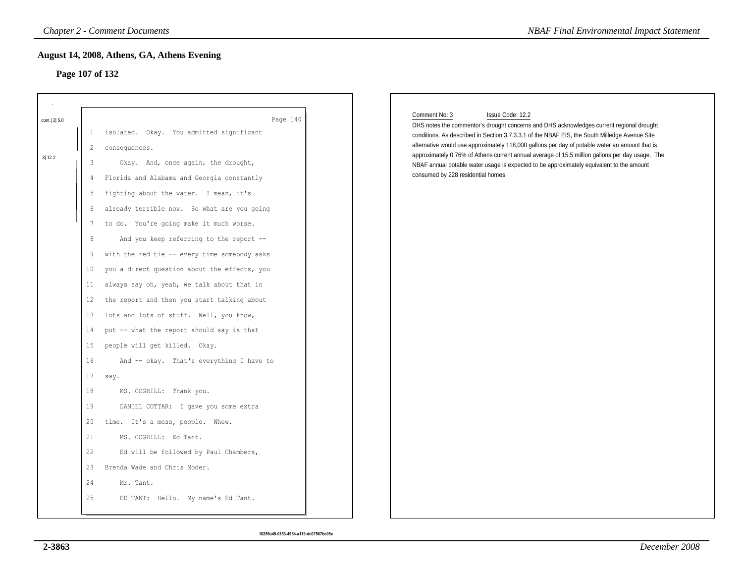# **Page 107 of 132**

|             | <b>Chapter 2 - Comment Documents</b>                                 | <b>NBAF Final Environmental Impact Statement</b>                                                                                                                                                |
|-------------|----------------------------------------------------------------------|-------------------------------------------------------------------------------------------------------------------------------------------------------------------------------------------------|
|             | August 14, 2008, Athens, GA, Athens Evening<br>Page 107 of 132       |                                                                                                                                                                                                 |
|             |                                                                      | Comment No: 3<br>Issue Code: 12.2                                                                                                                                                               |
| cont. 2 5.0 | Page 140<br>isolated. Okay. You admitted significant<br>$\mathbf{1}$ | DHS notes the commentor's drought concerns and DHS acknowledges current regional drought                                                                                                        |
|             | 2<br>consequences.                                                   | conditions. As described in Section 3.7.3.3.1 of the NBAF EIS, the South Milledge Avenue Site<br>alternative would use approximately 118,000 gallons per day of potable water an amount that is |
| 3 12.2      | 3<br>Okay. And, once again, the drought,                             | approximately 0.76% of Athens current annual average of 15.5 million gallons per day usage. The                                                                                                 |
|             | Florida and Alabama and Georgia constantly<br>$\overline{4}$         | NBAF annual potable water usage is expected to be approximately equivalent to the amount<br>consumed by 228 residential homes                                                                   |
|             | fighting about the water. I mean, it's<br>5                          |                                                                                                                                                                                                 |
|             | already terrible now. So what are you going<br>6                     |                                                                                                                                                                                                 |
|             | to do. You're going make it much worse.<br>7                         |                                                                                                                                                                                                 |
|             | 8<br>And you keep referring to the report --                         |                                                                                                                                                                                                 |
|             | with the red tie -- every time somebody asks<br>9                    |                                                                                                                                                                                                 |
|             | you a direct question about the effects, you<br>10                   |                                                                                                                                                                                                 |
|             | always say oh, yeah, we talk about that in<br>11                     |                                                                                                                                                                                                 |
|             | the report and then you start talking about<br>12                    |                                                                                                                                                                                                 |
|             | lots and lots of stuff. Well, you know,<br>13                        |                                                                                                                                                                                                 |
|             | put -- what the report should say is that<br>14                      |                                                                                                                                                                                                 |
|             | people will get killed. Okay.<br>15                                  |                                                                                                                                                                                                 |
|             | 16<br>And -- okay. That's everything I have to                       |                                                                                                                                                                                                 |
|             | 17<br>say.                                                           |                                                                                                                                                                                                 |
|             | 18<br>MS. COGHILL: Thank you.                                        |                                                                                                                                                                                                 |
|             | 19<br>DANIEL COTTAR: I gave you some extra                           |                                                                                                                                                                                                 |
|             | time. It's a mess, people. Whew.<br>20                               |                                                                                                                                                                                                 |
|             | 21<br>MS. COGHILL: Ed Tant.                                          |                                                                                                                                                                                                 |
|             | 22<br>Ed will be followed by Paul Chambers,                          |                                                                                                                                                                                                 |
|             | 23<br>Brenda Wade and Chris Moder.                                   |                                                                                                                                                                                                 |
|             | 24<br>Mr. Tant.                                                      |                                                                                                                                                                                                 |
|             | 25<br>ED TANT: Hello. My name's Ed Tant.                             |                                                                                                                                                                                                 |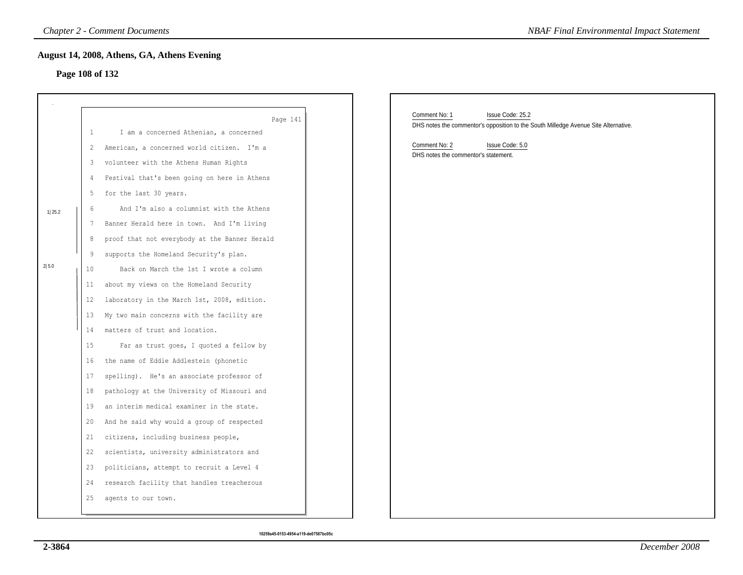# **Page 108 of 132**

|        |    | <b>Chapter 2 - Comment Documents</b>          | <b>NBAF Final Environmental Impact Statement</b>                                                                         |
|--------|----|-----------------------------------------------|--------------------------------------------------------------------------------------------------------------------------|
|        |    | August 14, 2008, Athens, GA, Athens Evening   |                                                                                                                          |
|        |    | Page 108 of 132                               |                                                                                                                          |
|        |    |                                               |                                                                                                                          |
|        |    |                                               |                                                                                                                          |
|        |    | Page 141                                      | Comment No: 1<br>Issue Code: 25.2<br>DHS notes the commentor's opposition to the South Milledge Avenue Site Alternative. |
|        | 1  | I am a concerned Athenian, a concerned        |                                                                                                                          |
|        | 2  | American, a concerned world citizen. I'm a    | Comment No: 2<br>Issue Code: 5.0<br>DHS notes the commentor's statement.                                                 |
|        | 3  | volunteer with the Athens Human Rights        |                                                                                                                          |
|        | 4  | Festival that's been going on here in Athens  |                                                                                                                          |
|        | 5  | for the last 30 years.                        |                                                                                                                          |
| 1 25.2 | 6  | And I'm also a columnist with the Athens      |                                                                                                                          |
|        | 7  | Banner Herald here in town. And I'm living    |                                                                                                                          |
|        | 8  | proof that not everybody at the Banner Herald |                                                                                                                          |
|        | 9  | supports the Homeland Security's plan.        |                                                                                                                          |
| 2 5.0  | 10 | Back on March the 1st I wrote a column        |                                                                                                                          |
|        | 11 | about my views on the Homeland Security       |                                                                                                                          |
|        | 12 | laboratory in the March 1st, 2008, edition.   |                                                                                                                          |
|        | 13 | My two main concerns with the facility are    |                                                                                                                          |
|        | 14 | matters of trust and location.                |                                                                                                                          |
|        | 15 | Far as trust goes, I quoted a fellow by       |                                                                                                                          |
|        | 16 | the name of Eddie Addlestein (phonetic        |                                                                                                                          |
|        | 17 | spelling). He's an associate professor of     |                                                                                                                          |
|        | 18 | pathology at the University of Missouri and   |                                                                                                                          |
|        | 19 | an interim medical examiner in the state.     |                                                                                                                          |
|        | 20 | And he said why would a group of respected    |                                                                                                                          |
|        | 21 | citizens, including business people,          |                                                                                                                          |
|        | 22 | scientists, university administrators and     |                                                                                                                          |
|        | 23 | politicians, attempt to recruit a Level 4     |                                                                                                                          |
|        | 24 | research facility that handles treacherous    |                                                                                                                          |
|        | 25 | agents to our town.                           |                                                                                                                          |
|        |    |                                               |                                                                                                                          |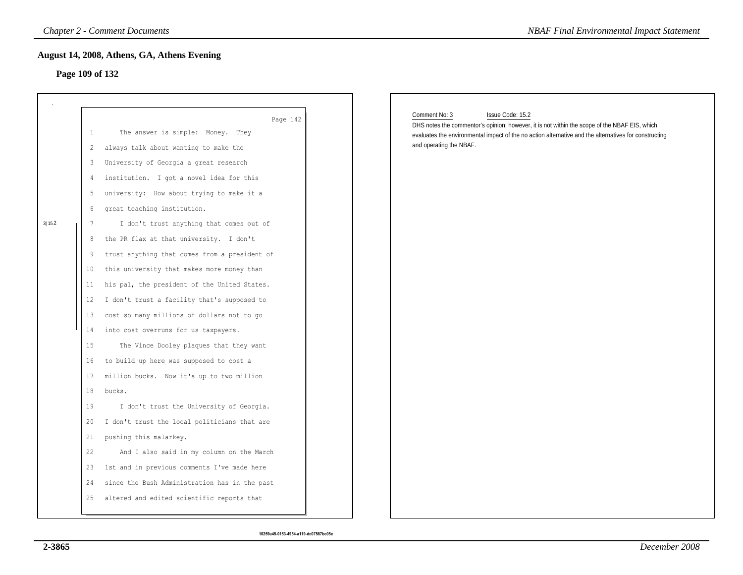# **Page 109 of 132**

|        |                 | <b>Chapter 2 - Comment Documents</b>          | <b>NBAF Final Environmental Impact Statement</b>                                                                                                                                                       |
|--------|-----------------|-----------------------------------------------|--------------------------------------------------------------------------------------------------------------------------------------------------------------------------------------------------------|
|        |                 | August 14, 2008, Athens, GA, Athens Evening   |                                                                                                                                                                                                        |
|        | Page 109 of 132 |                                               |                                                                                                                                                                                                        |
|        |                 |                                               |                                                                                                                                                                                                        |
|        |                 | Page 142                                      | Comment No: 3<br>Issue Code: 15.2                                                                                                                                                                      |
|        | 1               | The answer is simple: Money. They             | DHS notes the commentor's opinion; however, it is not within the scope of the NBAF EIS, which<br>evaluates the environmental impact of the no action alternative and the alternatives for constructing |
|        | $\overline{2}$  | always talk about wanting to make the         | and operating the NBAF.                                                                                                                                                                                |
|        | 3               | University of Georgia a great research        |                                                                                                                                                                                                        |
|        | 4               | institution. I got a novel idea for this      |                                                                                                                                                                                                        |
|        | 5               | university: How about trying to make it a     |                                                                                                                                                                                                        |
|        | 6               | great teaching institution.                   |                                                                                                                                                                                                        |
| 3 15.2 | 7               | I don't trust anything that comes out of      |                                                                                                                                                                                                        |
|        | 8               | the PR flax at that university. I don't       |                                                                                                                                                                                                        |
|        | 9               | trust anything that comes from a president of |                                                                                                                                                                                                        |
|        | 10              | this university that makes more money than    |                                                                                                                                                                                                        |
|        | 11              | his pal, the president of the United States.  |                                                                                                                                                                                                        |
|        | $12 \,$         | I don't trust a facility that's supposed to   |                                                                                                                                                                                                        |
|        | 13              | cost so many millions of dollars not to go    |                                                                                                                                                                                                        |
|        | 14              | into cost overruns for us taxpayers.          |                                                                                                                                                                                                        |
|        | 15              | The Vince Dooley plaques that they want       |                                                                                                                                                                                                        |
|        | 16              | to build up here was supposed to cost a       |                                                                                                                                                                                                        |
|        | 17              | million bucks. Now it's up to two million     |                                                                                                                                                                                                        |
|        | 18              | bucks.                                        |                                                                                                                                                                                                        |
|        | 19              | I don't trust the University of Georgia.      |                                                                                                                                                                                                        |
|        | 20              | I don't trust the local politicians that are  |                                                                                                                                                                                                        |
|        | 21              | pushing this malarkey.                        |                                                                                                                                                                                                        |
|        | 22              | And I also said in my column on the March     |                                                                                                                                                                                                        |
|        | 23              | 1st and in previous comments I've made here   |                                                                                                                                                                                                        |
|        | 24              | since the Bush Administration has in the past |                                                                                                                                                                                                        |
|        | 25              | altered and edited scientific reports that    |                                                                                                                                                                                                        |
|        |                 |                                               |                                                                                                                                                                                                        |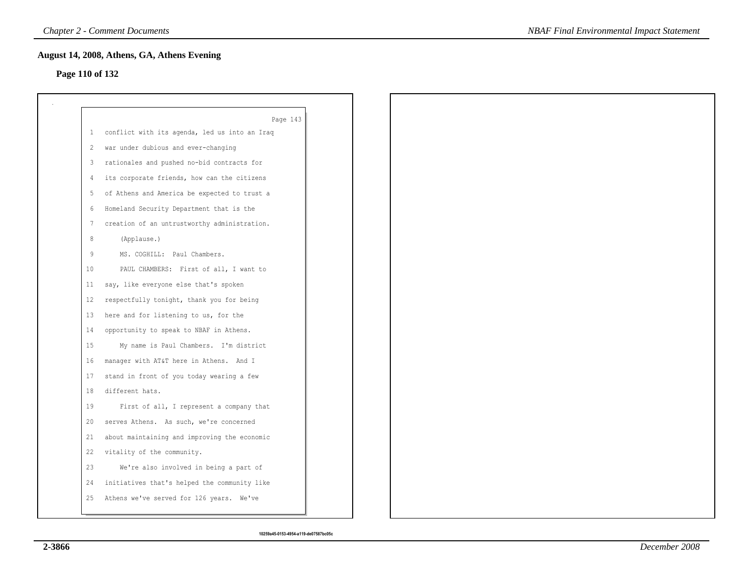# **Page 110 of 132**

|              | Page 143                                      |
|--------------|-----------------------------------------------|
| $\mathbf{1}$ | conflict with its agenda, led us into an Iraq |
| 2            | war under dubious and ever-changing           |
| 3            | rationales and pushed no-bid contracts for    |
| -4           | its corporate friends, how can the citizens   |
| 5            | of Athens and America be expected to trust a  |
| 6            | Homeland Security Department that is the      |
| 7            | creation of an untrustworthy administration.  |
| 8            | (Applause.)                                   |
| 9            | MS. COGHILL: Paul Chambers.                   |
| 10           | PAUL CHAMBERS: First of all, I want to        |
| 11           | say, like everyone else that's spoken         |
| 12           | respectfully tonight, thank you for being     |
| 13           | here and for listening to us, for the         |
| 14           | opportunity to speak to NBAF in Athens.       |
| 15           | My name is Paul Chambers. I'm district        |
| 16           | manager with AT&T here in Athens. And I       |
| 17           | stand in front of you today wearing a few     |
| 18           | different hats.                               |
| 19           | First of all, I represent a company that      |
| 20           | serves Athens. As such, we're concerned       |
| 21           | about maintaining and improving the economic  |
| 22           | vitality of the community.                    |
| 23           | We're also involved in being a part of        |
| 24           | initiatives that's helped the community like  |
| 25           | Athens we've served for 126 years. We've      |
|              |                                               |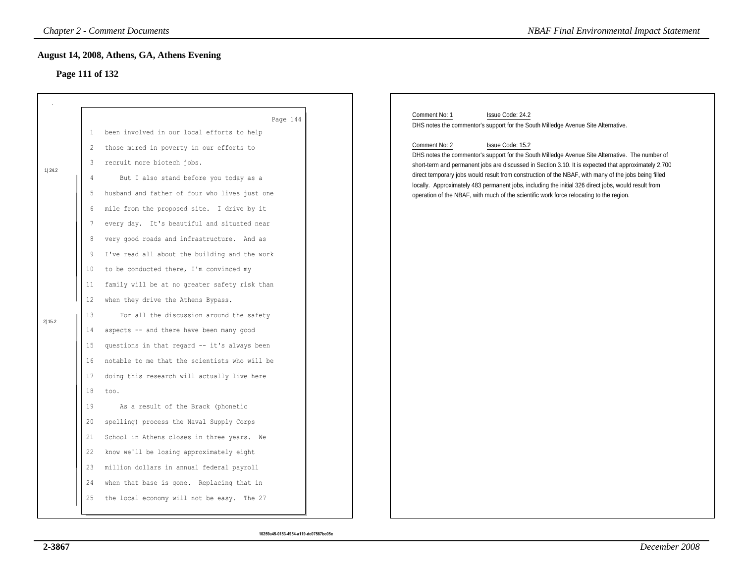# **Page 111 of 132**

|        |                 | <b>Chapter 2 - Comment Documents</b>          | <b>NBAF Final Environmental Impact Statement</b>                                                                                                                                                        |
|--------|-----------------|-----------------------------------------------|---------------------------------------------------------------------------------------------------------------------------------------------------------------------------------------------------------|
|        |                 | August 14, 2008, Athens, GA, Athens Evening   |                                                                                                                                                                                                         |
|        | Page 111 of 132 |                                               |                                                                                                                                                                                                         |
|        |                 |                                               |                                                                                                                                                                                                         |
|        |                 | Page 144                                      | Comment No: 1<br>Issue Code: 24.2                                                                                                                                                                       |
|        | $\mathbf{L}$    | been involved in our local efforts to help    | DHS notes the commentor's support for the South Milledge Avenue Site Alternative.                                                                                                                       |
|        | 2               | those mired in poverty in our efforts to      | Comment No: 2<br>Issue Code: 15.2                                                                                                                                                                       |
|        | 3               | recruit more biotech jobs.                    | DHS notes the commentor's support for the South Milledge Avenue Site Alternative. The number of<br>short-term and permanent jobs are discussed in Section 3.10. It is expected that approximately 2,700 |
| 1 24.2 | 4               | But I also stand before you today as a        | direct temporary jobs would result from construction of the NBAF, with many of the jobs being filled                                                                                                    |
|        | 5               | husband and father of four who lives just one | locally. Approximately 483 permanent jobs, including the initial 326 direct jobs, would result from<br>operation of the NBAF, with much of the scientific work force relocating to the region.          |
|        | 6               | mile from the proposed site. I drive by it    |                                                                                                                                                                                                         |
|        | 7               | every day. It's beautiful and situated near   |                                                                                                                                                                                                         |
|        | 8               | very good roads and infrastructure. And as    |                                                                                                                                                                                                         |
|        | 9               | I've read all about the building and the work |                                                                                                                                                                                                         |
|        | 10              | to be conducted there, I'm convinced my       |                                                                                                                                                                                                         |
|        | 11              | family will be at no greater safety risk than |                                                                                                                                                                                                         |
|        | 12              | when they drive the Athens Bypass.            |                                                                                                                                                                                                         |
| 2 15.2 | 13              | For all the discussion around the safety      |                                                                                                                                                                                                         |
|        | 14              | aspects -- and there have been many good      |                                                                                                                                                                                                         |
|        | 15              | questions in that regard -- it's always been  |                                                                                                                                                                                                         |
|        | 16              | notable to me that the scientists who will be |                                                                                                                                                                                                         |
|        | 17              | doing this research will actually live here   |                                                                                                                                                                                                         |
|        | 18              | too.                                          |                                                                                                                                                                                                         |
|        | 19              | As a result of the Brack (phonetic            |                                                                                                                                                                                                         |
|        | 20              | spelling) process the Naval Supply Corps      |                                                                                                                                                                                                         |
|        | 21              | School in Athens closes in three years. We    |                                                                                                                                                                                                         |
|        | 22              | know we'll be losing approximately eight      |                                                                                                                                                                                                         |
|        | 23              | million dollars in annual federal payroll     |                                                                                                                                                                                                         |
|        | 24              | when that base is gone. Replacing that in     |                                                                                                                                                                                                         |
|        | 25              | the local economy will not be easy. The 27    |                                                                                                                                                                                                         |
|        |                 |                                               |                                                                                                                                                                                                         |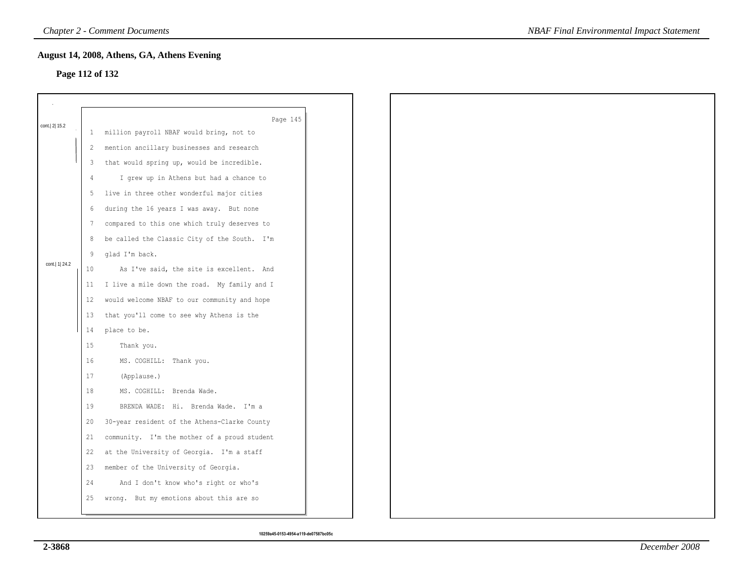### **Page 112 of 132**

|                  |               | August 14, 2008, Athens, GA, Athens Evening  |  |
|------------------|---------------|----------------------------------------------|--|
| Page 112 of 132  |               |                                              |  |
|                  |               |                                              |  |
|                  |               | Page 145                                     |  |
| cont. 2 15.2     | $\mathbf{1}$  | million payroll NBAF would bring, not to     |  |
|                  | 2             | mention ancillary businesses and research    |  |
|                  | 3             | that would spring up, would be incredible.   |  |
|                  | $\frac{4}{3}$ | I grew up in Athens but had a chance to      |  |
|                  | 5             | live in three other wonderful major cities   |  |
|                  | 6             | during the 16 years I was away. But none     |  |
|                  | 7             | compared to this one which truly deserves to |  |
|                  | 8             | be called the Classic City of the South. I'm |  |
|                  | 9             | glad I'm back.                               |  |
| cont.   1   24.2 | 10            | As I've said, the site is excellent. And     |  |
|                  | 11            | I live a mile down the road. My family and I |  |
|                  | 12            | would welcome NBAF to our community and hope |  |
|                  | 13            | that you'll come to see why Athens is the    |  |
|                  | 14            | place to be.                                 |  |
|                  | 15            | Thank you.                                   |  |
|                  | 16            | MS. COGHILL: Thank you.                      |  |
|                  | 17            | (Applause.)                                  |  |
|                  | 18            | MS. COGHILL: Brenda Wade.                    |  |
|                  | 19            | BRENDA WADE: Hi. Brenda Wade. I'm a          |  |
|                  | 20            | 30-year resident of the Athens-Clarke County |  |
|                  | 21            | community. I'm the mother of a proud student |  |
|                  | 22            | at the University of Georgia. I'm a staff    |  |
|                  | 23            | member of the University of Georgia.         |  |
|                  | 24            | And I don't know who's right or who's        |  |
|                  | 25            | wrong. But my emotions about this are so     |  |
|                  |               |                                              |  |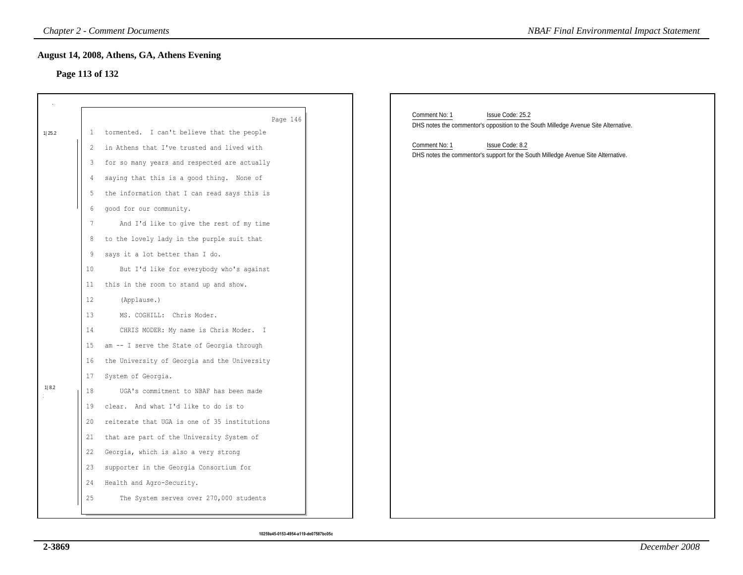# **Page 113 of 132**

|        |                 | <b>Chapter 2 - Comment Documents</b>         | <b>NBAF Final Environmental Impact Statement</b>                                    |
|--------|-----------------|----------------------------------------------|-------------------------------------------------------------------------------------|
|        | Page 113 of 132 | August 14, 2008, Athens, GA, Athens Evening  |                                                                                     |
|        |                 |                                              |                                                                                     |
|        |                 | Page 146                                     | Comment No: 1<br>Issue Code: 25.2                                                   |
| 1 25.2 | $\mathbf{1}$    | tormented. I can't believe that the people   | DHS notes the commentor's opposition to the South Milledge Avenue Site Alternative. |
|        | 2               | in Athens that I've trusted and lived with   | Comment No: 1<br>Issue Code: 8.2                                                    |
|        | 3               | for so many years and respected are actually | DHS notes the commentor's support for the South Milledge Avenue Site Alternative.   |
|        | 4               | saying that this is a good thing. None of    |                                                                                     |
|        | 5               | the information that I can read says this is |                                                                                     |
|        | 6               | good for our community.                      |                                                                                     |
|        | $7\phantom{.0}$ | And I'd like to give the rest of my time     |                                                                                     |
|        | 8               | to the lovely lady in the purple suit that   |                                                                                     |
|        | 9               | says it a lot better than I do.              |                                                                                     |
|        | 10              | But I'd like for everybody who's against     |                                                                                     |
|        | 11              | this in the room to stand up and show.       |                                                                                     |
|        | 12              | (Applause.)                                  |                                                                                     |
|        | 13              | MS. COGHILL: Chris Moder.                    |                                                                                     |
|        | 14              | CHRIS MODER: My name is Chris Moder. I       |                                                                                     |
|        | 15              | am -- I serve the State of Georgia through   |                                                                                     |
|        | 16              | the University of Georgia and the University |                                                                                     |
|        | 17              | System of Georgia.                           |                                                                                     |
| 1 8.2  | 18              | UGA's commitment to NBAF has been made       |                                                                                     |
|        | 19              | clear. And what I'd like to do is to         |                                                                                     |
|        | 20              | reiterate that UGA is one of 35 institutions |                                                                                     |
|        | 21              | that are part of the University System of    |                                                                                     |
|        | 22              | Georgia, which is also a very strong         |                                                                                     |
|        | 23              | supporter in the Georgia Consortium for      |                                                                                     |
|        | 24              | Health and Agro-Security.                    |                                                                                     |
|        | 25              | The System serves over 270,000 students      |                                                                                     |
|        |                 |                                              |                                                                                     |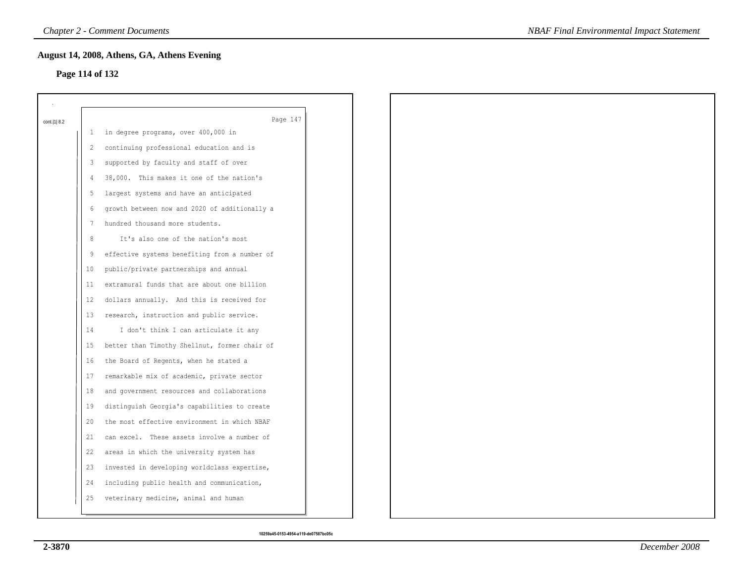### **Page 114 of 132**

| cont.   1   8.2 |         | Page 147                                      |
|-----------------|---------|-----------------------------------------------|
|                 | 1       | in degree programs, over 400,000 in           |
|                 | 2       | continuing professional education and is      |
|                 | 3       | supported by faculty and staff of over        |
|                 | 4       | 38,000. This makes it one of the nation's     |
|                 | 5       | largest systems and have an anticipated       |
|                 | 6       | growth between now and 2020 of additionally a |
|                 | 7       | hundred thousand more students.               |
|                 | 8       | It's also one of the nation's most            |
|                 | 9       | effective systems benefiting from a number of |
|                 | $10\,$  | public/private partnerships and annual        |
|                 | 11      | extramural funds that are about one billion   |
|                 | $12 \,$ | dollars annually. And this is received for    |
|                 | 13      | research, instruction and public service.     |
|                 | 14      | I don't think I can articulate it any         |
|                 | 15      | better than Timothy Shellnut, former chair of |
|                 | 16      | the Board of Regents, when he stated a        |
|                 | 17      | remarkable mix of academic, private sector    |
|                 | 18      | and government resources and collaborations   |
|                 | 19      | distinguish Georgia's capabilities to create  |
|                 | 20      | the most effective environment in which NBAF  |
|                 | 21      | can excel. These assets involve a number of   |
|                 | 22      | areas in which the university system has      |
|                 | 23      | invested in developing worldclass expertise,  |
|                 | 24      | including public health and communication,    |
|                 | 25      | veterinary medicine, animal and human         |
|                 |         |                                               |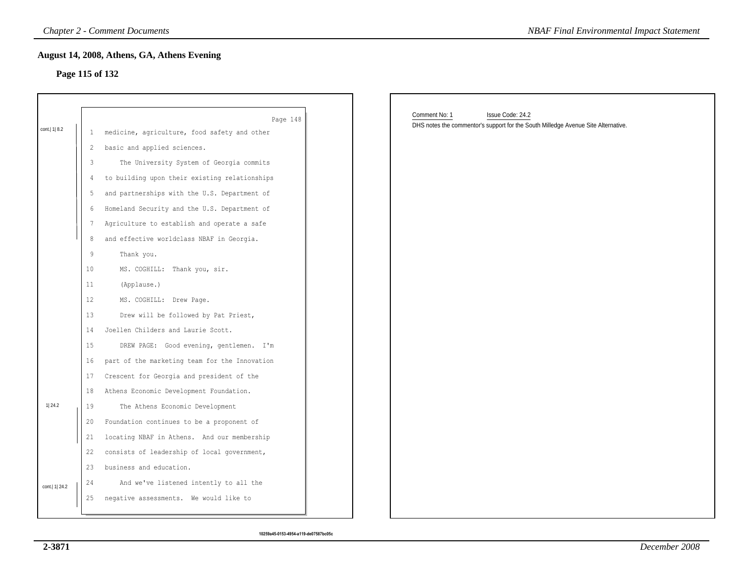# **Page 115 of 132**

|                  |                 | <b>Chapter 2 - Comment Documents</b>                     | <b>NBAF Final Environmental Impact Statement</b>                                  |
|------------------|-----------------|----------------------------------------------------------|-----------------------------------------------------------------------------------|
|                  |                 | August 14, 2008, Athens, GA, Athens Evening              |                                                                                   |
| Page 115 of 132  |                 |                                                          |                                                                                   |
|                  |                 |                                                          | Comment No: 1<br>Issue Code: 24.2                                                 |
| cont.  1  8.2    | $\mathbf{1}$    | Page 148<br>medicine, agriculture, food safety and other | DHS notes the commentor's support for the South Milledge Avenue Site Alternative. |
|                  | 2               | basic and applied sciences.                              |                                                                                   |
|                  | 3               | The University System of Georgia commits                 |                                                                                   |
|                  | 4               | to building upon their existing relationships            |                                                                                   |
|                  | 5               | and partnerships with the U.S. Department of             |                                                                                   |
|                  | 6               | Homeland Security and the U.S. Department of             |                                                                                   |
|                  | $7\phantom{.0}$ | Agriculture to establish and operate a safe              |                                                                                   |
|                  | 8               | and effective worldclass NBAF in Georgia.                |                                                                                   |
|                  | $\overline{9}$  | Thank you.                                               |                                                                                   |
|                  | 10              | MS. COGHILL: Thank you, sir.                             |                                                                                   |
|                  | 11              | (Applause.)                                              |                                                                                   |
|                  | 12              | MS. COGHILL: Drew Page.                                  |                                                                                   |
|                  | 13              | Drew will be followed by Pat Priest,                     |                                                                                   |
|                  | 14              | Joellen Childers and Laurie Scott.                       |                                                                                   |
|                  | 15              | DREW PAGE: Good evening, gentlemen. I'm                  |                                                                                   |
|                  | 16              | part of the marketing team for the Innovation            |                                                                                   |
|                  | 17              | Crescent for Georgia and president of the                |                                                                                   |
|                  | 18              | Athens Economic Development Foundation.                  |                                                                                   |
| 1 24.2           | 19              | The Athens Economic Development                          |                                                                                   |
|                  | 20              | Foundation continues to be a proponent of                |                                                                                   |
|                  | 21              | locating NBAF in Athens. And our membership              |                                                                                   |
|                  | 22              | consists of leadership of local government,              |                                                                                   |
|                  | 23              | business and education.                                  |                                                                                   |
| cont.   1   24.2 | 24              | And we've listened intently to all the                   |                                                                                   |
|                  | 25              | negative assessments. We would like to                   |                                                                                   |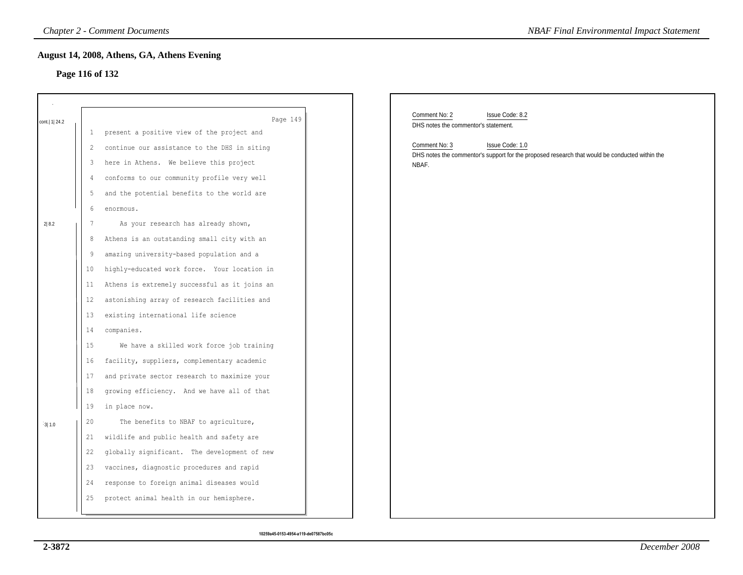# **Page 116 of 132**

|                  |                 | <b>Chapter 2 - Comment Documents</b>          | <b>NBAF Final Environmental Impact Statement</b>                                                        |
|------------------|-----------------|-----------------------------------------------|---------------------------------------------------------------------------------------------------------|
|                  |                 | August 14, 2008, Athens, GA, Athens Evening   |                                                                                                         |
|                  |                 | Page 116 of 132                               |                                                                                                         |
|                  |                 |                                               |                                                                                                         |
|                  |                 | Page 149                                      | Comment No: 2<br>Issue Code: 8.2                                                                        |
| cont.   1   24.2 | 1               | present a positive view of the project and    | DHS notes the commentor's statement.                                                                    |
|                  | 2               | continue our assistance to the DHS in siting  | Comment No: 3<br>Issue Code: 1.0                                                                        |
|                  | 3               | here in Athens. We believe this project       | DHS notes the commentor's support for the proposed research that would be conducted within the<br>NBAF. |
|                  | 4               | conforms to our community profile very well   |                                                                                                         |
|                  | 5               | and the potential benefits to the world are   |                                                                                                         |
|                  | 6               | enormous.                                     |                                                                                                         |
| 2 8.2            | 7               | As your research has already shown,           |                                                                                                         |
|                  | 8               | Athens is an outstanding small city with an   |                                                                                                         |
|                  | 9               | amazing university-based population and a     |                                                                                                         |
|                  | 10 <sub>o</sub> | highly-educated work force. Your location in  |                                                                                                         |
|                  | 11              | Athens is extremely successful as it joins an |                                                                                                         |
|                  | 12              | astonishing array of research facilities and  |                                                                                                         |
|                  | 13              | existing international life science           |                                                                                                         |
|                  | 14              | companies.                                    |                                                                                                         |
|                  | 15              | We have a skilled work force job training     |                                                                                                         |
|                  | 16              | facility, suppliers, complementary academic   |                                                                                                         |
|                  | 17              | and private sector research to maximize your  |                                                                                                         |
|                  | 18              | growing efficiency. And we have all of that   |                                                                                                         |
|                  | 19              | in place now.                                 |                                                                                                         |
| 3 1.0            | 20              | The benefits to NBAF to agriculture,          |                                                                                                         |
|                  | 21              | wildlife and public health and safety are     |                                                                                                         |
|                  | 22              | globally significant. The development of new  |                                                                                                         |
|                  | 23              | vaccines, diagnostic procedures and rapid     |                                                                                                         |
|                  | 24              | response to foreign animal diseases would     |                                                                                                         |
|                  | 25              | protect animal health in our hemisphere.      |                                                                                                         |
|                  |                 |                                               |                                                                                                         |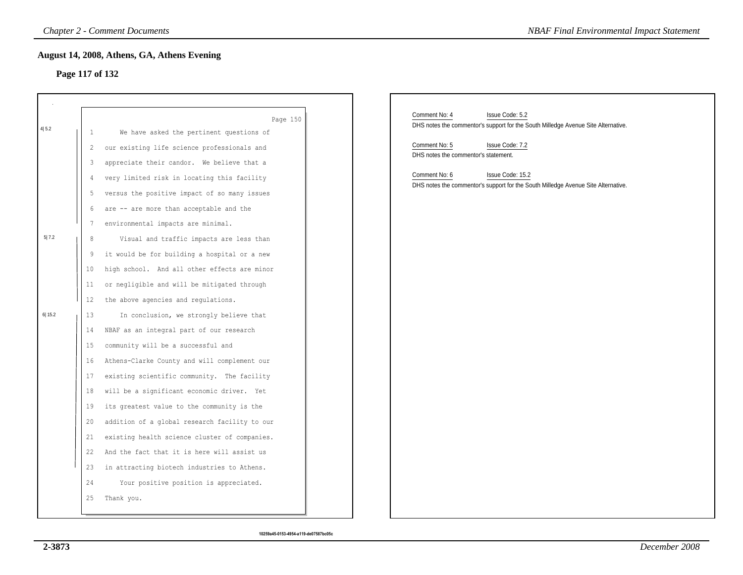### **Page 117 of 132**

|        |                 | <b>Chapter 2 - Comment Documents</b>                 | <b>NBAF Final Environmental Impact Statement</b>                                  |  |
|--------|-----------------|------------------------------------------------------|-----------------------------------------------------------------------------------|--|
|        |                 | August 14, 2008, Athens, GA, Athens Evening          |                                                                                   |  |
|        | Page 117 of 132 |                                                      |                                                                                   |  |
|        |                 |                                                      |                                                                                   |  |
|        |                 |                                                      | Comment No: 4<br>Issue Code: 5.2                                                  |  |
| 4 5.2  |                 | Page 150<br>We have asked the pertinent questions of | DHS notes the commentor's support for the South Milledge Avenue Site Alternative. |  |
|        | 2               | our existing life science professionals and          | Comment No: 5<br>Issue Code: 7.2                                                  |  |
|        | 3               | appreciate their candor. We believe that a           | DHS notes the commentor's statement.                                              |  |
|        | 4               | very limited risk in locating this facility          | Comment No: 6<br>Issue Code: 15.2                                                 |  |
|        | 5               | versus the positive impact of so many issues         | DHS notes the commentor's support for the South Milledge Avenue Site Alternative. |  |
|        | 6               | are -- are more than acceptable and the              |                                                                                   |  |
|        | 7               | environmental impacts are minimal.                   |                                                                                   |  |
| 5 7.2  | 8               | Visual and traffic impacts are less than             |                                                                                   |  |
|        | 9               | it would be for building a hospital or a new         |                                                                                   |  |
|        | 10              | high school. And all other effects are minor         |                                                                                   |  |
|        | 11              | or negligible and will be mitigated through          |                                                                                   |  |
|        | 12              | the above agencies and regulations.                  |                                                                                   |  |
| 6 15.2 | 13              | In conclusion, we strongly believe that              |                                                                                   |  |
|        | 14              | NBAF as an integral part of our research             |                                                                                   |  |
|        | 15              | community will be a successful and                   |                                                                                   |  |
|        | 16              | Athens-Clarke County and will complement our         |                                                                                   |  |
|        | 17              | existing scientific community. The facility          |                                                                                   |  |
|        | 18              | will be a significant economic driver. Yet           |                                                                                   |  |
|        | 19              | its greatest value to the community is the           |                                                                                   |  |
|        | 20              | addition of a global research facility to our        |                                                                                   |  |
|        | 21              | existing health science cluster of companies.        |                                                                                   |  |
|        | 22              | And the fact that it is here will assist us          |                                                                                   |  |
|        | 23              | in attracting biotech industries to Athens.          |                                                                                   |  |
|        | 24              | Your positive position is appreciated.               |                                                                                   |  |
|        | 25              | Thank you.                                           |                                                                                   |  |
|        |                 |                                                      |                                                                                   |  |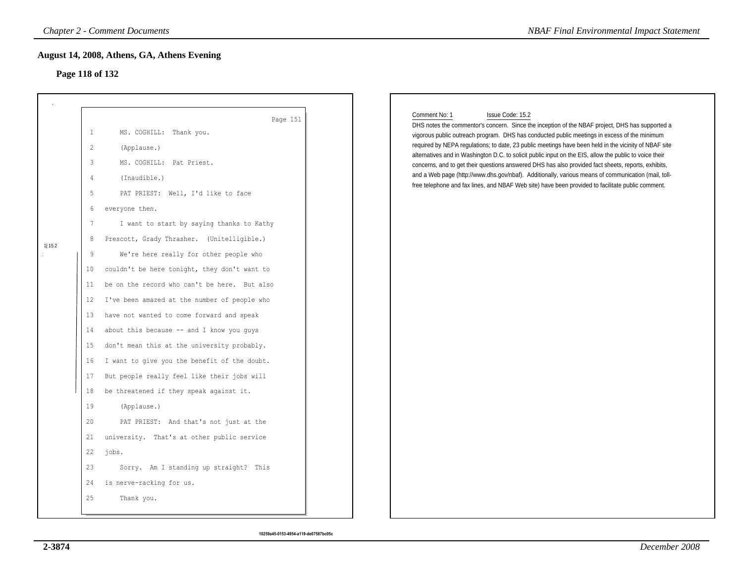# **Page 118 of 132**

|         | August 14, 2008, Athens, GA, Athens Evening<br>Page 118 of 132                                                                                                                                                                                                                                                                                                                                                                                                                                                                                                                                                          |                                                                                                                                                                                                                                                                                                                                                                                                                                                                                                                                                                                                                                                                                                                                                                             |
|---------|-------------------------------------------------------------------------------------------------------------------------------------------------------------------------------------------------------------------------------------------------------------------------------------------------------------------------------------------------------------------------------------------------------------------------------------------------------------------------------------------------------------------------------------------------------------------------------------------------------------------------|-----------------------------------------------------------------------------------------------------------------------------------------------------------------------------------------------------------------------------------------------------------------------------------------------------------------------------------------------------------------------------------------------------------------------------------------------------------------------------------------------------------------------------------------------------------------------------------------------------------------------------------------------------------------------------------------------------------------------------------------------------------------------------|
|         |                                                                                                                                                                                                                                                                                                                                                                                                                                                                                                                                                                                                                         |                                                                                                                                                                                                                                                                                                                                                                                                                                                                                                                                                                                                                                                                                                                                                                             |
| 11 15.2 | Page 151<br>$\mathbf{1}$<br>MS. COGHILL: Thank you.<br>$\overline{c}$<br>(Applause.)<br>$\mathfrak{Z}$<br>MS. COGHILL: Pat Priest.<br>(Inaudible.)<br>4<br>5<br>PAT PRIEST: Well, I'd like to face<br>6<br>everyone then.<br>$7\phantom{.0}$<br>I want to start by saying thanks to Kathy<br>8<br>Prescott, Grady Thrasher. (Unitelligible.)<br>9<br>We're here really for other people who<br>couldn't be here tonight, they don't want to<br>10<br>be on the record who can't be here. But also<br>11                                                                                                                 | Comment No: 1<br>Issue Code: 15.2<br>DHS notes the commentor's concern. Since the inception of the NBAF project, DHS has supported a<br>vigorous public outreach program. DHS has conducted public meetings in excess of the minimum<br>required by NEPA regulations; to date, 23 public meetings have been held in the vicinity of NBAF site<br>alternatives and in Washington D.C. to solicit public input on the EIS, allow the public to voice their<br>concerns, and to get their questions answered DHS has also provided fact sheets, reports, exhibits,<br>and a Web page (http://www.dhs.gov/nbaf). Additionally, various means of communication (mail, toll-<br>free telephone and fax lines, and NBAF Web site) have been provided to facilitate public comment. |
|         | I've been amazed at the number of people who<br>12<br>have not wanted to come forward and speak<br>13<br>about this because -- and I know you guys<br>14<br>don't mean this at the university probably.<br>15<br>I want to give you the benefit of the doubt.<br>16<br>But people really feel like their jobs will<br>17<br>be threatened if they speak against it.<br>18<br>19<br>(Applause.)<br>20<br>PAT PRIEST: And that's not just at the<br>university. That's at other public service<br>21<br>22<br>jobs.<br>23<br>Sorry. Am I standing up straight? This<br>is nerve-racking for us.<br>24<br>25<br>Thank you. |                                                                                                                                                                                                                                                                                                                                                                                                                                                                                                                                                                                                                                                                                                                                                                             |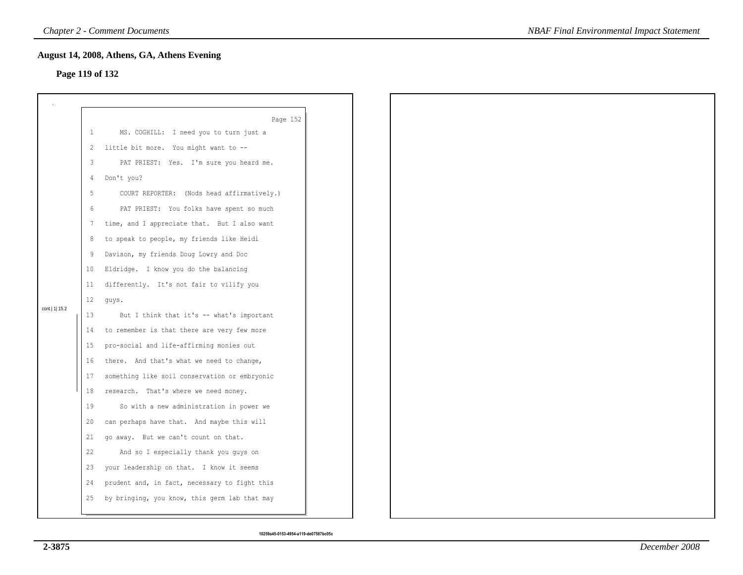# **Page 119 of 132**

|                 |    | August 14, 2008, Athens, GA, Athens Evening   |  |
|-----------------|----|-----------------------------------------------|--|
| Page 119 of 132 |    |                                               |  |
|                 |    |                                               |  |
|                 |    |                                               |  |
|                 |    | Page 152                                      |  |
|                 | 1  | MS. COGHILL: I need you to turn just a        |  |
|                 | 2  | little bit more. You might want to --         |  |
|                 | 3  | PAT PRIEST: Yes. I'm sure you heard me.       |  |
|                 | 4  | Don't you?                                    |  |
|                 | 5  | COURT REPORTER: (Nods head affirmatively.)    |  |
|                 | 6  | PAT PRIEST: You folks have spent so much      |  |
|                 | 7  | time, and I appreciate that. But I also want  |  |
|                 | 8  | to speak to people, my friends like Heidi     |  |
|                 | 9  | Davison, my friends Doug Lowry and Doc        |  |
|                 | 10 | Eldridge. I know you do the balancing         |  |
|                 | 11 | differently. It's not fair to vilify you      |  |
|                 | 12 | guys.                                         |  |
| cont.   1  15.2 | 13 | But I think that it's -- what's important     |  |
|                 | 14 | to remember is that there are very few more   |  |
|                 | 15 | pro-social and life-affirming monies out      |  |
|                 | 16 | there. And that's what we need to change,     |  |
|                 | 17 | something like soil conservation or embryonic |  |
|                 | 18 | research. That's where we need money.         |  |
|                 | 19 | So with a new administration in power we      |  |
|                 | 20 | can perhaps have that. And maybe this will    |  |
|                 | 21 | go away. But we can't count on that.          |  |
|                 | 22 | And so I especially thank you guys on         |  |
|                 | 23 | your leadership on that. I know it seems      |  |
|                 | 24 | prudent and, in fact, necessary to fight this |  |
|                 | 25 | by bringing, you know, this germ lab that may |  |
|                 |    |                                               |  |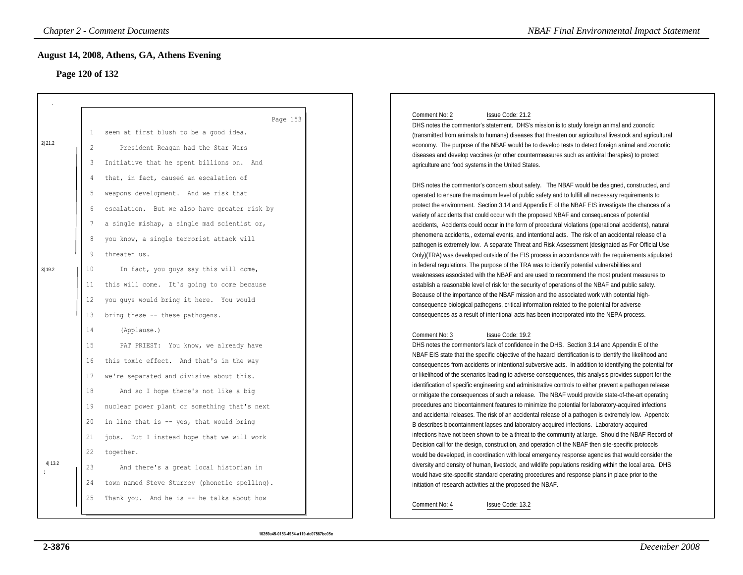# **Page 120 of 132**

|        |                 | <b>Chapter 2 - Comment Documents</b>          | <b>NBAF Final Environmental Impact Statement</b>                                                                                                                                                                   |
|--------|-----------------|-----------------------------------------------|--------------------------------------------------------------------------------------------------------------------------------------------------------------------------------------------------------------------|
|        |                 | August 14, 2008, Athens, GA, Athens Evening   |                                                                                                                                                                                                                    |
|        | Page 120 of 132 |                                               |                                                                                                                                                                                                                    |
|        |                 |                                               |                                                                                                                                                                                                                    |
|        |                 | Page 153                                      | Comment No: 2<br>Issue Code: 21.2<br>DHS notes the commentor's statement. DHS's mission is to study foreign animal and zoonotic                                                                                    |
|        | 1               | seem at first blush to be a good idea.        | (transmitted from animals to humans) diseases that threaten our agricultural livestock and agricultural                                                                                                            |
| 2 21.2 | 2               | President Reagan had the Star Wars            | economy. The purpose of the NBAF would be to develop tests to detect foreign animal and zoonotic                                                                                                                   |
|        | 3               | Initiative that he spent billions on. And     | diseases and develop vaccines (or other countermeasures such as antiviral therapies) to protect<br>agriculture and food systems in the United States.                                                              |
|        | $\overline{4}$  | that, in fact, caused an escalation of        |                                                                                                                                                                                                                    |
|        | 5               | weapons development. And we risk that         | DHS notes the commentor's concern about safety. The NBAF would be designed, constructed, and<br>operated to ensure the maximum level of public safety and to fulfill all necessary requirements to                 |
|        | 6               | escalation. But we also have greater risk by  | protect the environment. Section 3.14 and Appendix E of the NBAF EIS investigate the chances of a                                                                                                                  |
|        |                 |                                               | variety of accidents that could occur with the proposed NBAF and consequences of potential                                                                                                                         |
|        | 7               | a single mishap, a single mad scientist or,   | accidents, Accidents could occur in the form of procedural violations (operational accidents), natural                                                                                                             |
|        | 8               | you know, a single terrorist attack will      | phenomena accidents,, external events, and intentional acts. The risk of an accidental release of a                                                                                                                |
|        | 9               | threaten us.                                  | pathogen is extremely low. A separate Threat and Risk Assessment (designated as For Official Use<br>Only)(TRA) was developed outside of the EIS process in accordance with the requirements stipulated             |
|        |                 |                                               | in federal regulations. The purpose of the TRA was to identify potential vulnerabilities and                                                                                                                       |
| 3 19.2 | 10              | In fact, you guys say this will come,         | weaknesses associated with the NBAF and are used to recommend the most prudent measures to                                                                                                                         |
|        | 11              | this will come. It's going to come because    | establish a reasonable level of risk for the security of operations of the NBAF and public safety.                                                                                                                 |
|        | 12              | you guys would bring it here. You would       | Because of the importance of the NBAF mission and the associated work with potential high-                                                                                                                         |
|        | 13              | bring these -- these pathogens.               | consequence biological pathogens, critical information related to the potential for adverse<br>consequences as a result of intentional acts has been incorporated into the NEPA process.                           |
|        |                 |                                               |                                                                                                                                                                                                                    |
|        | 14              | (Applause.)                                   | Comment No: 3<br>Issue Code: 19.2                                                                                                                                                                                  |
|        | 15              | PAT PRIEST: You know, we already have         | DHS notes the commentor's lack of confidence in the DHS. Section 3.14 and Appendix E of the                                                                                                                        |
|        | 16              | this toxic effect. And that's in the way      | NBAF EIS state that the specific objective of the hazard identification is to identify the likelihood and                                                                                                          |
|        | 17              | we're separated and divisive about this.      | consequences from accidents or intentional subversive acts. In addition to identifying the potential for<br>or likelihood of the scenarios leading to adverse consequences, this analysis provides support for the |
|        |                 |                                               | identification of specific engineering and administrative controls to either prevent a pathogen release                                                                                                            |
|        | 18              | And so I hope there's not like a big          | or mitigate the consequences of such a release. The NBAF would provide state-of-the-art operating                                                                                                                  |
|        | 19              | nuclear power plant or something that's next  | procedures and biocontainment features to minimize the potential for laboratory-acquired infections                                                                                                                |
|        | 20              | in line that is -- yes, that would bring      | and accidental releases. The risk of an accidental release of a pathogen is extremely low. Appendix<br>B describes biocontainment lapses and laboratory acquired infections. Laboratory-acquired                   |
|        | 21              | jobs. But I instead hope that we will work    | infections have not been shown to be a threat to the community at large. Should the NBAF Record of                                                                                                                 |
|        |                 |                                               | Decision call for the design, construction, and operation of the NBAF then site-specific protocols                                                                                                                 |
| 4 13.2 | 22              | together.                                     | would be developed, in coordination with local emergency response agencies that would consider the                                                                                                                 |
|        | 23              | And there's a great local historian in        | diversity and density of human, livestock, and wildlife populations residing within the local area. DHS<br>would have site-specific standard operating procedures and response plans in place prior to the         |
|        | 24              | town named Steve Sturrey (phonetic spelling). | initiation of research activities at the proposed the NBAF.                                                                                                                                                        |
|        | 25              | Thank you. And he is -- he talks about how    | Issue Code: 13.2<br>Comment No: 4                                                                                                                                                                                  |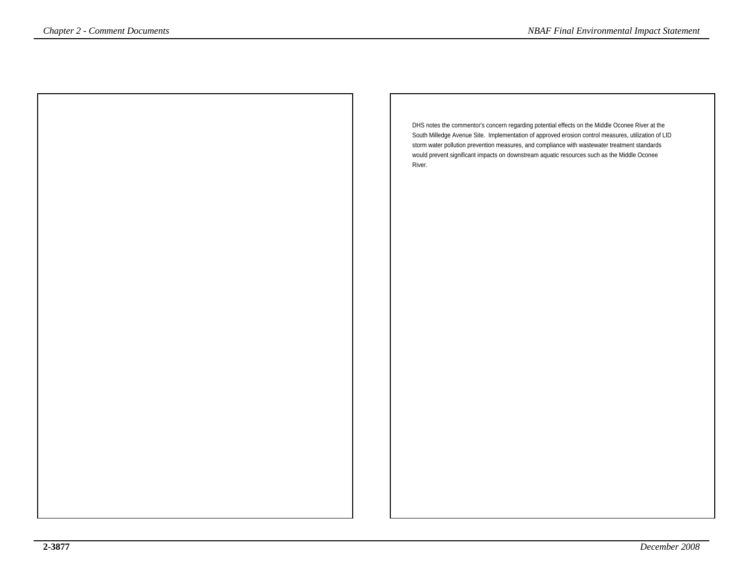DHS notes the commentor's concern regarding potential effects on the Middle Oconee River at the South Milledge Avenue Site. Implementation of approved erosion control measures, utilization of LIDstorm water pollution prevention measures, and compliance with wastewater treatment standards would prevent significant impacts on downstream aquatic resources such as the Middle OconeeRiver. *Comment Documents*<br>
DHS notes the commentor's concern regarding potential effects on the Middle Oconee River at the<br>
South Milledge Avenue Site. Implementation of approved erosion control measures, will cation of L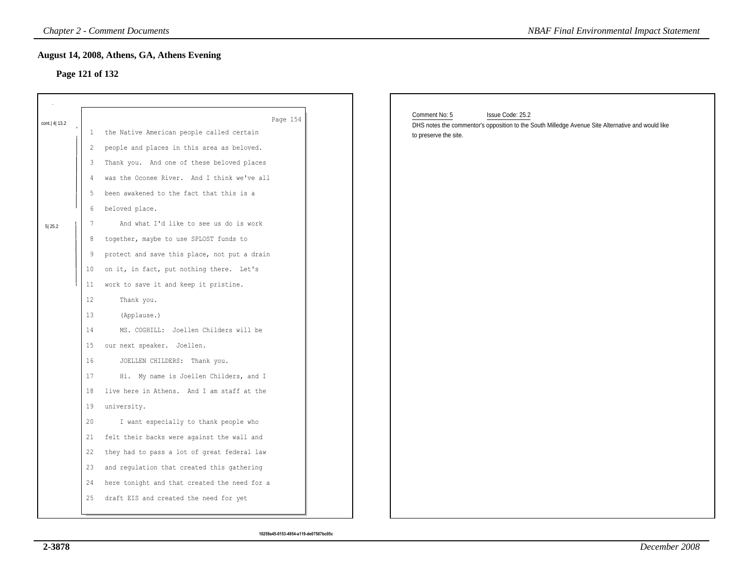### **Page 121 of 132**

|              |                 | August 14, 2008, Athens, GA, Athens Evening<br>Page 121 of 132 | <b>NBAF Final Environmental Impact Statement</b>                                                                                                                |
|--------------|-----------------|----------------------------------------------------------------|-----------------------------------------------------------------------------------------------------------------------------------------------------------------|
|              |                 |                                                                |                                                                                                                                                                 |
| cont. 4 13.2 | $\perp$         | Page 154<br>the Native American people called certain          | Comment No: 5<br>Issue Code: 25.2<br>DHS notes the commentor's opposition to the South Milledge Avenue Site Alternative and would like<br>to preserve the site. |
|              | 2               | people and places in this area as beloved.                     |                                                                                                                                                                 |
|              | 3               | Thank you. And one of these beloved places                     |                                                                                                                                                                 |
|              | 4               | was the Oconee River. And I think we've all                    |                                                                                                                                                                 |
|              | 5               | been awakened to the fact that this is a                       |                                                                                                                                                                 |
|              | 6               | beloved place.                                                 |                                                                                                                                                                 |
| 5 25.2       | 7               | And what I'd like to see us do is work                         |                                                                                                                                                                 |
|              | 8               | together, maybe to use SPLOST funds to                         |                                                                                                                                                                 |
|              | 9               | protect and save this place, not put a drain                   |                                                                                                                                                                 |
|              | 10 <sup>°</sup> | on it, in fact, put nothing there. Let's                       |                                                                                                                                                                 |
|              | 11              | work to save it and keep it pristine.                          |                                                                                                                                                                 |
|              | 12              | Thank you.                                                     |                                                                                                                                                                 |
|              | 13              | (Applause.)                                                    |                                                                                                                                                                 |
|              | 14              | MS. COGHILL: Joellen Childers will be                          |                                                                                                                                                                 |
|              | 15              | our next speaker. Joellen.                                     |                                                                                                                                                                 |
|              | 16              | JOELLEN CHILDERS: Thank you.                                   |                                                                                                                                                                 |
|              | 17              | Hi. My name is Joellen Childers, and I                         |                                                                                                                                                                 |
|              | 18              | live here in Athens. And I am staff at the                     |                                                                                                                                                                 |
|              | 19              | university.                                                    |                                                                                                                                                                 |
|              | 20              | I want especially to thank people who                          |                                                                                                                                                                 |
|              | 21              | felt their backs were against the wall and                     |                                                                                                                                                                 |
|              | 22              | they had to pass a lot of great federal law                    |                                                                                                                                                                 |
|              | 23              | and regulation that created this gathering                     |                                                                                                                                                                 |
|              | 24              | here tonight and that created the need for a                   |                                                                                                                                                                 |
|              | 25              | draft EIS and created the need for yet                         |                                                                                                                                                                 |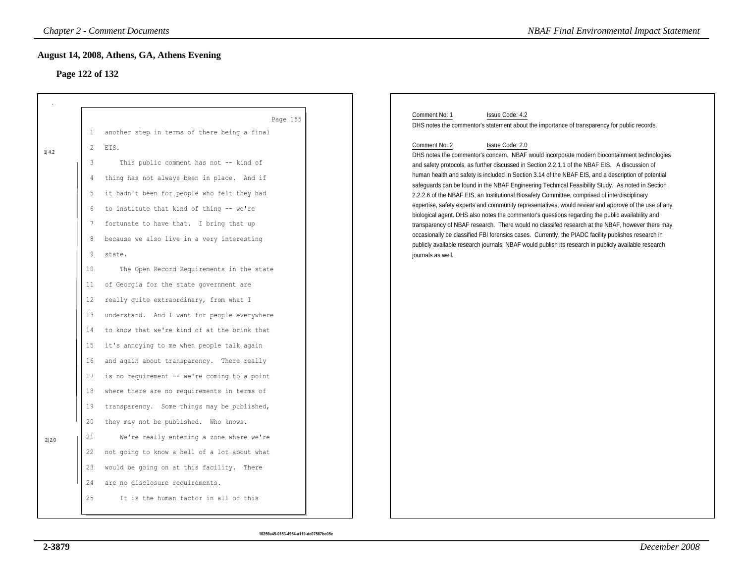# **Page 122 of 132**

| <b>NBAF Final Environmental Impact Statement</b>                                                                                                                                                                                                                                                                                                                                                                                                                                                                                                                                                                                                                                                                                                                                                                                                                                                                                                                                                                                                                                                                                                                                                                                     |
|--------------------------------------------------------------------------------------------------------------------------------------------------------------------------------------------------------------------------------------------------------------------------------------------------------------------------------------------------------------------------------------------------------------------------------------------------------------------------------------------------------------------------------------------------------------------------------------------------------------------------------------------------------------------------------------------------------------------------------------------------------------------------------------------------------------------------------------------------------------------------------------------------------------------------------------------------------------------------------------------------------------------------------------------------------------------------------------------------------------------------------------------------------------------------------------------------------------------------------------|
|                                                                                                                                                                                                                                                                                                                                                                                                                                                                                                                                                                                                                                                                                                                                                                                                                                                                                                                                                                                                                                                                                                                                                                                                                                      |
| Comment No: 1<br>Issue Code: 4.2<br>DHS notes the commentor's statement about the importance of transparency for public records.<br>Comment No: 2<br>Issue Code: 2.0<br>DHS notes the commentor's concern. NBAF would incorporate modern biocontainment technologies<br>and safety protocols, as further discussed in Section 2.2.1.1 of the NBAF EIS. A discussion of<br>human health and safety is included in Section 3.14 of the NBAF EIS, and a description of potential<br>safeguards can be found in the NBAF Engineering Technical Feasibility Study. As noted in Section<br>2.2.2.6 of the NBAF EIS, an Institutional Biosafety Committee, comprised of interdisciplinary<br>expertise, safety experts and community representatives, would review and approve of the use of any<br>biological agent. DHS also notes the commentor's questions regarding the public availability and<br>transparency of NBAF research. There would no classifed research at the NBAF, however there may<br>occasionally be classified FBI forensics cases. Currently, the PIADC facility publishes research in<br>publicly available research journals; NBAF would publish its research in publicly available research<br>journals as well. |
|                                                                                                                                                                                                                                                                                                                                                                                                                                                                                                                                                                                                                                                                                                                                                                                                                                                                                                                                                                                                                                                                                                                                                                                                                                      |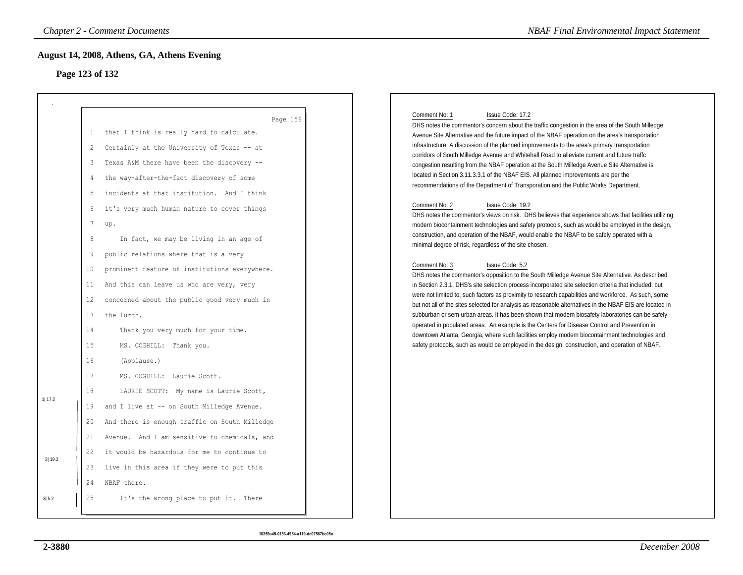# **Page 123 of 132**

|                            |                                                                                                                                                         | <b>Chapter 2 - Comment Documents</b>                                                                                                                                                                                                                                                                                                                                                                                                                                                                                                                                                                                                                                                                                                                                                                                                                                                                                                                                                                        | <b>NBAF Final Environmental Impact Statement</b>                                                                                                                                                                                                                                                                                                                                                                                                                                                                                                                                                                                                                                                                                                                                                                                                                                                                                                                                                                                                                                                                                                                                                                                                                                                                                                                                                                                                                                                                                                                                                                                                                                                                                                                                                                                                                                                                                                                                                                     |
|----------------------------|---------------------------------------------------------------------------------------------------------------------------------------------------------|-------------------------------------------------------------------------------------------------------------------------------------------------------------------------------------------------------------------------------------------------------------------------------------------------------------------------------------------------------------------------------------------------------------------------------------------------------------------------------------------------------------------------------------------------------------------------------------------------------------------------------------------------------------------------------------------------------------------------------------------------------------------------------------------------------------------------------------------------------------------------------------------------------------------------------------------------------------------------------------------------------------|----------------------------------------------------------------------------------------------------------------------------------------------------------------------------------------------------------------------------------------------------------------------------------------------------------------------------------------------------------------------------------------------------------------------------------------------------------------------------------------------------------------------------------------------------------------------------------------------------------------------------------------------------------------------------------------------------------------------------------------------------------------------------------------------------------------------------------------------------------------------------------------------------------------------------------------------------------------------------------------------------------------------------------------------------------------------------------------------------------------------------------------------------------------------------------------------------------------------------------------------------------------------------------------------------------------------------------------------------------------------------------------------------------------------------------------------------------------------------------------------------------------------------------------------------------------------------------------------------------------------------------------------------------------------------------------------------------------------------------------------------------------------------------------------------------------------------------------------------------------------------------------------------------------------------------------------------------------------------------------------------------------------|
|                            |                                                                                                                                                         | August 14, 2008, Athens, GA, Athens Evening<br>Page 123 of 132                                                                                                                                                                                                                                                                                                                                                                                                                                                                                                                                                                                                                                                                                                                                                                                                                                                                                                                                              |                                                                                                                                                                                                                                                                                                                                                                                                                                                                                                                                                                                                                                                                                                                                                                                                                                                                                                                                                                                                                                                                                                                                                                                                                                                                                                                                                                                                                                                                                                                                                                                                                                                                                                                                                                                                                                                                                                                                                                                                                      |
| 1 17.2<br>2 19.2 <br>3 5.2 | 1<br>2<br>3<br>4<br>5<br>6<br>$7\phantom{.0}$<br>8<br>9<br>10<br>11<br>12<br>13<br>14<br>15<br>16<br>17<br>18<br>19<br>20<br>21<br>22<br>23<br>24<br>25 | Page 156<br>that I think is really hard to calculate.<br>Certainly at the University of Texas -- at<br>Texas A&M there have been the discovery --<br>the way-after-the-fact discovery of some<br>incidents at that institution. And I think<br>it's very much human nature to cover things<br>up.<br>In fact, we may be living in an age of<br>public relations where that is a very<br>prominent feature of institutions everywhere.<br>And this can leave us who are very, very<br>concerned about the public good very much in<br>the lurch.<br>Thank you very much for your time.<br>MS. COGHILL: Thank you.<br>(Applause.)<br>MS. COGHILL: Laurie Scott.<br>LAURIE SCOTT: My name is Laurie Scott,<br>and I live at -- on South Milledge Avenue.<br>And there is enough traffic on South Milledge<br>Avenue. And I am sensitive to chemicals, and<br>it would be hazardous for me to continue to<br>live in this area if they were to put this<br>NBAF there.<br>It's the wrong place to put it. There | Comment No: 1<br>Issue Code: 17.2<br>DHS notes the commentor's concern about the traffic congestion in the area of the South Milledge<br>Avenue Site Alternative and the future impact of the NBAF operation on the area's transportation<br>infrastructure. A discussion of the planned improvements to the area's primary transportation<br>corridors of South Milledge Avenue and Whitehall Road to alleviate current and future traffc<br>congestion resulting from the NBAF operation at the South Milledge Avenue Site Alternative is<br>located in Section 3.11.3.3.1 of the NBAF EIS. All planned improvements are per the<br>recommendations of the Department of Transporation and the Public Works Department.<br>Comment No: 2<br>Issue Code: 19.2<br>DHS notes the commentor's views on risk. DHS believes that experience shows that facilities utilizing<br>modern biocontainment technologies and safety protocols, such as would be employed in the design,<br>construction, and operation of the NBAF, would enable the NBAF to be safely operated with a<br>minimal degree of risk, regardless of the site chosen.<br>Comment No: 3<br>Issue Code: 5.2<br>DHS notes the commentor's opposition to the South Milledge Avenue Site Alternative. As described<br>in Section 2.3.1, DHS's site selection process incorporated site selection criteria that included, but<br>were not limited to, such factors as proximity to research capabilities and workforce. As such, some<br>but not all of the sites selected for analysis as reasonable alternatives in the NBAF EIS are located in<br>subburban or sem-urban areas. It has been shown that modern biosafety laboratories can be safely<br>operated in populated areas. An example is the Centers for Disease Control and Prevention in<br>downtown Atlanta, Georgia, where such facilities employ modern biocontainment technologies and<br>safety protocols, such as would be employed in the design, construction, and operation of NBAF. |
|                            |                                                                                                                                                         |                                                                                                                                                                                                                                                                                                                                                                                                                                                                                                                                                                                                                                                                                                                                                                                                                                                                                                                                                                                                             |                                                                                                                                                                                                                                                                                                                                                                                                                                                                                                                                                                                                                                                                                                                                                                                                                                                                                                                                                                                                                                                                                                                                                                                                                                                                                                                                                                                                                                                                                                                                                                                                                                                                                                                                                                                                                                                                                                                                                                                                                      |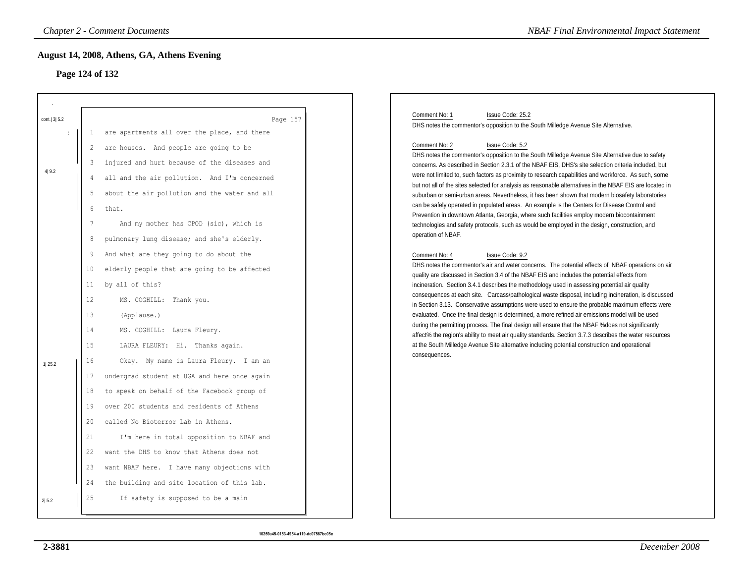# **Page 124 of 132**

|                       |                                                                                                            | <b>Chapter 2 - Comment Documents</b>                                                                                                                                                                                                                                                                                                                                                                                                                                                                                   | <b>NBAF Final Environmental Impact Statement</b>                                                                                                                                                                                                                                                                                                                                                                                                                                                                                                                                                                                                                                                                                                                                                                                                                                                                                                                                                                                                                                                                                                                                                                                                                                                                                                                                                                                                                                                                                                   |
|-----------------------|------------------------------------------------------------------------------------------------------------|------------------------------------------------------------------------------------------------------------------------------------------------------------------------------------------------------------------------------------------------------------------------------------------------------------------------------------------------------------------------------------------------------------------------------------------------------------------------------------------------------------------------|----------------------------------------------------------------------------------------------------------------------------------------------------------------------------------------------------------------------------------------------------------------------------------------------------------------------------------------------------------------------------------------------------------------------------------------------------------------------------------------------------------------------------------------------------------------------------------------------------------------------------------------------------------------------------------------------------------------------------------------------------------------------------------------------------------------------------------------------------------------------------------------------------------------------------------------------------------------------------------------------------------------------------------------------------------------------------------------------------------------------------------------------------------------------------------------------------------------------------------------------------------------------------------------------------------------------------------------------------------------------------------------------------------------------------------------------------------------------------------------------------------------------------------------------------|
|                       |                                                                                                            | August 14, 2008, Athens, GA, Athens Evening<br>Page 124 of 132                                                                                                                                                                                                                                                                                                                                                                                                                                                         |                                                                                                                                                                                                                                                                                                                                                                                                                                                                                                                                                                                                                                                                                                                                                                                                                                                                                                                                                                                                                                                                                                                                                                                                                                                                                                                                                                                                                                                                                                                                                    |
| cont.   3  5.2        |                                                                                                            | Page 157                                                                                                                                                                                                                                                                                                                                                                                                                                                                                                               | Comment No: 1<br>Issue Code: 25.2<br>DHS notes the commentor's opposition to the South Milledge Avenue Site Alternative.                                                                                                                                                                                                                                                                                                                                                                                                                                                                                                                                                                                                                                                                                                                                                                                                                                                                                                                                                                                                                                                                                                                                                                                                                                                                                                                                                                                                                           |
| $\mathbf{r}$<br>4 9.2 | 1<br>$\overline{2}$<br>3<br>4<br>5<br>$6\phantom{.}6$<br>$7\phantom{.0}$<br>8<br>9<br>10<br>11<br>12<br>13 | are apartments all over the place, and there<br>are houses. And people are going to be<br>injured and hurt because of the diseases and<br>all and the air pollution. And I'm concerned<br>about the air pollution and the water and all<br>that.<br>And my mother has CPOD (sic), which is<br>pulmonary lung disease; and she's elderly.<br>And what are they going to do about the<br>elderly people that are going to be affected<br>by all of this?<br>MS. COGHILL: Thank you.<br>(Applause.)                       | Comment No: 2<br>Issue Code: 5.2<br>DHS notes the commentor's opposition to the South Milledge Avenue Site Alternative due to safety<br>concerns. As described in Section 2.3.1 of the NBAF EIS, DHS's site selection criteria included, but<br>were not limited to, such factors as proximity to research capabilities and workforce. As such, some<br>but not all of the sites selected for analysis as reasonable alternatives in the NBAF EIS are located in<br>suburban or semi-urban areas. Nevertheless, it has been shown that modern biosafety laboratories<br>can be safely operated in populated areas. An example is the Centers for Disease Control and<br>Prevention in downtown Atlanta, Georgia, where such facilities employ modern biocontainment<br>technologies and safety protocols, such as would be employed in the design, construction, and<br>operation of NBAF.<br>Issue Code: 9.2<br>Comment No: 4<br>DHS notes the commentor's air and water concerns. The potential effects of NBAF operations on air<br>quality are discussed in Section 3.4 of the NBAF EIS and includes the potential effects from<br>incineration. Section 3.4.1 describes the methodology used in assessing potential air quality<br>consequences at each site. Carcass/pathological waste disposal, including incineration, is discussed<br>in Section 3.13. Conservative assumptions were used to ensure the probable maximum effects were<br>evaluated. Once the final design is determined, a more refined air emissions model will be used |
| 1 25.2                | 14<br>15<br>16<br>17<br>18<br>19<br>20<br>21<br>22<br>23<br>24<br>25                                       | MS. COGHILL: Laura Fleury.<br>LAURA FLEURY: Hi. Thanks again.<br>Okay. My name is Laura Fleury. I am an<br>undergrad student at UGA and here once again<br>to speak on behalf of the Facebook group of<br>over 200 students and residents of Athens<br>called No Bioterror Lab in Athens.<br>I'm here in total opposition to NBAF and<br>want the DHS to know that Athens does not<br>want NBAF here. I have many objections with<br>the building and site location of this lab.<br>If safety is supposed to be a main | during the permitting process. The final design will ensure that the NBAF % does not significantly<br>affect% the region's ability to meet air quality standards. Section 3.7.3 describes the water resources<br>at the South Milledge Avenue Site alternative including potential construction and operational<br>consequences.                                                                                                                                                                                                                                                                                                                                                                                                                                                                                                                                                                                                                                                                                                                                                                                                                                                                                                                                                                                                                                                                                                                                                                                                                   |
| 2 5.2                 |                                                                                                            |                                                                                                                                                                                                                                                                                                                                                                                                                                                                                                                        |                                                                                                                                                                                                                                                                                                                                                                                                                                                                                                                                                                                                                                                                                                                                                                                                                                                                                                                                                                                                                                                                                                                                                                                                                                                                                                                                                                                                                                                                                                                                                    |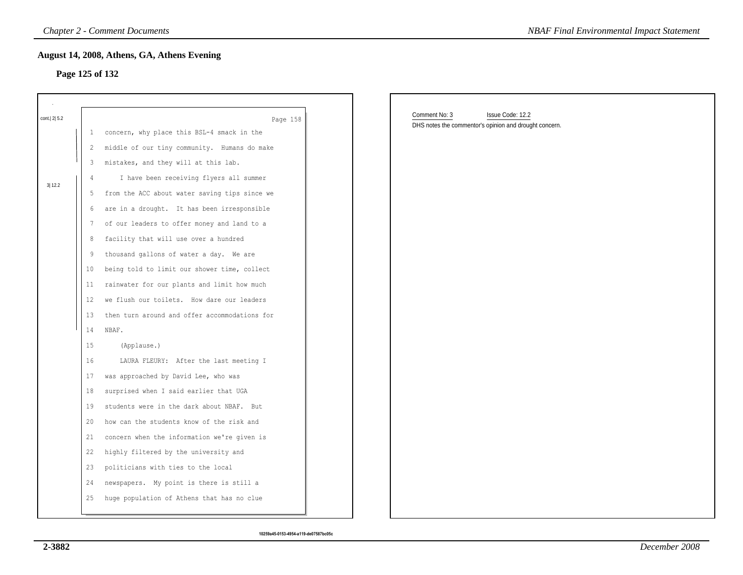### **Page 125 of 132**

|                |                 | <b>Chapter 2 - Comment Documents</b>          | <b>NBAF Final Environmental Impact Statement</b>                                            |
|----------------|-----------------|-----------------------------------------------|---------------------------------------------------------------------------------------------|
|                | Page 125 of 132 | August 14, 2008, Athens, GA, Athens Evening   |                                                                                             |
| cont.   2  5.2 |                 | Page 158                                      | Comment No: 3<br>Issue Code: 12.2<br>DHS notes the commentor's opinion and drought concern. |
|                | 1               | concern, why place this BSL-4 smack in the    |                                                                                             |
|                | 2               | middle of our tiny community. Humans do make  |                                                                                             |
|                | 3               | mistakes, and they will at this lab.          |                                                                                             |
| 3 12.2         | 4               | I have been receiving flyers all summer       |                                                                                             |
|                | 5               | from the ACC about water saving tips since we |                                                                                             |
|                | 6               | are in a drought. It has been irresponsible   |                                                                                             |
|                | 7               | of our leaders to offer money and land to a   |                                                                                             |
|                | 8               | facility that will use over a hundred         |                                                                                             |
|                | 9               | thousand gallons of water a day. We are       |                                                                                             |
|                | 10              | being told to limit our shower time, collect  |                                                                                             |
|                | 11              | rainwater for our plants and limit how much   |                                                                                             |
|                | 12              | we flush our toilets. How dare our leaders    |                                                                                             |
|                | 13              | then turn around and offer accommodations for |                                                                                             |
|                | 14              | NBAF.                                         |                                                                                             |
|                | 15              | (Applause.)                                   |                                                                                             |
|                | 16              | LAURA FLEURY: After the last meeting I        |                                                                                             |
|                | 17              | was approached by David Lee, who was          |                                                                                             |
|                | 18              | surprised when I said earlier that UGA        |                                                                                             |
|                | 19              | students were in the dark about NBAF. But     |                                                                                             |
|                | 20              | how can the students know of the risk and     |                                                                                             |
|                | 21              | concern when the information we're given is   |                                                                                             |
|                | 22              | highly filtered by the university and         |                                                                                             |
|                | 23              | politicians with ties to the local            |                                                                                             |
|                | 24              | newspapers. My point is there is still a      |                                                                                             |
|                | 25              | huge population of Athens that has no clue    |                                                                                             |
|                |                 |                                               |                                                                                             |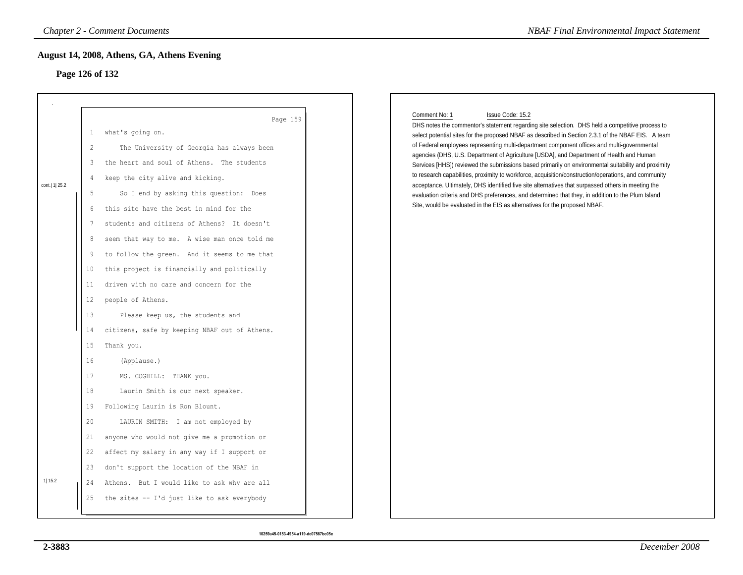# **Page 126 of 132**

|                  |                                                                                                                               | <b>Chapter 2 - Comment Documents</b>                                                                                                                                                                                                                                                                                                                                                                                                                                                                                                                                                                                                                                                                                                | <b>NBAF Final Environmental Impact Statement</b>                                                                                                                                                                                                                                                                                                                                                                                                                                                                                                                                                                                                                                                                                                                                                                                                                                                                                              |
|------------------|-------------------------------------------------------------------------------------------------------------------------------|-------------------------------------------------------------------------------------------------------------------------------------------------------------------------------------------------------------------------------------------------------------------------------------------------------------------------------------------------------------------------------------------------------------------------------------------------------------------------------------------------------------------------------------------------------------------------------------------------------------------------------------------------------------------------------------------------------------------------------------|-----------------------------------------------------------------------------------------------------------------------------------------------------------------------------------------------------------------------------------------------------------------------------------------------------------------------------------------------------------------------------------------------------------------------------------------------------------------------------------------------------------------------------------------------------------------------------------------------------------------------------------------------------------------------------------------------------------------------------------------------------------------------------------------------------------------------------------------------------------------------------------------------------------------------------------------------|
|                  |                                                                                                                               | August 14, 2008, Athens, GA, Athens Evening<br>Page 126 of 132                                                                                                                                                                                                                                                                                                                                                                                                                                                                                                                                                                                                                                                                      |                                                                                                                                                                                                                                                                                                                                                                                                                                                                                                                                                                                                                                                                                                                                                                                                                                                                                                                                               |
| cont.   1   25.2 | $\mathbf{1}$<br>2<br>3<br>$\overline{4}$<br>5<br>6<br>7<br>8<br>9<br>10<br>11<br>12<br>13<br>14<br>15<br>16<br>17<br>18<br>19 | Page 159<br>what's going on.<br>The University of Georgia has always been<br>the heart and soul of Athens. The students<br>keep the city alive and kicking.<br>So I end by asking this question: Does<br>this site have the best in mind for the<br>students and citizens of Athens? It doesn't<br>seem that way to me. A wise man once told me<br>to follow the green. And it seems to me that<br>this project is financially and politically<br>driven with no care and concern for the<br>people of Athens.<br>Please keep us, the students and<br>citizens, safe by keeping NBAF out of Athens.<br>Thank you.<br>(Applause.)<br>MS. COGHILL: THANK you.<br>Laurin Smith is our next speaker.<br>Following Laurin is Ron Blount. | Comment No: 1<br>Issue Code: 15.2<br>DHS notes the commentor's statement regarding site selection. DHS held a competitive process to<br>select potential sites for the proposed NBAF as described in Section 2.3.1 of the NBAF EIS. A team<br>of Federal employees representing multi-department component offices and multi-governmental<br>agencies (DHS, U.S. Department of Agriculture [USDA], and Department of Health and Human<br>Services [HHS]) reviewed the submissions based primarily on environmental suitability and proximity<br>to research capabilities, proximity to workforce, acquisition/construction/operations, and community<br>acceptance. Ultimately, DHS identified five site alternatives that surpassed others in meeting the<br>evaluation criteria and DHS preferences, and determined that they, in addition to the Plum Island<br>Site, would be evaluated in the EIS as alternatives for the proposed NBAF. |
|                  | 20<br>21<br>22                                                                                                                | LAURIN SMITH: I am not employed by<br>anyone who would not give me a promotion or<br>affect my salary in any way if I support or                                                                                                                                                                                                                                                                                                                                                                                                                                                                                                                                                                                                    |                                                                                                                                                                                                                                                                                                                                                                                                                                                                                                                                                                                                                                                                                                                                                                                                                                                                                                                                               |
| 1 15.2           | 23<br>24<br>25                                                                                                                | don't support the location of the NBAF in<br>Athens. But I would like to ask why are all<br>the sites -- I'd just like to ask everybody                                                                                                                                                                                                                                                                                                                                                                                                                                                                                                                                                                                             |                                                                                                                                                                                                                                                                                                                                                                                                                                                                                                                                                                                                                                                                                                                                                                                                                                                                                                                                               |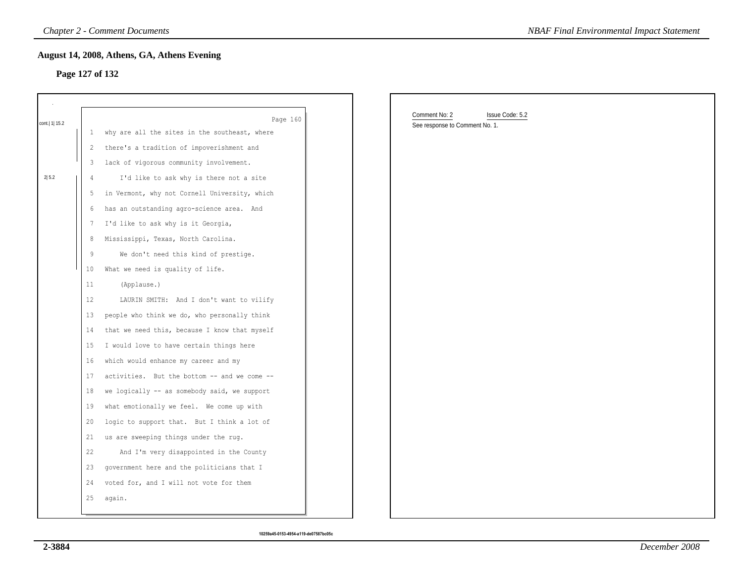### **Page 127 of 132**

|                 |                 | <b>Chapter 2 - Comment Documents</b>                                                       | <b>NBAF Final Environmental Impact Statement</b>                   |
|-----------------|-----------------|--------------------------------------------------------------------------------------------|--------------------------------------------------------------------|
|                 | Page 127 of 132 | August 14, 2008, Athens, GA, Athens Evening                                                |                                                                    |
|                 |                 |                                                                                            |                                                                    |
| cont.   1  15.2 |                 | Page 160                                                                                   | Comment No: 2<br>Issue Code: 5.2<br>See response to Comment No. 1. |
|                 | 1               | why are all the sites in the southeast, where<br>there's a tradition of impoverishment and |                                                                    |
|                 | $\overline{c}$  |                                                                                            |                                                                    |
| 2 5.2           | 3               | lack of vigorous community involvement.                                                    |                                                                    |
|                 | 4               | I'd like to ask why is there not a site                                                    |                                                                    |
|                 | 5               | in Vermont, why not Cornell University, which                                              |                                                                    |
|                 | 6               | has an outstanding agro-science area. And                                                  |                                                                    |
|                 | $\overline{7}$  | I'd like to ask why is it Georgia,                                                         |                                                                    |
|                 | 8               | Mississippi, Texas, North Carolina.                                                        |                                                                    |
|                 | 9               | We don't need this kind of prestige.                                                       |                                                                    |
|                 | 10              | What we need is quality of life.                                                           |                                                                    |
|                 | 11              | (Applause.)                                                                                |                                                                    |
|                 | 12              | LAURIN SMITH: And I don't want to vilify                                                   |                                                                    |
|                 | 13              | people who think we do, who personally think                                               |                                                                    |
|                 | 14              | that we need this, because I know that myself                                              |                                                                    |
|                 | 15              | I would love to have certain things here                                                   |                                                                    |
|                 | 16              | which would enhance my career and my                                                       |                                                                    |
|                 | 17              | activities. But the bottom -- and we come --                                               |                                                                    |
|                 | 18              | we logically -- as somebody said, we support                                               |                                                                    |
|                 | 19              | what emotionally we feel. We come up with                                                  |                                                                    |
|                 | 20              | logic to support that. But I think a lot of                                                |                                                                    |
|                 | 21              | us are sweeping things under the rug.                                                      |                                                                    |
|                 | 22              | And I'm very disappointed in the County                                                    |                                                                    |
|                 | 23              | government here and the politicians that I                                                 |                                                                    |
|                 | 24              | voted for, and I will not vote for them                                                    |                                                                    |
|                 | 25              | again.                                                                                     |                                                                    |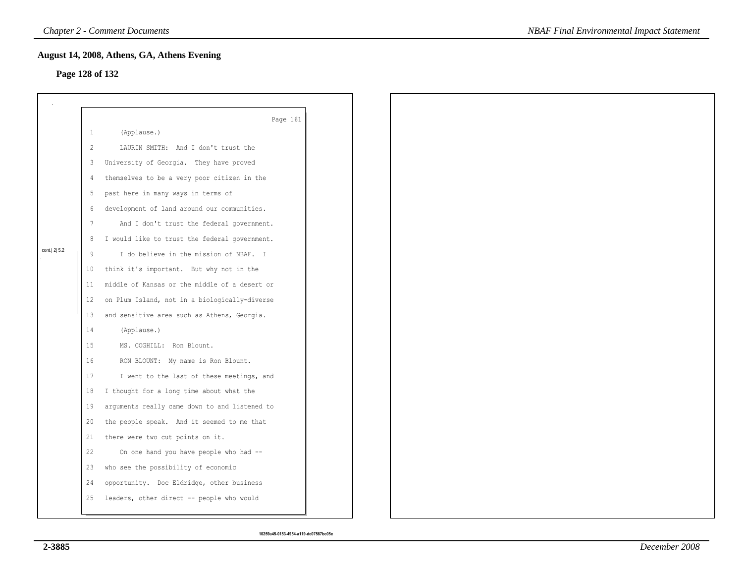# **Page 128 of 132**

|                 |              | August 14, 2008, Athens, GA, Athens Evening   |  |
|-----------------|--------------|-----------------------------------------------|--|
| Page 128 of 132 |              |                                               |  |
|                 |              |                                               |  |
|                 |              |                                               |  |
|                 | $\mathbf{1}$ | Page 161<br>(Applause.)                       |  |
|                 | 2            | LAURIN SMITH: And I don't trust the           |  |
|                 | 3            | University of Georgia. They have proved       |  |
|                 | 4            | themselves to be a very poor citizen in the   |  |
|                 | 5            | past here in many ways in terms of            |  |
|                 |              |                                               |  |
|                 | 6            | development of land around our communities.   |  |
|                 | 7            | And I don't trust the federal government.     |  |
| cont. 2 5.2     | 8            | I would like to trust the federal government. |  |
|                 | 9            | I do believe in the mission of NBAF. I        |  |
|                 | 10           | think it's important. But why not in the      |  |
|                 | 11           | middle of Kansas or the middle of a desert or |  |
|                 | 12           | on Plum Island, not in a biologically-diverse |  |
|                 | 13           | and sensitive area such as Athens, Georgia.   |  |
|                 | 14           | (Applause.)                                   |  |
|                 | 15           | MS. COGHILL: Ron Blount.                      |  |
|                 | 16           | RON BLOUNT: My name is Ron Blount.            |  |
|                 | 17           | I went to the last of these meetings, and     |  |
|                 | 18           | I thought for a long time about what the      |  |
|                 | 19           | arguments really came down to and listened to |  |
|                 | 20           | the people speak. And it seemed to me that    |  |
|                 | 21           | there were two cut points on it.              |  |
|                 | 22           | On one hand you have people who had --        |  |
|                 | 23           | who see the possibility of economic           |  |
|                 | 24           | opportunity. Doc Eldridge, other business     |  |
|                 | 25           | leaders, other direct -- people who would     |  |
|                 |              |                                               |  |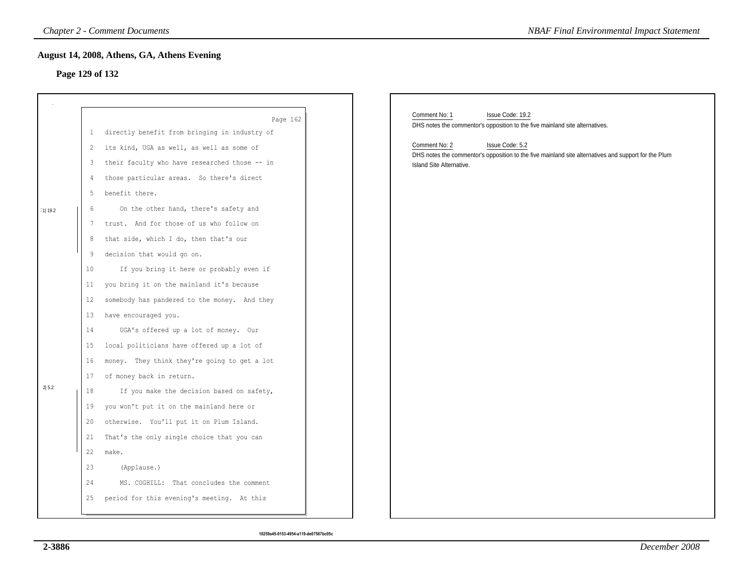# **Page 129 of 132**

|          |                   | <b>Chapter 2 - Comment Documents</b>                           | <b>NBAF Final Environmental Impact Statement</b>                                                                                         |
|----------|-------------------|----------------------------------------------------------------|------------------------------------------------------------------------------------------------------------------------------------------|
|          |                   | August 14, 2008, Athens, GA, Athens Evening<br>Page 129 of 132 |                                                                                                                                          |
|          |                   |                                                                |                                                                                                                                          |
|          |                   |                                                                |                                                                                                                                          |
|          |                   | Page 162                                                       | Comment No: 1<br>Issue Code: 19.2<br>DHS notes the commentor's opposition to the five mainland site alternatives.                        |
|          | 1                 | directly benefit from bringing in industry of                  |                                                                                                                                          |
|          | 2                 | its kind, UGA as well, as well as some of                      | Comment No: 2<br>Issue Code: 5.2<br>DHS notes the commentor's opposition to the five mainland site alternatives and support for the Plum |
|          | 3                 | their faculty who have researched those -- in                  | Island Site Alternative.                                                                                                                 |
|          | 4                 | those particular areas. So there's direct                      |                                                                                                                                          |
|          | 5                 | benefit there.                                                 |                                                                                                                                          |
| 11  19.2 | 6                 | On the other hand, there's safety and                          |                                                                                                                                          |
|          | 7                 | trust. And for those of us who follow on                       |                                                                                                                                          |
|          | 8                 | that side, which I do, then that's our                         |                                                                                                                                          |
|          | 9                 | decision that would go on.                                     |                                                                                                                                          |
|          | 10                | If you bring it here or probably even if                       |                                                                                                                                          |
|          | 11 <sub>1</sub>   | you bring it on the mainland it's because                      |                                                                                                                                          |
|          | $12 \overline{ }$ | somebody has pandered to the money. And they                   |                                                                                                                                          |
|          | 13                | have encouraged you.                                           |                                                                                                                                          |
|          | 14                | UGA's offered up a lot of money. Our                           |                                                                                                                                          |
|          | 15                | local politicians have offered up a lot of                     |                                                                                                                                          |
|          | 16                | money. They think they're going to get a lot                   |                                                                                                                                          |
|          | 17                | of money back in return.                                       |                                                                                                                                          |
| 2 5.2    | 18                | If you make the decision based on safety,                      |                                                                                                                                          |
|          | 19                | you won't put it on the mainland here or                       |                                                                                                                                          |
|          | 20                | otherwise. You'll put it on Plum Island.                       |                                                                                                                                          |
|          | 21                | That's the only single choice that you can                     |                                                                                                                                          |
|          | 22                | make.                                                          |                                                                                                                                          |
|          | 23                | (Applause.)                                                    |                                                                                                                                          |
|          | 24                | MS. COGHILL: That concludes the comment                        |                                                                                                                                          |
|          | 25                | period for this evening's meeting. At this                     |                                                                                                                                          |
|          |                   |                                                                |                                                                                                                                          |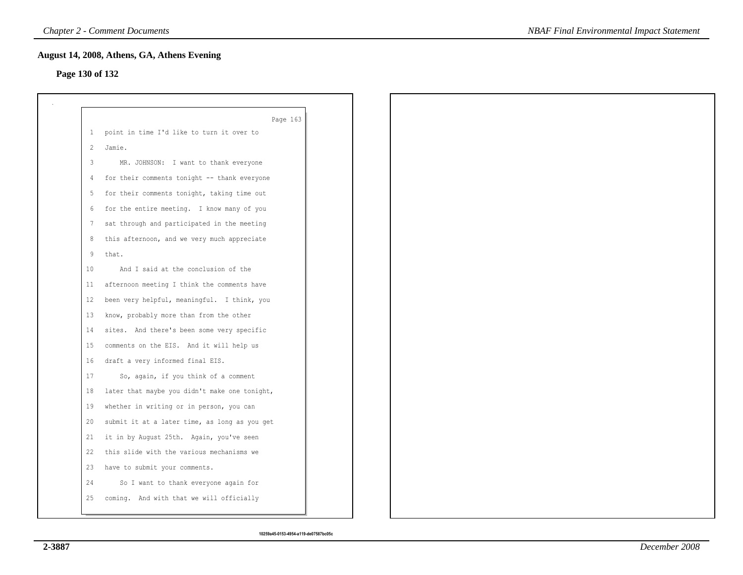# **Page 130 of 132**

|                | Page 163                                      |
|----------------|-----------------------------------------------|
|                | 1 point in time I'd like to turn it over to   |
| $\overline{2}$ | Jamie.                                        |
| 3              | MR. JOHNSON: I want to thank everyone         |
| 4              | for their comments tonight -- thank everyone  |
| 5              | for their comments tonight, taking time out   |
| 6              | for the entire meeting. I know many of you    |
| 7              | sat through and participated in the meeting   |
| 8              | this afternoon, and we very much appreciate   |
| 9              | that.                                         |
| 10             | And I said at the conclusion of the           |
| 11             | afternoon meeting I think the comments have   |
| 12             | been very helpful, meaningful. I think, you   |
| 13             | know, probably more than from the other       |
| 14             | sites. And there's been some very specific    |
| 15             | comments on the EIS. And it will help us      |
| 16             | draft a very informed final EIS.              |
| 17             | So, again, if you think of a comment          |
| 18             | later that maybe you didn't make one tonight, |
| 19             | whether in writing or in person, you can      |
| 20             | submit it at a later time, as long as you get |
| 21             | it in by August 25th. Again, you've seen      |
| 22             | this slide with the various mechanisms we     |
| 23             | have to submit your comments.                 |
| 24             | So I want to thank everyone again for         |
| 25             | coming. And with that we will officially      |
|                |                                               |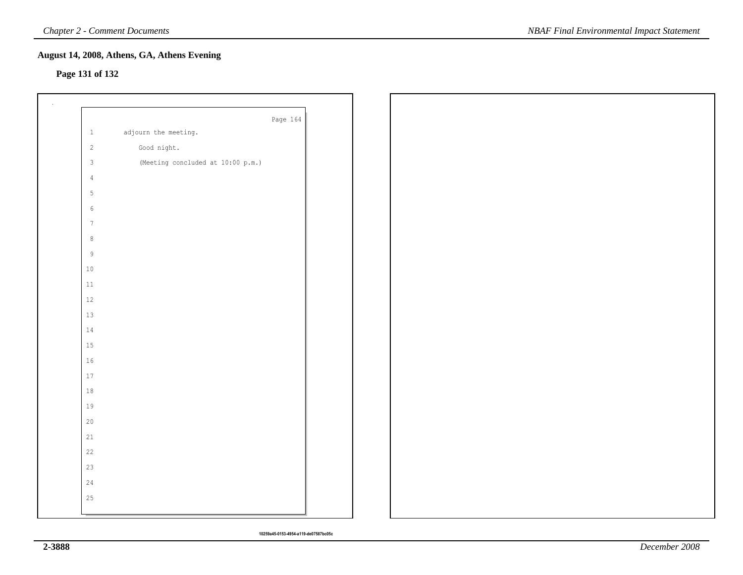# **Page 131 of 132**

|                 | Page 164                          |
|-----------------|-----------------------------------|
| $1\,$           | adjourn the meeting.              |
| $\overline{2}$  | Good night.                       |
| $\mathbf{3}$    | (Meeting concluded at 10:00 p.m.) |
| $\overline{4}$  |                                   |
| $5\phantom{.0}$ |                                   |
| $\sqrt{6}$      |                                   |
| $7\phantom{.0}$ |                                   |
| $\,8\,$         |                                   |
| $\,9$           |                                   |
| $10\,$          |                                   |
| $11\,$          |                                   |
| 12              |                                   |
| 13              |                                   |
| 14              |                                   |
| 15              |                                   |
| 16              |                                   |
| 17              |                                   |
| 18              |                                   |
| 19              |                                   |
| $20$            |                                   |
| 21              |                                   |
| 22              |                                   |
| 23              |                                   |
| 24              |                                   |
| 25              |                                   |
|                 |                                   |